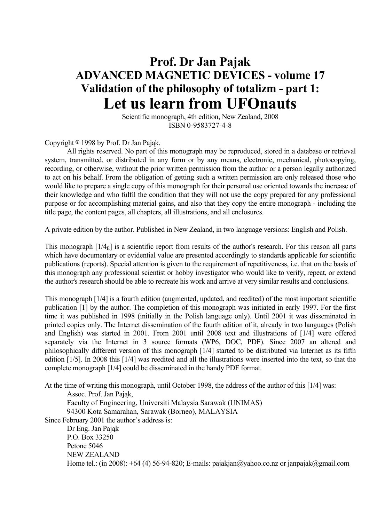# **Prof. Dr Jan Pajak ADVANCED MAGNETIC DEVICES - volume 17 Validation of the philosophy of totalizm - part 1: Let us learn from UFOnauts**

 Scientific monograph, 4th edition, New Zealand, 2008 ISBN 0-9583727-4-8

Copyright  $\circ$  1998 by Prof. Dr Jan Pająk.

 All rights reserved. No part of this monograph may be reproduced, stored in a database or retrieval system, transmitted, or distributed in any form or by any means, electronic, mechanical, photocopying, recording, or otherwise, without the prior written permission from the author or a person legally authorized to act on his behalf. From the obligation of getting such a written permission are only released those who would like to prepare a single copy of this monograph for their personal use oriented towards the increase of their knowledge and who fulfil the condition that they will not use the copy prepared for any professional purpose or for accomplishing material gains, and also that they copy the entire monograph - including the title page, the content pages, all chapters, all illustrations, and all enclosures.

A private edition by the author. Published in New Zealand, in two language versions: English and Polish.

This monograph  $[1/4<sub>E</sub>]$  is a scientific report from results of the author's research. For this reason all parts which have documentary or evidential value are presented accordingly to standards applicable for scientific publications (reports). Special attention is given to the requirement of repetitiveness, i.e. that on the basis of this monograph any professional scientist or hobby investigator who would like to verify, repeat, or extend the author's research should be able to recreate his work and arrive at very similar results and conclusions.

This monograph [1/4] is a fourth edition (augmented, updated, and reedited) of the most important scientific publication [1] by the author. The completion of this monograph was initiated in early 1997. For the first time it was published in 1998 (initially in the Polish language only). Until 2001 it was disseminated in printed copies only. The Internet dissemination of the fourth edition of it, already in two languages (Polish and English) was started in 2001. From 2001 until 2008 text and illustrations of [1/4] were offered separately via the Internet in 3 source formats (WP6, DOC, PDF). Since 2007 an altered and philosophically different version of this monograph [1/4] started to be distributed via Internet as its fifth edition [1/5]. In 2008 this [1/4] was reedited and all the illustrations were inserted into the text, so that the complete monograph [1/4] could be disseminated in the handy PDF format.

At the time of writing this monograph, until October 1998, the address of the author of this [1/4] was:

Assoc. Prof. Jan Pająk,

 Faculty of Engineering, Universiti Malaysia Sarawak (UNIMAS) 94300 Kota Samarahan, Sarawak (Borneo), MALAYSIA

Since February 2001 the author's address is:

 Dr Eng. Jan Pająk P.O. Box 33250 Petone 5046 NEW ZEALAND Home tel.: (in 2008):  $+64$  (4) 56-94-820; E-mails: pajakjan@yahoo.co.nz or janpajak@gmail.com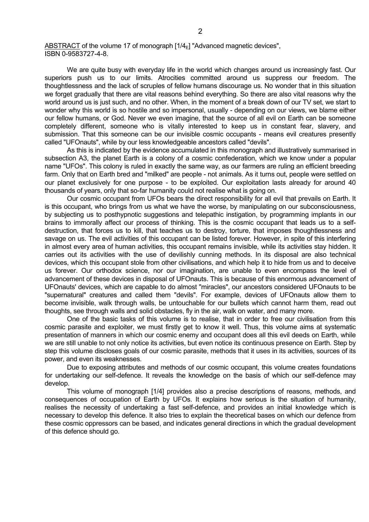ABSTRACT of the volume 17 of monograph  $[1/4<sub>F</sub>]$  "Advanced magnetic devices", ISBN 0-9583727-4-8.

 We are quite busy with everyday life in the world which changes around us increasingly fast. Our superiors push us to our limits. Atrocities committed around us suppress our freedom. The thoughtlessness and the lack of scruples of fellow humans discourage us. No wonder that in this situation we forget gradually that there are vital reasons behind everything. So there are also vital reasons why the world around us is just such, and no other. When, in the moment of a break down of our TV set, we start to wonder why this world is so hostile and so impersonal, usually - depending on our views, we blame either our fellow humans, or God. Never we even imagine, that the source of all evil on Earth can be someone completely different, someone who is vitally interested to keep us in constant fear, slavery, and submission. That this someone can be our invisible cosmic occupants - means evil creatures presently called "UFOnauts", while by our less knowledgeable ancestors called "devils".

 As this is indicated by the evidence accumulated in this monograph and illustratively summarised in subsection A3, the planet Earth is a colony of a cosmic confederation, which we know under a popular name "UFOs". This colony is ruled in exactly the same way, as our farmers are ruling an efficient breeding farm. Only that on Earth bred and "milked" are people - not animals. As it turns out, people were settled on our planet exclusively for one purpose - to be exploited. Our exploitation lasts already for around 40 thousands of years, only that so-far humanity could not realise what is going on.

 Our cosmic occupant from UFOs bears the direct responsibility for all evil that prevails on Earth. It is this occupant, who brings from us what we have the worse, by manipulating on our subconsciousness, by subjecting us to posthypnotic suggestions and telepathic instigation, by programming implants in our brains to immorally affect our process of thinking. This is the cosmic occupant that leads us to a selfdestruction, that forces us to kill, that teaches us to destroy, torture, that imposes thoughtlessness and savage on us. The evil activities of this occupant can be listed forever. However, in spite of this interfering in almost every area of human activities, this occupant remains invisible, while its activities stay hidden. It carries out its activities with the use of devilishly cunning methods. In its disposal are also technical devices, which this occupant stole from other civilisations, and which help it to hide from us and to deceive us forever. Our orthodox science, nor our imagination, are unable to even encompass the level of advancement of these devices in disposal of UFOnauts. This is because of this enormous advancement of UFOnauts' devices, which are capable to do almost "miracles", our ancestors considered UFOnauts to be "supernatural" creatures and called them "devils". For example, devices of UFOnauts allow them to become invisible, walk through walls, be untouchable for our bullets which cannot harm them, read out thoughts, see through walls and solid obstacles, fly in the air, walk on water, and many more.

 One of the basic tasks of this volume is to realise, that in order to free our civilisation from this cosmic parasite and exploiter, we must firstly get to know it well. Thus, this volume aims at systematic presentation of manners in which our cosmic enemy and occupant does all this evil deeds on Earth, while we are still unable to not only notice its activities, but even notice its continuous presence on Earth. Step by step this volume discloses goals of our cosmic parasite, methods that it uses in its activities, sources of its power, and even its weaknesses.

 Due to exposing attributes and methods of our cosmic occupant, this volume creates foundations for undertaking our self-defence. It reveals the knowledge on the basis of which our self-defence may develop.

 This volume of monograph [1/4] provides also a precise descriptions of reasons, methods, and consequences of occupation of Earth by UFOs. It explains how serious is the situation of humanity, realises the necessity of undertaking a fast self-defence, and provides an initial knowledge which is necessary to develop this defence. It also tries to explain the theoretical bases on which our defence from these cosmic oppressors can be based, and indicates general directions in which the gradual development of this defence should go.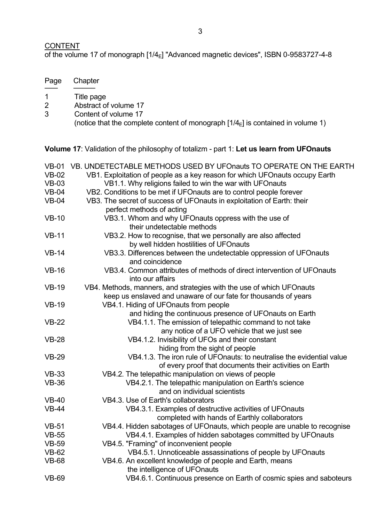# **CONTENT**

of the volume 17 of monograph [1/4<sub>E</sub>] "Advanced magnetic devices", ISBN 0-9583727-4-8

| Page | Chapter                                                                                                   |
|------|-----------------------------------------------------------------------------------------------------------|
|      | Title page                                                                                                |
|      | Abstract of volume 17                                                                                     |
| 3    | Content of volume 17<br>(notice that the complete content of monograph $[1/4E]$ is contained in volume 1) |

**Volume 17**: Validation of the philosophy of totalizm - part 1: **Let us learn from UFOnauts**

| $VB-01$      | VB. UNDETECTABLE METHODS USED BY UFOnauts TO OPERATE ON THE EARTH           |
|--------------|-----------------------------------------------------------------------------|
| $VB-02$      | VB1. Exploitation of people as a key reason for which UFOnauts occupy Earth |
| $VB-03$      | VB1.1. Why religions failed to win the war with UFOnauts                    |
| $VB-04$      | VB2. Conditions to be met if UFOnauts are to control people forever         |
| $VB-04$      | VB3. The secret of success of UFOnauts in exploitation of Earth: their      |
|              | perfect methods of acting                                                   |
| $VB-10$      | VB3.1. Whom and why UFOnauts oppress with the use of                        |
|              | their undetectable methods                                                  |
| $VB-11$      | VB3.2. How to recognise, that we personally are also affected               |
|              | by well hidden hostilities of UFOnauts                                      |
| $VB-14$      | VB3.3. Differences between the undetectable oppression of UFOnauts          |
|              | and coincidence                                                             |
| $VB-16$      | VB3.4. Common attributes of methods of direct intervention of UFOnauts      |
|              | into our affairs                                                            |
| $VB-19$      | VB4. Methods, manners, and strategies with the use of which UFOnauts        |
|              | keep us enslaved and unaware of our fate for thousands of years             |
| <b>VB-19</b> | VB4.1. Hiding of UFOnauts from people                                       |
|              | and hiding the continuous presence of UFOnauts on Earth                     |
| $VB-22$      | VB4.1.1. The emission of telepathic command to not take                     |
|              | any notice of a UFO vehicle that we just see                                |
| $VB-28$      | VB4.1.2. Invisibility of UFOs and their constant                            |
|              | hiding from the sight of people                                             |
| $VB-29$      | VB4.1.3. The iron rule of UFOnauts: to neutralise the evidential value      |
|              | of every proof that documents their activities on Earth                     |
| <b>VB-33</b> | VB4.2. The telepathic manipulation on views of people                       |
| <b>VB-36</b> | VB4.2.1. The telepathic manipulation on Earth's science                     |
|              | and on individual scientists                                                |
| $VB-40$      | VB4.3. Use of Earth's collaborators                                         |
| $VB-44$      | VB4.3.1. Examples of destructive activities of UFOnauts                     |
|              | completed with hands of Earthly collaborators                               |
| $VB-51$      | VB4.4. Hidden sabotages of UFOnauts, which people are unable to recognise   |
| $VB-55$      | VB4.4.1. Examples of hidden sabotages committed by UFOnauts                 |
| <b>VB-59</b> | VB4.5. "Framing" of inconvenient people                                     |
| <b>VB-62</b> | VB4.5.1. Unnoticeable assassinations of people by UFOnauts                  |
| <b>VB-68</b> | VB4.6. An excellent knowledge of people and Earth, means                    |
|              | the intelligence of UFOnauts                                                |
| <b>VB-69</b> | VB4.6.1. Continuous presence on Earth of cosmic spies and saboteurs         |
|              |                                                                             |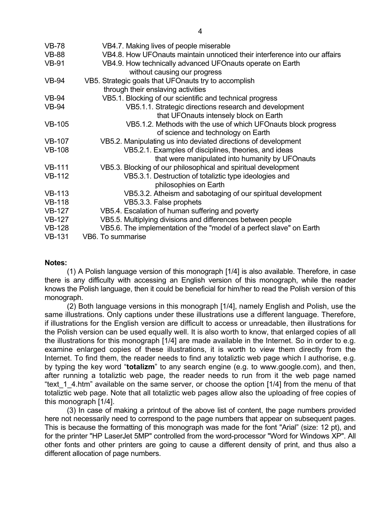| VB4.7. Making lives of people miserable                                                                  |
|----------------------------------------------------------------------------------------------------------|
| VB4.8. How UFOnauts maintain unnoticed their interference into our affairs                               |
| VB4.9. How technically advanced UFOnauts operate on Earth<br>without causing our progress                |
| VB5. Strategic goals that UFOnauts try to accomplish<br>through their enslaving activities               |
| VB5.1. Blocking of our scientific and technical progress                                                 |
| VB5.1.1. Strategic directions research and development<br>that UFOnauts intensely block on Earth         |
| VB5.1.2. Methods with the use of which UFO nauts block progress<br>of science and technology on Earth    |
| VB5.2. Manipulating us into deviated directions of development                                           |
| VB5.2.1. Examples of disciplines, theories, and ideas<br>that were manipulated into humanity by UFOnauts |
| VB5.3. Blocking of our philosophical and spiritual development                                           |
| VB5.3.1. Destruction of totaliztic type ideologies and<br>philosophies on Earth                          |
| VB5.3.2. Atheism and sabotaging of our spiritual development                                             |
| VB5.3.3. False prophets                                                                                  |
| VB5.4. Escalation of human suffering and poverty                                                         |
| VB5.5. Multiplying divisions and differences between people                                              |
| VB5.6. The implementation of the "model of a perfect slave" on Earth                                     |
| VB6. To summarise                                                                                        |
|                                                                                                          |

#### **Notes:**

 (1) A Polish language version of this monograph [1/4] is also available. Therefore, in case there is any difficulty with accessing an English version of this monograph, while the reader knows the Polish language, then it could be beneficial for him/her to read the Polish version of this monograph.

 (2) Both language versions in this monograph [1/4], namely English and Polish, use the same illustrations. Only captions under these illustrations use a different language. Therefore, if illustrations for the English version are difficult to access or unreadable, then illustrations for the Polish version can be used equally well. It is also worth to know, that enlarged copies of all the illustrations for this monograph [1/4] are made available in the Internet. So in order to e.g. examine enlarged copies of these illustrations, it is worth to view them directly from the Internet. To find them, the reader needs to find any totaliztic web page which I authorise, e.g. by typing the key word "**totalizm**" to any search engine (e.g. to www.google.com), and then, after running a totaliztic web page, the reader needs to run from it the web page named "text 1 4.htm" available on the same server, or choose the option [1/4] from the menu of that totaliztic web page. Note that all totaliztic web pages allow also the uploading of free copies of this monograph [1/4].

 (3) In case of making a printout of the above list of content, the page numbers provided here not necessarily need to correspond to the page numbers that appear on subsequent pages. This is because the formatting of this monograph was made for the font "Arial" (size: 12 pt), and for the printer "HP LaserJet 5MP" controlled from the word-processor "Word for Windows XP". All other fonts and other printers are going to cause a different density of print, and thus also a different allocation of page numbers.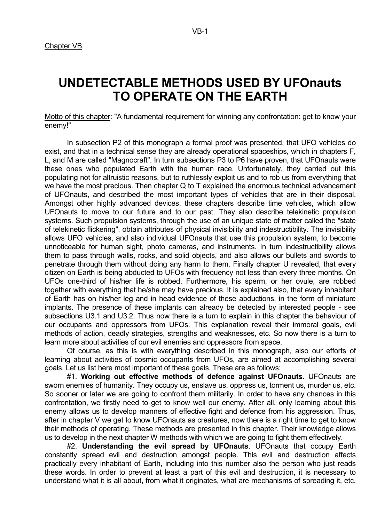# **UNDETECTABLE METHODS USED BY UFOnauts TO OPERATE ON THE EARTH**

Motto of this chapter: "A fundamental requirement for winning any confrontation: get to know your enemy!"

 In subsection P2 of this monograph a formal proof was presented, that UFO vehicles do exist, and that in a technical sense they are already operational spaceships, which in chapters F, L, and M are called "Magnocraft". In turn subsections P3 to P6 have proven, that UFOnauts were these ones who populated Earth with the human race. Unfortunately, they carried out this populating not for altruistic reasons, but to ruthlessly exploit us and to rob us from everything that we have the most precious. Then chapter Q to T explained the enormous technical advancement of UFOnauts, and described the most important types of vehicles that are in their disposal. Amongst other highly advanced devices, these chapters describe time vehicles, which allow UFOnauts to move to our future and to our past. They also describe telekinetic propulsion systems. Such propulsion systems, through the use of an unique state of matter called the "state" of telekinetic flickering", obtain attributes of physical invisibility and indestructibility. The invisibility allows UFO vehicles, and also individual UFOnauts that use this propulsion system, to become unnoticeable for human sight, photo cameras, and instruments. In turn indestructibility allows them to pass through walls, rocks, and solid objects, and also allows our bullets and swords to penetrate through them without doing any harm to them. Finally chapter U revealed, that every citizen on Earth is being abducted to UFOs with frequency not less than every three months. On UFOs one-third of his/her life is robbed. Furthermore, his sperm, or her ovule, are robbed together with everything that he/she may have precious. It is explained also, that every inhabitant of Earth has on his/her leg and in head evidence of these abductions, in the form of miniature implants. The presence of these implants can already be detected by interested people - see subsections U3.1 and U3.2. Thus now there is a turn to explain in this chapter the behaviour of our occupants and oppressors from UFOs. This explanation reveal their immoral goals, evil methods of action, deadly strategies, strengths and weaknesses, etc. So now there is a turn to learn more about activities of our evil enemies and oppressors from space.

 Of course, as this is with everything described in this monograph, also our efforts of learning about activities of cosmic occupants from UFOs, are aimed at accomplishing several goals. Let us list here most important of these goals. These are as follows:

 #1. **Working out effective methods of defence against UFOnauts**. UFOnauts are sworn enemies of humanity. They occupy us, enslave us, oppress us, torment us, murder us, etc. So sooner or later we are going to confront them militarily. In order to have any chances in this confrontation, we firstly need to get to know well our enemy. After all, only learning about this enemy allows us to develop manners of effective fight and defence from his aggression. Thus, after in chapter V we get to know UFOnauts as creatures, now there is a right time to get to know their methods of operating. These methods are presented in this chapter. Their knowledge allows us to develop in the next chapter W methods with which we are going to fight them effectively.

 #2. **Understanding the evil spread by UFOnauts**. UFOnauts that occupy Earth constantly spread evil and destruction amongst people. This evil and destruction affects practically every inhabitant of Earth, including into this number also the person who just reads these words. In order to prevent at least a part of this evil and destruction, it is necessary to understand what it is all about, from what it originates, what are mechanisms of spreading it, etc.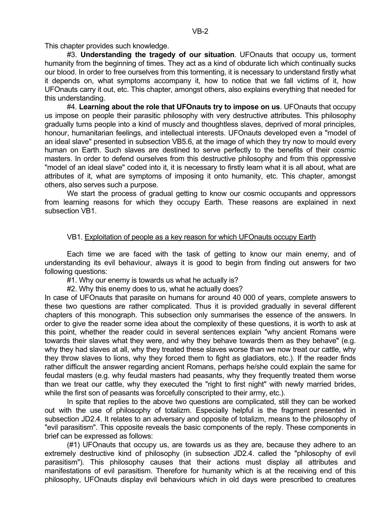This chapter provides such knowledge.

 #3. **Understanding the tragedy of our situation**. UFOnauts that occupy us, torment humanity from the beginning of times. They act as a kind of obdurate lich which continually sucks our blood. In order to free ourselves from this tormenting, it is necessary to understand firstly what it depends on, what symptoms accompany it, how to notice that we fall victims of it, how UFOnauts carry it out, etc. This chapter, amongst others, also explains everything that needed for this understanding.

 #4. **Learning about the role that UFOnauts try to impose on us**. UFOnauts that occupy us impose on people their parasitic philosophy with very destructive attributes. This philosophy gradually turns people into a kind of muscly and thoughtless slaves, deprived of moral principles, honour, humanitarian feelings, and intellectual interests. UFOnauts developed even a "model of an ideal slave" presented in subsection VB5.6, at the image of which they try now to mould every human on Earth. Such slaves are destined to serve perfectly to the benefits of their cosmic masters. In order to defend ourselves from this destructive philosophy and from this oppressive "model of an ideal slave" coded into it, it is necessary to firstly learn what it is all about, what are attributes of it, what are symptoms of imposing it onto humanity, etc. This chapter, amongst others, also serves such a purpose.

We start the process of gradual getting to know our cosmic occupants and oppressors from learning reasons for which they occupy Earth. These reasons are explained in next subsection VB1.

# VB1. Exploitation of people as a key reason for which UFOnauts occupy Earth

 Each time we are faced with the task of getting to know our main enemy, and of understanding its evil behaviour, always it is good to begin from finding out answers for two following questions:

#1. Why our enemy is towards us what he actually is?

#2. Why this enemy does to us, what he actually does?

In case of UFOnauts that parasite on humans for around 40 000 of years, complete answers to these two questions are rather complicated. Thus it is provided gradually in several different chapters of this monograph. This subsection only summarises the essence of the answers. In order to give the reader some idea about the complexity of these questions, it is worth to ask at this point, whether the reader could in several sentences explain "why ancient Romans were towards their slaves what they were, and why they behave towards them as they behave" (e.g. why they had slaves at all, why they treated these slaves worse than we now treat our cattle, why they throw slaves to lions, why they forced them to fight as gladiators, etc.). If the reader finds rather difficult the answer regarding ancient Romans, perhaps he/she could explain the same for feudal masters (e.g. why feudal masters had peasants, why they frequently treated them worse than we treat our cattle, why they executed the "right to first night" with newly married brides, while the first son of peasants was forcefully conscripted to their army, etc.).

 In spite that replies to the above two questions are complicated, still they can be worked out with the use of philosophy of totalizm. Especially helpful is the fragment presented in subsection JD2.4. It relates to an adversary and opposite of totalizm, means to the philosophy of "evil parasitism". This opposite reveals the basic components of the reply. These components in brief can be expressed as follows:

 (#1) UFOnauts that occupy us, are towards us as they are, because they adhere to an extremely destructive kind of philosophy (in subsection JD2.4. called the "philosophy of evil parasitism"). This philosophy causes that their actions must display all attributes and manifestations of evil parasitism. Therefore for humanity which is at the receiving end of this philosophy, UFOnauts display evil behaviours which in old days were prescribed to creatures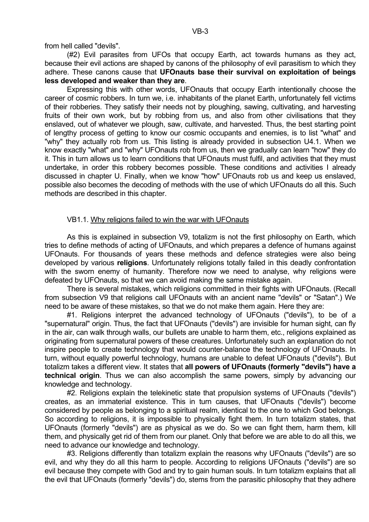from hell called "devils".

 (#2) Evil parasites from UFOs that occupy Earth, act towards humans as they act, because their evil actions are shaped by canons of the philosophy of evil parasitism to which they adhere. These canons cause that **UFOnauts base their survival on exploitation of beings less developed and weaker than they are**.

 Expressing this with other words, UFOnauts that occupy Earth intentionally choose the career of cosmic robbers. In turn we, i.e. inhabitants of the planet Earth, unfortunately fell victims of their robberies. They satisfy their needs not by ploughing, sawing, cultivating, and harvesting fruits of their own work, but by robbing from us, and also from other civilisations that they enslaved, out of whatever we plough, saw, cultivate, and harvested. Thus, the best starting point of lengthy process of getting to know our cosmic occupants and enemies, is to list "what" and "why" they actually rob from us. This listing is already provided in subsection U4.1. When we know exactly "what" and "why" UFOnauts rob from us, then we gradually can learn "how" they do it. This in turn allows us to learn conditions that UFOnauts must fulfil, and activities that they must undertake, in order this robbery becomes possible. These conditions and activities I already discussed in chapter U. Finally, when we know "how" UFOnauts rob us and keep us enslaved, possible also becomes the decoding of methods with the use of which UFOnauts do all this. Such methods are described in this chapter.

# VB1.1. Why religions failed to win the war with UFOnauts

 As this is explained in subsection V9, totalizm is not the first philosophy on Earth, which tries to define methods of acting of UFOnauts, and which prepares a defence of humans against UFOnauts. For thousands of years these methods and defence strategies were also being developed by various **religions**. Unfortunately religions totally failed in this deadly confrontation with the sworn enemy of humanity. Therefore now we need to analyse, why religions were defeated by UFOnauts, so that we can avoid making the same mistake again.

 There is several mistakes, which religions committed in their fights with UFOnauts. (Recall from subsection V9 that religions call UFOnauts with an ancient name "devils" or "Satan".) We need to be aware of these mistakes, so that we do not make them again. Here they are:

 #1. Religions interpret the advanced technology of UFOnauts ("devils"), to be of a "supernatural" origin. Thus, the fact that UFOnauts ("devils") are invisible for human sight, can fly in the air, can walk through walls, our bullets are unable to harm them, etc., religions explained as originating from supernatural powers of these creatures. Unfortunately such an explanation do not inspire people to create technology that would counter-balance the technology of UFOnauts. In turn, without equally powerful technology, humans are unable to defeat UFOnauts ("devils"). But totalizm takes a different view. It states that **all powers of UFOnauts (formerly "devils") have a technical origin**. Thus we can also accomplish the same powers, simply by advancing our knowledge and technology.

 #2. Religions explain the telekinetic state that propulsion systems of UFOnauts ("devils") creates, as an immaterial existence. This in turn causes, that UFOnauts ("devils") become considered by people as belonging to a spiritual realm, identical to the one to which God belongs. So according to religions, it is impossible to physically fight them. In turn totalizm states, that UFOnauts (formerly "devils") are as physical as we do. So we can fight them, harm them, kill them, and physically get rid of them from our planet. Only that before we are able to do all this, we need to advance our knowledge and technology.

 #3. Religions differently than totalizm explain the reasons why UFOnauts ("devils") are so evil, and why they do all this harm to people. According to religions UFOnauts ("devils") are so evil because they compete with God and try to gain human souls. In turn totalizm explains that all the evil that UFOnauts (formerly "devils") do, stems from the parasitic philosophy that they adhere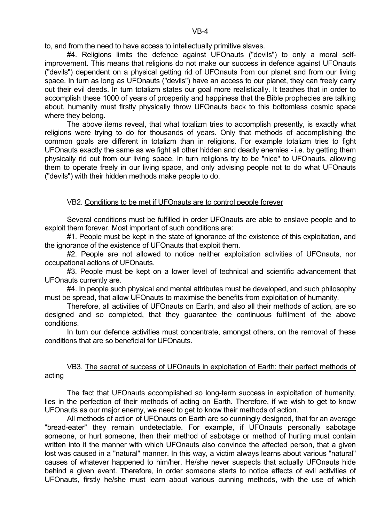to, and from the need to have access to intellectually primitive slaves.

 #4. Religions limits the defence against UFOnauts ("devils") to only a moral selfimprovement. This means that religions do not make our success in defence against UFOnauts ("devils") dependent on a physical getting rid of UFOnauts from our planet and from our living space. In turn as long as UFOnauts ("devils") have an access to our planet, they can freely carry out their evil deeds. In turn totalizm states our goal more realistically. It teaches that in order to accomplish these 1000 of years of prosperity and happiness that the Bible prophecies are talking about, humanity must firstly physically throw UFOnauts back to this bottomless cosmic space where they belong.

 The above items reveal, that what totalizm tries to accomplish presently, is exactly what religions were trying to do for thousands of years. Only that methods of accomplishing the common goals are different in totalizm than in religions. For example totalizm tries to fight UFOnauts exactly the same as we fight all other hidden and deadly enemies - i.e. by getting them physically rid out from our living space. In turn religions try to be "nice" to UFOnauts, allowing them to operate freely in our living space, and only advising people not to do what UFOnauts ("devils") with their hidden methods make people to do.

# VB2. Conditions to be met if UFOnauts are to control people forever

 Several conditions must be fulfilled in order UFOnauts are able to enslave people and to exploit them forever. Most important of such conditions are:

#1. People must be kept in the state of ignorance of the existence of this exploitation, and the ignorance of the existence of UFOnauts that exploit them.

 #2. People are not allowed to notice neither exploitation activities of UFOnauts, nor occupational actions of UFOnauts.

 #3. People must be kept on a lower level of technical and scientific advancement that UFOnauts currently are.

#4. In people such physical and mental attributes must be developed, and such philosophy must be spread, that allow UFOnauts to maximise the benefits from exploitation of humanity.

 Therefore, all activities of UFOnauts on Earth, and also all their methods of action, are so designed and so completed, that they guarantee the continuous fulfilment of the above conditions.

In turn our defence activities must concentrate, amongst others, on the removal of these conditions that are so beneficial for UFOnauts.

# VB3. The secret of success of UFOnauts in exploitation of Earth: their perfect methods of acting

 The fact that UFOnauts accomplished so long-term success in exploitation of humanity, lies in the perfection of their methods of acting on Earth. Therefore, if we wish to get to know UFOnauts as our major enemy, we need to get to know their methods of action.

 All methods of action of UFOnauts on Earth are so cunningly designed, that for an average "bread-eater" they remain undetectable. For example, if UFOnauts personally sabotage someone, or hurt someone, then their method of sabotage or method of hurting must contain written into it the manner with which UFOnauts also convince the affected person, that a given lost was caused in a "natural" manner. In this way, a victim always learns about various "natural" causes of whatever happened to him/her. He/she never suspects that actually UFOnauts hide behind a given event. Therefore, in order someone starts to notice effects of evil activities of UFOnauts, firstly he/she must learn about various cunning methods, with the use of which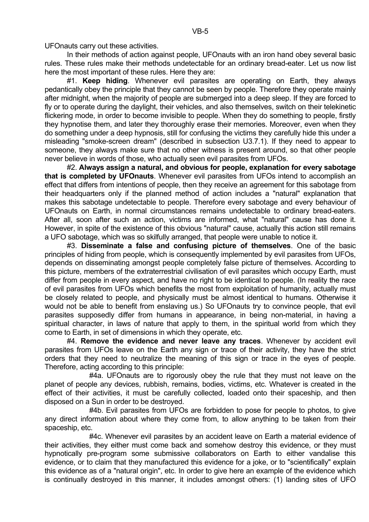UFOnauts carry out these activities.

In their methods of action against people, UFOnauts with an iron hand obey several basic rules. These rules make their methods undetectable for an ordinary bread-eater. Let us now list here the most important of these rules. Here they are:

 #1. **Keep hiding**. Whenever evil parasites are operating on Earth, they always pedantically obey the principle that they cannot be seen by people. Therefore they operate mainly after midnight, when the majority of people are submerged into a deep sleep. If they are forced to fly or to operate during the daylight, their vehicles, and also themselves, switch on their telekinetic flickering mode, in order to become invisible to people. When they do something to people, firstly they hypnotise them, and later they thoroughly erase their memories. Moreover, even when they do something under a deep hypnosis, still for confusing the victims they carefully hide this under a misleading "smoke-screen dream" (described in subsection U3.7.1). If they need to appear to someone, they always make sure that no other witness is present around, so that other people never believe in words of those, who actually seen evil parasites from UFOs.

 #2. **Always assign a natural, and obvious for people, explanation for every sabotage that is completed by UFOnauts**. Whenever evil parasites from UFOs intend to accomplish an effect that differs from intentions of people, then they receive an agreement for this sabotage from their headquarters only if the planned method of action includes a "natural" explanation that makes this sabotage undetectable to people. Therefore every sabotage and every behaviour of UFOnauts on Earth, in normal circumstances remains undetectable to ordinary bread-eaters. After all, soon after such an action, victims are informed, what "natural" cause has done it. However, in spite of the existence of this obvious "natural" cause, actually this action still remains a UFO sabotage, which was so skilfully arranged, that people were unable to notice it.

 #3. **Disseminate a false and confusing picture of themselves**. One of the basic principles of hiding from people, which is consequently implemented by evil parasites from UFOs, depends on disseminating amongst people completely false picture of themselves. According to this picture, members of the extraterrestrial civilisation of evil parasites which occupy Earth, must differ from people in every aspect, and have no right to be identical to people. (In reality the race of evil parasites from UFOs which benefits the most from exploitation of humanity, actually must be closely related to people, and physically must be almost identical to humans. Otherwise it would not be able to benefit from enslaving us.) So UFOnauts try to convince people, that evil parasites supposedly differ from humans in appearance, in being non-material, in having a spiritual character, in laws of nature that apply to them, in the spiritual world from which they come to Earth, in set of dimensions in which they operate, etc.

 #4. **Remove the evidence and never leave any traces**. Whenever by accident evil parasites from UFOs leave on the Earth any sign or trace of their activity, they have the strict orders that they need to neutralize the meaning of this sign or trace in the eyes of people. Therefore, acting according to this principle:

 #4a. UFOnauts are to rigorously obey the rule that they must not leave on the planet of people any devices, rubbish, remains, bodies, victims, etc. Whatever is created in the effect of their activities, it must be carefully collected, loaded onto their spaceship, and then disposed on a Sun in order to be destroyed.

 #4b. Evil parasites from UFOs are forbidden to pose for people to photos, to give any direct information about where they come from, to allow anything to be taken from their spaceship, etc.

 #4c. Whenever evil parasites by an accident leave on Earth a material evidence of their activities, they either must come back and somehow destroy this evidence, or they must hypnotically pre-program some submissive collaborators on Earth to either vandalise this evidence, or to claim that they manufactured this evidence for a joke, or to "scientifically" explain this evidence as of a "natural origin", etc. In order to give here an example of the evidence which is continually destroyed in this manner, it includes amongst others: (1) landing sites of UFO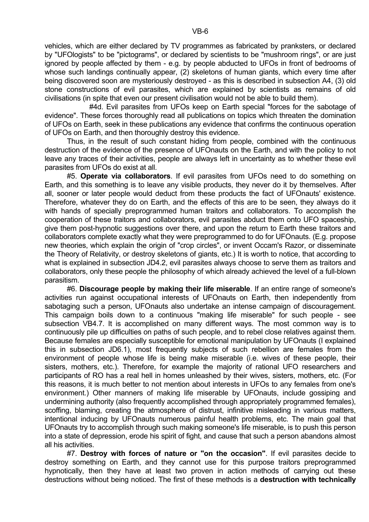vehicles, which are either declared by TV programmes as fabricated by pranksters, or declared by "UFOlogists" to be "pictograms", or declared by scientists to be "mushroom rings", or are just ignored by people affected by them - e.g. by people abducted to UFOs in front of bedrooms of whose such landings continually appear, (2) skeletons of human giants, which every time after being discovered soon are mysteriously destroyed - as this is described in subsection A4, (3) old stone constructions of evil parasites, which are explained by scientists as remains of old civilisations (in spite that even our present civilisation would not be able to build them).

 #4d. Evil parasites from UFOs keep on Earth special "forces for the sabotage of evidence". These forces thoroughly read all publications on topics which threaten the domination of UFOs on Earth, seek in these publications any evidence that confirms the continuous operation of UFOs on Earth, and then thoroughly destroy this evidence.

 Thus, in the result of such constant hiding from people, combined with the continuous destruction of the evidence of the presence of UFOnauts on the Earth, and with the policy to not leave any traces of their activities, people are always left in uncertainty as to whether these evil parasites from UFOs do exist at all.

 #5. **Operate via collaborators**. If evil parasites from UFOs need to do something on Earth, and this something is to leave any visible products, they never do it by themselves. After all, sooner or later people would deduct from these products the fact of UFOnauts' existence. Therefore, whatever they do on Earth, and the effects of this are to be seen, they always do it with hands of specially preprogrammed human traitors and collaborators. To accomplish the cooperation of these traitors and collaborators, evil parasites abduct them onto UFO spaceship, give them post-hypnotic suggestions over there, and upon the return to Earth these traitors and collaborators complete exactly what they were preprogrammed to do for UFOnauts. (E.g. propose new theories, which explain the origin of "crop circles", or invent Occam's Razor, or disseminate the Theory of Relativity, or destroy skeletons of giants, etc.) It is worth to notice, that according to what is explained in subsection JD4.2, evil parasites always choose to serve them as traitors and collaborators, only these people the philosophy of which already achieved the level of a full-blown parasitism.

 #6. **Discourage people by making their life miserable**. If an entire range of someone's activities run against occupational interests of UFOnauts on Earth, then independently from sabotaging such a person, UFOnauts also undertake an intense campaign of discouragement. This campaign boils down to a continuous "making life miserable" for such people - see subsection VB4.7. It is accomplished on many different ways. The most common way is to continuously pile up difficulties on paths of such people, and to rebel close relatives against them. Because females are especially susceptible for emotional manipulation by UFOnauts (I explained this in subsection JD6.1), most frequently subjects of such rebellion are females from the environment of people whose life is being make miserable (i.e. wives of these people, their sisters, mothers, etc.). Therefore, for example the majority of rational UFO researchers and participants of RO has a real hell in homes unleashed by their wives, sisters, mothers, etc. (For this reasons, it is much better to not mention about interests in UFOs to any females from one's environment.) Other manners of making life miserable by UFOnauts, include gossiping and undermining authority (also frequently accomplished through appropriately programmed females), scoffing, blaming, creating the atmosphere of distrust, infinitive misleading in various matters, intentional inducing by UFOnauts numerous painful health problems, etc. The main goal that UFOnauts try to accomplish through such making someone's life miserable, is to push this person into a state of depression, erode his spirit of fight, and cause that such a person abandons almost all his activities.

 #7. **Destroy with forces of nature or "on the occasion"**. If evil parasites decide to destroy something on Earth, and they cannot use for this purpose traitors preprogrammed hypnotically, then they have at least two proven in action methods of carrying out these destructions without being noticed. The first of these methods is a **destruction with technically**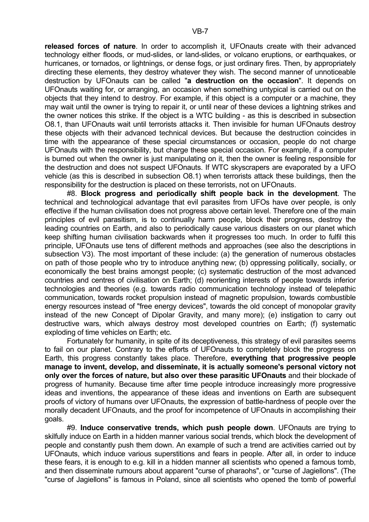**released forces of nature**. In order to accomplish it, UFOnauts create with their advanced technology either floods, or mud-slides, or land-slides, or volcano eruptions, or earthquakes, or hurricanes, or tornados, or lightnings, or dense fogs, or just ordinary fires. Then, by appropriately directing these elements, they destroy whatever they wish. The second manner of unnoticeable destruction by UFOnauts can be called "**a destruction on the occasion**". It depends on UFOnauts waiting for, or arranging, an occasion when something untypical is carried out on the objects that they intend to destroy. For example, if this object is a computer or a machine, they may wait until the owner is trying to repair it, or until near of these devices a lightning strikes and the owner notices this strike. If the object is a WTC building - as this is described in subsection O8.1, than UFOnauts wait until terrorists attacks it. Then invisible for human UFOnauts destroy these objects with their advanced technical devices. But because the destruction coincides in time with the appearance of these special circumstances or occasion, people do not charge UFOnauts with the responsibility, but charge these special occasion. For example, if a computer is burned out when the owner is just manipulating on it, then the owner is feeling responsible for the destruction and does not suspect UFOnauts. If WTC skyscrapers are evaporated by a UFO vehicle (as this is described in subsection O8.1) when terrorists attack these buildings, then the responsibility for the destruction is placed on these terrorists, not on UFOnauts.

 #8. **Block progress and periodically shift people back in the development**. The technical and technological advantage that evil parasites from UFOs have over people, is only effective if the human civilisation does not progress above certain level. Therefore one of the main principles of evil parasitism, is to continually harm people, block their progress, destroy the leading countries on Earth, and also to periodically cause various disasters on our planet which keep shifting human civilisation backwards when it progresses too much. In order to fulfil this principle, UFOnauts use tens of different methods and approaches (see also the descriptions in subsection V3). The most important of these include: (a) the generation of numerous obstacles on path of those people who try to introduce anything new; (b) oppressing politically, socially, or economically the best brains amongst people; (c) systematic destruction of the most advanced countries and centres of civilisation on Earth; (d) reorienting interests of people towards inferior technologies and theories (e.g. towards radio communication technology instead of telepathic communication, towards rocket propulsion instead of magnetic propulsion, towards combustible energy resources instead of "free energy devices", towards the old concept of monopolar gravity instead of the new Concept of Dipolar Gravity, and many more); (e) instigation to carry out destructive wars, which always destroy most developed countries on Earth; (f) systematic exploding of time vehicles on Earth; etc.

 Fortunately for humanity, in spite of its deceptiveness, this strategy of evil parasites seems to fail on our planet. Contrary to the efforts of UFOnauts to completely block the progress on Earth, this progress constantly takes place. Therefore, **everything that progressive people manage to invent, develop, and disseminate, it is actually someone's personal victory not only over the forces of nature, but also over these parasitic UFOnauts** and their blockade of progress of humanity. Because time after time people introduce increasingly more progressive ideas and inventions, the appearance of these ideas and inventions on Earth are subsequent proofs of victory of humans over UFOnauts, the expression of battle-hardness of people over the morally decadent UFOnauts, and the proof for incompetence of UFOnauts in accomplishing their goals.

 #9. **Induce conservative trends, which push people down**. UFOnauts are trying to skilfully induce on Earth in a hidden manner various social trends, which block the development of people and constantly push them down. An example of such a trend are activities carried out by UFOnauts, which induce various superstitions and fears in people. After all, in order to induce these fears, it is enough to e.g. kill in a hidden manner all scientists who opened a famous tomb, and then disseminate rumours about apparent "curse of pharaohs", or "curse of Jagiellons". (The "curse of Jagiellons" is famous in Poland, since all scientists who opened the tomb of powerful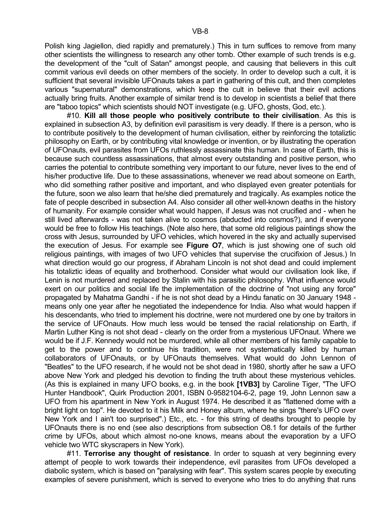Polish king Jagiellon, died rapidly and prematurely.) This in turn suffices to remove from many other scientists the willingness to research any other tomb. Other example of such trends is e.g. the development of the "cult of Satan" amongst people, and causing that believers in this cult commit various evil deeds on other members of the society. In order to develop such a cult, it is sufficient that several invisible UFOnauts takes a part in gathering of this cult, and then completes various "supernatural" demonstrations, which keep the cult in believe that their evil actions actually bring fruits. Another example of similar trend is to develop in scientists a belief that there are "taboo topics" which scientists should NOT investigate (e.g. UFO, ghosts, God, etc.).

 #10. **Kill all those people who positively contribute to their civilisation**. As this is explained in subsection A3, by definition evil parasitism is very deadly. If there is a person, who is to contribute positively to the development of human civilisation, either by reinforcing the totaliztic philosophy on Earth, or by contributing vital knowledge or invention, or by illustrating the operation of UFOnauts, evil parasites from UFOs ruthlessly assassinate this human. In case of Earth, this is because such countless assassinations, that almost every outstanding and positive person, who carries the potential to contribute something very important to our future, never lives to the end of his/her productive life. Due to these assassinations, whenever we read about someone on Earth, who did something rather positive and important, and who displayed even greater potentials for the future, soon we also learn that he/she died prematurely and tragically. As examples notice the fate of people described in subsection A4. Also consider all other well-known deaths in the history of humanity. For example consider what would happen, if Jesus was not crucified and - when he still lived afterwards - was not taken alive to cosmos (abducted into cosmos?), and if everyone would be free to follow His teachings. (Note also here, that some old religious paintings show the cross with Jesus, surrounded by UFO vehicles, which hovered in the sky and actually supervised the execution of Jesus. For example see **Figure O7**, which is just showing one of such old religious paintings, with images of two UFO vehicles that supervise the crucifixion of Jesus.) In what direction would go our progress, if Abraham Lincoln is not shot dead and could implement his totaliztic ideas of equality and brotherhood. Consider what would our civilisation look like, if Lenin is not murdered and replaced by Stalin with his parasitic philosophy. What influence would exert on our politics and social life the implementation of the doctrine of "not using any force" propagated by Mahatma Gandhi - if he is not shot dead by a Hindu fanatic on 30 January 1948 means only one year after he negotiated the independence for India. Also what would happen if his descendants, who tried to implement his doctrine, were not murdered one by one by traitors in the service of UFOnauts. How much less would be tensed the racial relationship on Earth, if Martin Luther King is not shot dead - clearly on the order from a mysterious UFOnaut. Where we would be if J.F. Kennedy would not be murdered, while all other members of his family capable to get to the power and to continue his tradition, were not systematically killed by human collaborators of UFOnauts, or by UFOnauts themselves. What would do John Lennon of "Beatles" to the UFO research, if he would not be shot dead in 1980, shortly after he saw a UFO above New York and pledged his devotion to finding the truth about these mysterious vehicles. (As this is explained in many UFO books, e.g. in the book **[1VB3]** by Caroline Tiger, "The UFO Hunter Handbook", Quirk Production 2001, ISBN 0-9582104-6-2, page 19, John Lennon saw a UFO from his apartment in New York in August 1974. He described it as "flattened dome with a bright light on top". He devoted to it his Milk and Honey album, where he sings "there's UFO over New York and I ain't too surprised".) Etc., etc. - for this string of deaths brought to people by UFOnauts there is no end (see also descriptions from subsection O8.1 for details of the further crime by UFOs, about which almost no-one knows, means about the evaporation by a UFO vehicle two WTC skyscrapers in New York).

 #11. **Terrorise any thought of resistance**. In order to squash at very beginning every attempt of people to work towards their independence, evil parasites from UFOs developed a diabolic system, which is based on "paralysing with fear". This system scares people by executing examples of severe punishment, which is served to everyone who tries to do anything that runs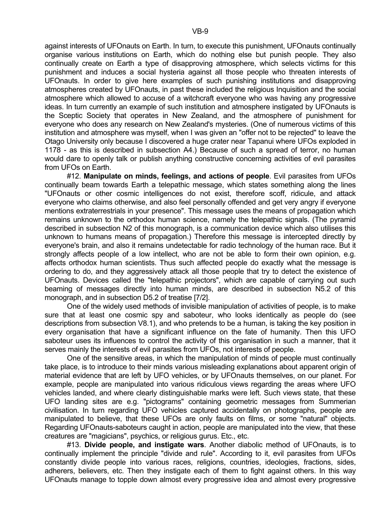against interests of UFOnauts on Earth. In turn, to execute this punishment, UFOnauts continually organise various institutions on Earth, which do nothing else but punish people. They also continually create on Earth a type of disapproving atmosphere, which selects victims for this punishment and induces a social hysteria against all those people who threaten interests of UFOnauts. In order to give here examples of such punishing institutions and disapproving atmospheres created by UFOnauts, in past these included the religious Inquisition and the social atmosphere which allowed to accuse of a witchcraft everyone who was having any progressive ideas. In turn currently an example of such institution and atmosphere instigated by UFOnauts is the Sceptic Society that operates in New Zealand, and the atmosphere of punishment for everyone who does any research on New Zealand's mysteries. (One of numerous victims of this institution and atmosphere was myself, when I was given an "offer not to be rejected" to leave the Otago University only because I discovered a huge crater near Tapanui where UFOs exploded in 1178 - as this is described in subsection A4.) Because of such a spread of terror, no human would dare to openly talk or publish anything constructive concerning activities of evil parasites from UFOs on Earth.

 #12. **Manipulate on minds, feelings, and actions of people**. Evil parasites from UFOs continually beam towards Earth a telepathic message, which states something along the lines "UFOnauts or other cosmic intelligences do not exist, therefore scoff, ridicule, and attack everyone who claims otherwise, and also feel personally offended and get very angry if everyone mentions extraterrestrials in your presence". This message uses the means of propagation which remains unknown to the orthodox human science, namely the telepathic signals. (The pyramid described in subsection N2 of this monograph, is a communication device which also utilises this unknown to humans means of propagation.) Therefore this message is intercepted directly by everyone's brain, and also it remains undetectable for radio technology of the human race. But it strongly affects people of a low intellect, who are not be able to form their own opinion, e.g. affects orthodox human scientists. Thus such affected people do exactly what the message is ordering to do, and they aggressively attack all those people that try to detect the existence of UFOnauts. Devices called the "telepathic projectors", which are capable of carrying out such beaming of messages directly into human minds, are described in subsection N5.2 of this monograph, and in subsection D5.2 of treatise [7/2].

 One of the widely used methods of invisible manipulation of activities of people, is to make sure that at least one cosmic spy and saboteur, who looks identically as people do (see descriptions from subsection V8.1), and who pretends to be a human, is taking the key position in every organisation that have a significant influence on the fate of humanity. Then this UFO saboteur uses its influences to control the activity of this organisation in such a manner, that it serves mainly the interests of evil parasites from UFOs, not interests of people.

 One of the sensitive areas, in which the manipulation of minds of people must continually take place, is to introduce to their minds various misleading explanations about apparent origin of material evidence that are left by UFO vehicles, or by UFOnauts themselves, on our planet. For example, people are manipulated into various ridiculous views regarding the areas where UFO vehicles landed, and where clearly distinguishable marks were left. Such views state, that these UFO landing sites are e.g. "pictograms" containing geometric messages from Summerian civilisation. In turn regarding UFO vehicles captured accidentally on photographs, people are manipulated to believe, that these UFOs are only faults on films, or some "natural" objects. Regarding UFOnauts-saboteurs caught in action, people are manipulated into the view, that these creatures are "magicians", psychics, or religious gurus. Etc., etc.

 #13. **Divide people, and instigate wars**. Another diabolic method of UFOnauts, is to continually implement the principle "divide and rule". According to it, evil parasites from UFOs constantly divide people into various races, religions, countries, ideologies, fractions, sides, adherers, believers, etc. Then they instigate each of them to fight against others. In this way UFOnauts manage to topple down almost every progressive idea and almost every progressive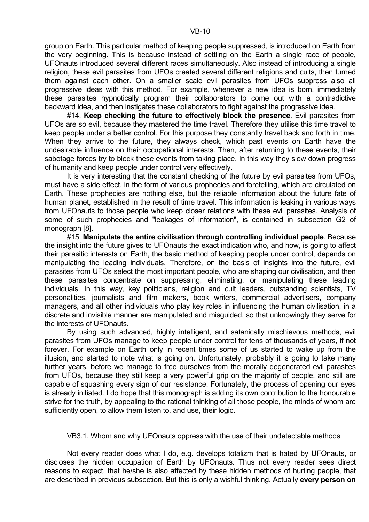group on Earth. This particular method of keeping people suppressed, is introduced on Earth from the very beginning. This is because instead of settling on the Earth a single race of people, UFOnauts introduced several different races simultaneously. Also instead of introducing a single religion, these evil parasites from UFOs created several different religions and cults, then turned them against each other. On a smaller scale evil parasites from UFOs suppress also all progressive ideas with this method. For example, whenever a new idea is born, immediately these parasites hypnotically program their collaborators to come out with a contradictive backward idea, and then instigates these collaborators to fight against the progressive idea.

 #14. **Keep checking the future to effectively block the presence**. Evil parasites from UFOs are so evil, because they mastered the time travel. Therefore they utilise this time travel to keep people under a better control. For this purpose they constantly travel back and forth in time. When they arrive to the future, they always check, which past events on Earth have the undesirable influence on their occupational interests. Then, after returning to these events, their sabotage forces try to block these events from taking place. In this way they slow down progress of humanity and keep people under control very effectively.

 It is very interesting that the constant checking of the future by evil parasites from UFOs, must have a side effect, in the form of various prophecies and foretelling, which are circulated on Earth. These prophecies are nothing else, but the reliable information about the future fate of human planet, established in the result of time travel. This information is leaking in various ways from UFOnauts to those people who keep closer relations with these evil parasites. Analysis of some of such prophecies and "leakages of information", is contained in subsection G2 of monograph [8].

 #15. **Manipulate the entire civilisation through controlling individual people**. Because the insight into the future gives to UFOnauts the exact indication who, and how, is going to affect their parasitic interests on Earth, the basic method of keeping people under control, depends on manipulating the leading individuals. Therefore, on the basis of insights into the future, evil parasites from UFOs select the most important people, who are shaping our civilisation, and then these parasites concentrate on suppressing, eliminating, or manipulating these leading individuals. In this way, key politicians, religion and cult leaders, outstanding scientists, TV personalities, journalists and film makers, book writers, commercial advertisers, company managers, and all other individuals who play key roles in influencing the human civilisation, in a discrete and invisible manner are manipulated and misguided, so that unknowingly they serve for the interests of UFOnauts.

 By using such advanced, highly intelligent, and satanically mischievous methods, evil parasites from UFOs manage to keep people under control for tens of thousands of years, if not forever. For example on Earth only in recent times some of us started to wake up from the illusion, and started to note what is going on. Unfortunately, probably it is going to take many further years, before we manage to free ourselves from the morally degenerated evil parasites from UFOs, because they still keep a very powerful grip on the majority of people, and still are capable of squashing every sign of our resistance. Fortunately, the process of opening our eyes is already initiated. I do hope that this monograph is adding its own contribution to the honourable strive for the truth, by appealing to the rational thinking of all those people, the minds of whom are sufficiently open, to allow them listen to, and use, their logic.

#### VB3.1. Whom and why UFOnauts oppress with the use of their undetectable methods

 Not every reader does what I do, e.g. develops totalizm that is hated by UFOnauts, or discloses the hidden occupation of Earth by UFOnauts. Thus not every reader sees direct reasons to expect, that he/she is also affected by these hidden methods of hurting people, that are described in previous subsection. But this is only a wishful thinking. Actually **every person on**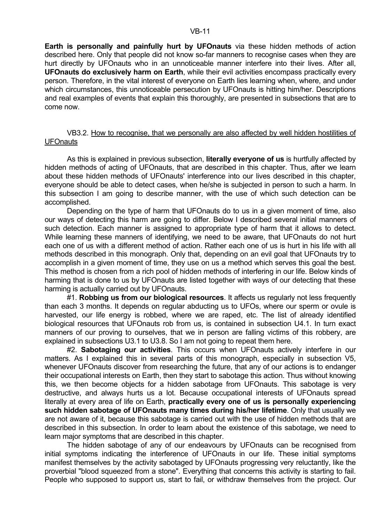**Earth is personally and painfully hurt by UFOnauts** via these hidden methods of action described here. Only that people did not know so-far manners to recognise cases when they are hurt directly by UFOnauts who in an unnoticeable manner interfere into their lives. After all, **UFOnauts do exclusively harm on Earth**, while their evil activities encompass practically every person. Therefore, in the vital interest of everyone on Earth lies learning when, where, and under which circumstances, this unnoticeable persecution by UFOnauts is hitting him/her. Descriptions and real examples of events that explain this thoroughly, are presented in subsections that are to come now.

#### VB3.2. How to recognise, that we personally are also affected by well hidden hostilities of **UFOnauts**

 As this is explained in previous subsection, **literally everyone of us** is hurtfully affected by hidden methods of acting of UFOnauts, that are described in this chapter. Thus, after we learn about these hidden methods of UFOnauts' interference into our lives described in this chapter, everyone should be able to detect cases, when he/she is subjected in person to such a harm. In this subsection I am going to describe manner, with the use of which such detection can be accomplished.

 Depending on the type of harm that UFOnauts do to us in a given moment of time, also our ways of detecting this harm are going to differ. Below I described several initial manners of such detection. Each manner is assigned to appropriate type of harm that it allows to detect. While learning these manners of identifying, we need to be aware, that UFOnauts do not hurt each one of us with a different method of action. Rather each one of us is hurt in his life with all methods described in this monograph. Only that, depending on an evil goal that UFOnauts try to accomplish in a given moment of time, they use on us a method which serves this goal the best. This method is chosen from a rich pool of hidden methods of interfering in our life. Below kinds of harming that is done to us by UFOnauts are listed together with ways of our detecting that these harming is actually carried out by UFOnauts.

 #1. **Robbing us from our biological resources**. It affects us regularly not less frequently than each 3 months. It depends on regular abducting us to UFOs, where our sperm or ovule is harvested, our life energy is robbed, where we are raped, etc. The list of already identified biological resources that UFOnauts rob from us, is contained in subsection U4.1. In turn exact manners of our proving to ourselves, that we in person are falling victims of this robbery, are explained in subsections U3.1 to U3.8. So I am not going to repeat them here.

 #2. **Sabotaging our activities**. This occurs when UFOnauts actively interfere in our matters. As I explained this in several parts of this monograph, especially in subsection V5, whenever UFOnauts discover from researching the future, that any of our actions is to endanger their occupational interests on Earth, then they start to sabotage this action. Thus without knowing this, we then become objects for a hidden sabotage from UFOnauts. This sabotage is very destructive, and always hurts us a lot. Because occupational interests of UFOnauts spread literally at every area of life on Earth, **practically every one of us is personally experiencing such hidden sabotage of UFOnauts many times during his/her lifetime**. Only that usually we are not aware of it, because this sabotage is carried out with the use of hidden methods that are described in this subsection. In order to learn about the existence of this sabotage, we need to learn major symptoms that are described in this chapter.

 The hidden sabotage of any of our endeavours by UFOnauts can be recognised from initial symptoms indicating the interference of UFOnauts in our life. These initial symptoms manifest themselves by the activity sabotaged by UFOnauts progressing very reluctantly, like the proverbial "blood squeezed from a stone". Everything that concerns this activity is starting to fail. People who supposed to support us, start to fail, or withdraw themselves from the project. Our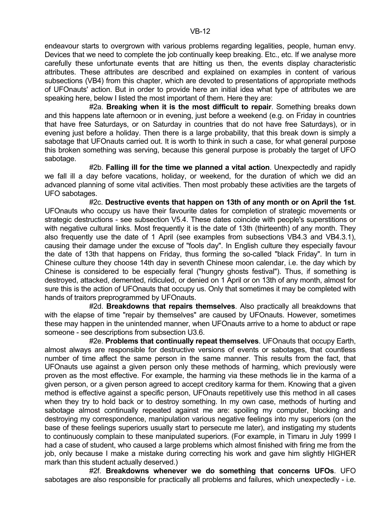endeavour starts to overgrown with various problems regarding legalities, people, human envy. Devices that we need to complete the job continually keep breaking. Etc., etc. If we analyse more carefully these unfortunate events that are hitting us then, the events display characteristic attributes. These attributes are described and explained on examples in content of various subsections (VB4) from this chapter, which are devoted to presentations of appropriate methods of UFOnauts' action. But in order to provide here an initial idea what type of attributes we are speaking here, below I listed the most important of them. Here they are:

 #2a. **Breaking when it is the most difficult to repair**. Something breaks down and this happens late afternoon or in evening, just before a weekend (e.g. on Friday in countries that have free Saturdays, or on Saturday in countries that do not have free Saturdays), or in evening just before a holiday. Then there is a large probability, that this break down is simply a sabotage that UFOnauts carried out. It is worth to think in such a case, for what general purpose this broken something was serving, because this general purpose is probably the target of UFO sabotage.

 #2b. **Falling ill for the time we planned a vital action**. Unexpectedly and rapidly we fall ill a day before vacations, holiday, or weekend, for the duration of which we did an advanced planning of some vital activities. Then most probably these activities are the targets of UFO sabotages.

 #2c. **Destructive events that happen on 13th of any month or on April the 1st**. UFOnauts who occupy us have their favourite dates for completion of strategic movements or strategic destructions - see subsection V5.4. These dates coincide with people's superstitions or with negative cultural links. Most frequently it is the date of 13th (thirteenth) of any month. They also frequently use the date of 1 April (see examples from subsections VB4.3 and VB4.3.1), causing their damage under the excuse of "fools day". In English culture they especially favour the date of 13th that happens on Friday, thus forming the so-called "black Friday". In turn in Chinese culture they choose 14th day in seventh Chinese moon calendar, i.e. the day which by Chinese is considered to be especially feral ("hungry ghosts festival"). Thus, if something is destroyed, attacked, demented, ridiculed, or denied on 1 April or on 13th of any month, almost for sure this is the action of UFOnauts that occupy us. Only that sometimes it may be completed with hands of traitors preprogrammed by UFOnauts.

 #2d. **Breakdowns that repairs themselves**. Also practically all breakdowns that with the elapse of time "repair by themselves" are caused by UFOnauts. However, sometimes these may happen in the unintended manner, when UFOnauts arrive to a home to abduct or rape someone - see descriptions from subsection U3.6.

 #2e. **Problems that continually repeat themselves**. UFOnauts that occupy Earth, almost always are responsible for destructive versions of events or sabotages, that countless number of time affect the same person in the same manner. This results from the fact, that UFOnauts use against a given person only these methods of harming, which previously were proven as the most effective. For example, the harming via these methods lie in the karma of a given person, or a given person agreed to accept creditory karma for them. Knowing that a given method is effective against a specific person, UFOnauts repetitively use this method in all cases when they try to hold back or to destroy something. In my own case, methods of hurting and sabotage almost continually repeated against me are: spoiling my computer, blocking and destroying my correspondence, manipulation various negative feelings into my superiors (on the base of these feelings superiors usually start to persecute me later), and instigating my students to continuously complain to these manipulated superiors. (For example, in Timaru in July 1999 I had a case of student, who caused a large problems which almost finished with firing me from the job, only because I make a mistake during correcting his work and gave him slightly HIGHER mark than this student actually deserved.)

 #2f. **Breakdowns whenever we do something that concerns UFOs**. UFO sabotages are also responsible for practically all problems and failures, which unexpectedly - i.e.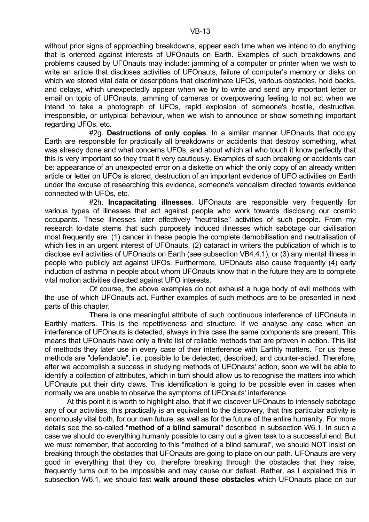without prior signs of approaching breakdowns, appear each time when we intend to do anything that is oriented against interests of UFOnauts on Earth. Examples of such breakdowns and problems caused by UFOnauts may include: jamming of a computer or printer when we wish to write an article that discloses activities of UFOnauts, failure of computer's memory or disks on which we stored vital data or descriptions that discriminate UFOs, various obstacles, hold backs, and delays, which unexpectedly appear when we try to write and send any important letter or email on topic of UFOnauts, jamming of cameras or overpowering feeling to not act when we intend to take a photograph of UFOs, rapid explosion of someone's hostile, destructive, irresponsible, or untypical behaviour, when we wish to announce or show something important regarding UFOs, etc.

 #2g. **Destructions of only copies**. In a similar manner UFOnauts that occupy Earth are responsible for practically all breakdowns or accidents that destroy something, what was already done and what concerns UFOs, and about which all who touch it know perfectly that this is very important so they treat it very cautiously. Examples of such breaking or accidents can be: appearance of an unexpected error on a diskette on which the only copy of an already written article or letter on UFOs is stored, destruction of an important evidence of UFO activities on Earth under the excuse of researching this evidence, someone's vandalism directed towards evidence connected with UFOs, etc.

 #2h. **Incapacitating illnesses**. UFOnauts are responsible very frequently for various types of illnesses that act against people who work towards disclosing our cosmic occupants. These illnesses later effectively "neutralise" activities of such people. From my research to-date stems that such purposely induced illnesses which sabotage our civilisation most frequently are: (1) cancer in these people the complete demobilisation and neutralisation of which lies in an urgent interest of UFOnauts, (2) cataract in writers the publication of which is to disclose evil activities of UFOnauts on Earth (see subsection VB4.4.1), or (3) any mental illness in people who publicly act against UFOs. Furthermore, UFOnauts also cause frequently (4) early induction of asthma in people about whom UFOnauts know that in the future they are to complete vital motion activities directed against UFO interests.

 Of course, the above examples do not exhaust a huge body of evil methods with the use of which UFOnauts act. Further examples of such methods are to be presented in next parts of this chapter.

 There is one meaningful attribute of such continuous interference of UFOnauts in Earthly matters. This is the repetitiveness and structure. If we analyse any case when an interference of UFOnauts is detected, always in this case the same components are present. This means that UFOnauts have only a finite list of reliable methods that are proven in action. This list of methods they later use in every case of their interference with Earthly matters. For us these methods are "defendable", i.e. possible to be detected, described, and counter-acted. Therefore, after we accomplish a success in studying methods of UFOnauts' action, soon we will be able to identify a collection of attributes, which in turn should allow us to recognise the matters into which UFOnauts put their dirty claws. This identification is going to be possible even in cases when normally we are unable to observe the symptoms of UFOnauts' interference.

 At this point it is worth to highlight also, that if we discover UFOnauts to intensely sabotage any of our activities, this practically is an equivalent to the discovery, that this particular activity is enormously vital both, for our own future, as well as for the future of the entire humanity. For more details see the so-called "**method of a blind samurai**" described in subsection W6.1. In such a case we should do everything humanly possible to carry out a given task to a successful end. But we must remember, that according to this "method of a blind samurai", we should NOT insist on breaking through the obstacles that UFOnauts are going to place on our path. UFOnauts are very good in everything that they do, therefore breaking through the obstacles that they raise, frequently turns out to be impossible and may cause our defeat. Rather, as I explained this in subsection W6.1, we should fast **walk around these obstacles** which UFOnauts place on our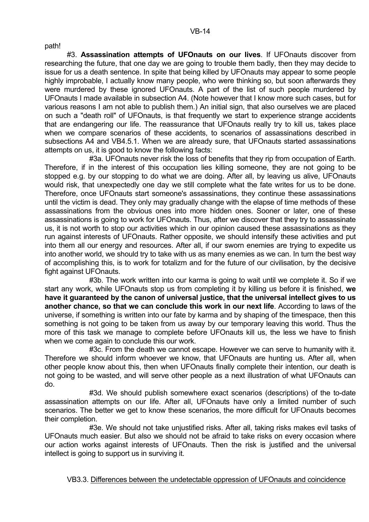path!

 #3. **Assassination attempts of UFOnauts on our lives**. If UFOnauts discover from researching the future, that one day we are going to trouble them badly, then they may decide to issue for us a death sentence. In spite that being killed by UFOnauts may appear to some people highly improbable, I actually know many people, who were thinking so, but soon afterwards they were murdered by these ignored UFOnauts. A part of the list of such people murdered by UFOnauts I made available in subsection A4. (Note however that I know more such cases, but for various reasons I am not able to publish them.) An initial sign, that also ourselves we are placed on such a "death roll" of UFOnauts, is that frequently we start to experience strange accidents that are endangering our life. The reassurance that UFOnauts really try to kill us, takes place when we compare scenarios of these accidents, to scenarios of assassinations described in subsections A4 and VB4.5.1. When we are already sure, that UFOnauts started assassinations attempts on us, it is good to know the following facts:

 #3a. UFOnauts never risk the loss of benefits that they rip from occupation of Earth. Therefore, if in the interest of this occupation lies killing someone, they are not going to be stopped e.g. by our stopping to do what we are doing. After all, by leaving us alive, UFOnauts would risk, that unexpectedly one day we still complete what the fate writes for us to be done. Therefore, once UFOnauts start someone's assassinations, they continue these assassinations until the victim is dead. They only may gradually change with the elapse of time methods of these assassinations from the obvious ones into more hidden ones. Sooner or later, one of these assassinations is going to work for UFOnauts. Thus, after we discover that they try to assassinate us, it is not worth to stop our activities which in our opinion caused these assassinations as they run against interests of UFOnauts. Rather opposite, we should intensify these activities and put into them all our energy and resources. After all, if our sworn enemies are trying to expedite us into another world, we should try to take with us as many enemies as we can. In turn the best way of accomplishing this, is to work for totalizm and for the future of our civilisation, by the decisive fight against UFOnauts.

 #3b. The work written into our karma is going to wait until we complete it. So if we start any work, while UFOnauts stop us from completing it by killing us before it is finished, **we have it guaranteed by the canon of universal justice, that the universal intellect gives to us another chance, so that we can conclude this work in our next life**. According to laws of the universe, if something is written into our fate by karma and by shaping of the timespace, then this something is not going to be taken from us away by our temporary leaving this world. Thus the more of this task we manage to complete before UFOnauts kill us, the less we have to finish when we come again to conclude this our work.

 #3c. From the death we cannot escape. However we can serve to humanity with it. Therefore we should inform whoever we know, that UFOnauts are hunting us. After all, when other people know about this, then when UFOnauts finally complete their intention, our death is not going to be wasted, and will serve other people as a next illustration of what UFOnauts can do.

 #3d. We should publish somewhere exact scenarios (descriptions) of the to-date assassination attempts on our life. After all, UFOnauts have only a limited number of such scenarios. The better we get to know these scenarios, the more difficult for UFOnauts becomes their completion.

 #3e. We should not take unjustified risks. After all, taking risks makes evil tasks of UFOnauts much easier. But also we should not be afraid to take risks on every occasion where our action works against interests of UFOnauts. Then the risk is justified and the universal intellect is going to support us in surviving it.

VB3.3. Differences between the undetectable oppression of UFOnauts and coincidence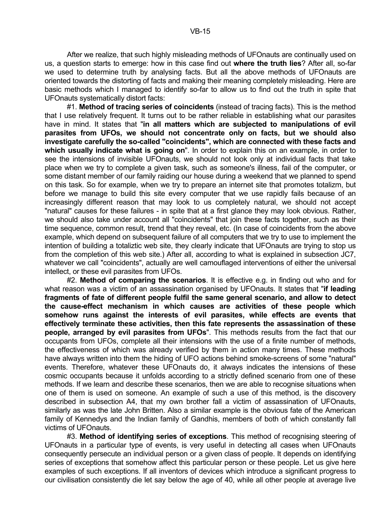After we realize, that such highly misleading methods of UFOnauts are continually used on us, a question starts to emerge: how in this case find out **where the truth lies**? After all, so-far we used to determine truth by analysing facts. But all the above methods of UFOnauts are oriented towards the distorting of facts and making their meaning completely misleading. Here are basic methods which I managed to identify so-far to allow us to find out the truth in spite that UFOnauts systematically distort facts:

 #1. **Method of tracing series of coincidents** (instead of tracing facts). This is the method that I use relatively frequent. It turns out to be rather reliable in establishing what our parasites have in mind. It states that "**in all matters which are subjected to manipulations of evil parasites from UFOs, we should not concentrate only on facts, but we should also investigate carefully the so-called "coincidents", which are connected with these facts and which usually indicate what is going on**". In order to explain this on an example, in order to see the intensions of invisible UFOnauts, we should not look only at individual facts that take place when we try to complete a given task, such as someone's illness, fail of the computer, or some distant member of our family raiding our house during a weekend that we planned to spend on this task. So for example, when we try to prepare an internet site that promotes totalizm, but before we manage to build this site every computer that we use rapidly fails because of an increasingly different reason that may look to us completely natural, we should not accept "natural" causes for these failures - in spite that at a first glance they may look obvious. Rather, we should also take under account all "coincidents" that join these facts together, such as their time sequence, common result, trend that they reveal, etc. (In case of coincidents from the above example, which depend on subsequent failure of all computers that we try to use to implement the intention of building a totaliztic web site, they clearly indicate that UFOnauts are trying to stop us from the completion of this web site.) After all, according to what is explained in subsection JC7, whatever we call "coincidents", actually are well camouflaged interventions of either the universal intellect, or these evil parasites from UFOs.

 #2. **Method of comparing the scenarios**. It is effective e.g. in finding out who and for what reason was a victim of an assassination organised by UFOnauts. It states that "**if leading fragments of fate of different people fulfil the same general scenario, and allow to detect the cause-effect mechanism in which causes are activities of these people which somehow runs against the interests of evil parasites, while effects are events that effectively terminate these activities, then this fate represents the assassination of these people, arranged by evil parasites from UFOs**". This methods results from the fact that our occupants from UFOs, complete all their intensions with the use of a finite number of methods, the effectiveness of which was already verified by them in action many times. These methods have always written into them the hiding of UFO actions behind smoke-screens of some "natural" events. Therefore, whatever these UFOnauts do, it always indicates the intensions of these cosmic occupants because it unfolds according to a strictly defined scenario from one of these methods. If we learn and describe these scenarios, then we are able to recognise situations when one of them is used on someone. An example of such a use of this method, is the discovery described in subsection A4, that my own brother fall a victim of assassination of UFOnauts, similarly as was the late John Britten. Also a similar example is the obvious fate of the American family of Kennedys and the Indian family of Gandhis, members of both of which constantly fall victims of UFOnauts.

 #3. **Method of identifying series of exceptions**. This method of recognising steering of UFOnauts in a particular type of events, is very useful in detecting all cases when UFOnauts consequently persecute an individual person or a given class of people. It depends on identifying series of exceptions that somehow affect this particular person or these people. Let us give here examples of such exceptions. If all inventors of devices which introduce a significant progress to our civilisation consistently die let say below the age of 40, while all other people at average live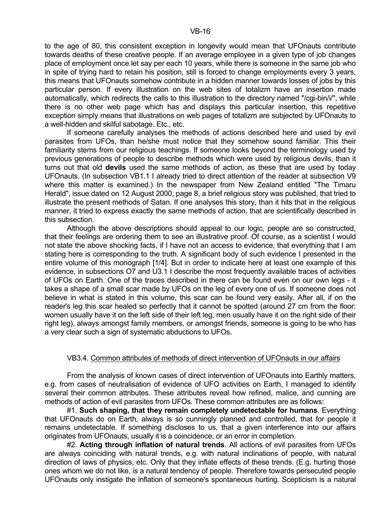to the age of 80, this consistent exception in longevity would mean that UFOnauts contribute towards deaths of these creative people. If an average employee in a given type of job changes place of employment once let say per each 10 years, while there is someone in the same job who in spite of trying hard to retain his position, still is forced to change employments every 3 years, this means that UFOnauts somehow contribute in a hidden manner towards losses of jobs by this particular person. If every illustration on the web sites of totalizm have an insertion made automatically, which redirects the calls to this illustration to the directory named "/cgi-bin/i/", while there is no other web page which has and displays this particular insertion, this repetitive exception simply means that illustrations on web pages of totalizm are subjected by UFOnauts to a well-hidden and skilful sabotage. Etc., etc.

 If someone carefully analyses the methods of actions described here and used by evil parasites from UFOs, than he/she must notice that they somehow sound familiar. This their familiarity stems from our religious teachings. If someone looks beyond the terminology used by previous generations of people to describe methods which were used by religious devils, than it turns out that old **devils** used the same methods of action, as these that are used by today UFOnauts. (In subsection VB1.1 I already tried to direct attention of the reader at subsection V9 where this matter is examined.) In the newspaper from New Zealand entitled "The Timaru Herald", issue dated on 12 August 2000, page 8, a brief religious story was published, that tried to illustrate the present methods of Satan. If one analyses this story, than it hits that in the religious manner, it tried to express exactly the same methods of action, that are scientifically described in this subsection.

Although the above descriptions should appeal to our logic, people are so constructed. that their feelings are ordering them to see an illustrative proof. Of course, as a scientist I would not state the above shocking facts, if I have not an access to evidence, that everything that I am stating here is corresponding to the truth. A significant body of such evidence I presented in the entire volume of this monograph [1/4]. But in order to indicate here at least one example of this evidence, in subsections O7 and U3.1 I describe the most frequently available traces of activities of UFOs on Earth. One of the traces described in there can be found even on our own legs - it takes a shape of a small scar made by UFOs on the leg of every one of us. If someone does not believe in what is stated in this volume, this scar can be found very easily. After all, if on the reader's leg this scar healed so perfectly that it cannot be spotted (around 27 cm from the floor: women usually have it on the left side of their left leg, men usually have it on the right side of their right leg), always amongst family members, or amongst friends, someone is going to be who has a very clear such a sign of systematic abductions to UFOs.

# VB3.4. Common attributes of methods of direct intervention of UFOnauts in our affairs

 From the analysis of known cases of direct intervention of UFOnauts into Earthly matters, e.g. from cases of neutralisation of evidence of UFO activities on Earth, I managed to identify several their common attributes. These attributes reveal how refined, malice, and cunning are methods of action of evil parasites from UFOs. These common attributes are as follows:

 #1. **Such shaping, that they remain completely undetectable for humans**. Everything that UFOnauts do on Earth, always is so cunningly planned and controlled, that for people it remains undetectable. If something discloses to us, that a given interference into our affairs originates from UFOnauts, usually it is a coincidence, or an error in completion.

 #2. **Acting through inflation of natural trends**. All actions of evil parasites from UFOs are always coinciding with natural trends, e.g. with natural inclinations of people, with natural direction of laws of physics, etc. Only that they inflate effects of these trends. (E.g. hurting those ones whom we do not like, is a natural tendency of people. Therefore towards persecuted people UFOnauts only instigate the inflation of someone's spontaneous hurting. Scepticism is a natural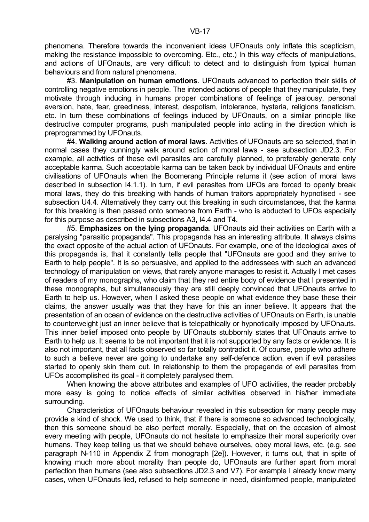phenomena. Therefore towards the inconvenient ideas UFOnauts only inflate this scepticism, making the resistance impossible to overcoming. Etc., etc.) In this way effects of manipulations, and actions of UFOnauts, are very difficult to detect and to distinguish from typical human behaviours and from natural phenomena.

 #3. **Manipulation on human emotions**. UFOnauts advanced to perfection their skills of controlling negative emotions in people. The intended actions of people that they manipulate, they motivate through inducing in humans proper combinations of feelings of jealousy, personal aversion, hate, fear, greediness, interest, despotism, intolerance, hysteria, religions fanaticism, etc. In turn these combinations of feelings induced by UFOnauts, on a similar principle like destructive computer programs, push manipulated people into acting in the direction which is preprogrammed by UFOnauts.

 #4. **Walking around action of moral laws**. Activities of UFOnauts are so selected, that in normal cases they cunningly walk around action of moral laws - see subsection JD2.3. For example, all activities of these evil parasites are carefully planned, to preferably generate only acceptable karma. Such acceptable karma can be taken back by individual UFOnauts and entire civilisations of UFOnauts when the Boomerang Principle returns it (see action of moral laws described in subsection I4.1.1). In turn, if evil parasites from UFOs are forced to openly break moral laws, they do this breaking with hands of human traitors appropriately hypnotised - see subsection U4.4. Alternatively they carry out this breaking in such circumstances, that the karma for this breaking is then passed onto someone from Earth - who is abducted to UFOs especially for this purpose as described in subsections A3, I4.4 and T4.

 #5. **Emphasizes on the lying propaganda**. UFOnauts aid their activities on Earth with a paralysing "parasitic propaganda". This propaganda has an interesting attribute. It always claims the exact opposite of the actual action of UFOnauts. For example, one of the ideological axes of this propaganda is, that it constantly tells people that "UFOnauts are good and they arrive to Earth to help people". It is so persuasive, and applied to the addressees with such an advanced technology of manipulation on views, that rarely anyone manages to resist it. Actually I met cases of readers of my monographs, who claim that they red entire body of evidence that I presented in these monographs, but simultaneously they are still deeply convinced that UFOnauts arrive to Earth to help us. However, when I asked these people on what evidence they base these their claims, the answer usually was that they have for this an inner believe. It appears that the presentation of an ocean of evidence on the destructive activities of UFOnauts on Earth, is unable to counterweight just an inner believe that is telepathically or hypnotically imposed by UFOnauts. This inner belief imposed onto people by UFOnauts stubbornly states that UFOnauts arrive to Earth to help us. It seems to be not important that it is not supported by any facts or evidence. It is also not important, that all facts observed so far totally contradict it. Of course, people who adhere to such a believe never are going to undertake any self-defence action, even if evil parasites started to openly skin them out. In relationship to them the propaganda of evil parasites from UFOs accomplished its goal - it completely paralysed them.

 When knowing the above attributes and examples of UFO activities, the reader probably more easy is going to notice effects of similar activities observed in his/her immediate surrounding.

 Characteristics of UFOnauts behaviour revealed in this subsection for many people may provide a kind of shock. We used to think, that if there is someone so advanced technologically, then this someone should be also perfect morally. Especially, that on the occasion of almost every meeting with people, UFOnauts do not hesitate to emphasize their moral superiority over humans. They keep telling us that we should behave ourselves, obey moral laws, etc. (e.g. see paragraph N-110 in Appendix Z from monograph [2e]). However, it turns out, that in spite of knowing much more about morality than people do, UFOnauts are further apart from moral perfection than humans (see also subsections JD2.3 and V7). For example I already know many cases, when UFOnauts lied, refused to help someone in need, disinformed people, manipulated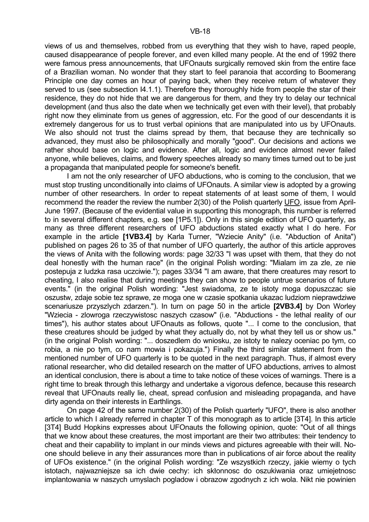views of us and themselves, robbed from us everything that they wish to have, raped people, caused disappearance of people forever, and even killed many people. At the end of 1992 there were famous press announcements, that UFOnauts surgically removed skin from the entire face of a Brazilian woman. No wonder that they start to feel paranoia that according to Boomerang Principle one day comes an hour of paying back, when they receive return of whatever they served to us (see subsection I4.1.1). Therefore they thoroughly hide from people the star of their residence, they do not hide that we are dangerous for them, and they try to delay our technical development (and thus also the date when we technically get even with their level), that probably right now they eliminate from us genes of aggression, etc. For the good of our descendants it is extremely dangerous for us to trust verbal opinions that are manipulated into us by UFOnauts. We also should not trust the claims spread by them, that because they are technically so advanced, they must also be philosophically and morally "good". Our decisions and actions we rather should base on logic and evidence. After all, logic and evidence almost never failed anyone, while believes, claims, and flowery speeches already so many times turned out to be just a propaganda that manipulated people for someone's benefit.

 I am not the only researcher of UFO abductions, who is coming to the conclusion, that we must stop trusting unconditionally into claims of UFOnauts. A similar view is adopted by a growing number of other researchers. In order to repeat statements of at least some of them, I would recommend the reader the review the number 2(30) of the Polish quarterly UFO, issue from April-June 1997. (Because of the evidential value in supporting this monograph, this number is referred to in several different chapters, e.g. see [1P5.1]). Only in this single edition of UFO quarterly, as many as three different researchers of UFO abductions stated exactly what I do here. For example in the article **[1VB3.4]** by Karla Turner, "Wziecie Anity" (i.e. "Abduction of Anita") published on pages 26 to 35 of that number of UFO quarterly, the author of this article approves the views of Anita with the following words: page 32/33 "I was upset with them, that they do not deal honestly with the human race" (in the original Polish wording: "Mialam im za zle, ze nie postepuja z ludzka rasa uczciwie."); pages 33/34 "I am aware, that there creatures may resort to cheating, I also realise that during meetings they can show to people untrue scenarios of future events." (in the original Polish wording: "Jest swiadoma, ze te istoty moga dopuszczac sie oszustw, zdaje sobie tez sprawe, ze moga one w czasie spotkania ukazac ludziom nieprawdziwe scenariusze przyszlych zdarzen."). In turn on page 50 in the article **[2VB3.4]** by Don Worley "Wziecia - zlowroga rzeczywistosc naszych czasow" (i.e. "Abductions - the lethal reality of our times"), his author states about UFOnauts as follows, quote "... I come to the conclusion, that these creatures should be judged by what they actually do, not by what they tell us or show us." (in the original Polish wording: "... doszedlem do wniosku, ze istoty te nalezy oceniac po tym, co robia, a nie po tym, co nam mowia i pokazuja.") Finally the third similar statement from the mentioned number of UFO quarterly is to be quoted in the next paragraph. Thus, if almost every rational researcher, who did detailed research on the matter of UFO abductions, arrives to almost an identical conclusion, there is about a time to take notice of these voices of warnings. There is a right time to break through this lethargy and undertake a vigorous defence, because this research reveal that UFOnauts really lie, cheat, spread confusion and misleading propaganda, and have dirty agenda on their interests in Earthlings.

 On page 42 of the same number 2(30) of the Polish quarterly "UFO", there is also another article to which I already referred in chapter T of this monograph as to article [3T4]. In this article [3T4] Budd Hopkins expresses about UFOnauts the following opinion, quote: "Out of all things that we know about these creatures, the most important are their two attributes: their tendency to cheat and their capability to implant in our minds views and pictures agreeable with their will. Noone should believe in any their assurances more than in publications of air force about the reality of UFOs existence." (in the original Polish wording: "Ze wszystkich rzeczy, jakie wiemy o tych istotach, najwazniejsze sa ich dwie cechy: ich skłonnosc do oszukiwania oraz umiejetnosc implantowania w naszych umyslach pogladow i obrazow zgodnych z ich wola. Nikt nie powinien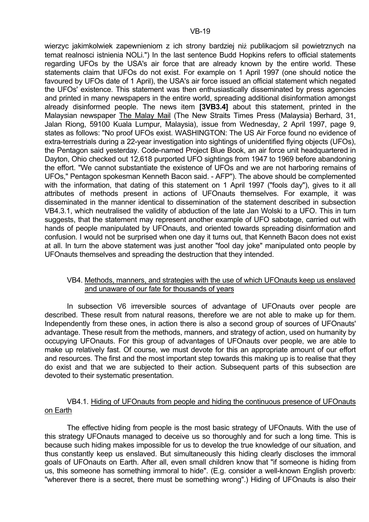wierzyc jakimkolwiek zapewnieniom z ich strony bardziej niż publikacjom sil powietrznych na temat realnosci istnienia NOLi.") In the last sentence Budd Hopkins refers to official statements regarding UFOs by the USA's air force that are already known by the entire world. These statements claim that UFOs do not exist. For example on 1 April 1997 (one should notice the favoured by UFOs date of 1 April), the USA's air force issued an official statement which negated the UFOs' existence. This statement was then enthusiastically disseminated by press agencies and printed in many newspapers in the entire world, spreading additional disinformation amongst already disinformed people. The news item **[3VB3.4]** about this statement, printed in the Malaysian newspaper The Malay Mail (The New Straits Times Press (Malaysia) Berhard, 31, Jalan Riong, 59100 Kuala Lumpur, Malaysia), issue from Wednesday, 2 April 1997, page 9, states as follows: "No proof UFOs exist. WASHINGTON: The US Air Force found no evidence of extra-terrestrials during a 22-year investigation into sightings of unidentified flying objects (UFOs), the Pentagon said yesterday. Code-named Project Blue Book, an air force unit headquartered in Dayton, Ohio checked out 12,618 purported UFO sightings from 1947 to 1969 before abandoning the effort. "We cannot substantiate the existence of UFOs and we are not harboring remains of UFOs," Pentagon spokesman Kenneth Bacon said. - AFP"). The above should be complemented with the information, that dating of this statement on 1 April 1997 ("fools day"), gives to it all attributes of methods present in actions of UFOnauts themselves. For example, it was disseminated in the manner identical to dissemination of the statement described in subsection VB4.3.1, which neutralised the validity of abduction of the late Jan Wolski to a UFO. This in turn suggests, that the statement may represent another example of UFO sabotage, carried out with hands of people manipulated by UFOnauts, and oriented towards spreading disinformation and confusion. I would not be surprised when one day it turns out, that Kenneth Bacon does not exist at all. In turn the above statement was just another "fool day joke" manipulated onto people by UFOnauts themselves and spreading the destruction that they intended.

# VB4. Methods, manners, and strategies with the use of which UFOnauts keep us enslaved and unaware of our fate for thousands of years

 In subsection V6 irreversible sources of advantage of UFOnauts over people are described. These result from natural reasons, therefore we are not able to make up for them. Independently from these ones, in action there is also a second group of sources of UFOnauts' advantage. These result from the methods, manners, and strategy of action, used on humanity by occupying UFOnauts. For this group of advantages of UFOnauts over people, we are able to make up relatively fast. Of course, we must devote for this an appropriate amount of our effort and resources. The first and the most important step towards this making up is to realise that they do exist and that we are subjected to their action. Subsequent parts of this subsection are devoted to their systematic presentation.

# VB4.1. Hiding of UFOnauts from people and hiding the continuous presence of UFOnauts on Earth

 The effective hiding from people is the most basic strategy of UFOnauts. With the use of this strategy UFOnauts managed to deceive us so thoroughly and for such a long time. This is because such hiding makes impossible for us to develop the true knowledge of our situation, and thus constantly keep us enslaved. But simultaneously this hiding clearly discloses the immoral goals of UFOnauts on Earth. After all, even small children know that "if someone is hiding from us, this someone has something immoral to hide". (E.g. consider a well-known English proverb: "wherever there is a secret, there must be something wrong".) Hiding of UFOnauts is also their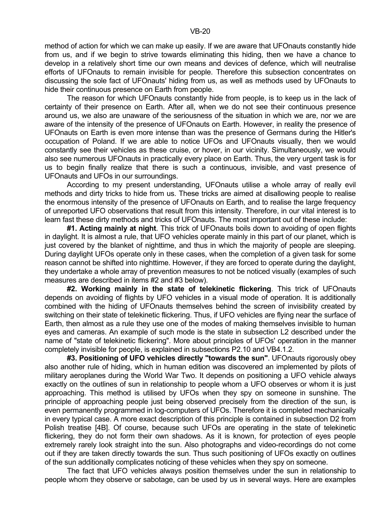method of action for which we can make up easily. If we are aware that UFOnauts constantly hide from us, and if we begin to strive towards eliminating this hiding, then we have a chance to develop in a relatively short time our own means and devices of defence, which will neutralise efforts of UFOnauts to remain invisible for people. Therefore this subsection concentrates on discussing the sole fact of UFOnauts' hiding from us, as well as methods used by UFOnauts to hide their continuous presence on Earth from people.

 The reason for which UFOnauts constantly hide from people, is to keep us in the lack of certainty of their presence on Earth. After all, when we do not see their continuous presence around us, we also are unaware of the seriousness of the situation in which we are, nor we are aware of the intensity of the presence of UFOnauts on Earth. However, in reality the presence of UFOnauts on Earth is even more intense than was the presence of Germans during the Hitler's occupation of Poland. If we are able to notice UFOs and UFOnauts visually, then we would constantly see their vehicles as these cruise, or hover, in our vicinity. Simultaneously, we would also see numerous UFOnauts in practically every place on Earth. Thus, the very urgent task is for us to begin finally realize that there is such a continuous, invisible, and vast presence of UFOnauts and UFOs in our surroundings.

 According to my present understanding, UFOnauts utilise a whole array of really evil methods and dirty tricks to hide from us. These tricks are aimed at disallowing people to realise the enormous intensity of the presence of UFOnauts on Earth, and to realise the large frequency of unreported UFO observations that result from this intensity. Therefore, in our vital interest is to learn fast these dirty methods and tricks of UFOnauts. The most important out of these include:

 **#1. Acting mainly at night**. This trick of UFOnauts boils down to avoiding of open flights in daylight. It is almost a rule, that UFO vehicles operate mainly in this part of our planet, which is just covered by the blanket of nighttime, and thus in which the majority of people are sleeping. During daylight UFOs operate only in these cases, when the completion of a given task for some reason cannot be shifted into nighttime. However, if they are forced to operate during the daylight, they undertake a whole array of prevention measures to not be noticed visually (examples of such measures are described in items #2 and #3 below).

 **#2. Working mainly in the state of telekinetic flickering**. This trick of UFOnauts depends on avoiding of flights by UFO vehicles in a visual mode of operation. It is additionally combined with the hiding of UFOnauts themselves behind the screen of invisibility created by switching on their state of telekinetic flickering. Thus, if UFO vehicles are flying near the surface of Earth, then almost as a rule they use one of the modes of making themselves invisible to human eyes and cameras. An example of such mode is the state in subsection L2 described under the name of "state of telekinetic flickering". More about principles of UFOs' operation in the manner completely invisible for people, is explained in subsections P2.10 and VB4.1.2.

 **#3. Positioning of UFO vehicles directly "towards the sun"**. UFOnauts rigorously obey also another rule of hiding, which in human edition was discovered an implemented by pilots of military aeroplanes during the World War Two. It depends on positioning a UFO vehicle always exactly on the outlines of sun in relationship to people whom a UFO observes or whom it is just approaching. This method is utilised by UFOs when they spy on someone in sunshine. The principle of approaching people just being observed precisely from the direction of the sun, is even permanently programmed in log-computers of UFOs. Therefore it is completed mechanically in every typical case. A more exact description of this principle is contained in subsection D2 from Polish treatise [4B]. Of course, because such UFOs are operating in the state of telekinetic flickering, they do not form their own shadows. As it is known, for protection of eyes people extremely rarely look straight into the sun. Also photographs and video-recordings do not come out if they are taken directly towards the sun. Thus such positioning of UFOs exactly on outlines of the sun additionally complicates noticing of these vehicles when they spy on someone.

 The fact that UFO vehicles always position themselves under the sun in relationship to people whom they observe or sabotage, can be used by us in several ways. Here are examples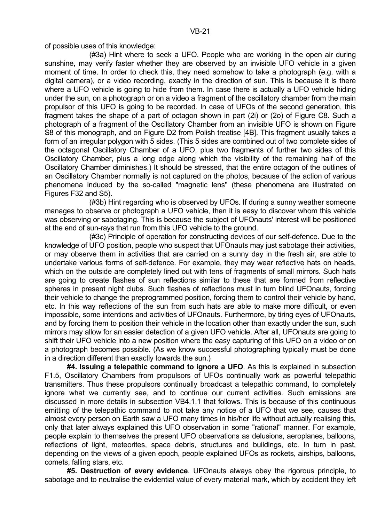of possible uses of this knowledge:

 (#3a) Hint where to seek a UFO. People who are working in the open air during sunshine, may verify faster whether they are observed by an invisible UFO vehicle in a given moment of time. In order to check this, they need somehow to take a photograph (e.g. with a digital camera), or a video recording, exactly in the direction of sun. This is because it is there where a UFO vehicle is going to hide from them. In case there is actually a UFO vehicle hiding under the sun, on a photograph or on a video a fragment of the oscillatory chamber from the main propulsor of this UFO is going to be recorded. In case of UFOs of the second generation, this fragment takes the shape of a part of octagon shown in part (2i) or (2o) of Figure C8. Such a photograph of a fragment of the Oscillatory Chamber from an invisible UFO is shown on Figure S8 of this monograph, and on Figure D2 from Polish treatise [4B]. This fragment usually takes a form of an irregular polygon with 5 sides. (This 5 sides are combined out of two complete sides of the octagonal Oscillatory Chamber of a UFO, plus two fragments of further two sides of this Oscillatory Chamber, plus a long edge along which the visibility of the remaining half of the Oscillatory Chamber diminishes.) It should be stressed, that the entire octagon of the outlines of an Oscillatory Chamber normally is not captured on the photos, because of the action of various phenomena induced by the so-called "magnetic lens" (these phenomena are illustrated on Figures F32 and S5).

 (#3b) Hint regarding who is observed by UFOs. If during a sunny weather someone manages to observe or photograph a UFO vehicle, then it is easy to discover whom this vehicle was observing or sabotaging. This is because the subject of UFOnauts' interest will be positioned at the end of sun-rays that run from this UFO vehicle to the ground.

 (#3c) Principle of operation for constructing devices of our self-defence. Due to the knowledge of UFO position, people who suspect that UFOnauts may just sabotage their activities, or may observe them in activities that are carried on a sunny day in the fresh air, are able to undertake various forms of self-defence. For example, they may wear reflective hats on heads, which on the outside are completely lined out with tens of fragments of small mirrors. Such hats are going to create flashes of sun reflections similar to these that are formed from reflective spheres in present night clubs. Such flashes of reflections must in turn blind UFOnauts, forcing their vehicle to change the preprogrammed position, forcing them to control their vehicle by hand, etc. In this way reflections of the sun from such hats are able to make more difficult, or even impossible, some intentions and activities of UFOnauts. Furthermore, by tiring eyes of UFOnauts, and by forcing them to position their vehicle in the location other than exactly under the sun, such mirrors may allow for an easier detection of a given UFO vehicle. After all, UFOnauts are going to shift their UFO vehicle into a new position where the easy capturing of this UFO on a video or on a photograph becomes possible. (As we know successful photographing typically must be done in a direction different than exactly towards the sun.)

 **#4. Issuing a telepathic command to ignore a UFO**. As this is explained in subsection F1.5, Oscillatory Chambers from propulsors of UFOs continually work as powerful telepathic transmitters. Thus these propulsors continually broadcast a telepathic command, to completely ignore what we currently see, and to continue our current activities. Such emissions are discussed in more details in subsection VB4.1.1 that follows. This is because of this continuous emitting of the telepathic command to not take any notice of a UFO that we see, causes that almost every person on Earth saw a UFO many times in his/her life without actually realising this, only that later always explained this UFO observation in some "rational" manner. For example, people explain to themselves the present UFO observations as delusions, aeroplanes, balloons, reflections of light, meteorites, space debris, structures and buildings, etc. In turn in past, depending on the views of a given epoch, people explained UFOs as rockets, airships, balloons, comets, falling stars, etc.

 **#5. Destruction of every evidence**. UFOnauts always obey the rigorous principle, to sabotage and to neutralise the evidential value of every material mark, which by accident they left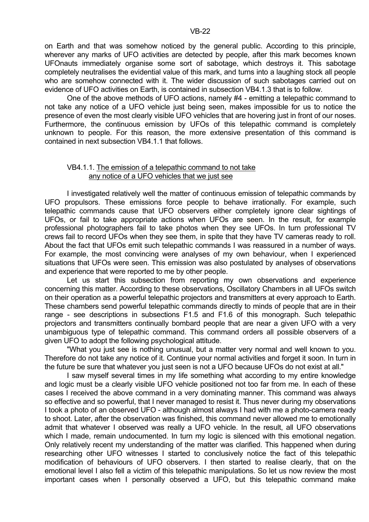on Earth and that was somehow noticed by the general public. According to this principle, wherever any marks of UFO activities are detected by people, after this mark becomes known UFOnauts immediately organise some sort of sabotage, which destroys it. This sabotage completely neutralises the evidential value of this mark, and turns into a laughing stock all people who are somehow connected with it. The wider discussion of such sabotages carried out on evidence of UFO activities on Earth, is contained in subsection VB4.1.3 that is to follow.

 One of the above methods of UFO actions, namely #4 - emitting a telepathic command to not take any notice of a UFO vehicle just being seen, makes impossible for us to notice the presence of even the most clearly visible UFO vehicles that are hovering just in front of our noses. Furthermore, the continuous emission by UFOs of this telepathic command is completely unknown to people. For this reason, the more extensive presentation of this command is contained in next subsection VB4.1.1 that follows.

#### VB4.1.1. The emission of a telepathic command to not take any notice of a UFO vehicles that we just see

 I investigated relatively well the matter of continuous emission of telepathic commands by UFO propulsors. These emissions force people to behave irrationally. For example, such telepathic commands cause that UFO observers either completely ignore clear sightings of UFOs, or fail to take appropriate actions when UFOs are seen. In the result, for example professional photographers fail to take photos when they see UFOs. In turn professional TV crews fail to record UFOs when they see them, in spite that they have TV cameras ready to roll. About the fact that UFOs emit such telepathic commands I was reassured in a number of ways. For example, the most convincing were analyses of my own behaviour, when I experienced situations that UFOs were seen. This emission was also postulated by analyses of observations and experience that were reported to me by other people.

 Let us start this subsection from reporting my own observations and experience concerning this matter. According to these observations, Oscillatory Chambers in all UFOs switch on their operation as a powerful telepathic projectors and transmitters at every approach to Earth. These chambers send powerful telepathic commands directly to minds of people that are in their range - see descriptions in subsections F1.5 and F1.6 of this monograph. Such telepathic projectors and transmitters continually bombard people that are near a given UFO with a very unambiguous type of telepathic command. This command orders all possible observers of a given UFO to adopt the following psychological attitude.

 "What you just see is nothing unusual, but a matter very normal and well known to you. Therefore do not take any notice of it. Continue your normal activities and forget it soon. In turn in the future be sure that whatever you just seen is not a UFO because UFOs do not exist at all."

 I saw myself several times in my life something what according to my entire knowledge and logic must be a clearly visible UFO vehicle positioned not too far from me. In each of these cases I received the above command in a very dominating manner. This command was always so effective and so powerful, that I never managed to resist it. Thus never during my observations I took a photo of an observed UFO - although almost always I had with me a photo-camera ready to shoot. Later, after the observation was finished, this command never allowed me to emotionally admit that whatever I observed was really a UFO vehicle. In the result, all UFO observations which I made, remain undocumented. In turn my logic is silenced with this emotional negation. Only relatively recent my understanding of the matter was clarified. This happened when during researching other UFO witnesses I started to conclusively notice the fact of this telepathic modification of behaviours of UFO observers. I then started to realise clearly, that on the emotional level I also fell a victim of this telepathic manipulations. So let us now review the most important cases when I personally observed a UFO, but this telepathic command make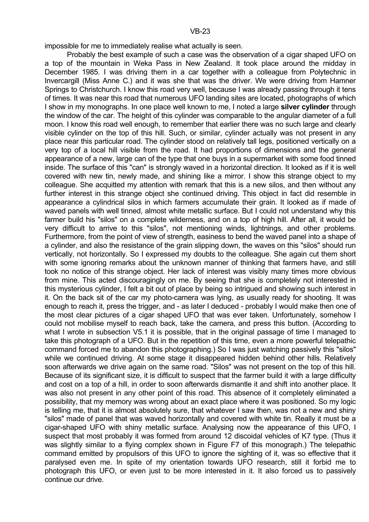impossible for me to immediately realise what actually is seen.

 Probably the best example of such a case was the observation of a cigar shaped UFO on a top of the mountain in Weka Pass in New Zealand. It took place around the midday in December 1985. I was driving them in a car together with a colleague from Polytechnic in Invercargill (Miss Anne C.) and it was she that was the driver. We were driving from Hamner Springs to Christchurch. I know this road very well, because I was already passing through it tens of times. It was near this road that numerous UFO landing sites are located, photographs of which I show in my monographs. In one place well known to me, I noted a large **silver cylinder** through the window of the car. The height of this cylinder was comparable to the angular diameter of a full moon. I know this road well enough, to remember that earlier there was no such large and clearly visible cylinder on the top of this hill. Such, or similar, cylinder actually was not present in any place near this particular road. The cylinder stood on relatively tall legs, positioned vertically on a very top of a local hill visible from the road. It had proportions of dimensions and the general appearance of a new, large can of the type that one buys in a supermarket with some food tinned inside. The surface of this "can" is strongly waved in a horizontal direction. It looked as if it is well covered with new tin, newly made, and shining like a mirror. I show this strange object to my colleague. She acquitted my attention with remark that this is a new silos, and then without any further interest in this strange object she continued driving. This object in fact did resemble in appearance a cylindrical silos in which farmers accumulate their grain. It looked as if made of waved panels with well tinned, almost white metallic surface. But I could not understand why this farmer build his "silos" on a complete wilderness, and on a top of high hill. After all, it would be very difficult to arrive to this "silos", not mentioning winds, lightnings, and other problems. Furthermore, from the point of view of strength, easiness to bend the waved panel into a shape of a cylinder, and also the resistance of the grain slipping down, the waves on this "silos" should run vertically, not horizontally. So I expressed my doubts to the colleague. She again cut them short with some ignoring remarks about the unknown manner of thinking that farmers have, and still took no notice of this strange object. Her lack of interest was visibly many times more obvious from mine. This acted discouragingly on me. By seeing that she is completely not interested in this mysterious cylinder, I felt a bit out of place by being so intrigued and showing such interest in it. On the back sit of the car my photo-camera was lying, as usually ready for shooting. It was enough to reach it, press the trigger, and - as later I deduced - probably I would make then one of the most clear pictures of a cigar shaped UFO that was ever taken. Unfortunately, somehow I could not mobilise myself to reach back, take the camera, and press this button. (According to what I wrote in subsection V5.1 it is possible, that in the original passage of time I managed to take this photograph of a UFO. But in the repetition of this time, even a more powerful telepathic command forced me to abandon this photographing.) So I was just watching passively this "silos" while we continued driving. At some stage it disappeared hidden behind other hills. Relatively soon afterwards we drive again on the same road. "Silos" was not present on the top of this hill. Because of its significant size, it is difficult to suspect that the farmer build it with a large difficulty and cost on a top of a hill, in order to soon afterwards dismantle it and shift into another place. It was also not present in any other point of this road. This absence of it completely eliminated a possibility, that my memory was wrong about an exact place where it was positioned. So my logic is telling me, that it is almost absolutely sure, that whatever I saw then, was not a new and shiny "silos" made of panel that was waved horizontally and covered with white tin. Really it must be a cigar-shaped UFO with shiny metallic surface. Analysing now the appearance of this UFO, I suspect that most probably it was formed from around 12 discoidal vehicles of K7 type. (Thus it was slightly similar to a flying complex shown in Figure F7 of this monograph.) The telepathic command emitted by propulsors of this UFO to ignore the sighting of it, was so effective that it paralysed even me. In spite of my orientation towards UFO research, still it forbid me to photograph this UFO, or even just to be more interested in it. It also forced us to passively continue our drive.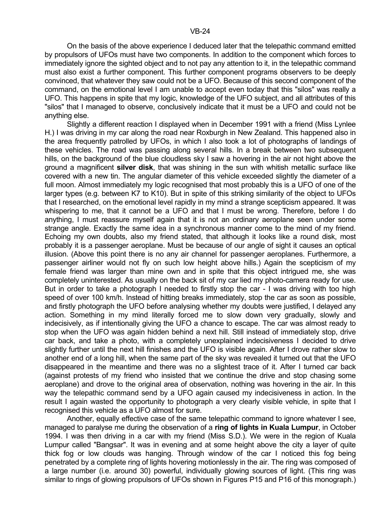On the basis of the above experience I deduced later that the telepathic command emitted by propulsors of UFOs must have two components. In addition to the component which forces to immediately ignore the sighted object and to not pay any attention to it, in the telepathic command must also exist a further component. This further component programs observers to be deeply convinced, that whatever they saw could not be a UFO. Because of this second component of the command, on the emotional level I am unable to accept even today that this "silos" was really a UFO. This happens in spite that my logic, knowledge of the UFO subject, and all attributes of this "silos" that I managed to observe, conclusively indicate that it must be a UFO and could not be anything else.

 Slightly a different reaction I displayed when in December 1991 with a friend (Miss Lynlee H.) I was driving in my car along the road near Roxburgh in New Zealand. This happened also in the area frequently patrolled by UFOs, in which I also took a lot of photographs of landings of these vehicles. The road was passing along several hills. In a break between two subsequent hills, on the background of the blue cloudless sky I saw a hovering in the air not hight above the ground a magnificent **silver disk**, that was shining in the sun with whitish metallic surface like covered with a new tin. The angular diameter of this vehicle exceeded slightly the diameter of a full moon. Almost immediately my logic recognised that most probably this is a UFO of one of the larger types (e.g. between K7 to K10). But in spite of this striking similarity of the object to UFOs that I researched, on the emotional level rapidly in my mind a strange scepticism appeared. It was whispering to me, that it cannot be a UFO and that I must be wrong. Therefore, before I do anything, I must reassure myself again that it is not an ordinary aeroplane seen under some strange angle. Exactly the same idea in a synchronous manner come to the mind of my friend. Echoing my own doubts, also my friend stated, that although it looks like a round disk, most probably it is a passenger aeroplane. Must be because of our angle of sight it causes an optical illusion. (Above this point there is no any air channel for passenger aeroplanes. Furthermore, a passenger airliner would not fly on such low height above hills.) Again the scepticism of my female friend was larger than mine own and in spite that this object intrigued me, she was completely uninterested. As usually on the back sit of my car lied my photo-camera ready for use. But in order to take a photograph I needed to firstly stop the car - I was driving with too high speed of over 100 km/h. Instead of hitting breaks immediately, stop the car as soon as possible, and firstly photograph the UFO before analysing whether my doubts were justified, I delayed any action. Something in my mind literally forced me to slow down very gradually, slowly and indecisively, as if intentionally giving the UFO a chance to escape. The car was almost ready to stop when the UFO was again hidden behind a next hill. Still instead of immediately stop, drive car back, and take a photo, with a completely unexplained indecisiveness I decided to drive slightly further until the next hill finishes and the UFO is visible again. After I drove rather slow to another end of a long hill, when the same part of the sky was revealed it turned out that the UFO disappeared in the meantime and there was no a slightest trace of it. After I turned car back (against protests of my friend who insisted that we continue the drive and stop chasing some aeroplane) and drove to the original area of observation, nothing was hovering in the air. In this way the telepathic command send by a UFO again caused my indecisiveness in action. In the result I again wasted the opportunity to photograph a very clearly visible vehicle, in spite that I recognised this vehicle as a UFO almost for sure.

 Another, equally effective case of the same telepathic command to ignore whatever I see, managed to paralyse me during the observation of a **ring of lights in Kuala Lumpur**, in October 1994. I was then driving in a car with my friend (Miss S.D.). We were in the region of Kuala Lumpur called "Bangsar". It was in evening and at some height above the city a layer of quite thick fog or low clouds was hanging. Through window of the car I noticed this fog being penetrated by a complete ring of lights hovering motionlessly in the air. The ring was composed of a large number (i.e. around 30) powerful, individually glowing sources of light. (This ring was similar to rings of glowing propulsors of UFOs shown in Figures P15 and P16 of this monograph.)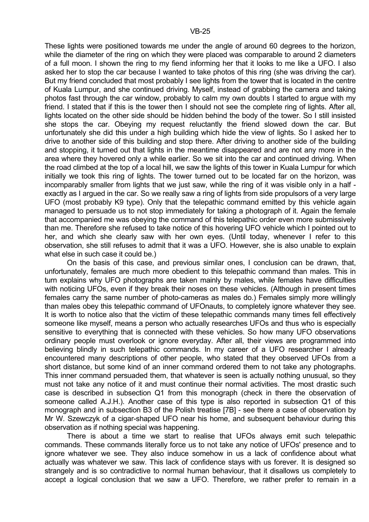These lights were positioned towards me under the angle of around 60 degrees to the horizon, while the diameter of the ring on which they were placed was comparable to around 2 diameters of a full moon. I shown the ring to my fiend informing her that it looks to me like a UFO. I also asked her to stop the car because I wanted to take photos of this ring (she was driving the car). But my friend concluded that most probably I see lights from the tower that is located in the centre of Kuala Lumpur, and she continued driving. Myself, instead of grabbing the camera and taking photos fast through the car window, probably to calm my own doubts I started to argue with my friend. I stated that if this is the tower then I should not see the complete ring of lights. After all, lights located on the other side should be hidden behind the body of the tower. So I still insisted she stops the car. Obeying my request reluctantly the friend slowed down the car. But unfortunately she did this under a high building which hide the view of lights. So I asked her to drive to another side of this building and stop there. After driving to another side of the building and stopping, it turned out that lights in the meantime disappeared and are not any more in the area where they hovered only a while earlier. So we sit into the car and continued driving. When the road climbed at the top of a local hill, we saw the lights of this tower in Kuala Lumpur for which initially we took this ring of lights. The tower turned out to be located far on the horizon, was incomparably smaller from lights that we just saw, while the ring of it was visible only in a half exactly as I argued in the car. So we really saw a ring of lights from side propulsors of a very large UFO (most probably K9 type). Only that the telepathic command emitted by this vehicle again managed to persuade us to not stop immediately for taking a photograph of it. Again the female that accompanied me was obeying the command of this telepathic order even more submissively than me. Therefore she refused to take notice of this hovering UFO vehicle which I pointed out to her, and which she clearly saw with her own eyes. (Until today, whenever I refer to this observation, she still refuses to admit that it was a UFO. However, she is also unable to explain what else in such case it could be.)

 On the basis of this case, and previous similar ones, I conclusion can be drawn, that, unfortunately, females are much more obedient to this telepathic command than males. This in turn explains why UFO photographs are taken mainly by males, while females have difficulties with noticing UFOs, even if they break their noses on these vehicles. (Although in present times females carry the same number of photo-cameras as males do.) Females simply more willingly than males obey this telepathic command of UFOnauts, to completely ignore whatever they see. It is worth to notice also that the victim of these telepathic commands many times fell effectively someone like myself, means a person who actually researches UFOs and thus who is especially sensitive to everything that is connected with these vehicles. So how many UFO observations ordinary people must overlook or ignore everyday. After all, their views are programmed into believing blindly in such telepathic commands. In my career of a UFO researcher I already encountered many descriptions of other people, who stated that they observed UFOs from a short distance, but some kind of an inner command ordered them to not take any photographs. This inner command persuaded them, that whatever is seen is actually nothing unusual, so they must not take any notice of it and must continue their normal activities. The most drastic such case is described in subsection Q1 from this monograph (check in there the observation of someone called A.J.H.). Another case of this type is also reported in subsection Q1 of this monograph and in subsection B3 of the Polish treatise [7B] - see there a case of observation by Mr W. Szewczyk of a cigar-shaped UFO near his home, and subsequent behaviour during this observation as if nothing special was happening.

 There is about a time we start to realise that UFOs always emit such telepathic commands. These commands literally force us to not take any notice of UFOs' presence and to ignore whatever we see. They also induce somehow in us a lack of confidence about what actually was whatever we saw. This lack of confidence stays with us forever. It is designed so strangely and is so contradictive to normal human behaviour, that it disallows us completely to accept a logical conclusion that we saw a UFO. Therefore, we rather prefer to remain in a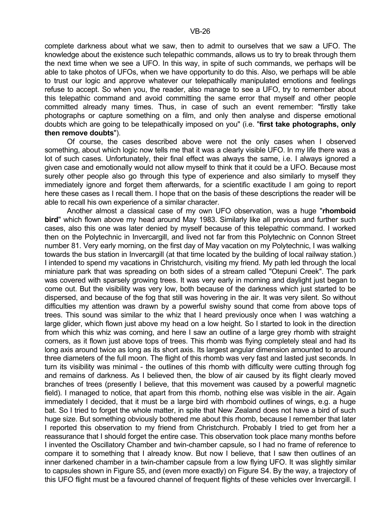complete darkness about what we saw, then to admit to ourselves that we saw a UFO. The knowledge about the existence such telepathic commands, allows us to try to break through them the next time when we see a UFO. In this way, in spite of such commands, we perhaps will be able to take photos of UFOs, when we have opportunity to do this. Also, we perhaps will be able to trust our logic and approve whatever our telepathically manipulated emotions and feelings refuse to accept. So when you, the reader, also manage to see a UFO, try to remember about this telepathic command and avoid committing the same error that myself and other people committed already many times. Thus, in case of such an event remember: "firstly take photographs or capture something on a film, and only then analyse and disperse emotional doubts which are going to be telepathically imposed on you" (i.e. "**first take photographs, only then remove doubts**").

 Of course, the cases described above were not the only cases when I observed something, about which logic now tells me that it was a clearly visible UFO. In my life there was a lot of such cases. Unfortunately, their final effect was always the same, i.e. I always ignored a given case and emotionally would not allow myself to think that it could be a UFO. Because most surely other people also go through this type of experience and also similarly to myself they immediately ignore and forget them afterwards, for a scientific exactitude I am going to report here these cases as I recall them. I hope that on the basis of these descriptions the reader will be able to recall his own experience of a similar character.

 Another almost a classical case of my own UFO observation, was a huge "**rhomboid bird**" which flown above my head around May 1983. Similarly like all previous and further such cases, also this one was later denied by myself because of this telepathic command. I worked then on the Polytechnic in Invercargill, and lived not far from this Polytechnic on Connon Street number 81. Very early morning, on the first day of May vacation on my Polytechnic, I was walking towards the bus station in Invercargill (at that time located by the building of local railway station.) I intended to spend my vacations in Christchurch, visiting my friend. My path led through the local miniature park that was spreading on both sides of a stream called "Otepuni Creek". The park was covered with sparsely growing trees. It was very early in morning and daylight just began to come out. But the visibility was very low, both because of the darkness which just started to be dispersed, and because of the fog that still was hovering in the air. It was very silent. So without difficulties my attention was drawn by a powerful swishy sound that come from above tops of trees. This sound was similar to the whiz that I heard previously once when I was watching a large glider, which flown just above my head on a low height. So I started to look in the direction from which this whiz was coming, and here I saw an outline of a large grey rhomb with straight corners, as it flown just above tops of trees. This rhomb was flying completely steal and had its long axis around twice as long as its short axis. Its largest angular dimension amounted to around three diameters of the full moon. The flight of this rhomb was very fast and lasted just seconds. In turn its visibility was minimal - the outlines of this rhomb with difficulty were cutting through fog and remains of darkness. As I believed then, the blow of air caused by its flight clearly moved branches of trees (presently I believe, that this movement was caused by a powerful magnetic field). I managed to notice, that apart from this rhomb, nothing else was visible in the air. Again immediately I decided, that it must be a large bird with rhomboid outlines of wings, e.g. a huge bat. So I tried to forget the whole matter, in spite that New Zealand does not have a bird of such huge size. But something obviously bothered me about this rhomb, because I remember that later I reported this observation to my friend from Christchurch. Probably I tried to get from her a reassurance that I should forget the entire case. This observation took place many months before I invented the Oscillatory Chamber and twin-chamber capsule, so I had no frame of reference to compare it to something that I already know. But now I believe, that I saw then outlines of an inner darkened chamber in a twin-chamber capsule from a low flying UFO. It was slightly similar to capsules shown in Figure S5, and (even more exactly) on Figure S4. By the way, a trajectory of this UFO flight must be a favoured channel of frequent flights of these vehicles over Invercargill. I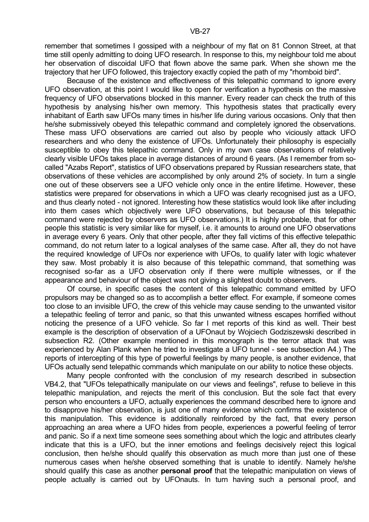Because of the existence and effectiveness of this telepathic command to ignore every UFO observation, at this point I would like to open for verification a hypothesis on the massive frequency of UFO observations blocked in this manner. Every reader can check the truth of this hypothesis by analysing his/her own memory. This hypothesis states that practically every inhabitant of Earth saw UFOs many times in his/her life during various occasions. Only that then he/she submissively obeyed this telepathic command and completely ignored the observations. These mass UFO observations are carried out also by people who viciously attack UFO researchers and who deny the existence of UFOs. Unfortunately their philosophy is especially susceptible to obey this telepathic command. Only in my own case observations of relatively clearly visible UFOs takes place in average distances of around 6 years. (As I remember from socalled "Azabs Report", statistics of UFO observations prepared by Russian researchers state, that observations of these vehicles are accomplished by only around 2% of society. In turn a single one out of these observers see a UFO vehicle only once in the entire lifetime. However, these statistics were prepared for observations in which a UFO was clearly recognised just as a UFO, and thus clearly noted - not ignored. Interesting how these statistics would look like after including into them cases which objectively were UFO observations, but because of this telepathic command were rejected by observers as UFO observations.) It is highly probable, that for other people this statistic is very similar like for myself, i.e. it amounts to around one UFO observations in average every 6 years. Only that other people, after they fall victims of this effective telepathic command, do not return later to a logical analyses of the same case. After all, they do not have the required knowledge of UFOs nor experience with UFOs, to qualify later with logic whatever they saw. Most probably it is also because of this telepathic command, that something was recognised so-far as a UFO observation only if there were multiple witnesses, or if the appearance and behaviour of the object was not giving a slightest doubt to observers.

 Of course, in specific cases the content of this telepathic command emitted by UFO propulsors may be changed so as to accomplish a better effect. For example, if someone comes too close to an invisible UFO, the crew of this vehicle may cause sending to the unwanted visitor a telepathic feeling of terror and panic, so that this unwanted witness escapes horrified without noticing the presence of a UFO vehicle. So far I met reports of this kind as well. Their best example is the description of observation of a UFOnaut by Wojciech Godziszewski described in subsection R2. (Other example mentioned in this monograph is the terror attack that was experienced by Alan Plank when he tried to investigate a UFO tunnel - see subsection A4.) The reports of intercepting of this type of powerful feelings by many people, is another evidence, that UFOs actually send telepathic commands which manipulate on our ability to notice these objects.

 Many people confronted with the conclusion of my research described in subsection VB4.2, that "UFOs telepathically manipulate on our views and feelings", refuse to believe in this telepathic manipulation, and rejects the merit of this conclusion. But the sole fact that every person who encounters a UFO, actually experiences the command described here to ignore and to disapprove his/her observation, is just one of many evidence which confirms the existence of this manipulation. This evidence is additionally reinforced by the fact, that every person approaching an area where a UFO hides from people, experiences a powerful feeling of terror and panic. So if a next time someone sees something about which the logic and attributes clearly indicate that this is a UFO, but the inner emotions and feelings decisively reject this logical conclusion, then he/she should qualify this observation as much more than just one of these numerous cases when he/she observed something that is unable to identify. Namely he/she should qualify this case as another **personal proof** that the telepathic manipulation on views of people actually is carried out by UFOnauts. In turn having such a personal proof, and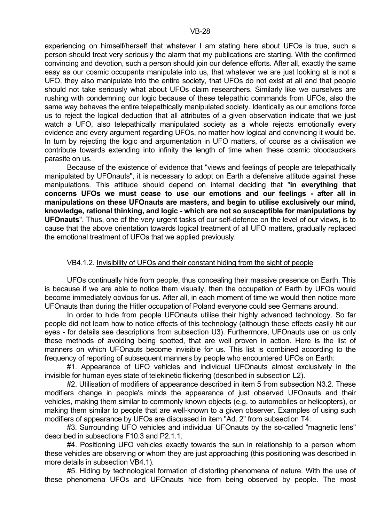experiencing on himself/herself that whatever I am stating here about UFOs is true, such a person should treat very seriously the alarm that my publications are starting. With the confirmed convincing and devotion, such a person should join our defence efforts. After all, exactly the same easy as our cosmic occupants manipulate into us, that whatever we are just looking at is not a UFO, they also manipulate into the entire society, that UFOs do not exist at all and that people should not take seriously what about UFOs claim researchers. Similarly like we ourselves are rushing with condemning our logic because of these telepathic commands from UFOs, also the same way behaves the entire telepathically manipulated society. Identically as our emotions force us to reject the logical deduction that all attributes of a given observation indicate that we just watch a UFO, also telepathically manipulated society as a whole rejects emotionally every evidence and every argument regarding UFOs, no matter how logical and convincing it would be. In turn by rejecting the logic and argumentation in UFO matters, of course as a civilisation we contribute towards extending into infinity the length of time when these cosmic bloodsuckers parasite on us.

 Because of the existence of evidence that "views and feelings of people are telepathically manipulated by UFOnauts", it is necessary to adopt on Earth a defensive attitude against these manipulations. This attitude should depend on internal deciding that "**in everything that concerns UFOs we must cease to use our emotions and our feelings - after all in manipulations on these UFOnauts are masters, and begin to utilise exclusively our mind, knowledge, rational thinking, and logic - which are not so susceptible for manipulations by UFOnauts**". Thus, one of the very urgent tasks of our self-defence on the level of our views, is to cause that the above orientation towards logical treatment of all UFO matters, gradually replaced the emotional treatment of UFOs that we applied previously.

#### VB4.1.2. Invisibility of UFOs and their constant hiding from the sight of people

 UFOs continually hide from people, thus concealing their massive presence on Earth. This is because if we are able to notice them visually, then the occupation of Earth by UFOs would become immediately obvious for us. After all, in each moment of time we would then notice more UFOnauts than during the Hitler occupation of Poland everyone could see Germans around.

 In order to hide from people UFOnauts utilise their highly advanced technology. So far people did not learn how to notice effects of this technology (although these effects easily hit our eyes - for details see descriptions from subsection U3). Furthermore, UFOnauts use on us only these methods of avoiding being spotted, that are well proven in action. Here is the list of manners on which UFOnauts become invisible for us. This list is combined according to the frequency of reporting of subsequent manners by people who encountered UFOs on Earth:

 #1. Appearance of UFO vehicles and individual UFOnauts almost exclusively in the invisible for human eyes state of telekinetic flickering (described in subsection L2).

 #2. Utilisation of modifiers of appearance described in item 5 from subsection N3.2. These modifiers change in people's minds the appearance of just observed UFOnauts and their vehicles, making them similar to commonly known objects (e.g. to automobiles or helicopters), or making them similar to people that are well-known to a given observer. Examples of using such modifiers of appearance by UFOs are discussed in item "Ad. 2" from subsection T4.

 #3. Surrounding UFO vehicles and individual UFOnauts by the so-called "magnetic lens" described in subsections F10.3 and P2.1.1.

 #4. Positioning UFO vehicles exactly towards the sun in relationship to a person whom these vehicles are observing or whom they are just approaching (this positioning was described in more details in subsection VB4.1).

 #5. Hiding by technological formation of distorting phenomena of nature. With the use of these phenomena UFOs and UFOnauts hide from being observed by people. The most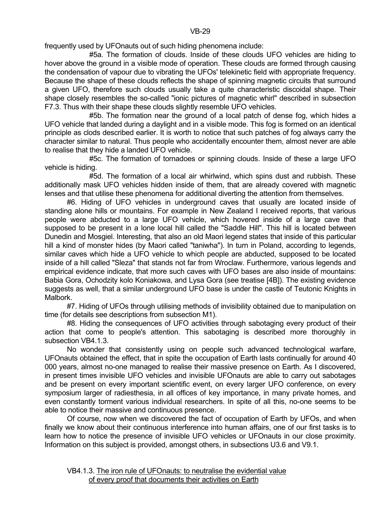frequently used by UFOnauts out of such hiding phenomena include:

 #5a. The formation of clouds. Inside of these clouds UFO vehicles are hiding to hover above the ground in a visible mode of operation. These clouds are formed through causing the condensation of vapour due to vibrating the UFOs' telekinetic field with appropriate frequency. Because the shape of these clouds reflects the shape of spinning magnetic circuits that surround a given UFO, therefore such clouds usually take a quite characteristic discoidal shape. Their shape closely resembles the so-called "ionic pictures of magnetic whirl" described in subsection F7.3. Thus with their shape these clouds slightly resemble UFO vehicles.

 #5b. The formation near the ground of a local patch of dense fog, which hides a UFO vehicle that landed during a daylight and in a visible mode. This fog is formed on an identical principle as clods described earlier. It is worth to notice that such patches of fog always carry the character similar to natural. Thus people who accidentally encounter them, almost never are able to realise that they hide a landed UFO vehicle.

 #5c. The formation of tornadoes or spinning clouds. Inside of these a large UFO vehicle is hiding.

 #5d. The formation of a local air whirlwind, which spins dust and rubbish. These additionally mask UFO vehicles hidden inside of them, that are already covered with magnetic lenses and that utilise these phenomena for additional diverting the attention from themselves.

 #6. Hiding of UFO vehicles in underground caves that usually are located inside of standing alone hills or mountains. For example in New Zealand I received reports, that various people were abducted to a large UFO vehicle, which hovered inside of a large cave that supposed to be present in a lone local hill called the "Saddle Hill". This hill is located between Dunedin and Mosgiel. Interesting, that also an old Maori legend states that inside of this particular hill a kind of monster hides (by Maori called "taniwha"). In turn in Poland, according to legends, similar caves which hide a UFO vehicle to which people are abducted, supposed to be located inside of a hill called "Sleza" that stands not far from Wroclaw. Furthermore, various legends and empirical evidence indicate, that more such caves with UFO bases are also inside of mountains: Babia Gora, Ochodzity kolo Koniakowa, and Lysa Gora (see treatise [4B]). The existing evidence suggests as well, that a similar underground UFO base is under the castle of Teutonic Knights in Malbork.

 #7. Hiding of UFOs through utilising methods of invisibility obtained due to manipulation on time (for details see descriptions from subsection M1).

 #8. Hiding the consequences of UFO activities through sabotaging every product of their action that come to people's attention. This sabotaging is described more thoroughly in subsection VB4.1.3.

 No wonder that consistently using on people such advanced technological warfare, UFOnauts obtained the effect, that in spite the occupation of Earth lasts continually for around 40 000 years, almost no-one managed to realise their massive presence on Earth. As I discovered, in present times invisible UFO vehicles and invisible UFOnauts are able to carry out sabotages and be present on every important scientific event, on every larger UFO conference, on every symposium larger of radiesthesia, in all offices of key importance, in many private homes, and even constantly torment various individual researchers. In spite of all this, no-one seems to be able to notice their massive and continuous presence.

 Of course, now when we discovered the fact of occupation of Earth by UFOs, and when finally we know about their continuous interference into human affairs, one of our first tasks is to learn how to notice the presence of invisible UFO vehicles or UFOnauts in our close proximity. Information on this subject is provided, amongst others, in subsections U3.6 and V9.1.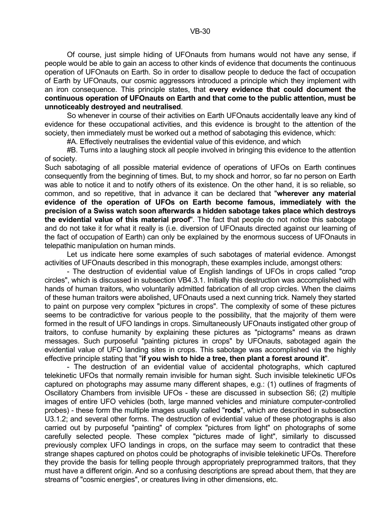Of course, just simple hiding of UFOnauts from humans would not have any sense, if people would be able to gain an access to other kinds of evidence that documents the continuous operation of UFOnauts on Earth. So in order to disallow people to deduce the fact of occupation of Earth by UFOnauts, our cosmic aggressors introduced a principle which they implement with an iron consequence. This principle states, that **every evidence that could document the continuous operation of UFOnauts on Earth and that come to the public attention, must be unnoticeably destroyed and neutralised**.

 So whenever in course of their activities on Earth UFOnauts accidentally leave any kind of evidence for these occupational activities, and this evidence is brought to the attention of the society, then immediately must be worked out a method of sabotaging this evidence, which:

#A. Effectively neutralises the evidential value of this evidence, and which

 #B. Turns into a laughing stock all people involved in bringing this evidence to the attention of society.

Such sabotaging of all possible material evidence of operations of UFOs on Earth continues consequently from the beginning of times. But, to my shock and horror, so far no person on Earth was able to notice it and to notify others of its existence. On the other hand, it is so reliable, so common, and so repetitive, that in advance it can be declared that "**wherever any material evidence of the operation of UFOs on Earth become famous, immediately with the precision of a Swiss watch soon afterwards a hidden sabotage takes place which destroys the evidential value of this material proof**". The fact that people do not notice this sabotage and do not take it for what it really is (i.e. diversion of UFOnauts directed against our learning of the fact of occupation of Earth) can only be explained by the enormous success of UFOnauts in telepathic manipulation on human minds.

 Let us indicate here some examples of such sabotages of material evidence. Amongst activities of UFOnauts described in this monograph, these examples include, amongst others:

 - The destruction of evidential value of English landings of UFOs in crops called "crop circles", which is discussed in subsection VB4.3.1. Initially this destruction was accomplished with hands of human traitors, who voluntarily admitted fabrication of all crop circles. When the claims of these human traitors were abolished, UFOnauts used a next cunning trick. Namely they started to paint on purpose very complex "pictures in crops". The complexity of some of these pictures seems to be contradictive for various people to the possibility, that the majority of them were formed in the result of UFO landings in crops. Simultaneously UFOnauts instigated other group of traitors, to confuse humanity by explaining these pictures as "pictograms" means as drawn messages. Such purposeful "painting pictures in crops" by UFOnauts, sabotaged again the evidential value of UFO landing sites in crops. This sabotage was accomplished via the highly effective principle stating that "**if you wish to hide a tree, then plant a forest around it**".

 - The destruction of an evidential value of accidental photographs, which captured telekinetic UFOs that normally remain invisible for human sight. Such invisible telekinetic UFOs captured on photographs may assume many different shapes, e.g.: (1) outlines of fragments of Oscillatory Chambers from invisible UFOs - these are discussed in subsection S6; (2) multiple images of entire UFO vehicles (both, large manned vehicles and miniature computer-controlled probes) - these form the multiple images usually called "**rods**", which are described in subsection U3.1.2; and several other forms. The destruction of evidential value of these photographs is also carried out by purposeful "painting" of complex "pictures from light" on photographs of some carefully selected people. These complex "pictures made of light", similarly to discussed previously complex UFO landings in crops, on the surface may seem to contradict that these strange shapes captured on photos could be photographs of invisible telekinetic UFOs. Therefore they provide the basis for telling people through appropriately preprogrammed traitors, that they must have a different origin. And so a confusing descriptions are spread about them, that they are streams of "cosmic energies", or creatures living in other dimensions, etc.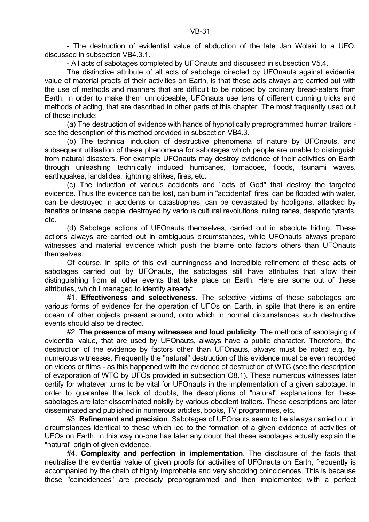- All acts of sabotages completed by UFOnauts and discussed in subsection V5.4.

 The distinctive attribute of all acts of sabotage directed by UFOnauts against evidential value of material proofs of their activities on Earth, is that these acts always are carried out with the use of methods and manners that are difficult to be noticed by ordinary bread-eaters from Earth. In order to make them unnoticeable, UFOnauts use tens of different cunning tricks and methods of acting, that are described in other parts of this chapter. The most frequently used out of these include:

 (a) The destruction of evidence with hands of hypnotically preprogrammed human traitors see the description of this method provided in subsection VB4.3.

 (b) The technical induction of destructive phenomena of nature by UFOnauts, and subsequent utilisation of these phenomena for sabotages which people are unable to distinguish from natural disasters. For example UFOnauts may destroy evidence of their activities on Earth through unleashing technically induced hurricanes, tornadoes, floods, tsunami waves, earthquakes, landslides, lightning strikes, fires, etc.

 (c) The induction of various accidents and "acts of God" that destroy the targeted evidence. Thus the evidence can be lost, can burn in "accidental" fires, can be flooded with water, can be destroyed in accidents or catastrophes, can be devastated by hooligans, attacked by fanatics or insane people, destroyed by various cultural revolutions, ruling races, despotic tyrants, etc.

 (d) Sabotage actions of UFOnauts themselves, carried out in absolute hiding. These actions always are carried out in ambiguous circumstances, while UFOnauts always prepare witnesses and material evidence which push the blame onto factors others than UFOnauts themselves.

 Of course, in spite of this evil cunningness and incredible refinement of these acts of sabotages carried out by UFOnauts, the sabotages still have attributes that allow their distinguishing from all other events that take place on Earth. Here are some out of these attributes, which I managed to identify already:

 #1. **Effectiveness and selectiveness**. The selective victims of these sabotages are various forms of evidence for the operation of UFOs on Earth, in spite that there is an entire ocean of other objects present around, onto which in normal circumstances such destructive events should also be directed.

 #2. **The presence of many witnesses and loud publicity**. The methods of sabotaging of evidential value, that are used by UFOnauts, always have a public character. Therefore, the destruction of the evidence by factors other than UFOnauts, always must be noted e.g. by numerous witnesses. Frequently the "natural" destruction of this evidence must be even recorded on videos or films - as this happened with the evidence of destruction of WTC (see the description of evaporation of WTC by UFOs provided in subsection O8.1). These numerous witnesses later certify for whatever turns to be vital for UFOnauts in the implementation of a given sabotage. In order to guarantee the lack of doubts, the descriptions of "natural" explanations for these sabotages are later disseminated noisily by various obedient traitors. These descriptions are later disseminated and published in numerous articles, books, TV programmes, etc.

 #3. **Refinement and precision**. Sabotages of UFOnauts seem to be always carried out in circumstances identical to these which led to the formation of a given evidence of activities of UFOs on Earth. In this way no-one has later any doubt that these sabotages actually explain the "natural" origin of given evidence.

 #4. **Complexity and perfection in implementation**. The disclosure of the facts that neutralise the evidential value of given proofs for activities of UFOnauts on Earth, frequently is accompanied by the chain of highly improbable and very shocking coincidences. This is because these "coincidences" are precisely preprogrammed and then implemented with a perfect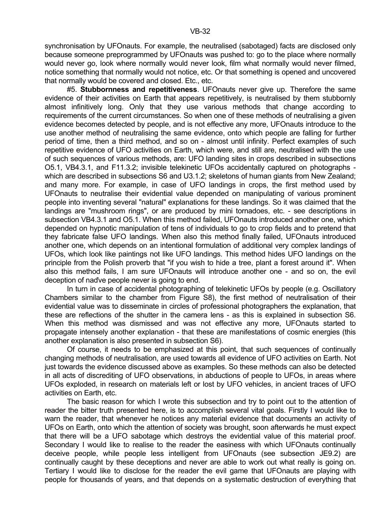synchronisation by UFOnauts. For example, the neutralised (sabotaged) facts are disclosed only because someone preprogrammed by UFOnauts was pushed to: go to the place where normally would never go, look where normally would never look, film what normally would never filmed, notice something that normally would not notice, etc. Or that something is opened and uncovered that normally would be covered and closed. Etc., etc.

 #5. **Stubbornness and repetitiveness**. UFOnauts never give up. Therefore the same evidence of their activities on Earth that appears repetitively, is neutralised by them stubbornly almost infinitively long. Only that they use various methods that change according to requirements of the current circumstances. So when one of these methods of neutralising a given evidence becomes detected by people, and is not effective any more, UFOnauts introduce to the use another method of neutralising the same evidence, onto which people are falling for further period of time, then a third method, and so on - almost until infinity. Perfect examples of such repetitive evidence of UFO activities on Earth, which were, and still are, neutralised with the use of such sequences of various methods, are: UFO landing sites in crops described in subsections O5.1, VB4.3.1, and F11.3.2; invisible telekinetic UFOs accidentally captured on photographs which are described in subsections S6 and U3.1.2; skeletons of human giants from New Zealand; and many more. For example, in case of UFO landings in crops, the first method used by UFOnauts to neutralise their evidential value depended on manipulating of various prominent people into inventing several "natural" explanations for these landings. So it was claimed that the landings are "mushroom rings", or are produced by mini tornadoes, etc. - see descriptions in subsection VB4.3.1 and O5.1. When this method failed, UFOnauts introduced another one, which depended on hypnotic manipulation of tens of individuals to go to crop fields and to pretend that they fabricate false UFO landings. When also this method finally failed, UFOnauts introduced another one, which depends on an intentional formulation of additional very complex landings of UFOs, which look like paintings not like UFO landings. This method hides UFO landings on the principle from the Polish proverb that "if you wish to hide a tree, plant a forest around it". When also this method fails, I am sure UFOnauts will introduce another one - and so on, the evil deception of naďve people never is going to end.

 In turn in case of accidental photographing of telekinetic UFOs by people (e.g. Oscillatory Chambers similar to the chamber from Figure S8), the first method of neutralisation of their evidential value was to disseminate in circles of professional photographers the explanation, that these are reflections of the shutter in the camera lens - as this is explained in subsection S6. When this method was dismissed and was not effective any more, UFOnauts started to propagate intensely another explanation - that these are manifestations of cosmic energies (this another explanation is also presented in subsection S6).

 Of course, it needs to be emphasized at this point, that such sequences of continually changing methods of neutralisation, are used towards all evidence of UFO activities on Earth. Not just towards the evidence discussed above as examples. So these methods can also be detected in all acts of discrediting of UFO observations, in abductions of people to UFOs, in areas where UFOs exploded, in research on materials left or lost by UFO vehicles, in ancient traces of UFO activities on Earth, etc.

 The basic reason for which I wrote this subsection and try to point out to the attention of reader the bitter truth presented here, is to accomplish several vital goals. Firstly I would like to warn the reader, that whenever he notices any material evidence that documents an activity of UFOs on Earth, onto which the attention of society was brought, soon afterwards he must expect that there will be a UFO sabotage which destroys the evidential value of this material proof. Secondary I would like to realise to the reader the easiness with which UFOnauts continually deceive people, while people less intelligent from UFOnauts (see subsection JE9.2) are continually caught by these deceptions and never are able to work out what really is going on. Tertiary I would like to disclose for the reader the evil game that UFOnauts are playing with people for thousands of years, and that depends on a systematic destruction of everything that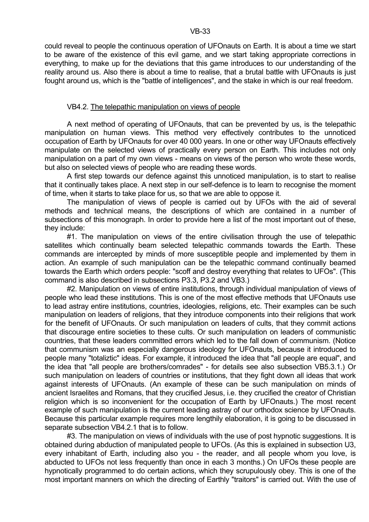could reveal to people the continuous operation of UFOnauts on Earth. It is about a time we start to be aware of the existence of this evil game, and we start taking appropriate corrections in everything, to make up for the deviations that this game introduces to our understanding of the reality around us. Also there is about a time to realise, that a brutal battle with UFOnauts is just fought around us, which is the "battle of intelligences", and the stake in which is our real freedom.

# VB4.2. The telepathic manipulation on views of people

 A next method of operating of UFOnauts, that can be prevented by us, is the telepathic manipulation on human views. This method very effectively contributes to the unnoticed occupation of Earth by UFOnauts for over 40 000 years. In one or other way UFOnauts effectively manipulate on the selected views of practically every person on Earth. This includes not only manipulation on a part of my own views - means on views of the person who wrote these words, but also on selected views of people who are reading these words.

 A first step towards our defence against this unnoticed manipulation, is to start to realise that it continually takes place. A next step in our self-defence is to learn to recognise the moment of time, when it starts to take place for us, so that we are able to oppose it.

 The manipulation of views of people is carried out by UFOs with the aid of several methods and technical means, the descriptions of which are contained in a number of subsections of this monograph. In order to provide here a list of the most important out of these, they include:

 #1. The manipulation on views of the entire civilisation through the use of telepathic satellites which continually beam selected telepathic commands towards the Earth. These commands are intercepted by minds of more susceptible people and implemented by them in action. An example of such manipulation can be the telepathic command continually beamed towards the Earth which orders people: "scoff and destroy everything that relates to UFOs". (This command is also described in subsections P3.3, P3.2 and VB3.)

 #2. Manipulation on views of entire institutions, through individual manipulation of views of people who lead these institutions. This is one of the most effective methods that UFOnauts use to lead astray entire institutions, countries, ideologies, religions, etc. Their examples can be such manipulation on leaders of religions, that they introduce components into their religions that work for the benefit of UFOnauts. Or such manipulation on leaders of cults, that they commit actions that discourage entire societies to these cults. Or such manipulation on leaders of communistic countries, that these leaders committed errors which led to the fall down of communism. (Notice that communism was an especially dangerous ideology for UFOnauts, because it introduced to people many "totaliztic" ideas. For example, it introduced the idea that "all people are equal", and the idea that "all people are brothers/comrades" - for details see also subsection VB5.3.1.) Or such manipulation on leaders of countries or institutions, that they fight down all ideas that work against interests of UFOnauts. (An example of these can be such manipulation on minds of ancient Israelites and Romans, that they crucified Jesus, i.e. they crucified the creator of Christian religion which is so inconvenient for the occupation of Earth by UFOnauts.) The most recent example of such manipulation is the current leading astray of our orthodox science by UFOnauts. Because this particular example requires more lengthily elaboration, it is going to be discussed in separate subsection VB4.2.1 that is to follow.

#3. The manipulation on views of individuals with the use of post hypnotic suggestions. It is obtained during abduction of manipulated people to UFOs. (As this is explained in subsection U3, every inhabitant of Earth, including also you - the reader, and all people whom you love, is abducted to UFOs not less frequently than once in each 3 months.) On UFOs these people are hypnotically programmed to do certain actions, which they scrupulously obey. This is one of the most important manners on which the directing of Earthly "traitors" is carried out. With the use of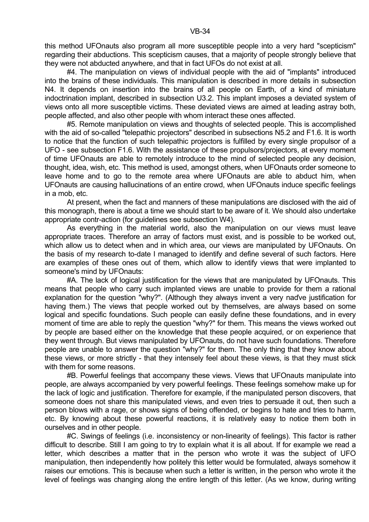this method UFOnauts also program all more susceptible people into a very hard "scepticism" regarding their abductions. This scepticism causes, that a majority of people strongly believe that they were not abducted anywhere, and that in fact UFOs do not exist at all.

 #4. The manipulation on views of individual people with the aid of "implants" introduced into the brains of these individuals. This manipulation is described in more details in subsection N4. It depends on insertion into the brains of all people on Earth, of a kind of miniature indoctrination implant, described in subsection U3.2. This implant imposes a deviated system of views onto all more susceptible victims. These deviated views are aimed at leading astray both, people affected, and also other people with whom interact these ones affected.

 #5. Remote manipulation on views and thoughts of selected people. This is accomplished with the aid of so-called "telepathic projectors" described in subsections N5.2 and F1.6. It is worth to notice that the function of such telepathic projectors is fulfilled by every single propulsor of a UFO - see subsection F1.6. With the assistance of these propulsors/projectors, at every moment of time UFOnauts are able to remotely introduce to the mind of selected people any decision, thought, idea, wish, etc. This method is used, amongst others, when UFOnauts order someone to leave home and to go to the remote area where UFOnauts are able to abduct him, when UFOnauts are causing hallucinations of an entire crowd, when UFOnauts induce specific feelings in a mob, etc.

 At present, when the fact and manners of these manipulations are disclosed with the aid of this monograph, there is about a time we should start to be aware of it. We should also undertake appropriate contr-action (for guidelines see subsection W4).

 As everything in the material world, also the manipulation on our views must leave appropriate traces. Therefore an array of factors must exist, and is possible to be worked out, which allow us to detect when and in which area, our views are manipulated by UFOnauts. On the basis of my research to-date I managed to identify and define several of such factors. Here are examples of these ones out of them, which allow to identify views that were implanted to someone's mind by UFOnauts:

 #A. The lack of logical justification for the views that are manipulated by UFOnauts. This means that people who carry such implanted views are unable to provide for them a rational explanation for the question "why?". (Although they always invent a very naďve justification for having them.) The views that people worked out by themselves, are always based on some logical and specific foundations. Such people can easily define these foundations, and in every moment of time are able to reply the question "why?" for them. This means the views worked out by people are based either on the knowledge that these people acquired, or on experience that they went through. But views manipulated by UFOnauts, do not have such foundations. Therefore people are unable to answer the question "why?" for them. The only thing that they know about these views, or more strictly - that they intensely feel about these views, is that they must stick with them for some reasons.

 #B. Powerful feelings that accompany these views. Views that UFOnauts manipulate into people, are always accompanied by very powerful feelings. These feelings somehow make up for the lack of logic and justification. Therefore for example, if the manipulated person discovers, that someone does not share this manipulated views, and even tries to persuade it out, then such a person blows with a rage, or shows signs of being offended, or begins to hate and tries to harm, etc. By knowing about these powerful reactions, it is relatively easy to notice them both in ourselves and in other people.

 #C. Swings of feelings (i.e. inconsistency or non-linearity of feelings). This factor is rather difficult to describe. Still I am going to try to explain what it is all about. If for example we read a letter, which describes a matter that in the person who wrote it was the subject of UFO manipulation, then independently how politely this letter would be formulated, always somehow it raises our emotions. This is because when such a letter is written, in the person who wrote it the level of feelings was changing along the entire length of this letter. (As we know, during writing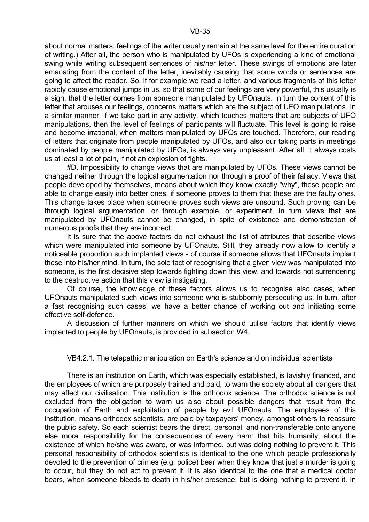about normal matters, feelings of the writer usually remain at the same level for the entire duration of writing.) After all, the person who is manipulated by UFOs is experiencing a kind of emotional swing while writing subsequent sentences of his/her letter. These swings of emotions are later emanating from the content of the letter, inevitably causing that some words or sentences are going to affect the reader. So, if for example we read a letter, and various fragments of this letter rapidly cause emotional jumps in us, so that some of our feelings are very powerful, this usually is a sign, that the letter comes from someone manipulated by UFOnauts. In turn the content of this letter that arouses our feelings, concerns matters which are the subject of UFO manipulations. In a similar manner, if we take part in any activity, which touches matters that are subjects of UFO manipulations, then the level of feelings of participants will fluctuate. This level is going to raise and become irrational, when matters manipulated by UFOs are touched. Therefore, our reading of letters that originate from people manipulated by UFOs, and also our taking parts in meetings dominated by people manipulated by UFOs, is always very unpleasant. After all, it always costs us at least a lot of pain, if not an explosion of fights.

 #D. Impossibility to change views that are manipulated by UFOs. These views cannot be changed neither through the logical argumentation nor through a proof of their fallacy. Views that people developed by themselves, means about which they know exactly "why", these people are able to change easily into better ones, if someone proves to them that these are the faulty ones. This change takes place when someone proves such views are unsound. Such proving can be through logical argumentation, or through example, or experiment. In turn views that are manipulated by UFOnauts cannot be changed, in spite of existence and demonstration of numerous proofs that they are incorrect.

 It is sure that the above factors do not exhaust the list of attributes that describe views which were manipulated into someone by UFOnauts. Still, they already now allow to identify a noticeable proportion such implanted views - of course if someone allows that UFOnauts implant these into his/her mind. In turn, the sole fact of recognising that a given view was manipulated into someone, is the first decisive step towards fighting down this view, and towards not surrendering to the destructive action that this view is instigating.

 Of course, the knowledge of these factors allows us to recognise also cases, when UFOnauts manipulated such views into someone who is stubbornly persecuting us. In turn, after a fast recognising such cases, we have a better chance of working out and initiating some effective self-defence.

 A discussion of further manners on which we should utilise factors that identify views implanted to people by UFOnauts, is provided in subsection W4.

### VB4.2.1. The telepathic manipulation on Earth's science and on individual scientists

 There is an institution on Earth, which was especially established, is lavishly financed, and the employees of which are purposely trained and paid, to warn the society about all dangers that may affect our civilisation. This institution is the orthodox science. The orthodox science is not excluded from the obligation to warn us also about possible dangers that result from the occupation of Earth and exploitation of people by evil UFOnauts. The employees of this institution, means orthodox scientists, are paid by taxpayers' money, amongst others to reassure the public safety. So each scientist bears the direct, personal, and non-transferable onto anyone else moral responsibility for the consequences of every harm that hits humanity, about the existence of which he/she was aware, or was informed, but was doing nothing to prevent it. This personal responsibility of orthodox scientists is identical to the one which people professionally devoted to the prevention of crimes (e.g. police) bear when they know that just a murder is going to occur, but they do not act to prevent it. It is also identical to the one that a medical doctor bears, when someone bleeds to death in his/her presence, but is doing nothing to prevent it. In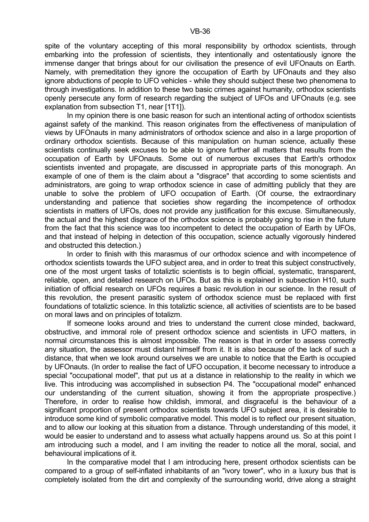spite of the voluntary accepting of this moral responsibility by orthodox scientists, through embarking into the profession of scientists, they intentionally and ostentatiously ignore the immense danger that brings about for our civilisation the presence of evil UFOnauts on Earth. Namely, with premeditation they ignore the occupation of Earth by UFOnauts and they also ignore abductions of people to UFO vehicles - while they should subject these two phenomena to through investigations. In addition to these two basic crimes against humanity, orthodox scientists openly persecute any form of research regarding the subject of UFOs and UFOnauts (e.g. see explanation from subsection T1, near [1T1]).

 In my opinion there is one basic reason for such an intentional acting of orthodox scientists against safety of the mankind. This reason originates from the effectiveness of manipulation of views by UFOnauts in many administrators of orthodox science and also in a large proportion of ordinary orthodox scientists. Because of this manipulation on human science, actually these scientists continually seek excuses to be able to ignore further all matters that results from the occupation of Earth by UFOnauts. Some out of numerous excuses that Earth's orthodox scientists invented and propagate, are discussed in appropriate parts of this monograph. An example of one of them is the claim about a "disgrace" that according to some scientists and administrators, are going to wrap orthodox science in case of admitting publicly that they are unable to solve the problem of UFO occupation of Earth. (Of course, the extraordinary understanding and patience that societies show regarding the incompetence of orthodox scientists in matters of UFOs, does not provide any justification for this excuse. Simultaneously, the actual and the highest disgrace of the orthodox science is probably going to rise in the future from the fact that this science was too incompetent to detect the occupation of Earth by UFOs, and that instead of helping in detection of this occupation, science actually vigorously hindered and obstructed this detection.)

In order to finish with this marasmus of our orthodox science and with incompetence of orthodox scientists towards the UFO subject area, and in order to treat this subject constructively, one of the most urgent tasks of totaliztic scientists is to begin official, systematic, transparent, reliable, open, and detailed research on UFOs. But as this is explained in subsection H10, such initiation of official research on UFOs requires a basic revolution in our science. In the result of this revolution, the present parasitic system of orthodox science must be replaced with first foundations of totaliztic science. In this totaliztic science, all activities of scientists are to be based on moral laws and on principles of totalizm.

 If someone looks around and tries to understand the current close minded, backward, obstructive, and immoral role of present orthodox science and scientists in UFO matters, in normal circumstances this is almost impossible. The reason is that in order to assess correctly any situation, the assessor must distant himself from it. It is also because of the lack of such a distance, that when we look around ourselves we are unable to notice that the Earth is occupied by UFOnauts. (In order to realise the fact of UFO occupation, it become necessary to introduce a special "occupational model", that put us at a distance in relationship to the reality in which we live. This introducing was accomplished in subsection P4. The "occupational model" enhanced our understanding of the current situation, showing it from the appropriate prospective.) Therefore, in order to realise how childish, immoral, and disgraceful is the behaviour of a significant proportion of present orthodox scientists towards UFO subject area, it is desirable to introduce some kind of symbolic comparative model. This model is to reflect our present situation, and to allow our looking at this situation from a distance. Through understanding of this model, it would be easier to understand and to assess what actually happens around us. So at this point I am introducing such a model, and I am inviting the reader to notice all the moral, social, and behavioural implications of it.

In the comparative model that I am introducing here, present orthodox scientists can be compared to a group of self-inflated inhabitants of an "ivory tower", who in a luxury bus that is completely isolated from the dirt and complexity of the surrounding world, drive along a straight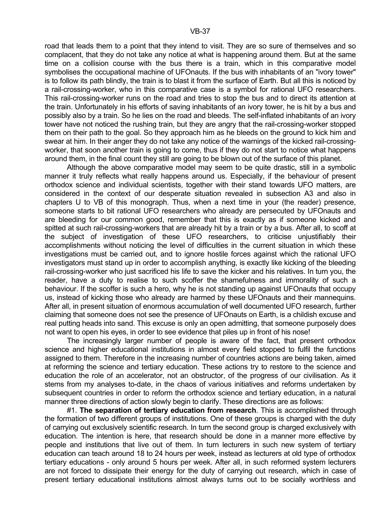road that leads them to a point that they intend to visit. They are so sure of themselves and so complacent, that they do not take any notice at what is happening around them. But at the same time on a collision course with the bus there is a train, which in this comparative model symbolises the occupational machine of UFOnauts. If the bus with inhabitants of an "ivory tower" is to follow its path blindly, the train is to blast it from the surface of Earth. But all this is noticed by a rail-crossing-worker, who in this comparative case is a symbol for rational UFO researchers. This rail-crossing-worker runs on the road and tries to stop the bus and to direct its attention at the train. Unfortunately in his efforts of saving inhabitants of an ivory tower, he is hit by a bus and possibly also by a train. So he lies on the road and bleeds. The self-inflated inhabitants of an ivory tower have not noticed the rushing train, but they are angry that the rail-crossing-worker stopped them on their path to the goal. So they approach him as he bleeds on the ground to kick him and swear at him. In their anger they do not take any notice of the warnings of the kicked rail-crossingworker, that soon another train is going to come, thus if they do not start to notice what happens around them, in the final count they still are going to be blown out of the surface of this planet.

 Although the above comparative model may seem to be quite drastic, still in a symbolic manner it truly reflects what really happens around us. Especially, if the behaviour of present orthodox science and individual scientists, together with their stand towards UFO matters, are considered in the context of our desperate situation revealed in subsection A3 and also in chapters U to VB of this monograph. Thus, when a next time in your (the reader) presence, someone starts to bit rational UFO researchers who already are persecuted by UFOnauts and are bleeding for our common good, remember that this is exactly as if someone kicked and spitted at such rail-crossing-workers that are already hit by a train or by a bus. After all, to scoff at the subject of investigation of these UFO researchers, to criticise unjustifiably their accomplishments without noticing the level of difficulties in the current situation in which these investigations must be carried out, and to ignore hostile forces against which the rational UFO investigators must stand up in order to accomplish anything, is exactly like kicking of the bleeding rail-crossing-worker who just sacrificed his life to save the kicker and his relatives. In turn you, the reader, have a duty to realise to such scoffer the shamefulness and immorality of such a behaviour. If the scoffer is such a hero, why he is not standing up against UFOnauts that occupy us, instead of kicking those who already are harmed by these UFOnauts and their mannequins. After all, in present situation of enormous accumulation of well documented UFO research, further claiming that someone does not see the presence of UFOnauts on Earth, is a childish excuse and real putting heads into sand. This excuse is only an open admitting, that someone purposely does not want to open his eyes, in order to see evidence that piles up in front of his nose!

 The increasingly larger number of people is aware of the fact, that present orthodox science and higher educational institutions in almost every field stopped to fulfil the functions assigned to them. Therefore in the increasing number of countries actions are being taken, aimed at reforming the science and tertiary education. These actions try to restore to the science and education the role of an accelerator, not an obstructor, of the progress of our civilisation. As it stems from my analyses to-date, in the chaos of various initiatives and reforms undertaken by subsequent countries in order to reform the orthodox science and tertiary education, in a natural manner three directions of action slowly begin to clarify. These directions are as follows:

 #1. **The separation of tertiary education from research**. This is accomplished through the formation of two different groups of institutions. One of these groups is charged with the duty of carrying out exclusively scientific research. In turn the second group is charged exclusively with education. The intention is here, that research should be done in a manner more effective by people and institutions that live out of them. In turn lecturers in such new system of tertiary education can teach around 18 to 24 hours per week, instead as lecturers at old type of orthodox tertiary educations - only around 5 hours per week. After all, in such reformed system lecturers are not forced to dissipate their energy for the duty of carrying out research, which in case of present tertiary educational institutions almost always turns out to be socially worthless and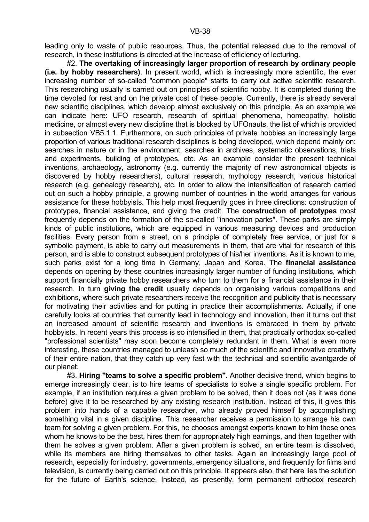leading only to waste of public resources. Thus, the potential released due to the removal of research, in these institutions is directed at the increase of efficiency of lecturing.

 #2. **The overtaking of increasingly larger proportion of research by ordinary people (i.e. by hobby researchers)**. In present world, which is increasingly more scientific, the ever increasing number of so-called "common people" starts to carry out active scientific research. This researching usually is carried out on principles of scientific hobby. It is completed during the time devoted for rest and on the private cost of these people. Currently, there is already several new scientific disciplines, which develop almost exclusively on this principle. As an example we can indicate here: UFO research, research of spiritual phenomena, homeopathy, holistic medicine, or almost every new discipline that is blocked by UFOnauts, the list of which is provided in subsection VB5.1.1. Furthermore, on such principles of private hobbies an increasingly large proportion of various traditional research disciplines is being developed, which depend mainly on: searches in nature or in the environment, searches in archives, systematic observations, trials and experiments, building of prototypes, etc. As an example consider the present technical inventions, archaeology, astronomy (e.g. currently the majority of new astronomical objects is discovered by hobby researchers), cultural research, mythology research, various historical research (e.g. genealogy research), etc. In order to allow the intensification of research carried out on such a hobby principle, a growing number of countries in the world arranges for various assistance for these hobbyists. This help most frequently goes in three directions: construction of prototypes, financial assistance, and giving the credit. The **construction of prototypes** most frequently depends on the formation of the so-called "innovation parks". These parks are simply kinds of public institutions, which are equipped in various measuring devices and production facilities. Every person from a street, on a principle of completely free service, or just for a symbolic payment, is able to carry out measurements in them, that are vital for research of this person, and is able to construct subsequent prototypes of his/her inventions. As it is known to me, such parks exist for a long time in Germany, Japan and Korea. The **financial assistance** depends on opening by these countries increasingly larger number of funding institutions, which support financially private hobby researchers who turn to them for a financial assistance in their research. In turn **giving the credit** usually depends on organising various competitions and exhibitions, where such private researchers receive the recognition and publicity that is necessary for motivating their activities and for putting in practice their accomplishments. Actually, if one carefully looks at countries that currently lead in technology and innovation, then it turns out that an increased amount of scientific research and inventions is embraced in them by private hobbyists. In recent years this process is so intensified in them, that practically orthodox so-called "professional scientists" may soon become completely redundant in them. What is even more interesting, these countries managed to unleash so much of the scientific and innovative creativity of their entire nation, that they catch up very fast with the technical and scientific avantgarde of our planet.

 #3. **Hiring "teams to solve a specific problem"**. Another decisive trend, which begins to emerge increasingly clear, is to hire teams of specialists to solve a single specific problem. For example, if an institution requires a given problem to be solved, then it does not (as it was done before) give it to be researched by any existing research institution. Instead of this, it gives this problem into hands of a capable researcher, who already proved himself by accomplishing something vital in a given discipline. This researcher receives a permission to arrange his own team for solving a given problem. For this, he chooses amongst experts known to him these ones whom he knows to be the best, hires them for appropriately high earnings, and then together with them he solves a given problem. After a given problem is solved, an entire team is dissolved, while its members are hiring themselves to other tasks. Again an increasingly large pool of research, especially for industry, governments, emergency situations, and frequently for films and television, is currently being carried out on this principle. It appears also, that here lies the solution for the future of Earth's science. Instead, as presently, form permanent orthodox research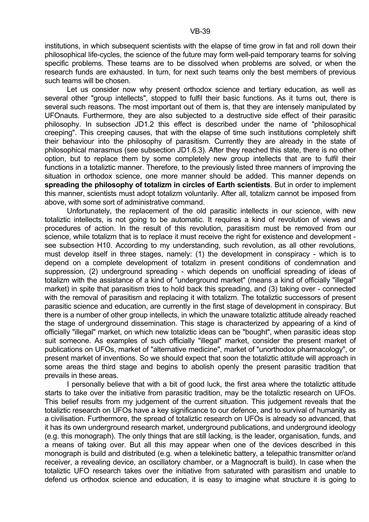institutions, in which subsequent scientists with the elapse of time grow in fat and roll down their philosophical life-cycles, the science of the future may form well-paid temporary teams for solving specific problems. These teams are to be dissolved when problems are solved, or when the research funds are exhausted. In turn, for next such teams only the best members of previous such teams will be chosen.

 Let us consider now why present orthodox science and tertiary education, as well as several other "group intellects", stopped to fulfil their basic functions. As it turns out, there is several such reasons. The most important out of them is, that they are intensely manipulated by UFOnauts. Furthermore, they are also subjected to a destructive side effect of their parasitic philosophy. In subsection JD1.2 this effect is described under the name of "philosophical creeping". This creeping causes, that with the elapse of time such institutions completely shift their behaviour into the philosophy of parasitism. Currently they are already in the state of philosophical marasmus (see subsection JD1.6.3). After they reached this state, there is no other option, but to replace them by some completely new group intellects that are to fulfil their functions in a totaliztic manner. Therefore, to the previously listed three manners of improving the situation in orthodox science, one more manner should be added. This manner depends on **spreading the philosophy of totalizm in circles of Earth scientists**. But in order to implement this manner, scientists must adopt totalizm voluntarily. After all, totalizm cannot be imposed from above, with some sort of administrative command.

 Unfortunately, the replacement of the old parasitic intellects in our science, with new totaliztic intellects, is not going to be automatic. It requires a kind of revolution of views and procedures of action. In the result of this revolution, parasitism must be removed from our science, while totalizm that is to replace it must receive the right for existence and development see subsection H10. According to my understanding, such revolution, as all other revolutions, must develop itself in three stages, namely: (1) the development in conspiracy - which is to depend on a complete development of totalizm in present conditions of condemnation and suppression, (2) underground spreading - which depends on unofficial spreading of ideas of totalizm with the assistance of a kind of "underground market" (means a kind of officially "illegal" market) in spite that parasitism tries to hold back this spreading, and (3) taking over - connected with the removal of parasitism and replacing it with totalizm. The totaliztic successors of present parasitic science and education, are currently in the first stage of development in conspiracy. But there is a number of other group intellects, in which the unaware totaliztic attitude already reached the stage of underground dissemination. This stage is characterized by appearing of a kind of officially "illegal" market, on which new totaliztic ideas can be "bought", when parasitic ideas stop suit someone. As examples of such officially "illegal" market, consider the present market of publications on UFOs, market of "alternative medicine", market of "unorthodox pharmacology", or present market of inventions. So we should expect that soon the totaliztic attitude will approach in some areas the third stage and begins to abolish openly the present parasitic tradition that prevails in these areas.

 I personally believe that with a bit of good luck, the first area where the totaliztic attitude starts to take over the initiative from parasitic tradition, may be the totaliztic research on UFOs. This belief results from my judgement of the current situation. This judgement reveals that the totaliztic research on UFOs have a key significance to our defence, and to survival of humanity as a civilisation. Furthermore, the spread of totaliztic research on UFOs is already so advanced, that it has its own underground research market, underground publications, and underground ideology (e.g. this monograph). The only things that are still lacking, is the leader, organisation, funds, and a means of taking over. But all this may appear when one of the devices described in this monograph is build and distributed (e.g. when a telekinetic battery, a telepathic transmitter or/and receiver, a revealing device, an oscillatory chamber, or a Magnocraft is build). In case when the totaliztic UFO research takes over the initiative from saturated with parasitism and unable to defend us orthodox science and education, it is easy to imagine what structure it is going to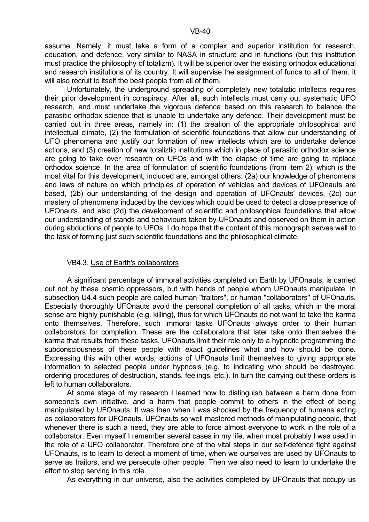assume. Namely, it must take a form of a complex and superior institution for research, education, and defence, very similar to NASA in structure and in functions (but this institution must practice the philosophy of totalizm). It will be superior over the existing orthodox educational and research institutions of its country. It will supervise the assignment of funds to all of them. It will also recruit to itself the best people from all of them.

 Unfortunately, the underground spreading of completely new totaliztic intellects requires their prior development in conspiracy. After all, such intellects must carry out systematic UFO research, and must undertake the vigorous defence based on this research to balance the parasitic orthodox science that is unable to undertake any defence. Their development must be carried out in three areas, namely in: (1) the creation of the appropriate philosophical and intellectual climate, (2) the formulation of scientific foundations that allow our understanding of UFO phenomena and justify our formation of new intellects which are to undertake defence actions, and (3) creation of new totaliztic institutions which in place of parasitic orthodox science are going to take over research on UFOs and with the elapse of time are going to replace orthodox science. In the area of formulation of scientific foundations (from item 2), which is the most vital for this development, included are, amongst others: (2a) our knowledge of phenomena and laws of nature on which principles of operation of vehicles and devices of UFOnauts are based, (2b) our understanding of the design and operation of UFOnauts' devices, (2c) our mastery of phenomena induced by the devices which could be used to detect a close presence of UFOnauts, and also (2d) the development of scientific and philosophical foundations that allow our understanding of stands and behaviours taken by UFOnauts and observed on them in action during abductions of people to UFOs. I do hope that the content of this monograph serves well to the task of forming just such scientific foundations and the philosophical climate.

#### VB4.3. Use of Earth's collaborators

 A significant percentage of immoral activities completed on Earth by UFOnauts, is carried out not by these cosmic oppressors, but with hands of people whom UFOnauts manipulate. In subsection U4.4 such people are called human "traitors", or human "collaborators" of UFOnauts. Especially thoroughly UFOnauts avoid the personal completion of all tasks, which in the moral sense are highly punishable (e.g. killing), thus for which UFOnauts do not want to take the karma onto themselves. Therefore, such immoral tasks UFOnauts always order to their human collaborators for completion. These are the collaborators that later take onto themselves the karma that results from these tasks. UFOnauts limit their role only to a hypnotic programming the subconsciousness of these people with exact guidelines what and how should be done. Expressing this with other words, actions of UFOnauts limit themselves to giving appropriate information to selected people under hypnosis (e.g. to indicating who should be destroyed, ordering procedures of destruction, stands, feelings, etc.). In turn the carrying out these orders is left to human collaborators.

 At some stage of my research I learned how to distinguish between a harm done from someone's own initiative, and a harm that people commit to others in the effect of being manipulated by UFOnauts. It was then when I was shocked by the frequency of humans acting as collaborators for UFOnauts. UFOnauts so well mastered methods of manipulating people, that whenever there is such a need, they are able to force almost everyone to work in the role of a collaborator. Even myself I remember several cases in my life, when most probably I was used in the role of a UFO collaborator. Therefore one of the vital steps in our self-defence fight against UFOnauts, is to learn to detect a moment of time, when we ourselves are used by UFOnauts to serve as traitors, and we persecute other people. Then we also need to learn to undertake the effort to stop serving in this role.

As everything in our universe, also the activities completed by UFOnauts that occupy us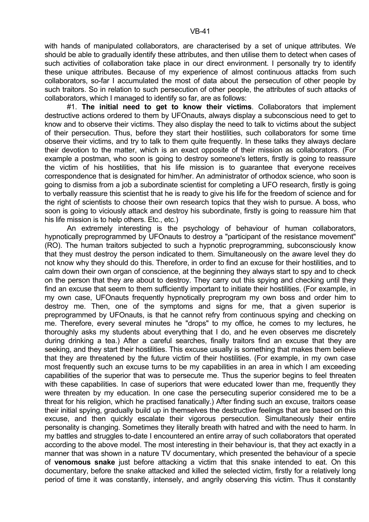with hands of manipulated collaborators, are characterised by a set of unique attributes. We should be able to gradually identify these attributes, and then utilise them to detect when cases of such activities of collaboration take place in our direct environment. I personally try to identify these unique attributes. Because of my experience of almost continuous attacks from such collaborators, so-far I accumulated the most of data about the persecution of other people by such traitors. So in relation to such persecution of other people, the attributes of such attacks of collaborators, which I managed to identify so far, are as follows:

 #1. **The initial need to get to know their victims**. Collaborators that implement destructive actions ordered to them by UFOnauts, always display a subconscious need to get to know and to observe their victims. They also display the need to talk to victims about the subject of their persecution. Thus, before they start their hostilities, such collaborators for some time observe their victims, and try to talk to them quite frequently. In these talks they always declare their devotion to the matter, which is an exact opposite of their mission as collaborators. (For example a postman, who soon is going to destroy someone's letters, firstly is going to reassure the victim of his hostilities, that his life mission is to guarantee that everyone receives correspondence that is designated for him/her. An administrator of orthodox science, who soon is going to dismiss from a job a subordinate scientist for completing a UFO research, firstly is going to verbally reassure this scientist that he is ready to give his life for the freedom of science and for the right of scientists to choose their own research topics that they wish to pursue. A boss, who soon is going to viciously attack and destroy his subordinate, firstly is going to reassure him that his life mission is to help others. Etc., etc.)

 An extremely interesting is the psychology of behaviour of human collaborators, hypnotically preprogrammed by UFOnauts to destroy a "participant of the resistance movement" (RO). The human traitors subjected to such a hypnotic preprogramming, subconsciously know that they must destroy the person indicated to them. Simultaneously on the aware level they do not know why they should do this. Therefore, in order to find an excuse for their hostilities, and to calm down their own organ of conscience, at the beginning they always start to spy and to check on the person that they are about to destroy. They carry out this spying and checking until they find an excuse that seem to them sufficiently important to initiate their hostilities. (For example, in my own case, UFOnauts frequently hypnotically preprogram my own boss and order him to destroy me. Then, one of the symptoms and signs for me, that a given superior is preprogrammed by UFOnauts, is that he cannot refry from continuous spying and checking on me. Therefore, every several minutes he "drops" to my office, he comes to my lectures, he thoroughly asks my students about everything that I do, and he even observes me discretely during drinking a tea.) After a careful searches, finally traitors find an excuse that they are seeking, and they start their hostilities. This excuse usually is something that makes them believe that they are threatened by the future victim of their hostilities. (For example, in my own case most frequently such an excuse turns to be my capabilities in an area in which I am exceeding capabilities of the superior that was to persecute me. Thus the superior begins to feel threaten with these capabilities. In case of superiors that were educated lower than me, frequently they were threaten by my education. In one case the persecuting superior considered me to be a threat for his religion, which he practised fanatically.) After finding such an excuse, traitors cease their initial spying, gradually build up in themselves the destructive feelings that are based on this excuse, and then quickly escalate their vigorous persecution. Simultaneously their entire personality is changing. Sometimes they literally breath with hatred and with the need to harm. In my battles and struggles to-date I encountered an entire array of such collaborators that operated according to the above model. The most interesting in their behaviour is, that they act exactly in a manner that was shown in a nature TV documentary, which presented the behaviour of a specie of **venomous snake** just before attacking a victim that this snake intended to eat. On this documentary, before the snake attacked and killed the selected victim, firstly for a relatively long period of time it was constantly, intensely, and angrily observing this victim. Thus it constantly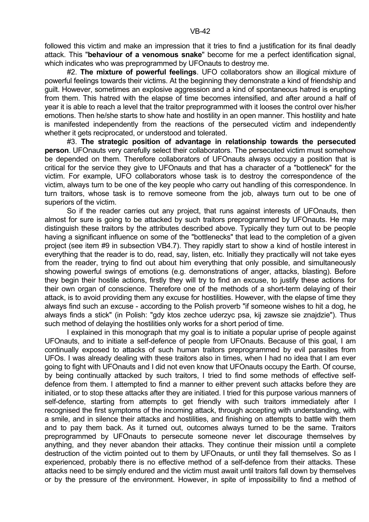#2. **The mixture of powerful feelings**. UFO collaborators show an illogical mixture of powerful feelings towards their victims. At the beginning they demonstrate a kind of friendship and guilt. However, sometimes an explosive aggression and a kind of spontaneous hatred is erupting from them. This hatred with the elapse of time becomes intensified, and after around a half of year it is able to reach a level that the traitor preprogrammed with it looses the control over his/her emotions. Then he/she starts to show hate and hostility in an open manner. This hostility and hate is manifested independently from the reactions of the persecuted victim and independently whether it gets reciprocated, or understood and tolerated.

 #3. **The strategic position of advantage in relationship towards the persecuted person**. UFOnauts very carefully select their collaborators. The persecuted victim must somehow be depended on them. Therefore collaborators of UFOnauts always occupy a position that is critical for the service they give to UFOnauts and that has a character of a "bottleneck" for the victim. For example, UFO collaborators whose task is to destroy the correspondence of the victim, always turn to be one of the key people who carry out handling of this correspondence. In turn traitors, whose task is to remove someone from the job, always turn out to be one of superiors of the victim.

 So if the reader carries out any project, that runs against interests of UFOnauts, then almost for sure is going to be attacked by such traitors preprogrammed by UFOnauts. He may distinguish these traitors by the attributes described above. Typically they turn out to be people having a significant influence on some of the "bottlenecks" that lead to the completion of a given project (see item #9 in subsection VB4.7). They rapidly start to show a kind of hostile interest in everything that the reader is to do, read, say, listen, etc. Initially they practically will not take eyes from the reader, trying to find out about him everything that only possible, and simultaneously showing powerful swings of emotions (e.g. demonstrations of anger, attacks, blasting). Before they begin their hostile actions, firstly they will try to find an excuse, to justify these actions for their own organ of conscience. Therefore one of the methods of a short-term delaying of their attack, is to avoid providing them any excuse for hostilities. However, with the elapse of time they always find such an excuse - according to the Polish proverb "if someone wishes to hit a dog, he always finds a stick" (in Polish: "gdy ktos zechce uderzyc psa, kij zawsze sie znajdzie"). Thus such method of delaying the hostilities only works for a short period of time.

 I explained in this monograph that my goal is to initiate a popular uprise of people against UFOnauts, and to initiate a self-defence of people from UFOnauts. Because of this goal, I am continually exposed to attacks of such human traitors preprogrammed by evil parasites from UFOs. I was already dealing with these traitors also in times, when I had no idea that I am ever going to fight with UFOnauts and I did not even know that UFOnauts occupy the Earth. Of course, by being continually attacked by such traitors, I tried to find some methods of effective selfdefence from them. I attempted to find a manner to either prevent such attacks before they are initiated, or to stop these attacks after they are initiated. I tried for this purpose various manners of self-defence, starting from attempts to get friendly with such traitors immediately after I recognised the first symptoms of the incoming attack, through accepting with understanding, with a smile, and in silence their attacks and hostilities, and finishing on attempts to battle with them and to pay them back. As it turned out, outcomes always turned to be the same. Traitors preprogrammed by UFOnauts to persecute someone never let discourage themselves by anything, and they never abandon their attacks. They continue their mission until a complete destruction of the victim pointed out to them by UFOnauts, or until they fall themselves. So as I experienced, probably there is no effective method of a self-defence from their attacks. These attacks need to be simply endured and the victim must await until traitors fall down by themselves or by the pressure of the environment. However, in spite of impossibility to find a method of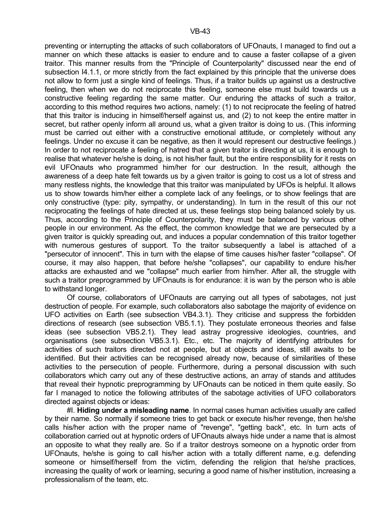preventing or interrupting the attacks of such collaborators of UFOnauts, I managed to find out a manner on which these attacks is easier to endure and to cause a faster collapse of a given traitor. This manner results from the "Principle of Counterpolarity" discussed near the end of subsection I4.1.1, or more strictly from the fact explained by this principle that the universe does not allow to form just a single kind of feelings. Thus, if a traitor builds up against us a destructive feeling, then when we do not reciprocate this feeling, someone else must build towards us a constructive feeling regarding the same matter. Our enduring the attacks of such a traitor, according to this method requires two actions, namely: (1) to not reciprocate the feeling of hatred that this traitor is inducing in himself/herself against us, and (2) to not keep the entire matter in secret, but rather openly inform all around us, what a given traitor is doing to us. (This informing must be carried out either with a constructive emotional attitude, or completely without any feelings. Under no excuse it can be negative, as then it would represent our destructive feelings.) In order to not reciprocate a feeling of hatred that a given traitor is directing at us, it is enough to realise that whatever he/she is doing, is not his/her fault, but the entire responsibility for it rests on evil UFOnauts who programmed him/her for our destruction. In the result, although the awareness of a deep hate felt towards us by a given traitor is going to cost us a lot of stress and many restless nights, the knowledge that this traitor was manipulated by UFOs is helpful. It allows us to show towards him/her either a complete lack of any feelings, or to show feelings that are only constructive (type: pity, sympathy, or understanding). In turn in the result of this our not reciprocating the feelings of hate directed at us, these feelings stop being balanced solely by us. Thus, according to the Principle of Counterpolarity, they must be balanced by various other people in our environment. As the effect, the common knowledge that we are persecuted by a given traitor is quickly spreading out, and induces a popular condemnation of this traitor together with numerous gestures of support. To the traitor subsequently a label is attached of a "persecutor of innocent". This in turn with the elapse of time causes his/her faster "collapse". Of course, it may also happen, that before he/she "collapses", our capability to endure his/her attacks are exhausted and we "collapse" much earlier from him/her. After all, the struggle with such a traitor preprogrammed by UFOnauts is for endurance: it is wan by the person who is able to withstand longer.

 Of course, collaborators of UFOnauts are carrying out all types of sabotages, not just destruction of people. For example, such collaborators also sabotage the majority of evidence on UFO activities on Earth (see subsection VB4.3.1). They criticise and suppress the forbidden directions of research (see subsection VB5.1.1). They postulate erroneous theories and false ideas (see subsection VB5.2.1). They lead astray progressive ideologies, countries, and organisations (see subsection VB5.3.1). Etc., etc. The majority of identifying attributes for activities of such traitors directed not at people, but at objects and ideas, still awaits to be identified. But their activities can be recognised already now, because of similarities of these activities to the persecution of people. Furthermore, during a personal discussion with such collaborators which carry out any of these destructive actions, an array of stands and attitudes that reveal their hypnotic preprogramming by UFOnauts can be noticed in them quite easily. So far I managed to notice the following attributes of the sabotage activities of UFO collaborators directed against objects or ideas:

 #I. **Hiding under a misleading name**. In normal cases human activities usually are called by their name. So normally if someone tries to get back or execute his/her revenge, then he/she calls his/her action with the proper name of "revenge", "getting back", etc. In turn acts of collaboration carried out at hypnotic orders of UFOnauts always hide under a name that is almost an opposite to what they really are. So if a traitor destroys someone on a hypnotic order from UFOnauts, he/she is going to call his/her action with a totally different name, e.g. defending someone or himself/herself from the victim, defending the religion that he/she practices, increasing the quality of work or learning, securing a good name of his/her institution, increasing a professionalism of the team, etc.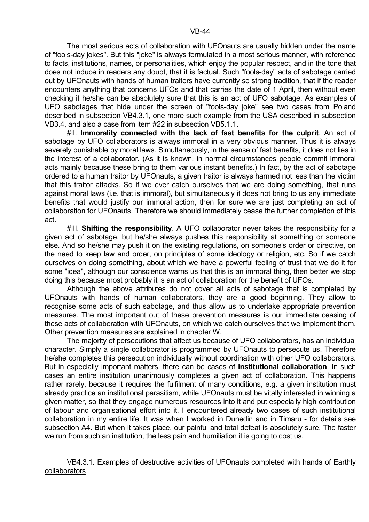The most serious acts of collaboration with UFOnauts are usually hidden under the name of "fools-day jokes". But this "joke" is always formulated in a most serious manner, with reference to facts, institutions, names, or personalities, which enjoy the popular respect, and in the tone that does not induce in readers any doubt, that it is factual. Such "fools-day" acts of sabotage carried out by UFOnauts with hands of human traitors have currently so strong tradition, that if the reader encounters anything that concerns UFOs and that carries the date of 1 April, then without even checking it he/she can be absolutely sure that this is an act of UFO sabotage. As examples of UFO sabotages that hide under the screen of "fools-day joke" see two cases from Poland described in subsection VB4.3.1, one more such example from the USA described in subsection VB3.4, and also a case from item #22 in subsection VB5.1.1.

 #II. **Immorality connected with the lack of fast benefits for the culprit**. An act of sabotage by UFO collaborators is always immoral in a very obvious manner. Thus it is always severely punishable by moral laws. Simultaneously, in the sense of fast benefits, it does not lies in the interest of a collaborator. (As it is known, in normal circumstances people commit immoral acts mainly because these bring to them various instant benefits.) In fact, by the act of sabotage ordered to a human traitor by UFOnauts, a given traitor is always harmed not less than the victim that this traitor attacks. So if we ever catch ourselves that we are doing something, that runs against moral laws (i.e. that is immoral), but simultaneously it does not bring to us any immediate benefits that would justify our immoral action, then for sure we are just completing an act of collaboration for UFOnauts. Therefore we should immediately cease the further completion of this act.

 #III. **Shifting the responsibility**. A UFO collaborator never takes the responsibility for a given act of sabotage, but he/she always pushes this responsibility at something or someone else. And so he/she may push it on the existing regulations, on someone's order or directive, on the need to keep law and order, on principles of some ideology or religion, etc. So if we catch ourselves on doing something, about which we have a powerful feeling of trust that we do it for some "idea", although our conscience warns us that this is an immoral thing, then better we stop doing this because most probably it is an act of collaboration for the benefit of UFOs.

 Although the above attributes do not cover all acts of sabotage that is completed by UFOnauts with hands of human collaborators, they are a good beginning. They allow to recognise some acts of such sabotage, and thus allow us to undertake appropriate prevention measures. The most important out of these prevention measures is our immediate ceasing of these acts of collaboration with UFOnauts, on which we catch ourselves that we implement them. Other prevention measures are explained in chapter W.

 The majority of persecutions that affect us because of UFO collaborators, has an individual character. Simply a single collaborator is programmed by UFOnauts to persecute us. Therefore he/she completes this persecution individually without coordination with other UFO collaborators. But in especially important matters, there can be cases of **institutional collaboration**. In such cases an entire institution unanimously completes a given act of collaboration. This happens rather rarely, because it requires the fulfilment of many conditions, e.g. a given institution must already practice an institutional parasitism, while UFOnauts must be vitally interested in winning a given matter, so that they engage numerous resources into it and put especially high contribution of labour and organisational effort into it. I encountered already two cases of such institutional collaboration in my entire life. It was when I worked in Dunedin and in Timaru - for details see subsection A4. But when it takes place, our painful and total defeat is absolutely sure. The faster we run from such an institution, the less pain and humiliation it is going to cost us.

# VB4.3.1. Examples of destructive activities of UFOnauts completed with hands of Earthly collaborators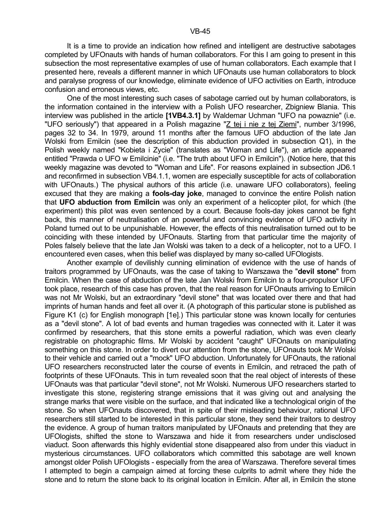It is a time to provide an indication how refined and intelligent are destructive sabotages completed by UFOnauts with hands of human collaborators. For this I am going to present in this subsection the most representative examples of use of human collaborators. Each example that I presented here, reveals a different manner in which UFOnauts use human collaborators to block and paralyse progress of our knowledge, eliminate evidence of UFO activities on Earth, introduce confusion and erroneous views, etc.

 One of the most interesting such cases of sabotage carried out by human collaborators, is the information contained in the interview with a Polish UFO researcher, Zbigniew Blania. This interview was published in the article **[1VB4.3.1]** by Waldemar Uchman "UFO na powaznie" (i.e. "UFO seriously") that appeared in a Polish magazine "Z tej i nie z tej Ziemi", number 3/1996, pages 32 to 34. In 1979, around 11 months after the famous UFO abduction of the late Jan Wolski from Emilcin (see the description of this abduction provided in subsection Q1), in the Polish weekly named "Kobieta i Zycie" (translates as "Woman and Life"), an article appeared entitled "Prawda o UFO w Emilcinie" (i.e. "The truth about UFO in Emilcin"). (Notice here, that this weekly magazine was devoted to "Woman and Life". For reasons explained in subsection JD6.1 and reconfirmed in subsection VB4.1.1, women are especially susceptible for acts of collaboration with UFOnauts.) The physical authors of this article (i.e. unaware UFO collaborators), feeling excused that they are making a **fools-day joke**, managed to convince the entire Polish nation that **UFO abduction from Emilcin** was only an experiment of a helicopter pilot, for which (the experiment) this pilot was even sentenced by a court. Because fools-day jokes cannot be fight back, this manner of neutralisation of an powerful and convincing evidence of UFO activity in Poland turned out to be unpunishable. However, the effects of this neutralisation turned out to be coinciding with these intended by UFOnauts. Starting from that particular time the majority of Poles falsely believe that the late Jan Wolski was taken to a deck of a helicopter, not to a UFO. I encountered even cases, when this belief was displayed by many so-called UFOlogists.

 Another example of devilishly cunning elimination of evidence with the use of hands of traitors programmed by UFOnauts, was the case of taking to Warszawa the "**devil stone**" from Emilcin. When the case of abduction of the late Jan Wolski from Emilcin to a four-propulsor UFO took place, research of this case has proven, that the real reason for UFOnauts arriving to Emilcin was not Mr Wolski, but an extraordinary "devil stone" that was located over there and that had imprints of human hands and feet all over it. (A photograph of this particular stone is published as Figure K1 (c) for English monograph [1e].) This particular stone was known locally for centuries as a "devil stone". A lot of bad events and human tragedies was connected with it. Later it was confirmed by researchers, that this stone emits a powerful radiation, which was even clearly registrable on photographic films. Mr Wolski by accident "caught" UFOnauts on manipulating something on this stone. In order to divert our attention from the stone, UFOnauts took Mr Wolski to their vehicle and carried out a "mock" UFO abduction. Unfortunately for UFOnauts, the rational UFO researchers reconstructed later the course of events in Emilcin, and retraced the path of footprints of these UFOnauts. This in turn revealed soon that the real object of interests of these UFOnauts was that particular "devil stone", not Mr Wolski. Numerous UFO researchers started to investigate this stone, registering strange emissions that it was giving out and analysing the strange marks that were visible on the surface, and that indicated like a technological origin of the stone. So when UFOnauts discovered, that in spite of their misleading behaviour, rational UFO researchers still started to be interested in this particular stone, they send their traitors to destroy the evidence. A group of human traitors manipulated by UFOnauts and pretending that they are UFOlogists, shifted the stone to Warszawa and hide it from researchers under undisclosed viaduct. Soon afterwards this highly evidential stone disappeared also from under this viaduct in mysterious circumstances. UFO collaborators which committed this sabotage are well known amongst older Polish UFOlogists - especially from the area of Warszawa. Therefore several times I attempted to begin a campaign aimed at forcing these culprits to admit where they hide the stone and to return the stone back to its original location in Emilcin. After all, in Emilcin the stone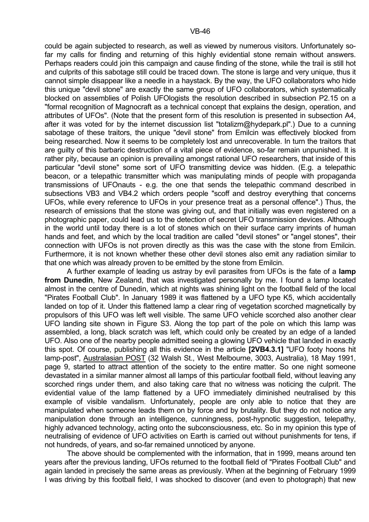could be again subjected to research, as well as viewed by numerous visitors. Unfortunately sofar my calls for finding and returning of this highly evidential stone remain without answers. Perhaps readers could join this campaign and cause finding of the stone, while the trail is still hot and culprits of this sabotage still could be traced down. The stone is large and very unique, thus it cannot simple disappear like a needle in a haystack. By the way, the UFO collaborators who hide this unique "devil stone" are exactly the same group of UFO collaborators, which systematically blocked on assemblies of Polish UFOlogists the resolution described in subsection P2.15 on a "formal recognition of Magnocraft as a technical concept that explains the design, operation, and attributes of UFOs". (Note that the present form of this resolution is presented in subsection A4, after it was voted for by the internet discussion list "totalizm@hydepark.pl".) Due to a cunning sabotage of these traitors, the unique "devil stone" from Emilcin was effectively blocked from being researched. Now it seems to be completely lost and unrecoverable. In turn the traitors that are guilty of this barbaric destruction of a vital piece of evidence, so-far remain unpunished. It is rather pity, because an opinion is prevailing amongst rational UFO researchers, that inside of this particular "devil stone" some sort of UFO transmitting device was hidden. (E.g. a telepathic beacon, or a telepathic transmitter which was manipulating minds of people with propaganda transmissions of UFOnauts - e.g. the one that sends the telepathic command described in subsections VB3 and VB4.2 which orders people "scoff and destroy everything that concerns UFOs, while every reference to UFOs in your presence treat as a personal offence".) Thus, the research of emissions that the stone was giving out, and that initially was even registered on a photographic paper, could lead us to the detection of secret UFO transmission devices. Although in the world until today there is a lot of stones which on their surface carry imprints of human hands and feet, and which by the local tradition are called "devil stones" or "angel stones", their connection with UFOs is not proven directly as this was the case with the stone from Emilcin. Furthermore, it is not known whether these other devil stones also emit any radiation similar to that one which was already proven to be emitted by the stone from Emilcin.

 A further example of leading us astray by evil parasites from UFOs is the fate of a **lamp from Dunedin**, New Zealand, that was investigated personally by me. I found a lamp located almost in the centre of Dunedin, which at nights was shining light on the football field of the local "Pirates Football Club". In January 1989 it was flattened by a UFO type K5, which accidentally landed on top of it. Under this flattened lamp a clear ring of vegetation scorched magnetically by propulsors of this UFO was left well visible. The same UFO vehicle scorched also another clear UFO landing site shown in Figure S3. Along the top part of the pole on which this lamp was assembled, a long, black scratch was left, which could only be created by an edge of a landed UFO. Also one of the nearby people admitted seeing a glowing UFO vehicle that landed in exactly this spot. Of course, publishing all this evidence in the article **[2VB4.3.1]** "UFO footy hoons hit lamp-post", Australasian POST (32 Walsh St., West Melbourne, 3003, Australia), 18 May 1991, page 9, started to attract attention of the society to the entire matter. So one night someone devastated in a similar manner almost all lamps of this particular football field, without leaving any scorched rings under them, and also taking care that no witness was noticing the culprit. The evidential value of the lamp flattened by a UFO immediately diminished neutralised by this example of visible vandalism. Unfortunately, people are only able to notice that they are manipulated when someone leads them on by force and by brutality. But they do not notice any manipulation done through an intelligence, cunningness, post-hypnotic suggestion, telepathy, highly advanced technology, acting onto the subconsciousness, etc. So in my opinion this type of neutralising of evidence of UFO activities on Earth is carried out without punishments for tens, if not hundreds, of years, and so-far remained unnoticed by anyone.

 The above should be complemented with the information, that in 1999, means around ten years after the previous landing, UFOs returned to the football field of "Pirates Football Club" and again landed in precisely the same areas as previously. When at the beginning of February 1999 I was driving by this football field, I was shocked to discover (and even to photograph) that new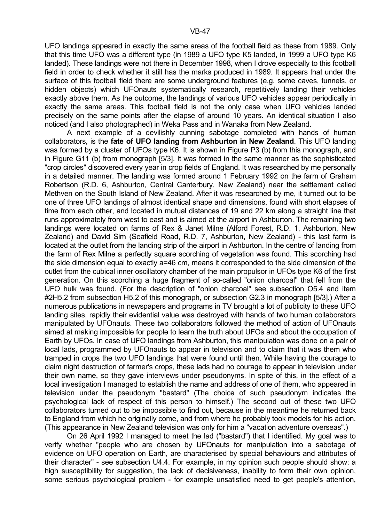UFO landings appeared in exactly the same areas of the football field as these from 1989. Only that this time UFO was a different type (in 1989 a UFO type K5 landed, in 1999 a UFO type K6 landed). These landings were not there in December 1998, when I drove especially to this football field in order to check whether it still has the marks produced in 1989. It appears that under the surface of this football field there are some underground features (e.g. some caves, tunnels, or hidden objects) which UFOnauts systematically research, repetitively landing their vehicles exactly above them. As the outcome, the landings of various UFO vehicles appear periodically in exactly the same areas. This football field is not the only case when UFO vehicles landed precisely on the same points after the elapse of around 10 years. An identical situation I also noticed (and I also photographed) in Weka Pass and in Wanaka from New Zealand.

 A next example of a devilishly cunning sabotage completed with hands of human collaborators, is the **fate of UFO landing from Ashburton in New Zealand**. This UFO landing was formed by a cluster of UFOs type K6. It is shown in Figure P3 (b) from this monograph, and in Figure G11 (b) from monograph [5/3]. It was formed in the same manner as the sophisticated "crop circles" discovered every year in crop fields of England. It was researched by me personally in a detailed manner. The landing was formed around 1 February 1992 on the farm of Graham Robertson (R.D. 6, Ashburton, Central Canterbury, New Zealand) near the settlement called Methven on the South Island of New Zealand. After it was researched by me, it turned out to be one of three UFO landings of almost identical shape and dimensions, found with short elapses of time from each other, and located in mutual distances of 19 and 22 km along a straight line that runs approximately from west to east and is aimed at the airport in Ashburton. The remaining two landings were located on farms of Rex & Janet Milne (Alford Forest, R.D. 1, Ashburton, New Zealand) and David Sim (Seafield Road, R.D. 7, Ashburton, New Zealand) - this last farm is located at the outlet from the landing strip of the airport in Ashburton. In the centre of landing from the farm of Rex Milne a perfectly square scorching of vegetation was found. This scorching had the side dimension equal to exactly a=46 cm, means it corresponded to the side dimension of the outlet from the cubical inner oscillatory chamber of the main propulsor in UFOs type K6 of the first generation. On this scorching a huge fragment of so-called "onion charcoal" that fell from the UFO hulk was found. (For the description of "onion charcoal" see subsection O5.4 and item #2H5.2 from subsection H5.2 of this monograph, or subsection G2.3 in monograph [5/3].) After a numerous publications in newspapers and programs in TV brought a lot of publicity to these UFO landing sites, rapidly their evidential value was destroyed with hands of two human collaborators manipulated by UFOnauts. These two collaborators followed the method of action of UFOnauts aimed at making impossible for people to learn the truth about UFOs and about the occupation of Earth by UFOs. In case of UFO landings from Ashburton, this manipulation was done on a pair of local lads, programmed by UFOnauts to appear in television and to claim that it was them who tramped in crops the two UFO landings that were found until then. While having the courage to claim night destruction of farmer's crops, these lads had no courage to appear in television under their own name, so they gave interviews under pseudonyms. In spite of this, in the effect of a local investigation I managed to establish the name and address of one of them, who appeared in television under the pseudonym "bastard" (The choice of such pseudonym indicates the psychological lack of respect of this person to himself.) The second out of these two UFO collaborators turned out to be impossible to find out, because in the meantime he returned back to England from which he originally come, and from where he probably took models for his action. (This appearance in New Zealand television was only for him a "vacation adventure overseas".)

 On 26 April 1992 I managed to meet the lad ("bastard") that I identified. My goal was to verify whether "people who are chosen by UFOnauts for manipulation into a sabotage of evidence on UFO operation on Earth, are characterised by special behaviours and attributes of their character" - see subsection U4.4. For example, in my opinion such people should show: a high susceptibility for suggestion, the lack of decisiveness, inability to form their own opinion, some serious psychological problem - for example unsatisfied need to get people's attention,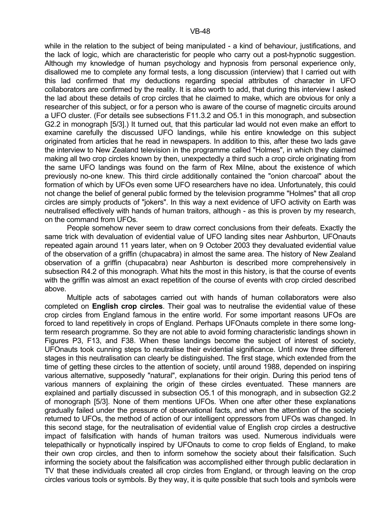while in the relation to the subject of being manipulated - a kind of behaviour, justifications, and the lack of logic, which are characteristic for people who carry out a post-hypnotic suggestion. Although my knowledge of human psychology and hypnosis from personal experience only, disallowed me to complete any formal tests, a long discussion (interview) that I carried out with this lad confirmed that my deductions regarding special attributes of character in UFO collaborators are confirmed by the reality. It is also worth to add, that during this interview I asked the lad about these details of crop circles that he claimed to make, which are obvious for only a researcher of this subject, or for a person who is aware of the course of magnetic circuits around a UFO cluster. (For details see subsections F11.3.2 and O5.1 in this monograph, and subsection G2.2 in monograph [5/3].) It turned out, that this particular lad would not even make an effort to examine carefully the discussed UFO landings, while his entire knowledge on this subject originated from articles that he read in newspapers. In addition to this, after these two lads gave the interview to New Zealand television in the programme called "Holmes", in which they claimed making all two crop circles known by then, unexpectedly a third such a crop circle originating from the same UFO landings was found on the farm of Rex Milne, about the existence of which previously no-one knew. This third circle additionally contained the "onion charcoal" about the formation of which by UFOs even some UFO researchers have no idea. Unfortunately, this could not change the belief of general public formed by the television programme "Holmes" that all crop circles are simply products of "jokers". In this way a next evidence of UFO activity on Earth was neutralised effectively with hands of human traitors, although - as this is proven by my research, on the command from UFOs.

 People somehow never seem to draw correct conclusions from their defeats. Exactly the same trick with devaluation of evidential value of UFO landing sites near Ashburton, UFOnauts repeated again around 11 years later, when on 9 October 2003 they devaluated evidential value of the observation of a griffin (chupacabra) in almost the same area. The history of New Zealand observation of a griffin (chupacabra) near Ashburton is described more comprehensively in subsection R4.2 of this monograph. What hits the most in this history, is that the course of events with the griffin was almost an exact repetition of the course of events with crop circled described above.

 Multiple acts of sabotages carried out with hands of human collaborators were also completed on **English crop circles**. Their goal was to neutralise the evidential value of these crop circles from England famous in the entire world. For some important reasons UFOs are forced to land repetitively in crops of England. Perhaps UFOnauts complete in there some longterm research programme. So they are not able to avoid forming characteristic landings shown in Figures P3, F13, and F38. When these landings become the subject of interest of society, UFOnauts took cunning steps to neutralise their evidential significance. Until now three different stages in this neutralisation can clearly be distinguished. The first stage, which extended from the time of getting these circles to the attention of society, until around 1988, depended on inspiring various alternative, supposedly "natural", explanations for their origin. During this period tens of various manners of explaining the origin of these circles eventuated. These manners are explained and partially discussed in subsection O5.1 of this monograph, and in subsection G2.2 of monograph [5/3]. None of them mentions UFOs. When one after other these explanations gradually failed under the pressure of observational facts, and when the attention of the society returned to UFOs, the method of action of our intelligent oppressors from UFOs was changed. In this second stage, for the neutralisation of evidential value of English crop circles a destructive impact of falsification with hands of human traitors was used. Numerous individuals were telepathically or hypnotically inspired by UFOnauts to come to crop fields of England, to make their own crop circles, and then to inform somehow the society about their falsification. Such informing the society about the falsification was accomplished either through public declaration in TV that these individuals created all crop circles from England, or through leaving on the crop circles various tools or symbols. By they way, it is quite possible that such tools and symbols were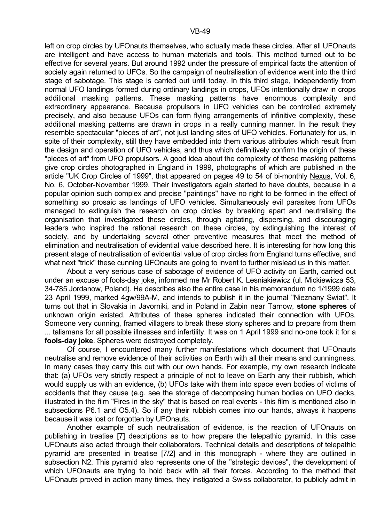left on crop circles by UFOnauts themselves, who actually made these circles. After all UFOnauts are intelligent and have access to human materials and tools. This method turned out to be effective for several years. But around 1992 under the pressure of empirical facts the attention of society again returned to UFOs. So the campaign of neutralisation of evidence went into the third stage of sabotage. This stage is carried out until today. In this third stage, independently from normal UFO landings formed during ordinary landings in crops, UFOs intentionally draw in crops additional masking patterns. These masking patterns have enormous complexity and extraordinary appearance. Because propulsors in UFO vehicles can be controlled extremely precisely, and also because UFOs can form flying arrangements of infinitive complexity, these additional masking patterns are drawn in crops in a really cunning manner. In the result they resemble spectacular "pieces of art", not just landing sites of UFO vehicles. Fortunately for us, in spite of their complexity, still they have embedded into them various attributes which result from the design and operation of UFO vehicles, and thus which definitively confirm the origin of these "pieces of art" from UFO propulsors. A good idea about the complexity of these masking patterns give crop circles photographed in England in 1999, photographs of which are published in the article "UK Crop Circles of 1999", that appeared on pages 49 to 54 of bi-monthly Nexus, Vol. 6, No. 6, October-November 1999. Their investigators again started to have doubts, because in a popular opinion such complex and precise "paintings" have no right to be formed in the effect of something so prosaic as landings of UFO vehicles. Simultaneously evil parasites from UFOs managed to extinguish the research on crop circles by breaking apart and neutralising the organisation that investigated these circles, through agitating, dispersing, and discouraging leaders who inspired the rational research on these circles, by extinguishing the interest of society, and by undertaking several other preventive measures that meet the method of elimination and neutralisation of evidential value described here. It is interesting for how long this present stage of neutralisation of evidential value of crop circles from England turns effective, and what next "trick" these cunning UFOnauts are going to invent to further mislead us in this matter.

 About a very serious case of sabotage of evidence of UFO activity on Earth, carried out under an excuse of fools-day joke, informed me Mr Robert K. Lesniakiewicz (ul. Mickiewicza 53, 34-785 Jordanow, Poland). He describes also the entire case in his memorandum no 1/1999 date 23 April 1999, marked 4gw/99A-M, and intends to publish it in the journal "Nieznany Swiat". It turns out that in Slovakia in Javorniki, and in Poland in Zabin near Tarnow, **stone spheres** of unknown origin existed. Attributes of these spheres indicated their connection with UFOs. Someone very cunning, framed villagers to break these stony spheres and to prepare from them ... talismans for all possible illnesses and infertility. It was on 1 April 1999 and no-one took it for a **fools-day joke**. Spheres were destroyed completely.

 Of course, I encountered many further manifestations which document that UFOnauts neutralise and remove evidence of their activities on Earth with all their means and cunningness. In many cases they carry this out with our own hands. For example, my own research indicate that: (a) UFOs very strictly respect a principle of not to leave on Earth any their rubbish, which would supply us with an evidence, (b) UFOs take with them into space even bodies of victims of accidents that they cause (e.g. see the storage of decomposing human bodies on UFO decks, illustrated in the film "Fires in the sky" that is based on real events - this film is mentioned also in subsections P6.1 and O5.4). So if any their rubbish comes into our hands, always it happens because it was lost or forgotten by UFOnauts.

 Another example of such neutralisation of evidence, is the reaction of UFOnauts on publishing in treatise [7] descriptions as to how prepare the telepathic pyramid. In this case UFOnauts also acted through their collaborators. Technical details and descriptions of telepathic pyramid are presented in treatise [7/2] and in this monograph - where they are outlined in subsection N2. This pyramid also represents one of the "strategic devices", the development of which UFOnauts are trying to hold back with all their forces. According to the method that UFOnauts proved in action many times, they instigated a Swiss collaborator, to publicly admit in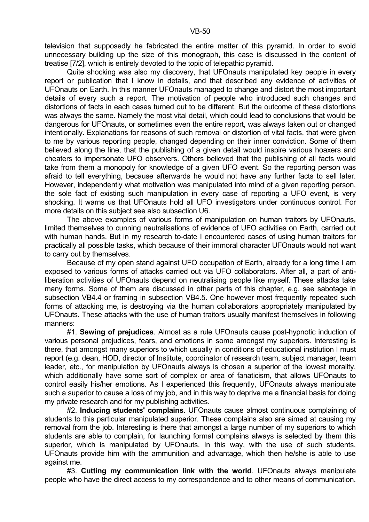Quite shocking was also my discovery, that UFOnauts manipulated key people in every report or publication that I know in details, and that described any evidence of activities of UFOnauts on Earth. In this manner UFOnauts managed to change and distort the most important details of every such a report. The motivation of people who introduced such changes and distortions of facts in each cases turned out to be different. But the outcome of these distortions was always the same. Namely the most vital detail, which could lead to conclusions that would be dangerous for UFOnauts, or sometimes even the entire report, was always taken out or changed intentionally. Explanations for reasons of such removal or distortion of vital facts, that were given to me by various reporting people, changed depending on their inner conviction. Some of them believed along the line, that the publishing of a given detail would inspire various hoaxers and cheaters to impersonate UFO observers. Others believed that the publishing of all facts would take from them a monopoly for knowledge of a given UFO event. So the reporting person was afraid to tell everything, because afterwards he would not have any further facts to sell later. However, independently what motivation was manipulated into mind of a given reporting person, the sole fact of existing such manipulation in every case of reporting a UFO event, is very shocking. It warns us that UFOnauts hold all UFO investigators under continuous control. For more details on this subject see also subsection U6.

 The above examples of various forms of manipulation on human traitors by UFOnauts, limited themselves to cunning neutralisations of evidence of UFO activities on Earth, carried out with human hands. But in my research to-date I encountered cases of using human traitors for practically all possible tasks, which because of their immoral character UFOnauts would not want to carry out by themselves.

 Because of my open stand against UFO occupation of Earth, already for a long time I am exposed to various forms of attacks carried out via UFO collaborators. After all, a part of antiliberation activities of UFOnauts depend on neutralising people like myself. These attacks take many forms. Some of them are discussed in other parts of this chapter, e.g. see sabotage in subsection VB4.4 or framing in subsection VB4.5. One however most frequently repeated such forms of attacking me, is destroying via the human collaborators appropriately manipulated by UFOnauts. These attacks with the use of human traitors usually manifest themselves in following manners:

 #1. **Sewing of prejudices**. Almost as a rule UFOnauts cause post-hypnotic induction of various personal prejudices, fears, and emotions in some amongst my superiors. Interesting is there, that amongst many superiors to which usually in conditions of educational institution I must report (e.g. dean, HOD, director of Institute, coordinator of research team, subject manager, team leader, etc., for manipulation by UFOnauts always is chosen a superior of the lowest morality, which additionally have some sort of complex or area of fanaticism, that allows UFOnauts to control easily his/her emotions. As I experienced this frequently, UFOnauts always manipulate such a superior to cause a loss of my job, and in this way to deprive me a financial basis for doing my private research and for my publishing activities.

 #2. **Inducing students' complains**. UFOnauts cause almost continuous complaining of students to this particular manipulated superior. These complains also are aimed at causing my removal from the job. Interesting is there that amongst a large number of my superiors to which students are able to complain, for launching formal complains always is selected by them this superior, which is manipulated by UFOnauts. In this way, with the use of such students, UFOnauts provide him with the ammunition and advantage, which then he/she is able to use against me.

 #3. **Cutting my communication link with the world**. UFOnauts always manipulate people who have the direct access to my correspondence and to other means of communication.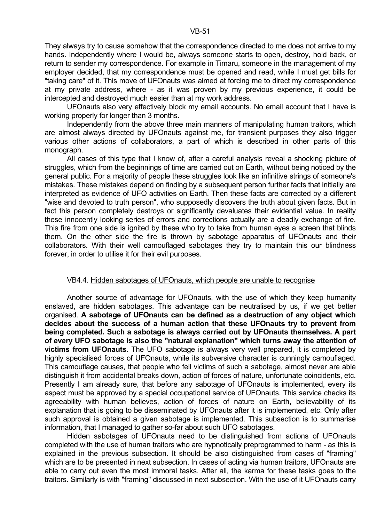UFOnauts also very effectively block my email accounts. No email account that I have is working properly for longer than 3 months.

 Independently from the above three main manners of manipulating human traitors, which are almost always directed by UFOnauts against me, for transient purposes they also trigger various other actions of collaborators, a part of which is described in other parts of this monograph.

 All cases of this type that I know of, after a careful analysis reveal a shocking picture of struggles, which from the beginnings of time are carried out on Earth, without being noticed by the general public. For a majority of people these struggles look like an infinitive strings of someone's mistakes. These mistakes depend on finding by a subsequent person further facts that initially are interpreted as evidence of UFO activities on Earth. Then these facts are corrected by a different "wise and devoted to truth person", who supposedly discovers the truth about given facts. But in fact this person completely destroys or significantly devaluates their evidential value. In reality these innocently looking series of errors and corrections actually are a deadly exchange of fire. This fire from one side is ignited by these who try to take from human eyes a screen that blinds them. On the other side the fire is thrown by sabotage apparatus of UFOnauts and their collaborators. With their well camouflaged sabotages they try to maintain this our blindness forever, in order to utilise it for their evil purposes.

### VB4.4. Hidden sabotages of UFOnauts, which people are unable to recognise

 Another source of advantage for UFOnauts, with the use of which they keep humanity enslaved, are hidden sabotages. This advantage can be neutralised by us, if we get better organised. **A sabotage of UFOnauts can be defined as a destruction of any object which decides about the success of a human action that these UFOnauts try to prevent from being completed. Such a sabotage is always carried out by UFOnauts themselves. A part of every UFO sabotage is also the "natural explanation" which turns away the attention of victims from UFOnauts**. The UFO sabotage is always very well prepared, it is completed by highly specialised forces of UFOnauts, while its subversive character is cunningly camouflaged. This camouflage causes, that people who fell victims of such a sabotage, almost never are able distinguish it from accidental breaks down, action of forces of nature, unfortunate coincidents, etc. Presently I am already sure, that before any sabotage of UFOnauts is implemented, every its aspect must be approved by a special occupational service of UFOnauts. This service checks its agreeability with human believes, action of forces of nature on Earth, believability of its explanation that is going to be disseminated by UFOnauts after it is implemented, etc. Only after such approval is obtained a given sabotage is implemented. This subsection is to summarise information, that I managed to gather so-far about such UFO sabotages.

 Hidden sabotages of UFOnauts need to be distinguished from actions of UFOnauts completed with the use of human traitors who are hypnotically preprogrammed to harm - as this is explained in the previous subsection. It should be also distinguished from cases of "framing" which are to be presented in next subsection. In cases of acting via human traitors, UFOnauts are able to carry out even the most immoral tasks. After all, the karma for these tasks goes to the traitors. Similarly is with "framing" discussed in next subsection. With the use of it UFOnauts carry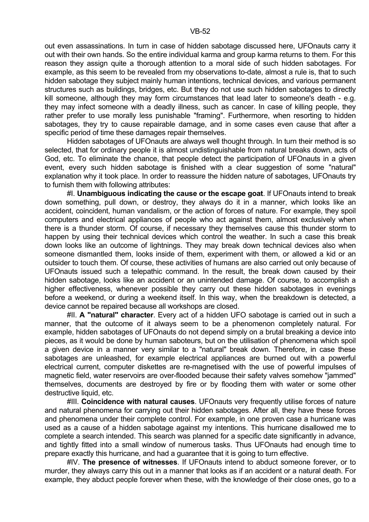out even assassinations. In turn in case of hidden sabotage discussed here, UFOnauts carry it out with their own hands. So the entire individual karma and group karma returns to them. For this reason they assign quite a thorough attention to a moral side of such hidden sabotages. For example, as this seem to be revealed from my observations to-date, almost a rule is, that to such hidden sabotage they subject mainly human intentions, technical devices, and various permanent structures such as buildings, bridges, etc. But they do not use such hidden sabotages to directly kill someone, although they may form circumstances that lead later to someone's death - e.g. they may infect someone with a deadly illness, such as cancer. In case of killing people, they rather prefer to use morally less punishable "framing". Furthermore, when resorting to hidden sabotages, they try to cause repairable damage, and in some cases even cause that after a specific period of time these damages repair themselves.

 Hidden sabotages of UFOnauts are always well thought through. In turn their method is so selected, that for ordinary people it is almost undistinguishable from natural breaks down, acts of God, etc. To eliminate the chance, that people detect the participation of UFOnauts in a given event, every such hidden sabotage is finished with a clear suggestion of some "natural" explanation why it took place. In order to reassure the hidden nature of sabotages, UFOnauts try to furnish them with following attributes:

 #I. **Unambiguous indicating the cause or the escape goat**. If UFOnauts intend to break down something, pull down, or destroy, they always do it in a manner, which looks like an accident, coincident, human vandalism, or the action of forces of nature. For example, they spoil computers and electrical appliances of people who act against them, almost exclusively when there is a thunder storm. Of course, if necessary they themselves cause this thunder storm to happen by using their technical devices which control the weather. In such a case this break down looks like an outcome of lightnings. They may break down technical devices also when someone dismantled them, looks inside of them, experiment with them, or allowed a kid or an outsider to touch them. Of course, these activities of humans are also carried out only because of UFOnauts issued such a telepathic command. In the result, the break down caused by their hidden sabotage, looks like an accident or an unintended damage. Of course, to accomplish a higher effectiveness, whenever possible they carry out these hidden sabotages in evenings before a weekend, or during a weekend itself. In this way, when the breakdown is detected, a device cannot be repaired because all workshops are closed.

 #II. **A "natural" character**. Every act of a hidden UFO sabotage is carried out in such a manner, that the outcome of it always seem to be a phenomenon completely natural. For example, hidden sabotages of UFOnauts do not depend simply on a brutal breaking a device into pieces, as it would be done by human saboteurs, but on the utilisation of phenomena which spoil a given device in a manner very similar to a "natural" break down. Therefore, in case these sabotages are unleashed, for example electrical appliances are burned out with a powerful electrical current, computer diskettes are re-magnetised with the use of powerful impulses of magnetic field, water reservoirs are over-flooded because their safety valves somehow "jammed" themselves, documents are destroyed by fire or by flooding them with water or some other destructive liquid, etc.

 #III. **Coincidence with natural causes**. UFOnauts very frequently utilise forces of nature and natural phenomena for carrying out their hidden sabotages. After all, they have these forces and phenomena under their complete control. For example, in one proven case a hurricane was used as a cause of a hidden sabotage against my intentions. This hurricane disallowed me to complete a search intended. This search was planned for a specific date significantly in advance, and tightly fitted into a small window of numerous tasks. Thus UFOnauts had enough time to prepare exactly this hurricane, and had a guarantee that it is going to turn effective.

 #IV. **The presence of witnesses**. If UFOnauts intend to abduct someone forever, or to murder, they always carry this out in a manner that looks as if an accident or a natural death. For example, they abduct people forever when these, with the knowledge of their close ones, go to a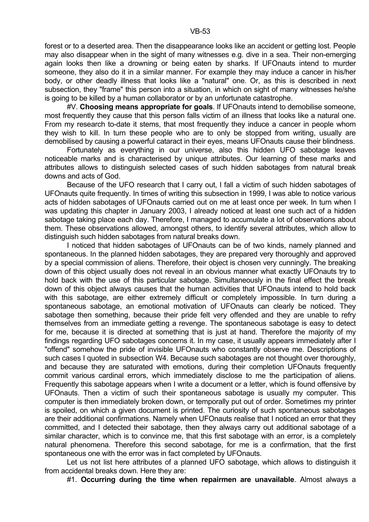forest or to a deserted area. Then the disappearance looks like an accident or getting lost. People may also disappear when in the sight of many witnesses e.g. dive in a sea. Their non-emerging again looks then like a drowning or being eaten by sharks. If UFOnauts intend to murder someone, they also do it in a similar manner. For example they may induce a cancer in his/her body, or other deadly illness that looks like a "natural" one. Or, as this is described in next subsection, they "frame" this person into a situation, in which on sight of many witnesses he/she is going to be killed by a human collaborator or by an unfortunate catastrophe.

 #V. **Choosing means appropriate for goals**. If UFOnauts intend to demobilise someone, most frequently they cause that this person falls victim of an illness that looks like a natural one. From my research to-date it stems, that most frequently they induce a cancer in people whom they wish to kill. In turn these people who are to only be stopped from writing, usually are demobilised by causing a powerful cataract in their eyes, means UFOnauts cause their blindness.

 Fortunately as everything in our universe, also this hidden UFO sabotage leaves noticeable marks and is characterised by unique attributes. Our learning of these marks and attributes allows to distinguish selected cases of such hidden sabotages from natural break downs and acts of God.

 Because of the UFO research that I carry out, I fall a victim of such hidden sabotages of UFOnauts quite frequently. In times of writing this subsection in 1999, I was able to notice various acts of hidden sabotages of UFOnauts carried out on me at least once per week. In turn when I was updating this chapter in January 2003, I already noticed at least one such act of a hidden sabotage taking place each day. Therefore, I managed to accumulate a lot of observations about them. These observations allowed, amongst others, to identify several attributes, which allow to distinguish such hidden sabotages from natural breaks down.

 I noticed that hidden sabotages of UFOnauts can be of two kinds, namely planned and spontaneous. In the planned hidden sabotages, they are prepared very thoroughly and approved by a special commission of aliens. Therefore, their object is chosen very cunningly. The breaking down of this object usually does not reveal in an obvious manner what exactly UFOnauts try to hold back with the use of this particular sabotage. Simultaneously in the final effect the break down of this object always causes that the human activities that UFOnauts intend to hold back with this sabotage, are either extremely difficult or completely impossible. In turn during a spontaneous sabotage, an emotional motivation of UFOnauts can clearly be noticed. They sabotage then something, because their pride felt very offended and they are unable to refry themselves from an immediate getting a revenge. The spontaneous sabotage is easy to detect for me, because it is directed at something that is just at hand. Therefore the majority of my findings regarding UFO sabotages concerns it. In my case, it usually appears immediately after I "offend" somehow the pride of invisible UFOnauts who constantly observe me. Descriptions of such cases I quoted in subsection W4. Because such sabotages are not thought over thoroughly, and because they are saturated with emotions, during their completion UFOnauts frequently commit various cardinal errors, which immediately disclose to me the participation of aliens. Frequently this sabotage appears when I write a document or a letter, which is found offensive by UFOnauts. Then a victim of such their spontaneous sabotage is usually my computer. This computer is then immediately broken down, or temporally put out of order. Sometimes my printer is spoiled, on which a given document is printed. The curiosity of such spontaneous sabotages are their additional confirmations. Namely when UFOnauts realise that I noticed an error that they committed, and I detected their sabotage, then they always carry out additional sabotage of a similar character, which is to convince me, that this first sabotage with an error, is a completely natural phenomena. Therefore this second sabotage, for me is a confirmation, that the first spontaneous one with the error was in fact completed by UFOnauts.

 Let us not list here attributes of a planned UFO sabotage, which allows to distinguish it from accidental breaks down. Here they are:

#1. **Occurring during the time when repairmen are unavailable**. Almost always a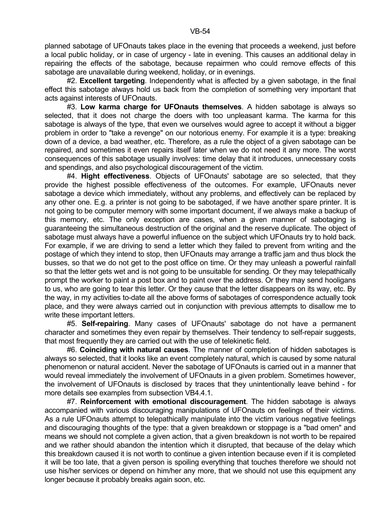#2. **Excellent targeting**. Independently what is affected by a given sabotage, in the final effect this sabotage always hold us back from the completion of something very important that acts against interests of UFOnauts.

 #3. **Low karma charge for UFOnauts themselves**. A hidden sabotage is always so selected, that it does not charge the doers with too unpleasant karma. The karma for this sabotage is always of the type, that even we ourselves would agree to accept it without a bigger problem in order to "take a revenge" on our notorious enemy. For example it is a type: breaking down of a device, a bad weather, etc. Therefore, as a rule the object of a given sabotage can be repaired, and sometimes it even repairs itself later when we do not need it any more. The worst consequences of this sabotage usually involves: time delay that it introduces, unnecessary costs and spendings, and also psychological discouragement of the victim.

 #4. **Hight effectiveness**. Objects of UFOnauts' sabotage are so selected, that they provide the highest possible effectiveness of the outcomes. For example, UFOnauts never sabotage a device which immediately, without any problems, and effectively can be replaced by any other one. E.g. a printer is not going to be sabotaged, if we have another spare printer. It is not going to be computer memory with some important document, if we always make a backup of this memory, etc. The only exception are cases, when a given manner of sabotaging is guaranteeing the simultaneous destruction of the original and the reserve duplicate. The object of sabotage must always have a powerful influence on the subject which UFOnauts try to hold back. For example, if we are driving to send a letter which they failed to prevent from writing and the postage of which they intend to stop, then UFOnauts may arrange a traffic jam and thus block the busses, so that we do not get to the post office on time. Or they may unleash a powerful rainfall so that the letter gets wet and is not going to be unsuitable for sending. Or they may telepathically prompt the worker to paint a post box and to paint over the address. Or they may send hooligans to us, who are going to tear this letter. Or they cause that the letter disappears on its way, etc. By the way, in my activities to-date all the above forms of sabotages of correspondence actually took place, and they were always carried out in conjunction with previous attempts to disallow me to write these important letters.

 #5. **Self-repairing**. Many cases of UFOnauts' sabotage do not have a permanent character and sometimes they even repair by themselves. Their tendency to self-repair suggests, that most frequently they are carried out with the use of telekinetic field.

 #6. **Coinciding with natural causes**. The manner of completion of hidden sabotages is always so selected, that it looks like an event completely natural, which is caused by some natural phenomenon or natural accident. Never the sabotage of UFOnauts is carried out in a manner that would reveal immediately the involvement of UFOnauts in a given problem. Sometimes however, the involvement of UFOnauts is disclosed by traces that they unintentionally leave behind - for more details see examples from subsection VB4.4.1.

 #7. **Reinforcement with emotional discouragement**. The hidden sabotage is always accompanied with various discouraging manipulations of UFOnauts on feelings of their victims. As a rule UFOnauts attempt to telepathically manipulate into the victim various negative feelings and discouraging thoughts of the type: that a given breakdown or stoppage is a "bad omen" and means we should not complete a given action, that a given breakdown is not worth to be repaired and we rather should abandon the intention which it disrupted, that because of the delay which this breakdown caused it is not worth to continue a given intention because even if it is completed it will be too late, that a given person is spoiling everything that touches therefore we should not use his/her services or depend on him/her any more, that we should not use this equipment any longer because it probably breaks again soon, etc.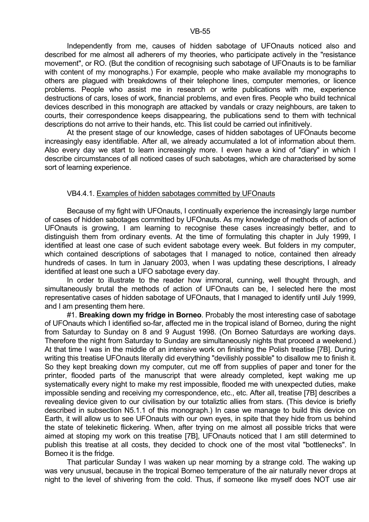Independently from me, causes of hidden sabotage of UFOnauts noticed also and described for me almost all adherers of my theories, who participate actively in the "resistance movement", or RO. (But the condition of recognising such sabotage of UFOnauts is to be familiar with content of my monographs.) For example, people who make available my monographs to others are plagued with breakdowns of their telephone lines, computer memories, or licence problems. People who assist me in research or write publications with me, experience destructions of cars, loses of work, financial problems, and even fires. People who build technical devices described in this monograph are attacked by vandals or crazy neighbours, are taken to courts, their correspondence keeps disappearing, the publications send to them with technical descriptions do not arrive to their hands, etc. This list could be carried out infinitively.

 At the present stage of our knowledge, cases of hidden sabotages of UFOnauts become increasingly easy identifiable. After all, we already accumulated a lot of information about them. Also every day we start to learn increasingly more. I even have a kind of "diary" in which I describe circumstances of all noticed cases of such sabotages, which are characterised by some sort of learning experience.

#### VB4.4.1. Examples of hidden sabotages committed by UFOnauts

 Because of my fight with UFOnauts, I continually experience the increasingly large number of cases of hidden sabotages committed by UFOnauts. As my knowledge of methods of action of UFOnauts is growing, I am learning to recognise these cases increasingly better, and to distinguish them from ordinary events. At the time of formulating this chapter in July 1999, I identified at least one case of such evident sabotage every week. But folders in my computer, which contained descriptions of sabotages that I managed to notice, contained then already hundreds of cases. In turn in January 2003, when I was updating these descriptions, I already identified at least one such a UFO sabotage every day.

 In order to illustrate to the reader how immoral, cunning, well thought through, and simultaneously brutal the methods of action of UFOnauts can be, I selected here the most representative cases of hidden sabotage of UFOnauts, that I managed to identify until July 1999, and I am presenting them here.

 #1. **Breaking down my fridge in Borneo**. Probably the most interesting case of sabotage of UFOnauts which I identified so-far, affected me in the tropical island of Borneo, during the night from Saturday to Sunday on 8 and 9 August 1998. (On Borneo Saturdays are working days. Therefore the night from Saturday to Sunday are simultaneously nights that proceed a weekend.) At that time I was in the middle of an intensive work on finishing the Polish treatise [7B]. During writing this treatise UFOnauts literally did everything "devilishly possible" to disallow me to finish it. So they kept breaking down my computer, cut me off from supplies of paper and toner for the printer, flooded parts of the manuscript that were already completed, kept waking me up systematically every night to make my rest impossible, flooded me with unexpected duties, make impossible sending and receiving my correspondence, etc., etc. After all, treatise [7B] describes a revealing device given to our civilisation by our totaliztic allies from stars. (This device is briefly described in subsection N5.1.1 of this monograph.) In case we manage to build this device on Earth, it will allow us to see UFOnauts with our own eyes, in spite that they hide from us behind the state of telekinetic flickering. When, after trying on me almost all possible tricks that were aimed at stoping my work on this treatise [7B], UFOnauts noticed that I am still determined to publish this treatise at all costs, they decided to chock one of the most vital "bottlenecks". In Borneo it is the fridge.

 That particular Sunday I was waken up near morning by a strange cold. The waking up was very unusual, because in the tropical Borneo temperature of the air naturally never drops at night to the level of shivering from the cold. Thus, if someone like myself does NOT use air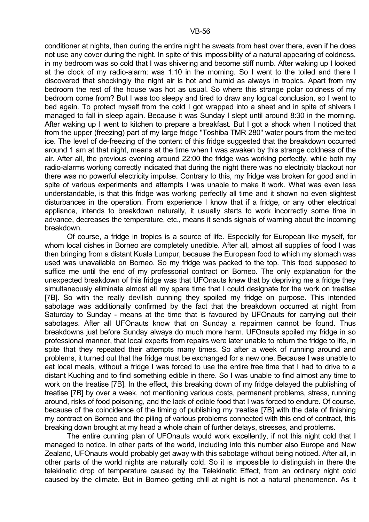conditioner at nights, then during the entire night he sweats from heat over there, even if he does not use any cover during the night. In spite of this impossibility of a natural appearing of coldness, in my bedroom was so cold that I was shivering and become stiff numb. After waking up I looked at the clock of my radio-alarm: was 1:10 in the morning. So I went to the toiled and there I discovered that shockingly the night air is hot and humid as always in tropics. Apart from my bedroom the rest of the house was hot as usual. So where this strange polar coldness of my bedroom come from? But I was too sleepy and tired to draw any logical conclusion, so I went to bed again. To protect myself from the cold I got wrapped into a sheet and in spite of shivers I managed to fall in sleep again. Because it was Sunday I slept until around 8:30 in the morning. After waking up I went to kitchen to prepare a breakfast. But I got a shock when I noticed that from the upper (freezing) part of my large fridge "Toshiba TMR 280" water pours from the melted ice. The level of de-freezing of the content of this fridge suggested that the breakdown occurred around 1 am at that night, means at the time when I was awaken by this strange coldness of the air. After all, the previous evening around 22:00 the fridge was working perfectly, while both my radio-alarms working correctly indicated that during the night there was no electricity blackout nor there was no powerful electricity impulse. Contrary to this, my fridge was broken for good and in spite of various experiments and attempts I was unable to make it work. What was even less understandable, is that this fridge was working perfectly all time and it shown no even slightest disturbances in the operation. From experience I know that if a fridge, or any other electrical appliance, intends to breakdown naturally, it usually starts to work incorrectly some time in advance, decreases the temperature, etc., means it sends signals of warning about the incoming breakdown.

 Of course, a fridge in tropics is a source of life. Especially for European like myself, for whom local dishes in Borneo are completely unedible. After all, almost all supplies of food I was then bringing from a distant Kuala Lumpur, because the European food to which my stomach was used was unavailable on Borneo. So my fridge was packed to the top. This food supposed to suffice me until the end of my professorial contract on Borneo. The only explanation for the unexpected breakdown of this fridge was that UFOnauts knew that by depriving me a fridge they simultaneously eliminate almost all my spare time that I could designate for the work on treatise [7B]. So with the really devilish cunning they spoiled my fridge on purpose. This intended sabotage was additionally confirmed by the fact that the breakdown occurred at night from Saturday to Sunday - means at the time that is favoured by UFOnauts for carrying out their sabotages. After all UFOnauts know that on Sunday a repairmen cannot be found. Thus breakdowns just before Sunday always do much more harm. UFOnauts spoiled my fridge in so professional manner, that local experts from repairs were later unable to return the fridge to life, in spite that they repeated their attempts many times. So after a week of running around and problems, it turned out that the fridge must be exchanged for a new one. Because I was unable to eat local meals, without a fridge I was forced to use the entire free time that I had to drive to a distant Kuching and to find something edible in there. So I was unable to find almost any time to work on the treatise [7B]. In the effect, this breaking down of my fridge delayed the publishing of treatise [7B] by over a week, not mentioning various costs, permanent problems, stress, running around, risks of food poisoning, and the lack of edible food that I was forced to endure. Of course, because of the coincidence of the timing of publishing my treatise [7B] with the date of finishing my contract on Borneo and the piling of various problems connected with this end of contract, this breaking down brought at my head a whole chain of further delays, stresses, and problems.

 The entire cunning plan of UFOnauts would work excellently, if not this night cold that I managed to notice. In other parts of the world, including into this number also Europe and New Zealand, UFOnauts would probably get away with this sabotage without being noticed. After all, in other parts of the world nights are naturally cold. So it is impossible to distinguish in there the telekinetic drop of temperature caused by the Telekinetic Effect, from an ordinary night cold caused by the climate. But in Borneo getting chill at night is not a natural phenomenon. As it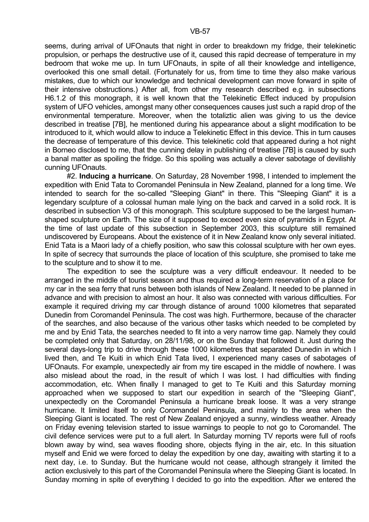seems, during arrival of UFOnauts that night in order to breakdown my fridge, their telekinetic propulsion, or perhaps the destructive use of it, caused this rapid decrease of temperature in my bedroom that woke me up. In turn UFOnauts, in spite of all their knowledge and intelligence, overlooked this one small detail. (Fortunately for us, from time to time they also make various mistakes, due to which our knowledge and technical development can move forward in spite of their intensive obstructions.) After all, from other my research described e.g. in subsections H6.1.2 of this monograph, it is well known that the Telekinetic Effect induced by propulsion system of UFO vehicles, amongst many other consequences causes just such a rapid drop of the environmental temperature. Moreover, when the totaliztic alien was giving to us the device described in treatise [7B], he mentioned during his appearance about a slight modification to be introduced to it, which would allow to induce a Telekinetic Effect in this device. This in turn causes the decrease of temperature of this device. This telekinetic cold that appeared during a hot night in Borneo disclosed to me, that the cunning delay in publishing of treatise [7B] is caused by such a banal matter as spoiling the fridge. So this spoiling was actually a clever sabotage of devilishly cunning UFOnauts.

 #2. **Inducing a hurricane**. On Saturday, 28 November 1998, I intended to implement the expedition with Enid Tata to Coromandel Peninsula in New Zealand, planned for a long time. We intended to search for the so-called "Sleeping Giant" in there. This "Sleeping Giant" it is a legendary sculpture of a colossal human male lying on the back and carved in a solid rock. It is described in subsection V3 of this monograph. This sculpture supposed to be the largest humanshaped sculpture on Earth. The size of it supposed to exceed even size of pyramids in Egypt. At the time of last update of this subsection in September 2003, this sculpture still remained undiscovered by Europeans. About the existence of it in New Zealand know only several initiated. Enid Tata is a Maori lady of a chiefly position, who saw this colossal sculpture with her own eyes. In spite of secrecy that surrounds the place of location of this sculpture, she promised to take me to the sculpture and to show it to me.

 The expedition to see the sculpture was a very difficult endeavour. It needed to be arranged in the middle of tourist season and thus required a long-term reservation of a place for my car in the sea ferry that runs between both islands of New Zealand. It needed to be planned in advance and with precision to almost an hour. It also was connected with various difficulties. For example it required driving my car through distance of around 1000 kilometres that separated Dunedin from Coromandel Peninsula. The cost was high. Furthermore, because of the character of the searches, and also because of the various other tasks which needed to be completed by me and by Enid Tata, the searches needed to fit into a very narrow time gap. Namely they could be completed only that Saturday, on 28/11/98, or on the Sunday that followed it. Just during the several days-long trip to drive through these 1000 kilometres that separated Dunedin in which I lived then, and Te Kuiti in which Enid Tata lived, I experienced many cases of sabotages of UFOnauts. For example, unexpectedly air from my tire escaped in the middle of nowhere. I was also mislead about the road, in the result of which I was lost. I had difficulties with finding accommodation, etc. When finally I managed to get to Te Kuiti and this Saturday morning approached when we supposed to start our expedition in search of the "Sleeping Giant", unexpectedly on the Coromandel Peninsula a hurricane break loose. It was a very strange hurricane. It limited itself to only Coromandel Peninsula, and mainly to the area when the Sleeping Giant is located. The rest of New Zealand enjoyed a sunny, windless weather. Already on Friday evening television started to issue warnings to people to not go to Coromandel. The civil defence services were put to a full alert. In Saturday morning TV reports were full of roofs blown away by wind, sea waves flooding shore, objects flying in the air, etc. In this situation myself and Enid we were forced to delay the expedition by one day, awaiting with starting it to a next day, i.e. to Sunday. But the hurricane would not cease, although strangely it limited the action exclusively to this part of the Coromandel Peninsula where the Sleeping Giant is located. In Sunday morning in spite of everything I decided to go into the expedition. After we entered the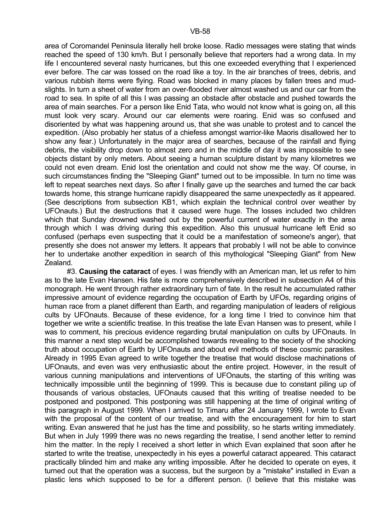area of Coromandel Peninsula literally hell broke loose. Radio messages were stating that winds reached the speed of 130 km/h. But I personally believe that reporters had a wrong data. In my life I encountered several nasty hurricanes, but this one exceeded everything that I experienced ever before. The car was tossed on the road like a toy. In the air branches of trees, debris, and various rubbish items were flying. Road was blocked in many places by fallen trees and mudslights. In turn a sheet of water from an over-flooded river almost washed us and our car from the road to sea. In spite of all this I was passing an obstacle after obstacle and pushed towards the area of main searches. For a person like Enid Tata, who would not know what is going on, all this must look very scary. Around our car elements were roaring. Enid was so confused and disoriented by what was happening around us, that she was unable to protest and to cancel the expedition. (Also probably her status of a chiefess amongst warrior-like Maoris disallowed her to show any fear.) Unfortunately in the major area of searches, because of the rainfall and flying debris, the visibility drop down to almost zero and in the middle of day it was impossible to see objects distant by only meters. About seeing a human sculpture distant by many kilometres we could not even dream. Enid lost the orientation and could not show me the way. Of course, in such circumstances finding the "Sleeping Giant" turned out to be impossible. In turn no time was left to repeat searches next days. So after I finally gave up the searches and turned the car back towards home, this strange hurricane rapidly disappeared the same unexpectedly as it appeared. (See descriptions from subsection KB1, which explain the technical control over weather by UFOnauts.) But the destructions that it caused were huge. The losses included two children which that Sunday drowned washed out by the powerful current of water exactly in the area through which I was driving during this expedition. Also this unusual hurricane left Enid so confused (perhaps even suspecting that it could be a manifestation of someone's anger), that presently she does not answer my letters. It appears that probably I will not be able to convince her to undertake another expedition in search of this mythological "Sleeping Giant" from New Zealand.

 #3. **Causing the cataract** of eyes. I was friendly with an American man, let us refer to him as to the late Evan Hansen. His fate is more comprehensively described in subsection A4 of this monograph. He went through rather extraordinary turn of fate. In the result he accumulated rather impressive amount of evidence regarding the occupation of Earth by UFOs, regarding origins of human race from a planet different than Earth, and regarding manipulation of leaders of religious cults by UFOnauts. Because of these evidence, for a long time I tried to convince him that together we write a scientific treatise. In this treatise the late Evan Hansen was to present, while I was to comment, his precious evidence regarding brutal manipulation on cults by UFOnauts. In this manner a next step would be accomplished towards revealing to the society of the shocking truth about occupation of Earth by UFOnauts and about evil methods of these cosmic parasites. Already in 1995 Evan agreed to write together the treatise that would disclose machinations of UFOnauts, and even was very enthusiastic about the entire project. However, in the result of various cunning manipulations and interventions of UFOnauts, the starting of this writing was technically impossible until the beginning of 1999. This is because due to constant piling up of thousands of various obstacles, UFOnauts caused that this writing of treatise needed to be postponed and postponed. This postponing was still happening at the time of original writing of this paragraph in August 1999. When I arrived to Timaru after 24 January 1999, I wrote to Evan with the proposal of the content of our treatise, and with the encouragement for him to start writing. Evan answered that he just has the time and possibility, so he starts writing immediately. But when in July 1999 there was no news regarding the treatise, I send another letter to remind him the matter. In the reply I received a short letter in which Evan explained that soon after he started to write the treatise, unexpectedly in his eyes a powerful cataract appeared. This cataract practically blinded him and make any writing impossible. After he decided to operate on eyes, it turned out that the operation was a success, but the surgeon by a "mistake" installed in Evan a plastic lens which supposed to be for a different person. (I believe that this mistake was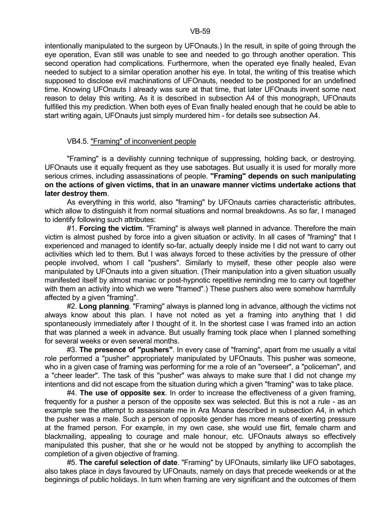intentionally manipulated to the surgeon by UFOnauts.) In the result, in spite of going through the eye operation, Evan still was unable to see and needed to go through another operation. This second operation had complications. Furthermore, when the operated eye finally healed, Evan needed to subject to a similar operation another his eye. In total, the writing of this treatise which supposed to disclose evil machinations of UFOnauts, needed to be postponed for an undefined time. Knowing UFOnauts I already was sure at that time, that later UFOnauts invent some next reason to delay this writing. As it is described in subsection A4 of this monograph, UFOnauts fulfilled this my prediction. When both eyes of Evan finally healed enough that he could be able to start writing again, UFOnauts just simply murdered him - for details see subsection A4.

## VB4.5. "Framing" of inconvenient people

 "Framing" is a devilishly cunning technique of suppressing, holding back, or destroying. UFOnauts use it equally frequent as they use sabotages. But usually it is used for morally more serious crimes, including assassinations of people. **"Framing" depends on such manipulating on the actions of given victims, that in an unaware manner victims undertake actions that later destroy them**.

 As everything in this world, also "framing" by UFOnauts carries characteristic attributes, which allow to distinguish it from normal situations and normal breakdowns. As so far, I managed to identify following such attributes:

 #1. **Forcing the victim**. "Framing" is always well planned in advance. Therefore the main victim is almost pushed by force into a given situation or activity. In all cases of "framing" that I experienced and managed to identify so-far, actually deeply inside me I did not want to carry out activities which led to them. But I was always forced to these activities by the pressure of other people involved, whom I call "pushers". Similarly to myself, these other people also were manipulated by UFOnauts into a given situation. (Their manipulation into a given situation usually manifested itself by almost maniac or post-hypnotic repetitive reminding me to carry out together with them an activity into which we were "framed".) These pushers also were somehow harmfully affected by a given "framing".

 #2. **Long planning**. "Framing" always is planned long in advance, although the victims not always know about this plan. I have not noted as yet a framing into anything that I did spontaneously immediately after I thought of it. In the shortest case I was framed into an action that was planned a week in advance. But usually framing took place when I planned something for several weeks or even several months.

 #3. **The presence of "pushers"**. In every case of "framing", apart from me usually a vital role performed a "pusher" appropriately manipulated by UFOnauts. This pusher was someone, who in a given case of framing was performing for me a role of an "overseer", a "policeman", and a "cheer leader". The task of this "pusher" was always to make sure that I did not change my intentions and did not escape from the situation during which a given "framing" was to take place.

 #4. **The use of opposite sex**. In order to increase the effectiveness of a given framing, frequently for a pusher a person of the opposite sex was selected. But this is not a rule - as an example see the attempt to assassinate me in Ara Moana described in subsection A4, in which the pusher was a male. Such a person of opposite gender has more means of exerting pressure at the framed person. For example, in my own case, she would use flirt, female charm and blackmailing, appealing to courage and male honour, etc. UFOnauts always so effectively manipulated this pusher, that she or he would not be stopped by anything to accomplish the completion of a given objective of framing.

 #5. **The careful selection of date**. "Framing" by UFOnauts, similarly like UFO sabotages, also takes place in days favoured by UFOnauts, namely on days that precede weekends or at the beginnings of public holidays. In turn when framing are very significant and the outcomes of them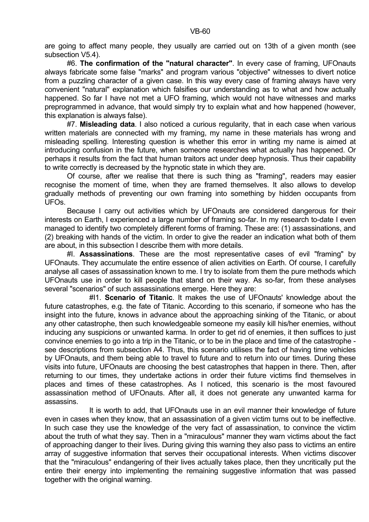are going to affect many people, they usually are carried out on 13th of a given month (see subsection V5.4).

 #6. **The confirmation of the "natural character"**. In every case of framing, UFOnauts always fabricate some false "marks" and program various "objective" witnesses to divert notice from a puzzling character of a given case. In this way every case of framing always have very convenient "natural" explanation which falsifies our understanding as to what and how actually happened. So far I have not met a UFO framing, which would not have witnesses and marks preprogrammed in advance, that would simply try to explain what and how happened (however, this explanation is always false).

 #7. **Misleading data**. I also noticed a curious regularity, that in each case when various written materials are connected with my framing, my name in these materials has wrong and misleading spelling. Interesting question is whether this error in writing my name is aimed at introducing confusion in the future, when someone researches what actually has happened. Or perhaps it results from the fact that human traitors act under deep hypnosis. Thus their capability to write correctly is decreased by the hypnotic state in which they are.

 Of course, after we realise that there is such thing as "framing", readers may easier recognise the moment of time, when they are framed themselves. It also allows to develop gradually methods of preventing our own framing into something by hidden occupants from UFOs.

 Because I carry out activities which by UFOnauts are considered dangerous for their interests on Earth, I experienced a large number of framing so-far. In my research to-date I even managed to identify two completely different forms of framing. These are: (1) assassinations, and (2) breaking with hands of the victim. In order to give the reader an indication what both of them are about, in this subsection I describe them with more details.

 #I. **Assassinations**. These are the most representative cases of evil "framing" by UFOnauts. They accumulate the entire essence of alien activities on Earth. Of course, I carefully analyse all cases of assassination known to me. I try to isolate from them the pure methods which UFOnauts use in order to kill people that stand on their way. As so-far, from these analyses several "scenarios" of such assassinations emerge. Here they are:

 #I1. **Scenario of Titanic**. It makes the use of UFOnauts' knowledge about the future catastrophes, e.g. the fate of Titanic. According to this scenario, if someone who has the insight into the future, knows in advance about the approaching sinking of the Titanic, or about any other catastrophe, then such knowledgeable someone my easily kill his/her enemies, without inducing any suspicions or unwanted karma. In order to get rid of enemies, it then suffices to just convince enemies to go into a trip in the Titanic, or to be in the place and time of the catastrophe see descriptions from subsection A4. Thus, this scenario utilises the fact of having time vehicles by UFOnauts, and them being able to travel to future and to return into our times. During these visits into future, UFOnauts are choosing the best catastrophes that happen in there. Then, after returning to our times, they undertake actions in order their future victims find themselves in places and times of these catastrophes. As I noticed, this scenario is the most favoured assassination method of UFOnauts. After all, it does not generate any unwanted karma for assassins.

 It is worth to add, that UFOnauts use in an evil manner their knowledge of future even in cases when they know, that an assassination of a given victim turns out to be ineffective. In such case they use the knowledge of the very fact of assassination, to convince the victim about the truth of what they say. Then in a "miraculous" manner they warn victims about the fact of approaching danger to their lives. During giving this warning they also pass to victims an entire array of suggestive information that serves their occupational interests. When victims discover that the "miraculous" endangering of their lives actually takes place, then they uncritically put the entire their energy into implementing the remaining suggestive information that was passed together with the original warning.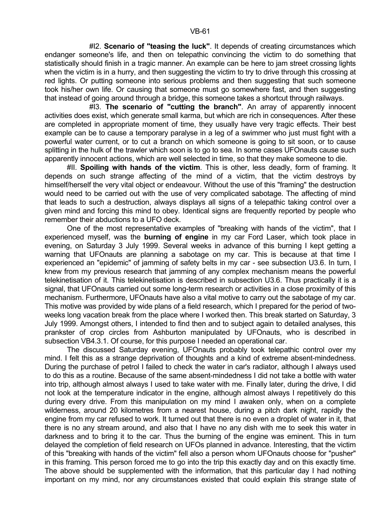#I2. **Scenario of "teasing the luck"**. It depends of creating circumstances which endanger someone's life, and then on telepathic convincing the victim to do something that statistically should finish in a tragic manner. An example can be here to jam street crossing lights when the victim is in a hurry, and then suggesting the victim to try to drive through this crossing at red lights. Or putting someone into serious problems and then suggesting that such someone took his/her own life. Or causing that someone must go somewhere fast, and then suggesting that instead of going around through a bridge, this someone takes a shortcut through railways.

 #I3. **The scenario of "cutting the branch"**. An array of apparently innocent activities does exist, which generate small karma, but which are rich in consequences. After these are completed in appropriate moment of time, they usually have very tragic effects. Their best example can be to cause a temporary paralyse in a leg of a swimmer who just must fight with a powerful water current, or to cut a branch on which someone is going to sit soon, or to cause splitting in the hulk of the trawler which soon is to go to sea. In some cases UFOnauts cause such apparently innocent actions, which are well selected in time, so that they make someone to die.

 #II. **Spoiling with hands of the victim**. This is other, less deadly, form of framing. It depends on such strange affecting of the mind of a victim, that the victim destroys by himself/herself the very vital object or endeavour. Without the use of this "framing" the destruction would need to be carried out with the use of very complicated sabotage. The affecting of mind that leads to such a destruction, always displays all signs of a telepathic taking control over a given mind and forcing this mind to obey. Identical signs are frequently reported by people who remember their abductions to a UFO deck.

 One of the most representative examples of "breaking with hands of the victim", that I experienced myself, was the **burning of engine** in my car Ford Laser, which took place in evening, on Saturday 3 July 1999. Several weeks in advance of this burning I kept getting a warning that UFOnauts are planning a sabotage on my car. This is because at that time I experienced an "epidemic" of jamming of safety belts in my car - see subsection U3.6. In turn, I knew from my previous research that jamming of any complex mechanism means the powerful telekinetisation of it. This telekinetisation is described in subsection U3.6. Thus practically it is a signal, that UFOnauts carried out some long-term research or activities in a close proximity of this mechanism. Furthermore, UFOnauts have also a vital motive to carry out the sabotage of my car. This motive was provided by wide plans of a field research, which I prepared for the period of twoweeks long vacation break from the place where I worked then. This break started on Saturday, 3 July 1999. Amongst others, I intended to find then and to subject again to detailed analyses, this prankster of crop circles from Ashburton manipulated by UFOnauts, who is described in subsection VB4.3.1. Of course, for this purpose I needed an operational car.

 The discussed Saturday evening, UFOnauts probably took telepathic control over my mind. I felt this as a strange deprivation of thoughts and a kind of extreme absent-mindedness. During the purchase of petrol I failed to check the water in car's radiator, although I always used to do this as a routine. Because of the same absent-mindedness I did not take a bottle with water into trip, although almost always I used to take water with me. Finally later, during the drive, I did not look at the temperature indicator in the engine, although almost always I repetitively do this during every drive. From this manipulation on my mind I awaken only, when on a complete wilderness, around 20 kilometres from a nearest house, during a pitch dark night, rapidly the engine from my car refused to work. It turned out that there is no even a droplet of water in it, that there is no any stream around, and also that I have no any dish with me to seek this water in darkness and to bring it to the car. Thus the burning of the engine was eminent. This in turn delayed the completion of field research on UFOs planned in advance. Interesting, that the victim of this "breaking with hands of the victim" fell also a person whom UFOnauts choose for "pusher" in this framing. This person forced me to go into the trip this exactly day and on this exactly time. The above should be supplemented with the information, that this particular day I had nothing important on my mind, nor any circumstances existed that could explain this strange state of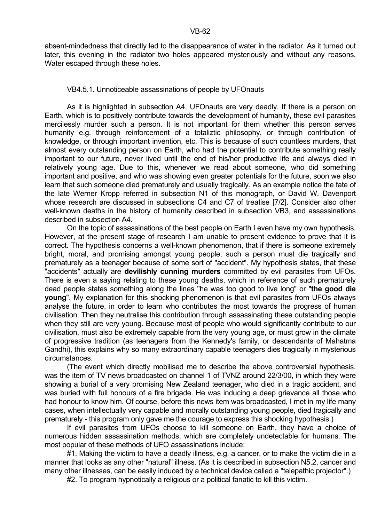absent-mindedness that directly led to the disappearance of water in the radiator. As it turned out later, this evening in the radiator two holes appeared mysteriously and without any reasons. Water escaped through these holes.

## VB4.5.1. Unnoticeable assassinations of people by UFOnauts

 As it is highlighted in subsection A4, UFOnauts are very deadly. If there is a person on Earth, which is to positively contribute towards the development of humanity, these evil parasites mercilessly murder such a person. It is not important for them whether this person serves humanity e.g. through reinforcement of a totaliztic philosophy, or through contribution of knowledge, or through important invention, etc. This is because of such countless murders, that almost every outstanding person on Earth, who had the potential to contribute something really important to our future, never lived until the end of his/her productive life and always died in relatively young age. Due to this, whenever we read about someone, who did something important and positive, and who was showing even greater potentials for the future, soon we also learn that such someone died prematurely and usually tragically. As an example notice the fate of the late Werner Kropp referred in subsection N1 of this monograph, or David W. Davenport whose research are discussed in subsections C4 and C7 of treatise [7/2]. Consider also other well-known deaths in the history of humanity described in subsection VB3, and assassinations described in subsection A4.

 On the topic of assassinations of the best people on Earth I even have my own hypothesis. However, at the present stage of research I am unable to present evidence to prove that it is correct. The hypothesis concerns a well-known phenomenon, that if there is someone extremely bright, moral, and promising amongst young people, such a person must die tragically and prematurely as a teenager because of some sort of "accident". My hypothesis states, that these "accidents" actually are **devilishly cunning murders** committed by evil parasites from UFOs. There is even a saying relating to these young deaths, which in reference of such prematurely dead people states something along the lines "he was too good to live long" or "**the good die young**". My explanation for this shocking phenomenon is that evil parasites from UFOs always analyse the future, in order to learn who contributes the most towards the progress of human civilisation. Then they neutralise this contribution through assassinating these outstanding people when they still are very young. Because most of people who would significantly contribute to our civilisation, must also be extremely capable from the very young age, or must grow in the climate of progressive tradition (as teenagers from the Kennedy's family, or descendants of Mahatma Gandhi), this explains why so many extraordinary capable teenagers dies tragically in mysterious circumstances.

 (The event which directly mobilised me to describe the above controversial hypothesis, was the item of TV news broadcasted on channel 1 of TVNZ around 22/3/00, in which they were showing a burial of a very promising New Zealand teenager, who died in a tragic accident, and was buried with full honours of a fire brigade. He was inducing a deep grievance all those who had honour to know him. Of course, before this news item was broadcasted, I met in my life many cases, when intellectually very capable and morally outstanding young people, died tragically and prematurely - this program only gave me the courage to express this shocking hypothesis.)

 If evil parasites from UFOs choose to kill someone on Earth, they have a choice of numerous hidden assassination methods, which are completely undetectable for humans. The most popular of these methods of UFO assassinations include:

#1. Making the victim to have a deadly illness, e.g. a cancer, or to make the victim die in a manner that looks as any other "natural" illness. (As it is described in subsection N5.2, cancer and many other illnesses, can be easily induced by a technical device called a "telepathic projector".)

#2. To program hypnotically a religious or a political fanatic to kill this victim.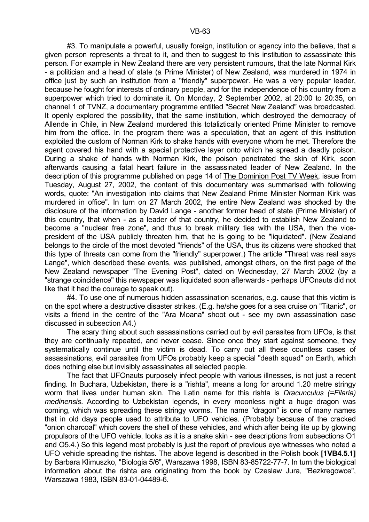#3. To manipulate a powerful, usually foreign, institution or agency into the believe, that a given person represents a threat to it, and then to suggest to this institution to assassinate this person. For example in New Zealand there are very persistent rumours, that the late Normal Kirk - a politician and a head of state (a Prime Minister) of New Zealand, was murdered in 1974 in office just by such an institution from a "friendly" superpower. He was a very popular leader, because he fought for interests of ordinary people, and for the independence of his country from a superpower which tried to dominate it. On Monday, 2 September 2002, at 20:00 to 20:35, on channel 1 of TVNZ, a documentary programme entitled "Secret New Zealand" was broadcasted. It openly explored the possibility, that the same institution, which destroyed the democracy of Allende in Chile, in New Zealand murdered this totaliztically oriented Prime Minister to remove him from the office. In the program there was a speculation, that an agent of this institution exploited the custom of Norman Kirk to shake hands with everyone whom he met. Therefore the agent covered his hand with a special protective layer onto which he spread a deadly poison. During a shake of hands with Norman Kirk, the poison penetrated the skin of Kirk, soon afterwards causing a fatal heart failure in the assassinated leader of New Zealand. In the description of this programme published on page 14 of The Dominion Post TV Week, issue from Tuesday, August 27, 2002, the content of this documentary was summarised with following words, quote: "An investigation into claims that New Zealand Prime Minister Norman Kirk was murdered in office". In turn on 27 March 2002, the entire New Zealand was shocked by the disclosure of the information by David Lange - another former head of state (Prime Minister) of this country, that when - as a leader of that country, he decided to establish New Zealand to become a "nuclear free zone", and thus to break military ties with the USA, then the vicepresident of the USA publicly threaten him, that he is going to be "liquidated". (New Zealand belongs to the circle of the most devoted "friends" of the USA, thus its citizens were shocked that this type of threats can come from the "friendly" superpower.) The article "Threat was real says Lange", which described these events, was published, amongst others, on the first page of the New Zealand newspaper "The Evening Post", dated on Wednesday, 27 March 2002 (by a "strange coincidence" this newspaper was liquidated soon afterwards - perhaps UFOnauts did not like that it had the courage to speak out).

 #4. To use one of numerous hidden assassination scenarios, e.g. cause that this victim is on the spot where a destructive disaster strikes. (E.g. he/she goes for a sea cruise on "Titanic", or visits a friend in the centre of the "Ara Moana" shoot out - see my own assassination case discussed in subsection A4.)

 The scary thing about such assassinations carried out by evil parasites from UFOs, is that they are continually repeated, and never cease. Since once they start against someone, they systematically continue until the victim is dead. To carry out all these countless cases of assassinations, evil parasites from UFOs probably keep a special "death squad" on Earth, which does nothing else but invisibly assassinates all selected people.

 The fact that UFOnauts purposely infect people with various illnesses, is not just a recent finding. In Buchara, Uzbekistan, there is a "rishta", means a long for around 1.20 metre stringy worm that lives under human skin. The Latin name for this rishta is *Dracunculus (=Filaria) medinensis*. According to Uzbekistan legends, in every moonless night a huge dragon was coming, which was spreading these stringy worms. The name "dragon" is one of many names that in old days people used to attribute to UFO vehicles. (Probably because of the cracked "onion charcoal" which covers the shell of these vehicles, and which after being lite up by glowing propulsors of the UFO vehicle, looks as it is a snake skin - see descriptions from subsections O1 and O5.4.) So this legend most probably is just the report of previous eye witnesses who noted a UFO vehicle spreading the rishtas. The above legend is described in the Polish book **[1VB4.5.1]** by Barbara Klimuszko, "Biologia 5/6", Warszawa 1998, ISBN 83-85722-77-7. In turn the biological information about the rishta are originating from the book by Czeslaw Jura, "Bezkregowce", Warszawa 1983, ISBN 83-01-04489-6.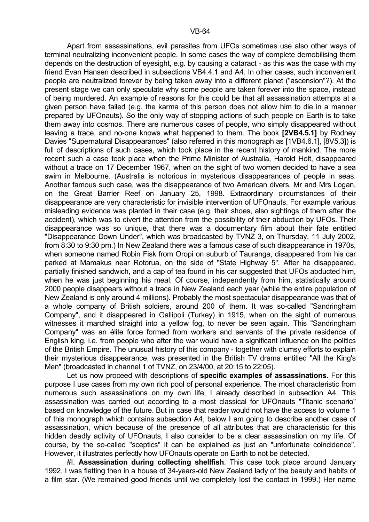Apart from assassinations, evil parasites from UFOs sometimes use also other ways of terminal neutralizing inconvenient people. In some cases the way of complete demobilising them depends on the destruction of eyesight, e.g. by causing a cataract - as this was the case with my friend Evan Hansen described in subsections VB4.4.1 and A4. In other cases, such inconvenient people are neutralized forever by being taken away into a different planet ("ascension"?). At the present stage we can only speculate why some people are taken forever into the space, instead of being murdered. An example of reasons for this could be that all assassination attempts at a given person have failed (e.g. the karma of this person does not allow him to die in a manner prepared by UFOnauts). So the only way of stopping actions of such people on Earth is to take them away into cosmos. There are numerous cases of people, who simply disappeared without leaving a trace, and no-one knows what happened to them. The book **[2VB4.5.1]** by Rodney Davies "Supernatural Disappearances" (also referred in this monograph as [1VB4.6.1], [8V5.3]) is full of descriptions of such cases, which took place in the recent history of mankind. The more recent such a case took place when the Prime Minister of Australia, Harold Holt, disappeared without a trace on 17 December 1967, when on the sight of two women decided to have a sea swim in Melbourne. (Australia is notorious in mysterious disappearances of people in seas. Another famous such case, was the disappearance of two American divers, Mr and Mrs Logan, on the Great Barrier Reef on January 25, 1998. Extraordinary circumstances of their disappearance are very characteristic for invisible intervention of UFOnauts. For example various misleading evidence was planted in their case (e.g. their shoes, also sightings of them after the accident), which was to divert the attention from the possibility of their abduction by UFOs. Their disappearance was so unique, that there was a documentary film about their fate entitled "Disappearance Down Under", which was broadcasted by TVNZ 3, on Thursday, 11 July 2002, from 8:30 to 9:30 pm.) In New Zealand there was a famous case of such disappearance in 1970s, when someone named Robin Fisk from Oropi on suburb of Tauranga, disappeared from his car parked at Mamakus near Rotorua, on the side of "State Highway 5". After he disappeared, partially finished sandwich, and a cap of tea found in his car suggested that UFOs abducted him, when he was just beginning his meal. Of course, independently from him, statistically around 2000 people disappears without a trace in New Zealand each year (while the entire population of New Zealand is only around 4 millions). Probably the most spectacular disappearance was that of a whole company of British soldiers, around 200 of them. It was so-called "Sandringham Company", and it disappeared in Gallipoli (Turkey) in 1915, when on the sight of numerous witnesses it marched straight into a vellow fog, to never be seen again. This "Sandringham Company" was an élite force formed from workers and servants of the private residence of English king, i.e. from people who after the war would have a significant influence on the politics of the British Empire. The unusual history of this company - together with clumsy efforts to explain their mysterious disappearance, was presented in the British TV drama entitled "All the King's Men" (broadcasted in channel 1 of TVNZ, on 23/4/00, at 20:15 to 22:05).

 Let us now proceed with descriptions of **specific examples of assassinations**. For this purpose I use cases from my own rich pool of personal experience. The most characteristic from numerous such assassinations on my own life, I already described in subsection A4. This assassination was carried out according to a most classical for UFOnauts "Titanic scenario" based on knowledge of the future. But in case that reader would not have the access to volume 1 of this monograph which contains subsection A4, below I am going to describe another case of assassination, which because of the presence of all attributes that are characteristic for this hidden deadly activity of UFOnauts, I also consider to be a clear assassination on my life. Of course, by the so-called "sceptics" it can be explained as just an "unfortunate coincidence". However, it illustrates perfectly how UFOnauts operate on Earth to not be detected.

 #I. **Assassination during collecting shellfish**. This case took place around January 1992. I was flatting then in a house of 34-years-old New Zealand lady of the beauty and habits of a film star. (We remained good friends until we completely lost the contact in 1999.) Her name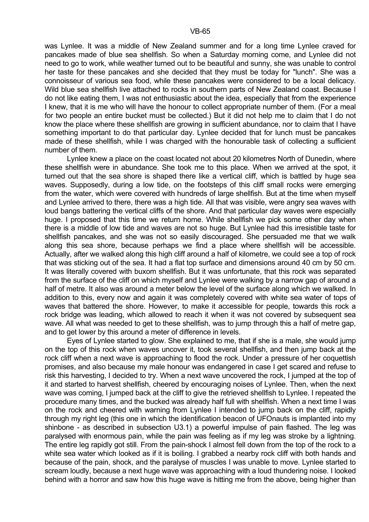was Lynlee. It was a middle of New Zealand summer and for a long time Lynlee craved for pancakes made of blue sea shellfish. So when a Saturday morning come, and Lynlee did not need to go to work, while weather turned out to be beautiful and sunny, she was unable to control her taste for these pancakes and she decided that they must be today for "lunch". She was a connoisseur of various sea food, while these pancakes were considered to be a local delicacy. Wild blue sea shellfish live attached to rocks in southern parts of New Zealand coast. Because I do not like eating them, I was not enthusiastic about the idea, especially that from the experience I knew, that it is me who will have the honour to collect appropriate number of them. (For a meal for two people an entire bucket must be collected.) But it did not help me to claim that I do not know the place where these shellfish are growing in sufficient abundance, nor to claim that I have something important to do that particular day. Lynlee decided that for lunch must be pancakes made of these shellfish, while I was charged with the honourable task of collecting a sufficient number of them.

 Lynlee knew a place on the coast located not about 20 kilometres North of Dunedin, where these shellfish were in abundance. She took me to this place. When we arrived at the spot, it turned out that the sea shore is shaped there like a vertical cliff, which is battled by huge sea waves. Supposedly, during a low tide, on the footsteps of this cliff small rocks were emerging from the water, which were covered with hundreds of large shellfish. But at the time when myself and Lynlee arrived to there, there was a high tide. All that was visible, were angry sea waves with loud bangs battering the vertical cliffs of the shore. And that particular day waves were especially huge. I proposed that this time we return home. While shellfish we pick some other day when there is a middle of low tide and waves are not so huge. But Lynlee had this irresistible taste for shellfish pancakes, and she was not so easily discouraged. She persuaded me that we walk along this sea shore, because perhaps we find a place where shellfish will be accessible. Actually, after we walked along this high cliff around a half of kilometre, we could see a top of rock that was sticking out of the sea. It had a flat top surface and dimensions around 40 cm by 50 cm. It was literally covered with buxom shellfish. But it was unfortunate, that this rock was separated from the surface of the cliff on which myself and Lynlee were walking by a narrow gap of around a half of metre. It also was around a meter below the level of the surface along which we walked. In addition to this, every now and again it was completely covered with white sea water of tops of waves that battered the shore. However, to make it accessible for people, towards this rock a rock bridge was leading, which allowed to reach it when it was not covered by subsequent sea wave. All what was needed to get to these shellfish, was to jump through this a half of metre gap, and to get lower by this around a meter of difference in levels.

 Eyes of Lynlee started to glow. She explained to me, that if she is a male, she would jump on the top of this rock when waves uncover it, took several shellfish, and then jump back at the rock cliff when a next wave is approaching to flood the rock. Under a pressure of her coquettish promises, and also because my male honour was endangered in case I get scared and refuse to risk this harvesting, I decided to try. When a next wave uncovered the rock, I jumped at the top of it and started to harvest shellfish, cheered by encouraging noises of Lynlee. Then, when the next wave was coming, I jumped back at the cliff to give the retrieved shellfish to Lynlee. I repeated the procedure many times, and the bucked was already half full with shellfish. When a next time I was on the rock and cheered with warning from Lynlee I intended to jump back on the cliff, rapidly through my right leg (this one in which the identification beacon of UFOnauts is implanted into my shinbone - as described in subsection U3.1) a powerful impulse of pain flashed. The leg was paralysed with enormous pain, while the pain was feeling as if my leg was stroke by a lightning. The entire leg rapidly got still. From the pain-shock I almost fell down from the top of the rock to a white sea water which looked as if it is boiling. I grabbed a nearby rock cliff with both hands and because of the pain, shock, and the paralyse of muscles I was unable to move. Lynlee started to scream loudly, because a next huge wave was approaching with a loud thundering noise. I looked behind with a horror and saw how this huge wave is hitting me from the above, being higher than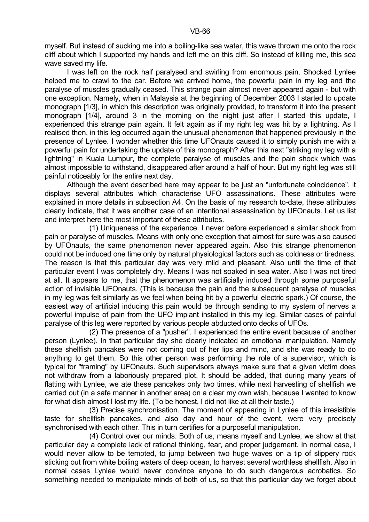myself. But instead of sucking me into a boiling-like sea water, this wave thrown me onto the rock cliff about which I supported my hands and left me on this cliff. So instead of killing me, this sea wave saved my life.

 I was left on the rock half paralysed and swirling from enormous pain. Shocked Lynlee helped me to crawl to the car. Before we arrived home, the powerful pain in my leg and the paralyse of muscles gradually ceased. This strange pain almost never appeared again - but with one exception. Namely, when in Malaysia at the beginning of December 2003 I started to update monograph [1/3], in which this description was originally provided, to transform it into the present monograph [1/4], around 3 in the morning on the night just after I started this update, I experienced this strange pain again. It felt again as if my right leg was hit by a lightning. As I realised then, in this leg occurred again the unusual phenomenon that happened previously in the presence of Lynlee. I wonder whether this time UFOnauts caused it to simply punish me with a powerful pain for undertaking the update of this monograph? After this next "striking my leg with a lightning" in Kuala Lumpur, the complete paralyse of muscles and the pain shock which was almost impossible to withstand, disappeared after around a half of hour. But my right leg was still painful noticeably for the entire next day.

 Although the event described here may appear to be just an "unfortunate coincidence", it displays several attributes which characterise UFO assassinations. These attributes were explained in more details in subsection A4. On the basis of my research to-date, these attributes clearly indicate, that it was another case of an intentional assassination by UFOnauts. Let us list and interpret here the most important of these attributes.

 (1) Uniqueness of the experience. I never before experienced a similar shock from pain or paralyse of muscles. Means with only one exception that almost for sure was also caused by UFOnauts, the same phenomenon never appeared again. Also this strange phenomenon could not be induced one time only by natural physiological factors such as coldness or tiredness. The reason is that this particular day was very mild and pleasant. Also until the time of that particular event I was completely dry. Means I was not soaked in sea water. Also I was not tired at all. It appears to me, that the phenomenon was artificially induced through some purposeful action of invisible UFOnauts. (This is because the pain and the subsequent paralyse of muscles in my leg was felt similarly as we feel when being hit by a powerful electric spark.) Of course, the easiest way of artificial inducing this pain would be through sending to my system of nerves a powerful impulse of pain from the UFO implant installed in this my leg. Similar cases of painful paralyse of this leg were reported by various people abducted onto decks of UFOs.

 (2) The presence of a "pusher". I experienced the entire event because of another person (Lynlee). In that particular day she clearly indicated an emotional manipulation. Namely these shellfish pancakes were not coming out of her lips and mind, and she was ready to do anything to get them. So this other person was performing the role of a supervisor, which is typical for "framing" by UFOnauts. Such supervisors always make sure that a given victim does not withdraw from a laboriously prepared plot. It should be added, that during many years of flatting with Lynlee, we ate these pancakes only two times, while next harvesting of shellfish we carried out (in a safe manner in another area) on a clear my own wish, because I wanted to know for what dish almost I lost my life. (To be honest, I did not like at all their taste.)

 (3) Precise synchronisation. The moment of appearing in Lynlee of this irresistible taste for shellfish pancakes, and also day and hour of the event, were very precisely synchronised with each other. This in turn certifies for a purposeful manipulation.

 (4) Control over our minds. Both of us, means myself and Lynlee, we show at that particular day a complete lack of rational thinking, fear, and proper judgement. In normal case, I would never allow to be tempted, to jump between two huge waves on a tip of slippery rock sticking out from white boiling waters of deep ocean, to harvest several worthless shellfish. Also in normal cases Lynlee would never convince anyone to do such dangerous acrobatics. So something needed to manipulate minds of both of us, so that this particular day we forget about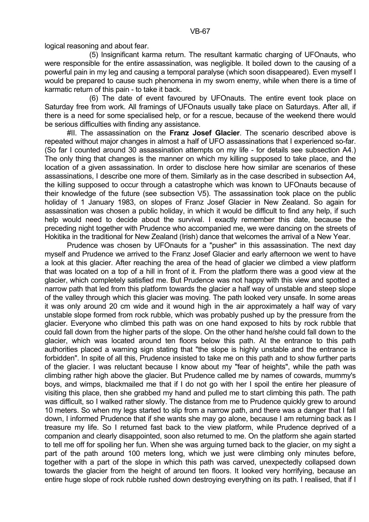logical reasoning and about fear.

 (5) Insignificant karma return. The resultant karmatic charging of UFOnauts, who were responsible for the entire assassination, was negligible. It boiled down to the causing of a powerful pain in my leg and causing a temporal paralyse (which soon disappeared). Even myself I would be prepared to cause such phenomena in my sworn enemy, while when there is a time of karmatic return of this pain - to take it back.

 (6) The date of event favoured by UFOnauts. The entire event took place on Saturday free from work. All framings of UFOnauts usually take place on Saturdays. After all, if there is a need for some specialised help, or for a rescue, because of the weekend there would be serious difficulties with finding any assistance.

 #II. The assassination on the **Franz Josef Glacier**. The scenario described above is repeated without major changes in almost a half of UFO assassinations that I experienced so-far. (So far I counted around 30 assassination attempts on my life - for details see subsection A4.) The only thing that changes is the manner on which my killing supposed to take place, and the location of a given assassination. In order to disclose here how similar are scenarios of these assassinations, I describe one more of them. Similarly as in the case described in subsection A4, the killing supposed to occur through a catastrophe which was known to UFOnauts because of their knowledge of the future (see subsection V5). The assassination took place on the public holiday of 1 January 1983, on slopes of Franz Josef Glacier in New Zealand. So again for assassination was chosen a public holiday, in which it would be difficult to find any help, if such help would need to decide about the survival. I exactly remember this date, because the preceding night together with Prudence who accompanied me, we were dancing on the streets of Hokitika in the traditional for New Zealand (Irish) dance that welcomes the arrival of a New Year.

 Prudence was chosen by UFOnauts for a "pusher" in this assassination. The next day myself and Prudence we arrived to the Franz Josef Glacier and early afternoon we went to have a look at this glacier. After reaching the area of the head of glacier we climbed a view platform that was located on a top of a hill in front of it. From the platform there was a good view at the glacier, which completely satisfied me. But Prudence was not happy with this view and spotted a narrow path that led from this platform towards the glacier a half way of unstable and steep slope of the valley through which this glacier was moving. The path looked very unsafe. In some areas it was only around 20 cm wide and it wound high in the air approximately a half way of vary unstable slope formed from rock rubble, which was probably pushed up by the pressure from the glacier. Everyone who climbed this path was on one hand exposed to hits by rock rubble that could fall down from the higher parts of the slope. On the other hand he/she could fall down to the glacier, which was located around ten floors below this path. At the entrance to this path authorities placed a warning sign stating that "the slope is highly unstable and the entrance is forbidden". In spite of all this, Prudence insisted to take me on this path and to show further parts of the glacier. I was reluctant because I know about my "fear of heights", while the path was climbing rather high above the glacier. But Prudence called me by names of cowards, mummy's boys, and wimps, blackmailed me that if I do not go with her I spoil the entire her pleasure of visiting this place, then she grabbed my hand and pulled me to start climbing this path. The path was difficult, so I walked rather slowly. The distance from me to Prudence quickly grew to around 10 meters. So when my legs started to slip from a narrow path, and there was a danger that I fall down, I informed Prudence that if she wants she may go alone, because I am returning back as I treasure my life. So I returned fast back to the view platform, while Prudence deprived of a companion and clearly disappointed, soon also returned to me. On the platform she again started to tell me off for spoiling her fun. When she was arguing turned back to the glacier, on my sight a part of the path around 100 meters long, which we just were climbing only minutes before, together with a part of the slope in which this path was carved, unexpectedly collapsed down towards the glacier from the height of around ten floors. It looked very horrifying, because an entire huge slope of rock rubble rushed down destroying everything on its path. I realised, that if I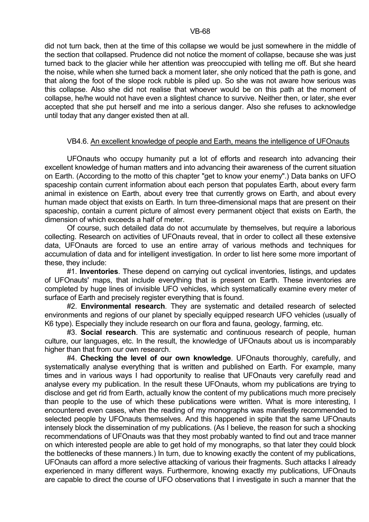did not turn back, then at the time of this collapse we would be just somewhere in the middle of the section that collapsed. Prudence did not notice the moment of collapse, because she was just turned back to the glacier while her attention was preoccupied with telling me off. But she heard the noise, while when she turned back a moment later, she only noticed that the path is gone, and that along the foot of the slope rock rubble is piled up. So she was not aware how serious was this collapse. Also she did not realise that whoever would be on this path at the moment of collapse, he/he would not have even a slightest chance to survive. Neither then, or later, she ever accepted that she put herself and me into a serious danger. Also she refuses to acknowledge until today that any danger existed then at all.

## VB4.6. An excellent knowledge of people and Earth, means the intelligence of UFOnauts

 UFOnauts who occupy humanity put a lot of efforts and research into advancing their excellent knowledge of human matters and into advancing their awareness of the current situation on Earth. (According to the motto of this chapter "get to know your enemy".) Data banks on UFO spaceship contain current information about each person that populates Earth, about every farm animal in existence on Earth, about every tree that currently grows on Earth, and about every human made object that exists on Earth. In turn three-dimensional maps that are present on their spaceship, contain a current picture of almost every permanent object that exists on Earth, the dimension of which exceeds a half of meter.

 Of course, such detailed data do not accumulate by themselves, but require a laborious collecting. Research on activities of UFOnauts reveal, that in order to collect all these extensive data, UFOnauts are forced to use an entire array of various methods and techniques for accumulation of data and for intelligent investigation. In order to list here some more important of these, they include:

 #1. **Inventories**. These depend on carrying out cyclical inventories, listings, and updates of UFOnauts' maps, that include everything that is present on Earth. These inventories are completed by huge lines of invisible UFO vehicles, which systematically examine every meter of surface of Earth and precisely register everything that is found.

 #2. **Environmental research**. They are systematic and detailed research of selected environments and regions of our planet by specially equipped research UFO vehicles (usually of K6 type). Especially they include research on our flora and fauna, geology, farming, etc.

 #3. **Social research**. This are systematic and continuous research of people, human culture, our languages, etc. In the result, the knowledge of UFOnauts about us is incomparably higher than that from our own research.

 #4. **Checking the level of our own knowledge**. UFOnauts thoroughly, carefully, and systematically analyse everything that is written and published on Earth. For example, many times and in various ways I had opportunity to realise that UFOnauts very carefully read and analyse every my publication. In the result these UFOnauts, whom my publications are trying to disclose and get rid from Earth, actually know the content of my publications much more precisely than people to the use of which these publications were written. What is more interesting, I encountered even cases, when the reading of my monographs was manifestly recommended to selected people by UFOnauts themselves. And this happened in spite that the same UFOnauts intensely block the dissemination of my publications. (As I believe, the reason for such a shocking recommendations of UFOnauts was that they most probably wanted to find out and trace manner on which interested people are able to get hold of my monographs, so that later they could block the bottlenecks of these manners.) In turn, due to knowing exactly the content of my publications, UFOnauts can afford a more selective attacking of various their fragments. Such attacks I already experienced in many different ways. Furthermore, knowing exactly my publications, UFOnauts are capable to direct the course of UFO observations that I investigate in such a manner that the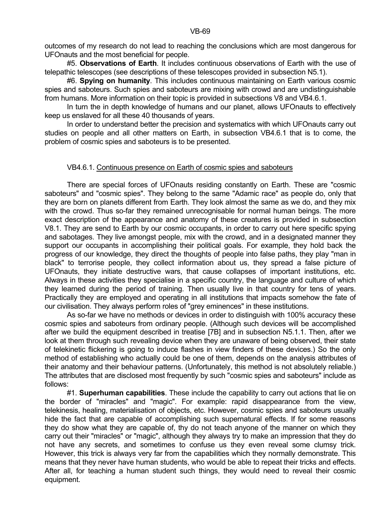#5. **Observations of Earth**. It includes continuous observations of Earth with the use of telepathic telescopes (see descriptions of these telescopes provided in subsection N5.1).

 #6. **Spying on humanity**. This includes continuous maintaining on Earth various cosmic spies and saboteurs. Such spies and saboteurs are mixing with crowd and are undistinguishable from humans. More information on their topic is provided in subsections V8 and VB4.6.1.

 In turn the in depth knowledge of humans and our planet, allows UFOnauts to effectively keep us enslaved for all these 40 thousands of years.

 In order to understand better the precision and systematics with which UFOnauts carry out studies on people and all other matters on Earth, in subsection VB4.6.1 that is to come, the problem of cosmic spies and saboteurs is to be presented.

### VB4.6.1. Continuous presence on Earth of cosmic spies and saboteurs

 There are special forces of UFOnauts residing constantly on Earth. These are "cosmic saboteurs" and "cosmic spies". They belong to the same "Adamic race" as people do, only that they are born on planets different from Earth. They look almost the same as we do, and they mix with the crowd. Thus so-far they remained unrecognisable for normal human beings. The more exact description of the appearance and anatomy of these creatures is provided in subsection V8.1. They are send to Earth by our cosmic occupants, in order to carry out here specific spying and sabotages. They live amongst people, mix with the crowd, and in a designated manner they support our occupants in accomplishing their political goals. For example, they hold back the progress of our knowledge, they direct the thoughts of people into false paths, they play "man in black" to terrorise people, they collect information about us, they spread a false picture of UFOnauts, they initiate destructive wars, that cause collapses of important institutions, etc. Always in these activities they specialise in a specific country, the language and culture of which they learned during the period of training. Then usually live in that country for tens of years. Practically they are employed and operating in all institutions that impacts somehow the fate of our civilisation. They always perform roles of "grey eminences" in these institutions.

 As so-far we have no methods or devices in order to distinguish with 100% accuracy these cosmic spies and saboteurs from ordinary people. (Although such devices will be accomplished after we build the equipment described in treatise [7B] and in subsection N5.1.1. Then, after we look at them through such revealing device when they are unaware of being observed, their state of telekinetic flickering is going to induce flashes in view finders of these devices.) So the only method of establishing who actually could be one of them, depends on the analysis attributes of their anatomy and their behaviour patterns. (Unfortunately, this method is not absolutely reliable.) The attributes that are disclosed most frequently by such "cosmic spies and saboteurs" include as follows:

 #1. **Superhuman capabilities**. These include the capability to carry out actions that lie on the border of "miracles" and "magic". For example: rapid disappearance from the view, telekinesis, healing, materialisation of objects, etc. However, cosmic spies and saboteurs usually hide the fact that are capable of accomplishing such supernatural effects. If for some reasons they do show what they are capable of, thy do not teach anyone of the manner on which they carry out their "miracles" or "magic", although they always try to make an impression that they do not have any secrets, and sometimes to confuse us they even reveal some clumsy trick. However, this trick is always very far from the capabilities which they normally demonstrate. This means that they never have human students, who would be able to repeat their tricks and effects. After all, for teaching a human student such things, they would need to reveal their cosmic equipment.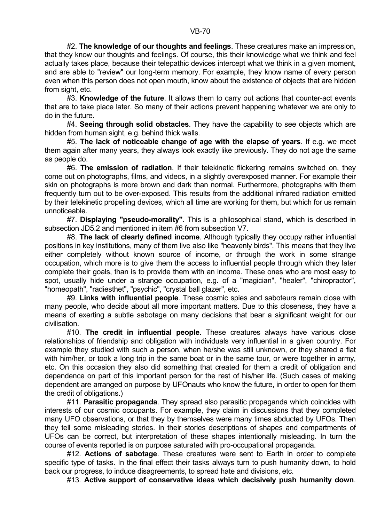#2. **The knowledge of our thoughts and feelings**. These creatures make an impression, that they know our thoughts and feelings. Of course, this their knowledge what we think and feel actually takes place, because their telepathic devices intercept what we think in a given moment, and are able to "review" our long-term memory. For example, they know name of every person even when this person does not open mouth, know about the existence of objects that are hidden from sight, etc.

 #3. **Knowledge of the future**. It allows them to carry out actions that counter-act events that are to take place later. So many of their actions prevent happening whatever we are only to do in the future.

 #4. **Seeing through solid obstacles**. They have the capability to see objects which are hidden from human sight, e.g. behind thick walls.

 #5. **The lack of noticeable change of age with the elapse of years**. If e.g. we meet them again after many years, they always look exactly like previously. They do not age the same as people do.

 #6. **The emission of radiation**. If their telekinetic flickering remains switched on, they come out on photographs, films, and videos, in a slightly overexposed manner. For example their skin on photographs is more brown and dark than normal. Furthermore, photographs with them frequently turn out to be over-exposed. This results from the additional infrared radiation emitted by their telekinetic propelling devices, which all time are working for them, but which for us remain unnoticeable.

 #7. **Displaying "pseudo-morality"**. This is a philosophical stand, which is described in subsection JD5.2 and mentioned in item #6 from subsection V7.

 #8. **The lack of clearly defined income**. Although typically they occupy rather influential positions in key institutions, many of them live also like "heavenly birds". This means that they live either completely without known source of income, or through the work in some strange occupation, which more is to give them the access to influential people through which they later complete their goals, than is to provide them with an income. These ones who are most easy to spot, usually hide under a strange occupation, e.g. of a "magician", "healer", "chiropractor", "homeopath", "radiesthet", "psychic", "crystal ball glazer", etc.

 #9. **Links with influential people**. These cosmic spies and saboteurs remain close with many people, who decide about all more important matters. Due to this closeness, they have a means of exerting a subtle sabotage on many decisions that bear a significant weight for our civilisation.

 #10. **The credit in influential people**. These creatures always have various close relationships of friendship and obligation with individuals very influential in a given country. For example they studied with such a person, when he/she was still unknown, or they shared a flat with him/her, or took a long trip in the same boat or in the same tour, or were together in army, etc. On this occasion they also did something that created for them a credit of obligation and dependence on part of this important person for the rest of his/her life. (Such cases of making dependent are arranged on purpose by UFOnauts who know the future, in order to open for them the credit of obligations.)

 #11. **Parasitic propaganda**. They spread also parasitic propaganda which coincides with interests of our cosmic occupants. For example, they claim in discussions that they completed many UFO observations, or that they by themselves were many times abducted by UFOs. Then they tell some misleading stories. In their stories descriptions of shapes and compartments of UFOs can be correct, but interpretation of these shapes intentionally misleading. In turn the course of events reported is on purpose saturated with pro-occupational propaganda.

 #12. **Actions of sabotage**. These creatures were sent to Earth in order to complete specific type of tasks. In the final effect their tasks always turn to push humanity down, to hold back our progress, to induce disagreements, to spread hate and divisions, etc.

#13. **Active support of conservative ideas which decisively push humanity down**.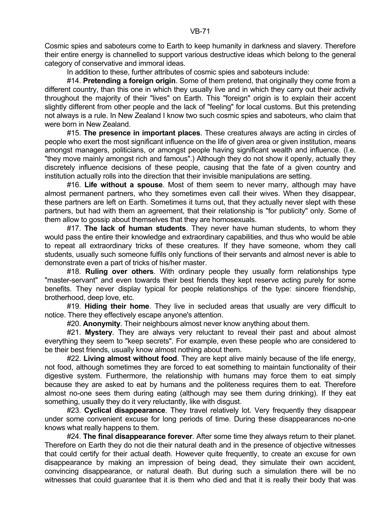Cosmic spies and saboteurs come to Earth to keep humanity in darkness and slavery. Therefore their entire energy is channelled to support various destructive ideas which belong to the general category of conservative and immoral ideas.

In addition to these, further attributes of cosmic spies and saboteurs include:

 #14. **Pretending a foreign origin**. Some of them pretend, that originally they come from a different country, than this one in which they usually live and in which they carry out their activity throughout the majority of their "lives" on Earth. This "foreign" origin is to explain their accent slightly different from other people and the lack of "feeling" for local customs. But this pretending not always is a rule. In New Zealand I know two such cosmic spies and saboteurs, who claim that were born in New Zealand.

 #15. **The presence in important places**. These creatures always are acting in circles of people who exert the most significant influence on the life of given area or given institution, means amongst managers, politicians, or amongst people having significant wealth and influence. (I.e. "they move mainly amongst rich and famous".) Although they do not show it openly, actually they discretely influence decisions of these people, causing that the fate of a given country and institution actually rolls into the direction that their invisible manipulations are setting.

 #16. **Life without a spouse**. Most of them seem to never marry, although may have almost permanent partners, who they sometimes even call their wives. When they disappear, these partners are left on Earth. Sometimes it turns out, that they actually never slept with these partners, but had with them an agreement, that their relationship is "for publicity" only. Some of them allow to gossip about themselves that they are homosexuals.

 #17. **The lack of human students**. They never have human students, to whom they would pass the entire their knowledge and extraordinary capabilities, and thus who would be able to repeat all extraordinary tricks of these creatures. If they have someone, whom they call students, usually such someone fulfils only functions of their servants and almost never is able to demonstrate even a part of tricks of his/her master.

 #18. **Ruling over others**. With ordinary people they usually form relationships type "master-servant" and even towards their best friends they kept reserve acting purely for some benefits. They never display typical for people relationships of the type: sincere friendship, brotherhood, deep love, etc.

 #19. **Hiding their home**. They live in secluded areas that usually are very difficult to notice. There they effectively escape anyone's attention.

#20. **Anonymity**. Their neighbours almost never know anything about them.

 #21. **Mystery**. They are always very reluctant to reveal their past and about almost everything they seem to "keep secrets". For example, even these people who are considered to be their best friends, usually know almost nothing about them.

 #22. **Living almost without food**. They are kept alive mainly because of the life energy, not food, although sometimes they are forced to eat something to maintain functionality of their digestive system. Furthermore, the relationship with humans may force them to eat simply because they are asked to eat by humans and the politeness requires them to eat. Therefore almost no-one sees them during eating (although may see them during drinking). If they eat something, usually they do it very reluctantly, like with disgust.

 #23. **Cyclical disappearance**. They travel relatively lot. Very frequently they disappear under some convenient excuse for long periods of time. During these disappearances no-one knows what really happens to them.

 #24. **The final disappearance forever**. After some time they always return to their planet. Therefore on Earth they do not die their natural death and in the presence of objective witnesses that could certify for their actual death. However quite frequently, to create an excuse for own disappearance by making an impression of being dead, they simulate their own accident, convincing disappearance, or natural death. But during such a simulation there will be no witnesses that could guarantee that it is them who died and that it is really their body that was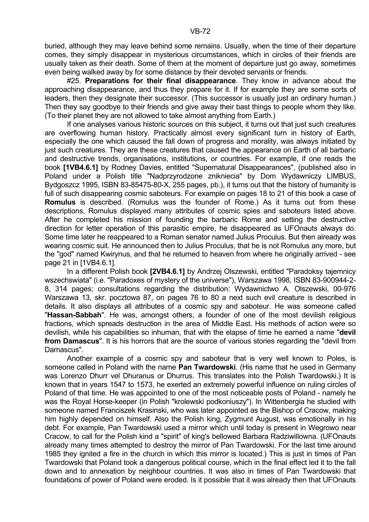buried, although they may leave behind some remains. Usually, when the time of their departure comes, they simply disappear in mysterious circumstances, which in circles of their friends are usually taken as their death. Some of them at the moment of departure just go away, sometimes even being walked away by for some distance by their devoted servants or friends.

 #25. **Preparations for their final disappearance**. They know in advance about the approaching disappearance, and thus they prepare for it. If for example they are some sorts of leaders, then they designate their successor. (This successor is usually just an ordinary human.) Then they say goodbye to their friends and give away their bast things to people whom they like. (To their planet they are not allowed to take almost anything from Earth.)

 If one analyses various historic sources on this subject, it turns out that just such creatures are overflowing human history. Practically almost every significant turn in history of Earth, especially the one which caused the fall down of progress and morality, was always initiated by just such creatures. They are these creatures that caused the appearance on Earth of all barbaric and destructive trends, organisations, institutions, or countries. For example, if one reads the book **[1VB4.6.1]** by Rodney Davies, entitled "Supernatural Disappearances", (published also in Poland under a Polish title "Nadprzyrodzone znikniecia" by Dom Wydawniczy LIMBUS, Bydgoszcz 1995, ISBN 83-85475-80-X, 255 pages, pb.), it turns out that the history of humanity is full of such disappearing cosmic saboteurs. For example on pages 18 to 21 of this book a case of **Romulus** is described. (Romulus was the founder of Rome.) As it turns out from these descriptions, Romulus displayed many attributes of cosmic spies and saboteurs listed above. After he completed his mission of founding the barbaric Rome and setting the destructive direction for letter operation of this parasitic empire, he disappeared as UFOnauts always do. Some time later he reappeared to a Roman senator named Julius Proculus. But then already was wearing cosmic suit. He announced then to Julius Proculus, that he is not Romulus any more, but the "god" named Kwirynus, and that he returned to heaven from where he originally arrived - see page 21 in [1VB4.6.1].

 In a different Polish book **[2VB4.6.1]** by Andrzej Olszewski, entitled "Paradoksy tajemnicy wszechswiata" (i.e. "Paradoxes of mystery of the universe"), Warszawa 1998, ISBN 83-900944-2- 8, 314 pages; consultations regarding the distribution: Wydawnictwo A. Olszewski, 00-976 Warszawa 13, skr. pocztowa 87, on pages 76 to 80 a next such evil creature is described in details. It also displays all attributes of a cosmic spy and saboteur. He was someone called "**Hassan-Sabbah**". He was, amongst others, a founder of one of the most devilish religious fractions, which spreads destruction in the area of Middle East. His methods of action were so devilish, while his capabilities so inhuman, that with the elapse of time he earned a name "**devil from Damascus**". It is his horrors that are the source of various stories regarding the "devil from Damascus".

 Another example of a cosmic spy and saboteur that is very well known to Poles, is someone called in Poland with the name **Pan Twardowski**. (His name that he used in Germany was Lorenzo Dhurr vel Dhuranus or Dhurrus. This translates into the Polish Twardowski.) It is known that in years 1547 to 1573, he exerted an extremely powerful influence on ruling circles of Poland of that time. He was appointed to one of the most noticeable posts of Poland - namely he was the Royal Horse-keeper (in Polish "krolewski podkoniuszy"). In Wittenbergia he studied with someone named Franciszek Krasinski, who was later appointed as the Bishop of Cracow, making him highly depended on himself. Also the Polish king, Zygmunt August, was emotionally in his debt. For example, Pan Twardowski used a mirror which until today is present in Wegrowo near Cracow, to call for the Polish kind a "spirit" of king's bellowed Barbara Radziwillowna. (UFOnauts already many times attempted to destroy the mirror of Pan Twardowski. For the last time around 1985 they ignited a fire in the church in which this mirror is located.) This is just in times of Pan Twardowski that Poland took a dangerous political course, which in the final effect led it to the fall down and to annexation by neighbour countries. It was also in times of Pan Twardowski that foundations of power of Poland were eroded. Is it possible that it was already then that UFOnauts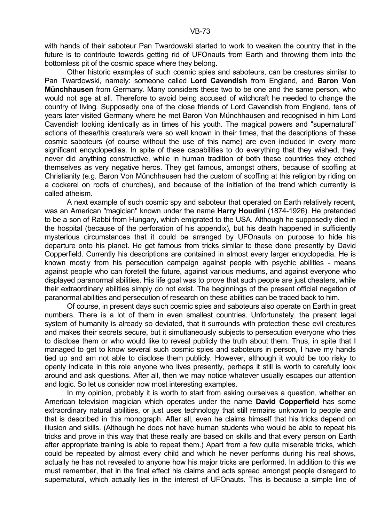Other historic examples of such cosmic spies and saboteurs, can be creatures similar to Pan Twardowski, namely: someone called **Lord Cavendish** from England, and **Baron Von Münchhausen** from Germany. Many considers these two to be one and the same person, who would not age at all. Therefore to avoid being accused of witchcraft he needed to change the country of living. Supposedly one of the close friends of Lord Cavendish from England, tens of years later visited Germany where he met Baron Von Münchhausen and recognised in him Lord Cavendish looking identically as in times of his youth. The magical powers and "supernatural" actions of these/this creature/s were so well known in their times, that the descriptions of these cosmic saboteurs (of course without the use of this name) are even included in every more significant encyclopedias. In spite of these capabilities to do everything that they wished, they never did anything constructive, while in human tradition of both these countries they etched themselves as very negative heros. They get famous, amongst others, because of scoffing at Christianity (e.g. Baron Von Münchhausen had the custom of scoffing at this religion by riding on a cockerel on roofs of churches), and because of the initiation of the trend which currently is called atheism.

 A next example of such cosmic spy and saboteur that operated on Earth relatively recent, was an American "magician" known under the name **Harry Houdini** (1874-1926). He pretended to be a son of Rabbi from Hungary, which emigrated to the USA. Although he supposedly died in the hospital (because of the perforation of his appendix), but his death happened in sufficiently mysterious circumstances that it could be arranged by UFOnauts on purpose to hide his departure onto his planet. He get famous from tricks similar to these done presently by David Copperfield. Currently his descriptions are contained in almost every larger encyclopedia. He is known mostly from his persecution campaign against people with psychic abilities - means against people who can foretell the future, against various mediums, and against everyone who displayed paranormal abilities. His life goal was to prove that such people are just cheaters, while their extraordinary abilities simply do not exist. The beginnings of the present official negation of paranormal abilities and persecution of research on these abilities can be traced back to him.

 Of course, in present days such cosmic spies and saboteurs also operate on Earth in great numbers. There is a lot of them in even smallest countries. Unfortunately, the present legal system of humanity is already so deviated, that it surrounds with protection these evil creatures and makes their secrets secure, but it simultaneously subjects to persecution everyone who tries to disclose them or who would like to reveal publicly the truth about them. Thus, in spite that I managed to get to know several such cosmic spies and saboteurs in person, I have my hands tied up and am not able to disclose them publicly. However, although it would be too risky to openly indicate in this role anyone who lives presently, perhaps it still is worth to carefully look around and ask questions. After all, then we may notice whatever usually escapes our attention and logic. So let us consider now most interesting examples.

In my opinion, probably it is worth to start from asking ourselves a question, whether an American television magician which operates under the name **David Copperfield** has some extraordinary natural abilities, or just uses technology that still remains unknown to people and that is described in this monograph. After all, even he claims himself that his tricks depend on illusion and skills. (Although he does not have human students who would be able to repeat his tricks and prove in this way that these really are based on skills and that every person on Earth after appropriate training is able to repeat them.) Apart from a few quite miserable tricks, which could be repeated by almost every child and which he never performs during his real shows, actually he has not revealed to anyone how his major tricks are performed. In addition to this we must remember, that in the final effect his claims and acts spread amongst people disregard to supernatural, which actually lies in the interest of UFOnauts. This is because a simple line of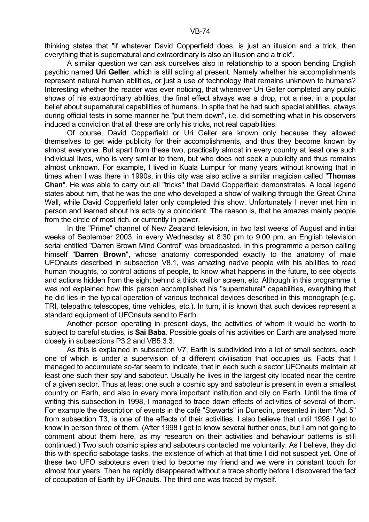thinking states that "if whatever David Copperfield does, is just an illusion and a trick, then everything that is supernatural and extraordinary is also an illusion and a trick".

 A similar question we can ask ourselves also in relationship to a spoon bending English psychic named **Uri Geller**, which is still acting at present. Namely whether his accomplishments represent natural human abilities, or just a use of technology that remains unknown to humans? Interesting whether the reader was ever noticing, that whenever Uri Geller completed any public shows of his extraordinary abilities, the final effect always was a drop, not a rise, in a popular belief about supernatural capabilities of humans. In spite that he had such special abilities, always during official tests in some manner he "put them down", i.e. did something what in his observers induced a conviction that all these are only his tricks, not real capabilities.

 Of course, David Copperfield or Uri Geller are known only because they allowed themselves to get wide publicity for their accomplishments, and thus they become known by almost everyone. But apart from these two, practically almost in every country at least one such individual lives, who is very similar to them, but who does not seek a publicity and thus remains almost unknown. For example, I lived in Kuala Lumpur for many years without knowing that in times when I was there in 1990s, in this city was also active a similar magician called "**Thomas Chan**". He was able to carry out all "tricks" that David Copperfield demonstrates. A local legend states about him, that he was the one who developed a show of walking through the Great China Wall, while David Copperfield later only completed this show. Unfortunately I never met him in person and learned about his acts by a coincident. The reason is, that he amazes mainly people from the circle of most rich, or currently in power.

 In the "Prime" channel of New Zealand television, in two last weeks of August and initial weeks of September 2003, in every Wednesday at 8:30 pm to 9:00 pm, an English television serial entitled "Darren Brown Mind Control" was broadcasted. In this programme a person calling himself "**Darren Brown**", whose anatomy corresponded exactly to the anatomy of male UFOnauts described in subsection V8.1, was amazing naďve people with his abilities to read human thoughts, to control actions of people, to know what happens in the future, to see objects and actions hidden from the sight behind a thick wall or screen, etc. Although in this programme it was not explained how this person accomplished his "supernatural" capabilities, everything that he did lies in the typical operation of various technical devices described in this monograph (e.g. TRI, telepathic telescopes, time vehicles, etc.). In turn, it is known that such devices represent a standard equipment of UFOnauts send to Earth.

 Another person operating in present days, the activities of whom it would be worth to subject to careful studies, is **Sai Baba**. Possible goals of his activities on Earth are analysed more closely in subsections P3.2 and VB5.3.3.

 As this is explained in subsection V7, Earth is subdivided into a lot of small sectors, each one of which is under a supervision of a different civilisation that occupies us. Facts that I managed to accumulate so-far seem to indicate, that in each such a sector UFOnauts maintain at least one such their spy and saboteur. Usually he lives in the largest city located near the centre of a given sector. Thus at least one such a cosmic spy and saboteur is present in even a smallest country on Earth, and also in every more important institution and city on Earth. Until the time of writing this subsection in 1998, I managed to trace down effects of activities of several of them. For example the description of events in the café "Stewarts" in Dunedin, presented in item "Ad. 5" from subsection T3, is one of the effects of their activities. I also believe that until 1998 I get to know in person three of them. (After 1998 I get to know several further ones, but I am not going to comment about them here, as my research on their activities and behaviour patterns is still continued.) Two such cosmic spies and saboteurs contacted me voluntarily. As I believe, they did this with specific sabotage tasks, the existence of which at that time I did not suspect yet. One of these two UFO saboteurs even tried to become my friend and we were in constant touch for almost four years. Then he rapidly disappeared without a trace shortly before I discovered the fact of occupation of Earth by UFOnauts. The third one was traced by myself.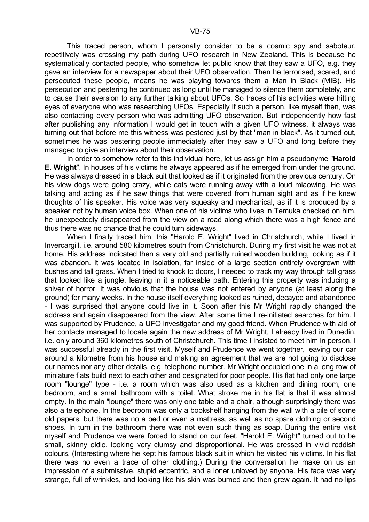This traced person, whom I personally consider to be a cosmic spy and saboteur, repetitively was crossing my path during UFO research in New Zealand. This is because he systematically contacted people, who somehow let public know that they saw a UFO, e.g. they gave an interview for a newspaper about their UFO observation. Then he terrorised, scared, and persecuted these people, means he was playing towards them a Man in Black (MIB). His persecution and pestering he continued as long until he managed to silence them completely, and to cause their aversion to any further talking about UFOs. So traces of his activities were hitting eyes of everyone who was researching UFOs. Especially if such a person, like myself then, was also contacting every person who was admitting UFO observation. But independently how fast after publishing any information I would get in touch with a given UFO witness, it always was turning out that before me this witness was pestered just by that "man in black". As it turned out, sometimes he was pestering people immediately after they saw a UFO and long before they managed to give an interview about their observation.

 In order to somehow refer to this individual here, let us assign him a pseudonyme "**Harold E. Wright**". In houses of his victims he always appeared as if he emerged from under the ground. He was always dressed in a black suit that looked as if it originated from the previous century. On his view dogs were going crazy, while cats were running away with a loud miaowing. He was talking and acting as if he saw things that were covered from human sight and as if he knew thoughts of his speaker. His voice was very squeaky and mechanical, as if it is produced by a speaker not by human voice box. When one of his victims who lives in Temuka checked on him, he unexpectedly disappeared from the view on a road along which there was a high fence and thus there was no chance that he could turn sideways.

 When I finally traced him, this "Harold E. Wright" lived in Christchurch, while I lived in Invercargill, i.e. around 580 kilometres south from Christchurch. During my first visit he was not at home. His address indicated then a very old and partially ruined wooden building, looking as if it was abandon. It was located in isolation, far inside of a large section entirely overgrown with bushes and tall grass. When I tried to knock to doors, I needed to track my way through tall grass that looked like a jungle, leaving in it a noticeable path. Entering this property was inducing a shiver of horror. It was obvious that the house was not entered by anyone (at least along the ground) for many weeks. In the house itself everything looked as ruined, decayed and abandoned - I was surprised that anyone could live in it. Soon after this Mr Wright rapidly changed the address and again disappeared from the view. After some time I re-initiated searches for him. I was supported by Prudence, a UFO investigator and my good friend. When Prudence with aid of her contacts managed to locate again the new address of Mr Wright, I already lived in Dunedin, i.e. only around 360 kilometres south of Christchurch. This time I insisted to meet him in person. I was successful already in the first visit. Myself and Prudence we went together, leaving our car around a kilometre from his house and making an agreement that we are not going to disclose our names nor any other details, e.g. telephone number. Mr Wright occupied one in a long row of miniature flats build next to each other and designated for poor people. His flat had only one large room "lounge" type - i.e. a room which was also used as a kitchen and dining room, one bedroom, and a small bathroom with a toilet. What stroke me in his flat is that it was almost empty. In the main "lounge" there was only one table and a chair, although surprisingly there was also a telephone. In the bedroom was only a bookshelf hanging from the wall with a pile of some old papers, but there was no a bed or even a mattress, as well as no spare clothing or second shoes. In turn in the bathroom there was not even such thing as soap. During the entire visit myself and Prudence we were forced to stand on our feet. "Harold E. Wright" turned out to be small, skinny oldie, looking very clumsy and disproportional. He was dressed in vivid reddish colours. (Interesting where he kept his famous black suit in which he visited his victims. In his flat there was no even a trace of other clothing.) During the conversation he make on us an impression of a submissive, stupid eccentric, and a loner unloved by anyone. His face was very strange, full of wrinkles, and looking like his skin was burned and then grew again. It had no lips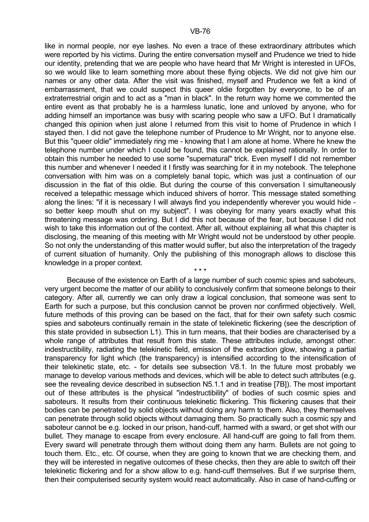like in normal people, nor eye lashes. No even a trace of these extraordinary attributes which were reported by his victims. During the entire conversation myself and Prudence we tried to hide our identity, pretending that we are people who have heard that Mr Wright is interested in UFOs, so we would like to learn something more about these flying objects. We did not give him our names or any other data. After the visit was finished, myself and Prudence we felt a kind of embarrassment, that we could suspect this queer oldie forgotten by everyone, to be of an extraterrestrial origin and to act as a "man in black". In the return way home we commented the entire event as that probably he is a harmless lunatic, lone and unloved by anyone, who for adding himself an importance was busy with scaring people who saw a UFO. But I dramatically changed this opinion when just alone I returned from this visit to home of Prudence in which I stayed then. I did not gave the telephone number of Prudence to Mr Wright, nor to anyone else. But this "queer oldie" immediately ring me - knowing that I am alone at home. Where he knew the telephone number under which I could be found, this cannot be explained rationally. In order to obtain this number he needed to use some "supernatural" trick. Even myself I did not remember this number and whenever I needed it I firstly was searching for it in my notebook. The telephone conversation with him was on a completely banal topic, which was just a continuation of our discussion in the flat of this oldie. But during the course of this conversation I simultaneously received a telepathic message which induced shivers of horror. This message stated something along the lines: "if it is necessary I will always find you independently wherever you would hide so better keep mouth shut on my subject". I was obeying for many years exactly what this threatening message was ordering. But I did this not because of the fear, but because I did not wish to take this information out of the context. After all, without explaining all what this chapter is disclosing, the meaning of this meeting with Mr Wright would not be understood by other people. So not only the understanding of this matter would suffer, but also the interpretation of the tragedy of current situation of humanity. Only the publishing of this monograph allows to disclose this knowledge in a proper context.

 Because of the existence on Earth of a large number of such cosmic spies and saboteurs, very urgent become the matter of our ability to conclusively confirm that someone belongs to their category. After all, currently we can only draw a logical conclusion, that someone was sent to Earth for such a purpose, but this conclusion cannot be proven nor confirmed objectively. Well, future methods of this proving can be based on the fact, that for their own safety such cosmic spies and saboteurs continually remain in the state of telekinetic flickering (see the description of this state provided in subsection L1). This in turn means, that their bodies are characterised by a whole range of attributes that result from this state. These attributes include, amongst other: indestructibility, radiating the telekinetic field, emission of the extraction glow, showing a partial transparency for light which (the transparency) is intensified according to the intensification of their telekinetic state, etc. - for details see subsection V8.1. In the future most probably we manage to develop various methods and devices, which will be able to detect such attributes (e.g. see the revealing device described in subsection N5.1.1 and in treatise [7B]). The most important out of these attributes is the physical "indestructibility" of bodies of such cosmic spies and saboteurs. It results from their continuous telekinetic flickering. This flickering causes that their bodies can be penetrated by solid objects without doing any harm to them. Also, they themselves can penetrate through solid objects without damaging them. So practically such a cosmic spy and saboteur cannot be e.g. locked in our prison, hand-cuff, harmed with a sward, or get shot with our bullet. They manage to escape from every enclosure. All hand-cuff are going to fall from them. Every sward will penetrate through them without doing them any harm. Bullets are not going to touch them. Etc., etc. Of course, when they are going to known that we are checking them, and they will be interested in negative outcomes of these checks, then they are able to switch off their telekinetic flickering and for a show allow to e.g. hand-cuff themselves. But if we surprise them, then their computerised security system would react automatically. Also in case of hand-cuffing or

 $\star \star \star$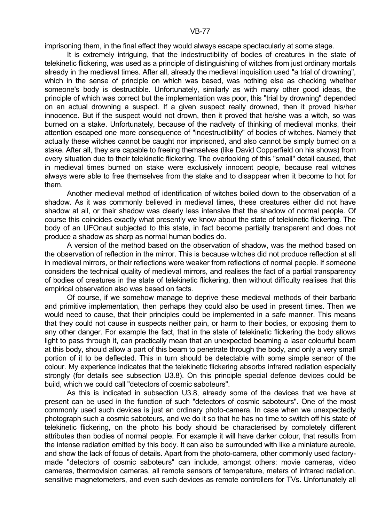imprisoning them, in the final effect they would always escape spectacularly at some stage.

 It is extremely intriguing, that the indestructibility of bodies of creatures in the state of telekinetic flickering, was used as a principle of distinguishing of witches from just ordinary mortals already in the medieval times. After all, already the medieval inquisition used "a trial of drowning", which in the sense of principle on which was based, was nothing else as checking whether someone's body is destructible. Unfortunately, similarly as with many other good ideas, the principle of which was correct but the implementation was poor, this "trial by drowning" depended on an actual drowning a suspect. If a given suspect really drowned, then it proved his/her innocence. But if the suspect would not drown, then it proved that he/she was a witch, so was burned on a stake. Unfortunately, because of the naďvety of thinking of medieval monks, their attention escaped one more consequence of "indestructibility" of bodies of witches. Namely that actually these witches cannot be caught nor imprisoned, and also cannot be simply burned on a stake. After all, they are capable to freeing themselves (like David Copperfield on his shows) from every situation due to their telekinetic flickering. The overlooking of this "small" detail caused, that in medieval times burned on stake were exclusively innocent people, because real witches always were able to free themselves from the stake and to disappear when it become to hot for them.

 Another medieval method of identification of witches boiled down to the observation of a shadow. As it was commonly believed in medieval times, these creatures either did not have shadow at all, or their shadow was clearly less intensive that the shadow of normal people. Of course this coincides exactly what presently we know about the state of telekinetic flickering. The body of an UFOnaut subjected to this state, in fact become partially transparent and does not produce a shadow as sharp as normal human bodies do.

 A version of the method based on the observation of shadow, was the method based on the observation of reflection in the mirror. This is because witches did not produce reflection at all in medieval mirrors, or their reflections were weaker from reflections of normal people. If someone considers the technical quality of medieval mirrors, and realises the fact of a partial transparency of bodies of creatures in the state of telekinetic flickering, then without difficulty realises that this empirical observation also was based on facts.

 Of course, if we somehow manage to deprive these medieval methods of their barbaric and primitive implementation, then perhaps they could also be used in present times. Then we would need to cause, that their principles could be implemented in a safe manner. This means that they could not cause in suspects neither pain, or harm to their bodies, or exposing them to any other danger. For example the fact, that in the state of telekinetic flickering the body allows light to pass through it, can practically mean that an unexpected beaming a laser colourful beam at this body, should allow a part of this beam to penetrate through the body, and only a very small portion of it to be deflected. This in turn should be detectable with some simple sensor of the colour. My experience indicates that the telekinetic flickering absorbs infrared radiation especially strongly (for details see subsection U3.8). On this principle special defence devices could be build, which we could call "detectors of cosmic saboteurs".

 As this is indicated in subsection U3.8, already some of the devices that we have at present can be used in the function of such "detectors of cosmic saboteurs". One of the most commonly used such devices is just an ordinary photo-camera. In case when we unexpectedly photograph such a cosmic saboteurs, and we do it so that he has no time to switch off his state of telekinetic flickering, on the photo his body should be characterised by completely different attributes than bodies of normal people. For example it will have darker colour, that results from the intense radiation emitted by this body. It can also be surrounded with like a miniature aureole, and show the lack of focus of details. Apart from the photo-camera, other commonly used factorymade "detectors of cosmic saboteurs" can include, amongst others: movie cameras, video cameras, thermovision cameras, all remote sensors of temperature, meters of infrared radiation, sensitive magnetometers, and even such devices as remote controllers for TVs. Unfortunately all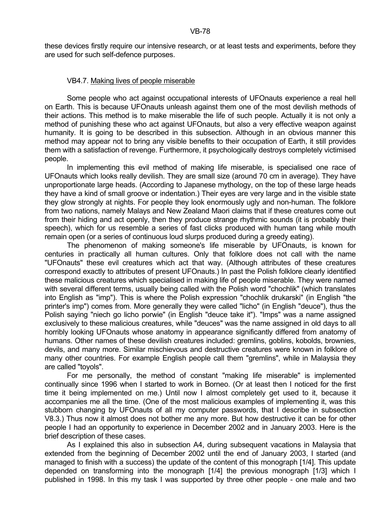these devices firstly require our intensive research, or at least tests and experiments, before they are used for such self-defence purposes.

### VB4.7. Making lives of people miserable

 Some people who act against occupational interests of UFOnauts experience a real hell on Earth. This is because UFOnauts unleash against them one of the most devilish methods of their actions. This method is to make miserable the life of such people. Actually it is not only a method of punishing these who act against UFOnauts, but also a very effective weapon against humanity. It is going to be described in this subsection. Although in an obvious manner this method may appear not to bring any visible benefits to their occupation of Earth, it still provides them with a satisfaction of revenge. Furthermore, it psychologically destroys completely victimised people.

 In implementing this evil method of making life miserable, is specialised one race of UFOnauts which looks really devilish. They are small size (around 70 cm in average). They have unproportionate large heads. (According to Japanese mythology, on the top of these large heads they have a kind of small groove or indentation.) Their eyes are very large and in the visible state they glow strongly at nights. For people they look enormously ugly and non-human. The folklore from two nations, namely Malays and New Zealand Maori claims that if these creatures come out from their hiding and act openly, then they produce strange rhythmic sounds (it is probably their speech), which for us resemble a series of fast clicks produced with human tang while mouth remain open (or a series of continuous loud slurps produced during a greedy eating).

 The phenomenon of making someone's life miserable by UFOnauts, is known for centuries in practically all human cultures. Only that folklore does not call with the name "UFOnauts" these evil creatures which act that way. (Although attributes of these creatures correspond exactly to attributes of present UFOnauts.) In past the Polish folklore clearly identified these malicious creatures which specialised in making life of people miserable. They were named with several different terms, usually being called with the Polish word "chochlik" (which translates into English as "imp"). This is where the Polish expression "chochlik drukarski" (in English "the printer's imp") comes from. More generally they were called "licho" (in English "deuce"), thus the Polish saying "niech go licho porwie" (in English "deuce take it"). "Imps" was a name assigned exclusively to these malicious creatures, while "deuces" was the name assigned in old days to all horribly looking UFOnauts whose anatomy in appearance significantly differed from anatomy of humans. Other names of these devilish creatures included: gremlins, goblins, kobolds, brownies, devils, and many more. Similar mischievous and destructive creatures were known in folklore of many other countries. For example English people call them "gremlins", while in Malaysia they are called "toyols".

 For me personally, the method of constant "making life miserable" is implemented continually since 1996 when I started to work in Borneo. (Or at least then I noticed for the first time it being implemented on me.) Until now I almost completely get used to it, because it accompanies me all the time. (One of the most malicious examples of implementing it, was this stubborn changing by UFOnauts of all my computer passwords, that I describe in subsection V8.3.) Thus now it almost does not bother me any more. But how destructive it can be for other people I had an opportunity to experience in December 2002 and in January 2003. Here is the brief description of these cases.

 As I explained this also in subsection A4, during subsequent vacations in Malaysia that extended from the beginning of December 2002 until the end of January 2003, I started (and managed to finish with a success) the update of the content of this monograph [1/4]. This update depended on transforming into the monograph [1/4] the previous monograph [1/3] which I published in 1998. In this my task I was supported by three other people - one male and two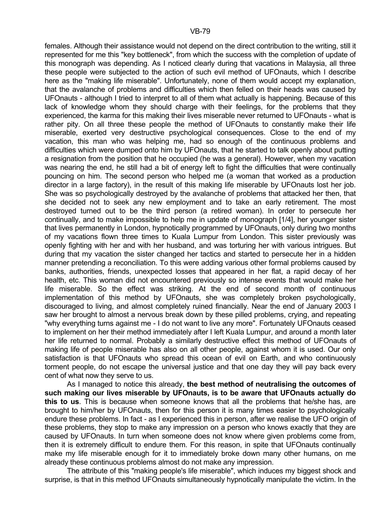females. Although their assistance would not depend on the direct contribution to the writing, still it represented for me this "key bottleneck", from which the success with the completion of update of this monograph was depending. As I noticed clearly during that vacations in Malaysia, all three these people were subjected to the action of such evil method of UFOnauts, which I describe here as the "making life miserable". Unfortunately, none of them would accept my explanation, that the avalanche of problems and difficulties which then felled on their heads was caused by UFOnauts - although I tried to interpret to all of them what actually is happening. Because of this lack of knowledge whom they should charge with their feelings, for the problems that they experienced, the karma for this making their lives miserable never returned to UFOnauts - what is rather pity. On all three these people the method of UFOnauts to constantly make their life miserable, exerted very destructive psychological consequences. Close to the end of my vacation, this man who was helping me, had so enough of the continuous problems and difficulties which were dumped onto him by UFOnauts, that he started to talk openly about putting a resignation from the position that he occupied (he was a general). However, when my vacation was nearing the end, he still had a bit of energy left to fight the difficulties that were continually pouncing on him. The second person who helped me (a woman that worked as a production director in a large factory), in the result of this making life miserable by UFOnauts lost her job. She was so psychologically destroyed by the avalanche of problems that attacked her then, that she decided not to seek any new employment and to take an early retirement. The most destroyed turned out to be the third person (a retired woman). In order to persecute her continually, and to make impossible to help me in update of monograph [1/4], her younger sister that lives permanently in London, hypnotically programmed by UFOnauts, only during two months of my vacations flown three times to Kuala Lumpur from London. This sister previously was openly fighting with her and with her husband, and was torturing her with various intrigues. But during that my vacation the sister changed her tactics and started to persecute her in a hidden manner pretending a reconciliation. To this were adding various other formal problems caused by banks, authorities, friends, unexpected losses that appeared in her flat, a rapid decay of her health, etc. This woman did not encountered previously so intense events that would make her life miserable. So the effect was striking. At the end of second month of continuous implementation of this method by UFOnauts, she was completely broken psychologically, discouraged to living, and almost completely ruined financially. Near the end of January 2003 I saw her brought to almost a nervous break down by these pilled problems, crying, and repeating "why everything turns against me - I do not want to live any more". Fortunately UFOnauts ceased to implement on her their method immediately after I left Kuala Lumpur, and around a month later her life returned to normal. Probably a similarly destructive effect this method of UFOnauts of making life of people miserable has also on all other people, against whom it is used. Our only satisfaction is that UFOnauts who spread this ocean of evil on Earth, and who continuously torment people, do not escape the universal justice and that one day they will pay back every cent of what now they serve to us.

 As I managed to notice this already, **the best method of neutralising the outcomes of such making our lives miserable by UFOnauts, is to be aware that UFOnauts actually do this to us**. This is because when someone knows that all the problems that he/she has, are brought to him/her by UFOnauts, then for this person it is many times easier to psychologically endure these problems. In fact - as I experienced this in person, after we realise the UFO origin of these problems, they stop to make any impression on a person who knows exactly that they are caused by UFOnauts. In turn when someone does not know where given problems come from, then it is extremely difficult to endure them. For this reason, in spite that UFOnauts continually make my life miserable enough for it to immediately broke down many other humans, on me already these continuous problems almost do not make any impression.

 The attribute of this "making people's life miserable", which induces my biggest shock and surprise, is that in this method UFOnauts simultaneously hypnotically manipulate the victim. In the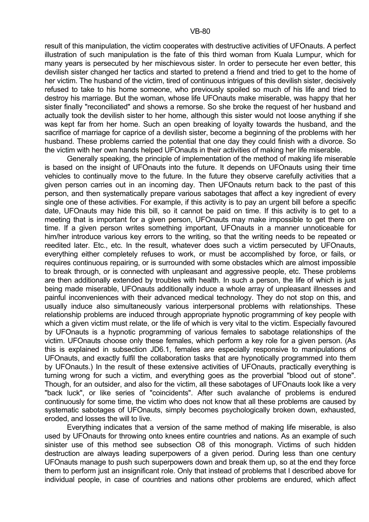result of this manipulation, the victim cooperates with destructive activities of UFOnauts. A perfect illustration of such manipulation is the fate of this third woman from Kuala Lumpur, which for many years is persecuted by her mischievous sister. In order to persecute her even better, this devilish sister changed her tactics and started to pretend a friend and tried to get to the home of her victim. The husband of the victim, tired of continuous intrigues of this devilish sister, decisively refused to take to his home someone, who previously spoiled so much of his life and tried to destroy his marriage. But the woman, whose life UFOnauts make miserable, was happy that her sister finally "reconciliated" and shows a remorse. So she broke the request of her husband and actually took the devilish sister to her home, although this sister would not loose anything if she was kept far from her home. Such an open breaking of loyalty towards the husband, and the sacrifice of marriage for caprice of a devilish sister, become a beginning of the problems with her husband. These problems carried the potential that one day they could finish with a divorce. So the victim with her own hands helped UFOnauts in their activities of making her life miserable.

 Generally speaking, the principle of implementation of the method of making life miserable is based on the insight of UFOnauts into the future. It depends on UFOnauts using their time vehicles to continually move to the future. In the future they observe carefully activities that a given person carries out in an incoming day. Then UFOnauts return back to the past of this person, and then systematically prepare various sabotages that affect a key ingredient of every single one of these activities. For example, if this activity is to pay an urgent bill before a specific date, UFOnauts may hide this bill, so it cannot be paid on time. If this activity is to get to a meeting that is important for a given person, UFOnauts may make impossible to get there on time. If a given person writes something important, UFOnauts in a manner unnoticeable for him/her introduce various key errors to the writing, so that the writing needs to be repeated or reedited later. Etc., etc. In the result, whatever does such a victim persecuted by UFOnauts, everything either completely refuses to work, or must be accomplished by force, or fails, or requires continuous repairing, or is surrounded with some obstacles which are almost impossible to break through, or is connected with unpleasant and aggressive people, etc. These problems are then additionally extended by troubles with health. In such a person, the life of which is just being made miserable, UFOnauts additionally induce a whole array of unpleasant illnesses and painful inconveniences with their advanced medical technology. They do not stop on this, and usually induce also simultaneously various interpersonal problems with relationships. These relationship problems are induced through appropriate hypnotic programming of key people with which a given victim must relate, or the life of which is very vital to the victim. Especially favoured by UFOnauts is a hypnotic programming of various females to sabotage relationships of the victim. UFOnauts choose only these females, which perform a key role for a given person. (As this is explained in subsection JD6.1, females are especially responsive to manipulations of UFOnauts, and exactly fulfil the collaboration tasks that are hypnotically programmed into them by UFOnauts.) In the result of these extensive activities of UFOnauts, practically everything is turning wrong for such a victim, and everything goes as the proverbial "blood out of stone". Though, for an outsider, and also for the victim, all these sabotages of UFOnauts look like a very "back luck", or like series of "coincidents". After such avalanche of problems is endured continuously for some time, the victim who does not know that all these problems are caused by systematic sabotages of UFOnauts, simply becomes psychologically broken down, exhausted, eroded, and losses the will to live.

 Everything indicates that a version of the same method of making life miserable, is also used by UFOnauts for throwing onto knees entire countries and nations. As an example of such sinister use of this method see subsection O8 of this monograph. Victims of such hidden destruction are always leading superpowers of a given period. During less than one century UFOnauts manage to push such superpowers down and break them up, so at the end they force them to perform just an insignificant role. Only that instead of problems that I described above for individual people, in case of countries and nations other problems are endured, which affect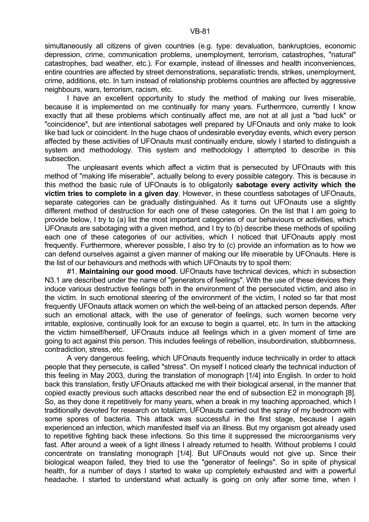I have an excellent opportunity to study the method of making our lives miserable, because it is implemented on me continually for many years. Furthermore, currently I know exactly that all these problems which continually affect me, are not at all just a "bad luck" or "coincidence", but are intentional sabotages well prepared by UFOnauts and only make to look like bad luck or coincident. In the huge chaos of undesirable everyday events, which every person affected by these activities of UFOnauts must continually endure, slowly I started to distinguish a system and methodology. This system and methodology I attempted to describe in this subsection.

 The unpleasant events which affect a victim that is persecuted by UFOnauts with this method of "making life miserable", actually belong to every possible category. This is because in this method the basic rule of UFOnauts is to obligatorily **sabotage every activity which the victim tries to complete in a given day**. However, in these countless sabotages of UFOnauts, separate categories can be gradually distinguished. As it turns out UFOnauts use a slightly different method of destruction for each one of these categories. On the list that I am going to provide below, I try to (a) list the most important categories of our behaviours or activities, which UFOnauts are sabotaging with a given method, and I try to (b) describe these methods of spoiling each one of these categories of our activities, which I noticed that UFOnauts apply most frequently. Furthermore, wherever possible, I also try to (c) provide an information as to how we can defend ourselves against a given manner of making our life miserable by UFOnauts. Here is the list of our behaviours and methods with which UFOnauts try to spoil them:

 #1. **Maintaining our good mood**. UFOnauts have technical devices, which in subsection N3.1 are described under the name of "generators of feelings". With the use of these devices they induce various destructive feelings both in the environment of the persecuted victim, and also in the victim. In such emotional steering of the environment of the victim, I noted so far that most frequently UFOnauts attack women on which the well-being of an attacked person depends. After such an emotional attack, with the use of generator of feelings, such women become very irritable, explosive, continually look for an excuse to begin a quarrel, etc. In turn in the attacking the victim himself/herself, UFOnauts induce all feelings which in a given moment of time are going to act against this person. This includes feelings of rebellion, insubordination, stubbornness, contradiction, stress, etc.

 A very dangerous feeling, which UFOnauts frequently induce technically in order to attack people that they persecute, is called "stress". On myself I noticed clearly the technical induction of this feeling in May 2003, during the translation of monograph [1/4] into English. In order to hold back this translation, firstly UFOnauts attacked me with their biological arsenal, in the manner that copied exactly previous such attacks described near the end of subsection E2 in monograph [8]. So, as they done it repetitively for many years, when a break in my teaching approached, which I traditionally devoted for research on totalizm, UFOnauts carried out the spray of my bedroom with some spores of bacteria. This attack was successful in the first stage, because I again experienced an infection, which manifested itself via an illness. But my organism got already used to repetitive fighting back these infections. So this time it suppressed the microorganisms very fast. After around a week of a light illness I already returned to health. Without problems I could concentrate on translating monograph [1/4]. But UFOnauts would not give up. Since their biological weapon failed, they tried to use the "generator of feelings". So in spite of physical health, for a number of days I started to wake up completely exhausted and with a powerful headache. I started to understand what actually is going on only after some time, when I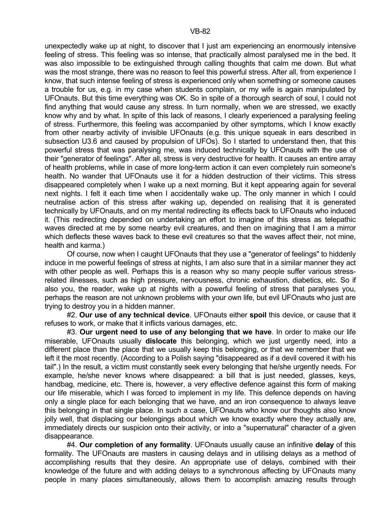unexpectedly wake up at night, to discover that I just am experiencing an enormously intensive feeling of stress. This feeling was so intense, that practically almost paralysed me in the bed. It was also impossible to be extinguished through calling thoughts that calm me down. But what was the most strange, there was no reason to feel this powerful stress. After all, from experience I know, that such intense feeling of stress is experienced only when something or someone causes a trouble for us, e.g. in my case when students complain, or my wife is again manipulated by UFOnauts. But this time everything was OK. So in spite of a thorough search of soul, I could not find anything that would cause any stress. In turn normally, when we are stressed, we exactly know why and by what. In spite of this lack of reasons, I clearly experienced a paralysing feeling of stress. Furthermore, this feeling was accompanied by other symptoms, which I know exactly from other nearby activity of invisible UFOnauts (e.g. this unique squeak in ears described in subsection U3.6 and caused by propulsion of UFOs). So I started to understand then, that this powerful stress that was paralysing me, was induced technically by UFOnauts with the use of their "generator of feelings". After all, stress is very destructive for health. It causes an entire array of health problems, while in case of more long-term action it can even completely ruin someone's health. No wander that UFOnauts use it for a hidden destruction of their victims. This stress disappeared completely when I wake up a next morning. But it kept appearing again for several next nights. I felt it each time when I accidentally wake up. The only manner in which I could neutralise action of this stress after waking up, depended on realising that it is generated technically by UFOnauts, and on my mental redirecting its effects back to UFOnauts who induced it. (This redirecting depended on undertaking an effort to imagine of this stress as telepathic waves directed at me by some nearby evil creatures, and then on imagining that I am a mirror which deflects these waves back to these evil creatures so that the waves affect their, not mine, health and karma.)

 Of course, now when I caught UFOnauts that they use a "generator of feelings" to hiddenly induce in me powerful feelings of stress at nights, I am also sure that in a similar manner they act with other people as well. Perhaps this is a reason why so many people suffer various stressrelated illnesses, such as high pressure, nervousness, chronic exhaustion, diabetics, etc. So if also you, the reader, wake up at nights with a powerful feeling of stress that paralyses you, perhaps the reason are not unknown problems with your own life, but evil UFOnauts who just are trying to destroy you in a hidden manner.

 #2. **Our use of any technical device**. UFOnauts either **spoil** this device, or cause that it refuses to work, or make that it inflicts various damages, etc.

 #3. **Our urgent need to use of any belonging that we have**. In order to make our life miserable, UFOnauts usually **dislocate** this belonging, which we just urgently need, into a different place than the place that we usually keep this belonging, or that we remember that we left it the most recently. (According to a Polish saying "disappeared as if a devil covered it with his tail".) In the result, a victim must constantly seek every belonging that he/she urgently needs. For example, he/she never knows where disappeared: a bill that is just needed, glasses, keys, handbag, medicine, etc. There is, however, a very effective defence against this form of making our life miserable, which I was forced to implement in my life. This defence depends on having only a single place for each belonging that we have, and an iron consequence to always leave this belonging in that single place. In such a case, UFOnauts who know our thoughts also know jolly well, that displacing our belongings about which we know exactly where they actually are, immediately directs our suspicion onto their activity, or into a "supernatural" character of a given disappearance.

 #4. **Our completion of any formality**. UFOnauts usually cause an infinitive **delay** of this formality. The UFOnauts are masters in causing delays and in utilising delays as a method of accomplishing results that they desire. An appropriate use of delays, combined with their knowledge of the future and with adding delays to a synchronous affecting by UFOnauts many people in many places simultaneously, allows them to accomplish amazing results through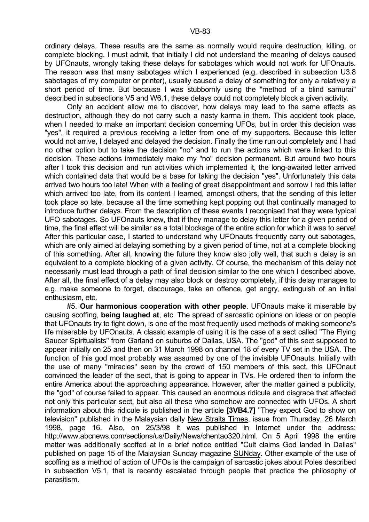ordinary delays. These results are the same as normally would require destruction, killing, or complete blocking. I must admit, that initially I did not understand the meaning of delays caused by UFOnauts, wrongly taking these delays for sabotages which would not work for UFOnauts. The reason was that many sabotages which I experienced (e.g. described in subsection U3.8 sabotages of my computer or printer), usually caused a delay of something for only a relatively a short period of time. But because I was stubbornly using the "method of a blind samurai" described in subsections V5 and W6.1, these delays could not completely block a given activity.

 Only an accident allow me to discover, how delays may lead to the same effects as destruction, although they do not carry such a nasty karma in them. This accident took place, when I needed to make an important decision concerning UFOs, but in order this decision was "yes", it required a previous receiving a letter from one of my supporters. Because this letter would not arrive, I delayed and delayed the decision. Finally the time run out completely and I had no other option but to take the decision "no" and to run the actions which were linked to this decision. These actions immediately make my "no" decision permanent. But around two hours after I took this decision and run activities which implemented it, the long-awaited letter arrived which contained data that would be a base for taking the decision "yes". Unfortunately this data arrived two hours too late! When with a feeling of great disappointment and sorrow I red this latter which arrived too late, from its content I learned, amongst others, that the sending of this letter took place so late, because all the time something kept popping out that continually managed to introduce further delays. From the description of these events I recognised that they were typical UFO sabotages. So UFOnauts knew, that if they manage to delay this letter for a given period of time, the final effect will be similar as a total blockage of the entire action for which it was to serve! After this particular case, I started to understand why UFOnauts frequently carry out sabotages, which are only aimed at delaying something by a given period of time, not at a complete blocking of this something. After all, knowing the future they know also jolly well, that such a delay is an equivalent to a complete blocking of a given activity. Of course, the mechanism of this delay not necessarily must lead through a path of final decision similar to the one which I described above. After all, the final effect of a delay may also block or destroy completely, if this delay manages to e.g. make someone to forget, discourage, take an offence, get angry, extinguish of an initial enthusiasm, etc.

 #5. **Our harmonious cooperation with other people**. UFOnauts make it miserable by causing scoffing, **being laughed at**, etc. The spread of sarcastic opinions on ideas or on people that UFOnauts try to fight down, is one of the most frequently used methods of making someone's life miserable by UFOnauts. A classic example of using it is the case of a sect called "The Flying Saucer Spiritualists" from Garland on suburbs of Dallas, USA. The "god" of this sect supposed to appear initially on 25 and then on 31 March 1998 on channel 18 of every TV set in the USA. The function of this god most probably was assumed by one of the invisible UFOnauts. Initially with the use of many "miracles" seen by the crowd of 150 members of this sect, this UFOnaut convinced the leader of the sect, that is going to appear in TVs. He ordered then to inform the entire America about the approaching appearance. However, after the matter gained a publicity, the "god" of course failed to appear. This caused an enormous ridicule and disgrace that affected not only this particular sect, but also all these who somehow are connected with UFOs. A short information about this ridicule is published in the article **[3VB4.7]** "They expect God to show on television" published in the Malaysian daily New Straits Times, issue from Thursday, 26 March 1998, page 16. Also, on 25/3/98 it was published in Internet under the address: http://www.abcnews.com/sections/us/Daily/News/chentao320.html. On 5 April 1998 the entire matter was additionally scoffed at in a brief notice entitled "Cult claims God landed in Dallas" published on page 15 of the Malaysian Sunday magazine SUNday. Other example of the use of scoffing as a method of action of UFOs is the campaign of sarcastic jokes about Poles described in subsection V5.1, that is recently escalated through people that practice the philosophy of parasitism.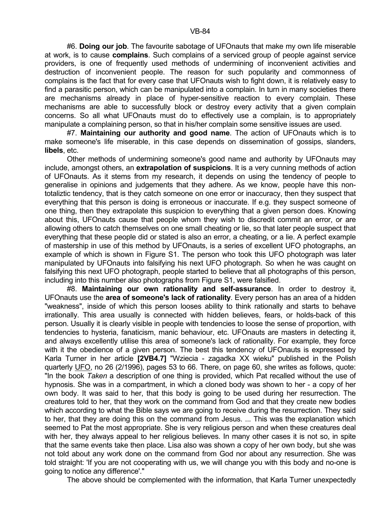#6. **Doing our job**. The favourite sabotage of UFOnauts that make my own life miserable at work, is to cause **complains**. Such complains of a serviced group of people against service providers, is one of frequently used methods of undermining of inconvenient activities and destruction of inconvenient people. The reason for such popularity and commonness of complains is the fact that for every case that UFOnauts wish to fight down, it is relatively easy to find a parasitic person, which can be manipulated into a complain. In turn in many societies there are mechanisms already in place of hyper-sensitive reaction to every complain. These mechanisms are able to successfully block or destroy every activity that a given complain concerns. So all what UFOnauts must do to effectively use a complain, is to appropriately manipulate a complaining person, so that in his/her complain some sensitive issues are used.

 #7. **Maintaining our authority and good name**. The action of UFOnauts which is to make someone's life miserable, in this case depends on dissemination of gossips, slanders, **libels**, etc.

 Other methods of undermining someone's good name and authority by UFOnauts may include, amongst others, an **extrapolation of suspicions**. It is a very cunning methods of action of UFOnauts. As it stems from my research, it depends on using the tendency of people to generalise in opinions and judgements that they adhere. As we know, people have this nontotaliztic tendency, that is they catch someone on one error or inaccuracy, then they suspect that everything that this person is doing is erroneous or inaccurate. If e.g. they suspect someone of one thing, then they extrapolate this suspicion to everything that a given person does. Knowing about this, UFOnauts cause that people whom they wish to discredit commit an error, or are allowing others to catch themselves on one small cheating or lie, so that later people suspect that everything that these people did or stated is also an error, a cheating, or a lie. A perfect example of mastership in use of this method by UFOnauts, is a series of excellent UFO photographs, an example of which is shown in Figure S1. The person who took this UFO photograph was later manipulated by UFOnauts into falsifying his next UFO photograph. So when he was caught on falsifying this next UFO photograph, people started to believe that all photographs of this person, including into this number also photographs from Figure S1, were falsified.

 #8. **Maintaining our own rationality and self-assurance**. In order to destroy it, UFOnauts use the **area of someone's lack of rationality**. Every person has an area of a hidden "weakness", inside of which this person looses ability to think rationally and starts to behave irrationally. This area usually is connected with hidden believes, fears, or holds-back of this person. Usually it is clearly visible in people with tendencies to loose the sense of proportion, with tendencies to hysteria, fanaticism, manic behaviour, etc. UFOnauts are masters in detecting it, and always excellently utilise this area of someone's lack of rationality. For example, they force with it the obedience of a given person. The best this tendency of UFOnauts is expressed by Karla Turner in her article **[2VB4.7]** "Wziecia - zagadka XX wieku" published in the Polish quarterly UFO, no 26 (2/1996), pages 53 to 66. There, on page 60, she writes as follows, quote: "In the book *Taken* a description of one thing is provided, which Pat recalled without the use of hypnosis. She was in a compartment, in which a cloned body was shown to her - a copy of her own body. It was said to her, that this body is going to be used during her resurrection. The creatures told to her, that they work on the command from God and that they create new bodies which according to what the Bible says we are going to receive during the resurrection. They said to her, that they are doing this on the command from Jesus. ... This was the explanation which seemed to Pat the most appropriate. She is very religious person and when these creatures deal with her, they always appeal to her religious believes. In many other cases it is not so, in spite that the same events take then place. Lisa also was shown a copy of her own body, but she was not told about any work done on the command from God nor about any resurrection. She was told straight: 'If you are not cooperating with us, we will change you with this body and no-one is going to notice any difference'."

The above should be complemented with the information, that Karla Turner unexpectedly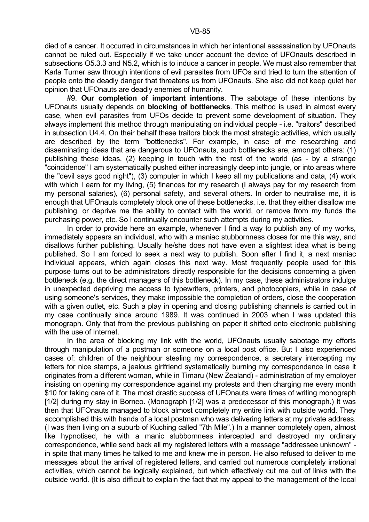died of a cancer. It occurred in circumstances in which her intentional assassination by UFOnauts cannot be ruled out. Especially if we take under account the device of UFOnauts described in subsections O5.3.3 and N5.2, which is to induce a cancer in people. We must also remember that Karla Turner saw through intentions of evil parasites from UFOs and tried to turn the attention of people onto the deadly danger that threatens us from UFOnauts. She also did not keep quiet her opinion that UFOnauts are deadly enemies of humanity.

 #9. **Our completion of important intentions**. The sabotage of these intentions by UFOnauts usually depends on **blocking of bottlenecks**. This method is used in almost every case, when evil parasites from UFOs decide to prevent some development of situation. They always implement this method through manipulating on individual people - i.e. "traitors" described in subsection U4.4. On their behalf these traitors block the most strategic activities, which usually are described by the term "bottlenecks". For example, in case of me researching and disseminating ideas that are dangerous to UFOnauts, such bottlenecks are, amongst others: (1) publishing these ideas, (2) keeping in touch with the rest of the world (as - by a strange "coincidence" I am systematically pushed either increasingly deep into jungle, or into areas where the "devil says good night"), (3) computer in which I keep all my publications and data, (4) work with which I earn for my living, (5) finances for my research (I always pay for my research from my personal salaries), (6) personal safety, and several others. In order to neutralise me, it is enough that UFOnauts completely block one of these bottlenecks, i.e. that they either disallow me publishing, or deprive me the ability to contact with the world, or remove from my funds the purchasing power, etc. So I continually encounter such attempts during my activities.

In order to provide here an example, whenever I find a way to publish any of my works, immediately appears an individual, who with a maniac stubbornness closes for me this way, and disallows further publishing. Usually he/she does not have even a slightest idea what is being published. So I am forced to seek a next way to publish. Soon after I find it, a next maniac individual appears, which again closes this next way. Most frequently people used for this purpose turns out to be administrators directly responsible for the decisions concerning a given bottleneck (e.g. the direct managers of this bottleneck). In my case, these administrators indulge in unexpected depriving me access to typewriters, printers, and photocopiers, while in case of using someone's services, they make impossible the completion of orders, close the cooperation with a given outlet, etc. Such a play in opening and closing publishing channels is carried out in my case continually since around 1989. It was continued in 2003 when I was updated this monograph. Only that from the previous publishing on paper it shifted onto electronic publishing with the use of Internet.

 In the area of blocking my link with the world, UFOnauts usually sabotage my efforts through manipulation of a postman or someone on a local post office. But I also experienced cases of: children of the neighbour stealing my correspondence, a secretary intercepting my letters for nice stamps, a jealous girlfriend systematically burning my correspondence in case it originates from a different woman, while in Timaru (New Zealand) - administration of my employer insisting on opening my correspondence against my protests and then charging me every month \$10 for taking care of it. The most drastic success of UFOnauts were times of writing monograph [1/2] during my stay in Borneo. (Monograph [1/2] was a predecessor of this monograph.) It was then that UFOnauts managed to block almost completely my entire link with outside world. They accomplished this with hands of a local postman who was delivering letters at my private address. (I was then living on a suburb of Kuching called "7th Mile".) In a manner completely open, almost like hypnotised, he with a manic stubbornness intercepted and destroyed my ordinary correspondence, while send back all my registered letters with a message "addressee unknown" in spite that many times he talked to me and knew me in person. He also refused to deliver to me messages about the arrival of registered letters, and carried out numerous completely irrational activities, which cannot be logically explained, but which effectively cut me out of links with the outside world. (It is also difficult to explain the fact that my appeal to the management of the local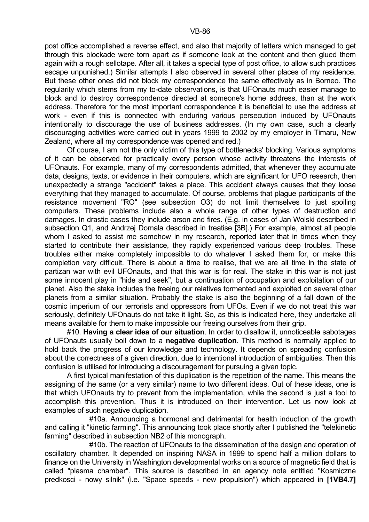post office accomplished a reverse effect, and also that majority of letters which managed to get through this blockade were torn apart as if someone look at the content and then glued them again with a rough sellotape. After all, it takes a special type of post office, to allow such practices escape unpunished.) Similar attempts I also observed in several other places of my residence. But these other ones did not block my correspondence the same effectively as in Borneo. The regularity which stems from my to-date observations, is that UFOnauts much easier manage to block and to destroy correspondence directed at someone's home address, than at the work address. Therefore for the most important correspondence it is beneficial to use the address at work - even if this is connected with enduring various persecution induced by UFOnauts intentionally to discourage the use of business addresses. (In my own case, such a clearly discouraging activities were carried out in years 1999 to 2002 by my employer in Timaru, New Zealand, where all my correspondence was opened and red.)

 Of course, I am not the only victim of this type of bottlenecks' blocking. Various symptoms of it can be observed for practically every person whose activity threatens the interests of UFOnauts. For example, many of my correspondents admitted, that whenever they accumulate data, designs, texts, or evidence in their computers, which are significant for UFO research, then unexpectedly a strange "accident" takes a place. This accident always causes that they loose everything that they managed to accumulate. Of course, problems that plague participants of the resistance movement "RO" (see subsection O3) do not limit themselves to just spoiling computers. These problems include also a whole range of other types of destruction and damages. In drastic cases they include arson and fires. (E.g. in cases of Jan Wolski described in subsection Q1, and Andrzej Domala described in treatise [3B].) For example, almost all people whom I asked to assist me somehow in my research, reported later that in times when they started to contribute their assistance, they rapidly experienced various deep troubles. These troubles either make completely impossible to do whatever I asked them for, or make this completion very difficult. There is about a time to realise, that we are all time in the state of partizan war with evil UFOnauts, and that this war is for real. The stake in this war is not just some innocent play in "hide and seek", but a continuation of occupation and exploitation of our planet. Also the stake includes the freeing our relatives tormented and exploited on several other planets from a similar situation. Probably the stake is also the beginning of a fall down of the cosmic imperium of our terrorists and oppressors from UFOs. Even if we do not treat this war seriously, definitely UFOnauts do not take it light. So, as this is indicated here, they undertake all means available for them to make impossible our freeing ourselves from their grip.

 #10. **Having a clear idea of our situation**. In order to disallow it, unnoticeable sabotages of UFOnauts usually boil down to a **negative duplication**. This method is normally applied to hold back the progress of our knowledge and technology. It depends on spreading confusion about the correctness of a given direction, due to intentional introduction of ambiguities. Then this confusion is utilised for introducing a discouragement for pursuing a given topic.

 A first typical manifestation of this duplication is the repetition of the name. This means the assigning of the same (or a very similar) name to two different ideas. Out of these ideas, one is that which UFOnauts try to prevent from the implementation, while the second is just a tool to accomplish this prevention. Thus it is introduced on their intervention. Let us now look at examples of such negative duplication.

 #10a. Announcing a hormonal and detrimental for health induction of the growth and calling it "kinetic farming". This announcing took place shortly after I published the "telekinetic farming" described in subsection NB2 of this monograph.

 #10b. The reaction of UFOnauts to the dissemination of the design and operation of oscillatory chamber. It depended on inspiring NASA in 1999 to spend half a million dollars to finance on the University in Washington developmental works on a source of magnetic field that is called "plasma chamber". This source is described in an agency note entitled "Kosmiczne predkosci - nowy silnik" (i.e. "Space speeds - new propulsion") which appeared in **[1VB4.7]**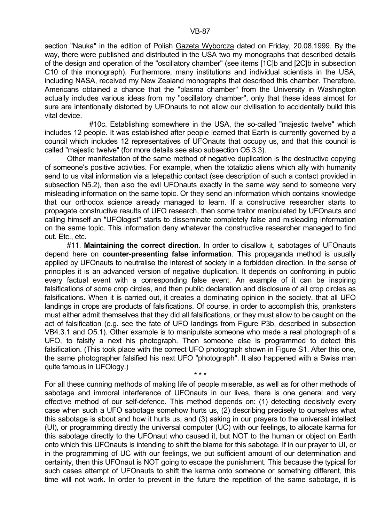section "Nauka" in the edition of Polish Gazeta Wyborcza dated on Friday, 20.08.1999. By the way, there were published and distributed in the USA two my monographs that described details of the design and operation of the "oscillatory chamber" (see items [1C]b and [2C]b in subsection C10 of this monograph). Furthermore, many institutions and individual scientists in the USA, including NASA, received my New Zealand monographs that described this chamber. Therefore, Americans obtained a chance that the "plasma chamber" from the University in Washington actually includes various ideas from my "oscillatory chamber", only that these ideas almost for sure are intentionally distorted by UFOnauts to not allow our civilisation to accidentally build this vital device.

 #10c. Establishing somewhere in the USA, the so-called "majestic twelve" which includes 12 people. It was established after people learned that Earth is currently governed by a council which includes 12 representatives of UFOnauts that occupy us, and that this council is called "majestic twelve" (for more details see also subsection O5.3.3).

 Other manifestation of the same method of negative duplication is the destructive copying of someone's positive activities. For example, when the totaliztic aliens which ally with humanity send to us vital information via a telepathic contact (see description of such a contact provided in subsection N5.2), then also the evil UFOnauts exactly in the same way send to someone very misleading information on the same topic. Or they send an information which contains knowledge that our orthodox science already managed to learn. If a constructive researcher starts to propagate constructive results of UFO research, then some traitor manipulated by UFOnauts and calling himself an "UFOlogist" starts to disseminate completely false and misleading information on the same topic. This information deny whatever the constructive researcher managed to find out. Etc., etc.

 #11. **Maintaining the correct direction**. In order to disallow it, sabotages of UFOnauts depend here on **counter-presenting false information**. This propaganda method is usually applied by UFOnauts to neutralise the interest of society in a forbidden direction. In the sense of principles it is an advanced version of negative duplication. It depends on confronting in public every factual event with a corresponding false event. An example of it can be inspiring falsifications of some crop circles, and then public declaration and disclosure of all crop circles as falsifications. When it is carried out, it creates a dominating opinion in the society, that all UFO landings in crops are products of falsifications. Of course, in order to accomplish this, pranksters must either admit themselves that they did all falsifications, or they must allow to be caught on the act of falsification (e.g. see the fate of UFO landings from Figure P3b, described in subsection VB4.3.1 and O5.1). Other example is to manipulate someone who made a real photograph of a UFO, to falsify a next his photograph. Then someone else is programmed to detect this falsification. (This took place with the correct UFO photograph shown in Figure S1. After this one, the same photographer falsified his next UFO "photograph". It also happened with a Swiss man quite famous in UFOlogy.)

For all these cunning methods of making life of people miserable, as well as for other methods of sabotage and immoral interference of UFOnauts in our lives, there is one general and very effective method of our self-defence. This method depends on: (1) detecting decisively every case when such a UFO sabotage somehow hurts us, (2) describing precisely to ourselves what this sabotage is about and how it hurts us, and (3) asking in our prayers to the universal intellect (UI), or programming directly the universal computer (UC) with our feelings, to allocate karma for this sabotage directly to the UFOnaut who caused it, but NOT to the human or object on Earth onto which this UFOnauts is intending to shift the blame for this sabotage. If in our prayer to UI, or in the programming of UC with our feelings, we put sufficient amount of our determination and certainty, then this UFOnaut is NOT going to escape the punishment. This because the typical for such cases attempt of UFOnauts to shift the karma onto someone or something different, this time will not work. In order to prevent in the future the repetition of the same sabotage, it is

 $\star \star \star$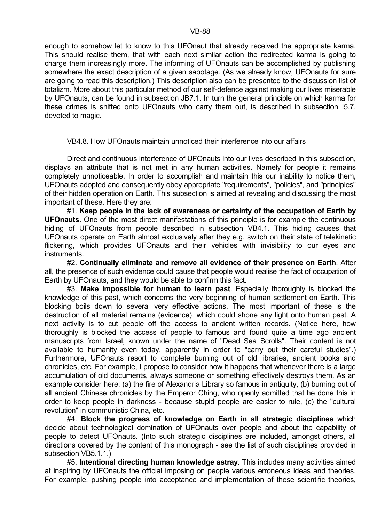enough to somehow let to know to this UFOnaut that already received the appropriate karma. This should realise them, that with each next similar action the redirected karma is going to charge them increasingly more. The informing of UFOnauts can be accomplished by publishing somewhere the exact description of a given sabotage. (As we already know, UFOnauts for sure are going to read this description.) This description also can be presented to the discussion list of totalizm. More about this particular method of our self-defence against making our lives miserable by UFOnauts, can be found in subsection JB7.1. In turn the general principle on which karma for these crimes is shifted onto UFOnauts who carry them out, is described in subsection I5.7. devoted to magic.

### VB4.8. How UFOnauts maintain unnoticed their interference into our affairs

 Direct and continuous interference of UFOnauts into our lives described in this subsection, displays an attribute that is not met in any human activities. Namely for people it remains completely unnoticeable. In order to accomplish and maintain this our inability to notice them, UFOnauts adopted and consequently obey appropriate "requirements", "policies", and "principles" of their hidden operation on Earth. This subsection is aimed at revealing and discussing the most important of these. Here they are:

 #1. **Keep people in the lack of awareness or certainty of the occupation of Earth by UFOnauts**. One of the most direct manifestations of this principle is for example the continuous hiding of UFOnauts from people described in subsection VB4.1. This hiding causes that UFOnauts operate on Earth almost exclusively after they e.g. switch on their state of telekinetic flickering, which provides UFOnauts and their vehicles with invisibility to our eyes and instruments.

 #2. **Continually eliminate and remove all evidence of their presence on Earth**. After all, the presence of such evidence could cause that people would realise the fact of occupation of Earth by UFOnauts, and they would be able to confirm this fact.

 #3. **Make impossible for human to learn past**. Especially thoroughly is blocked the knowledge of this past, which concerns the very beginning of human settlement on Earth. This blocking boils down to several very effective actions. The most important of these is the destruction of all material remains (evidence), which could shone any light onto human past. A next activity is to cut people off the access to ancient written records. (Notice here, how thoroughly is blocked the access of people to famous and found quite a time ago ancient manuscripts from Israel, known under the name of "Dead Sea Scrolls". Their content is not available to humanity even today, apparently in order to "carry out their careful studies".) Furthermore, UFOnauts resort to complete burning out of old libraries, ancient books and chronicles, etc. For example, I propose to consider how it happens that whenever there is a large accumulation of old documents, always someone or something effectively destroys them. As an example consider here: (a) the fire of Alexandria Library so famous in antiquity, (b) burning out of all ancient Chinese chronicles by the Emperor Ching, who openly admitted that he done this in order to keep people in darkness - because stupid people are easier to rule, (c) the "cultural revolution" in communistic China, etc.

 #4. **Block the progress of knowledge on Earth in all strategic disciplines** which decide about technological domination of UFOnauts over people and about the capability of people to detect UFOnauts. (Into such strategic disciplines are included, amongst others, all directions covered by the content of this monograph - see the list of such disciplines provided in subsection VB5.1.1.)

 #5. **Intentional directing human knowledge astray**. This includes many activities aimed at inspiring by UFOnauts the official imposing on people various erroneous ideas and theories. For example, pushing people into acceptance and implementation of these scientific theories,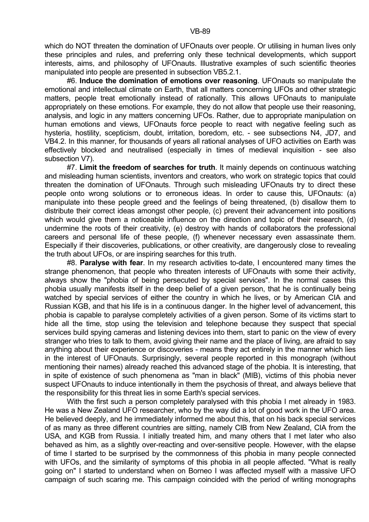which do NOT threaten the domination of UFOnauts over people. Or utilising in human lives only these principles and rules, and preferring only these technical developments, which support interests, aims, and philosophy of UFOnauts. Illustrative examples of such scientific theories manipulated into people are presented in subsection VB5.2.1.

 #6. **Induce the domination of emotions over reasoning**. UFOnauts so manipulate the emotional and intellectual climate on Earth, that all matters concerning UFOs and other strategic matters, people treat emotionally instead of rationally. This allows UFOnauts to manipulate appropriately on these emotions. For example, they do not allow that people use their reasoning, analysis, and logic in any matters concerning UFOs. Rather, due to appropriate manipulation on human emotions and views, UFOnauts force people to react with negative feeling such as hysteria, hostility, scepticism, doubt, irritation, boredom, etc. - see subsections N4, JD7, and VB4.2. In this manner, for thousands of years all rational analyses of UFO activities on Earth was effectively blocked and neutralised (especially in times of medieval inquisition - see also subsection V7).

 #7. **Limit the freedom of searches for truth**. It mainly depends on continuous watching and misleading human scientists, inventors and creators, who work on strategic topics that could threaten the domination of UFOnauts. Through such misleading UFOnauts try to direct these people onto wrong solutions or to erroneous ideas. In order to cause this, UFOnauts: (a) manipulate into these people greed and the feelings of being threatened, (b) disallow them to distribute their correct ideas amongst other people, (c) prevent their advancement into positions which would give them a noticeable influence on the direction and topic of their research, (d) undermine the roots of their creativity, (e) destroy with hands of collaborators the professional careers and personal life of these people, (f) whenever necessary even assassinate them. Especially if their discoveries, publications, or other creativity, are dangerously close to revealing the truth about UFOs, or are inspiring searches for this truth.

 #8. **Paralyse with fear**. In my research activities to-date, I encountered many times the strange phenomenon, that people who threaten interests of UFOnauts with some their activity, always show the "phobia of being persecuted by special services". In the normal cases this phobia usually manifests itself in the deep belief of a given person, that he is continually being watched by special services of either the country in which he lives, or by American CIA and Russian KGB, and that his life is in a continuous danger. In the higher level of advancement, this phobia is capable to paralyse completely activities of a given person. Some of its victims start to hide all the time, stop using the television and telephone because they suspect that special services build spying cameras and listening devices into them, start to panic on the view of every stranger who tries to talk to them, avoid giving their name and the place of living, are afraid to say anything about their experience or discoveries - means they act entirely in the manner which lies in the interest of UFOnauts. Surprisingly, several people reported in this monograph (without mentioning their names) already reached this advanced stage of the phobia. It is interesting, that in spite of existence of such phenomena as "man in black" (MIB), victims of this phobia never suspect UFOnauts to induce intentionally in them the psychosis of threat, and always believe that the responsibility for this threat lies in some Earth's special services.

With the first such a person completely paralysed with this phobia I met already in 1983. He was a New Zealand UFO researcher, who by the way did a lot of good work in the UFO area. He believed deeply, and he immediately informed me about this, that on his back special services of as many as three different countries are sitting, namely CIB from New Zealand, CIA from the USA, and KGB from Russia. I initially treated him, and many others that I met later who also behaved as him, as a slightly over-reacting and over-sensitive people. However, with the elapse of time I started to be surprised by the commonness of this phobia in many people connected with UFOs, and the similarity of symptoms of this phobia in all people affected. "What is really going on" I started to understand when on Borneo I was affected myself with a massive UFO campaign of such scaring me. This campaign coincided with the period of writing monographs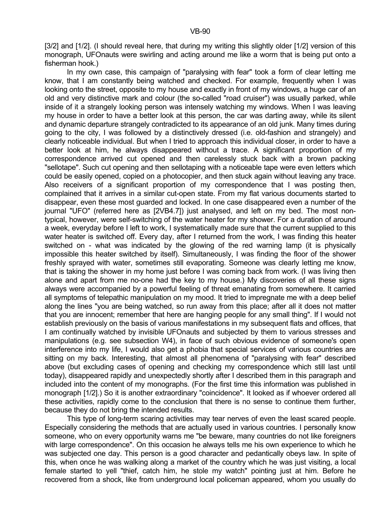[3/2] and [1/2]. (I should reveal here, that during my writing this slightly older [1/2] version of this monograph, UFOnauts were swirling and acting around me like a worm that is being put onto a fisherman hook.)

 In my own case, this campaign of "paralysing with fear" took a form of clear letting me know, that I am constantly being watched and checked. For example, frequently when I was looking onto the street, opposite to my house and exactly in front of my windows, a huge car of an old and very distinctive mark and colour (the so-called "road cruiser") was usually parked, while inside of it a strangely looking person was intensely watching my windows. When I was leaving my house in order to have a better look at this person, the car was darting away, while its silent and dynamic departure strangely contradicted to its appearance of an old junk. Many times during going to the city, I was followed by a distinctively dressed (i.e. old-fashion and strangely) and clearly noticeable individual. But when I tried to approach this individual closer, in order to have a better look at him, he always disappeared without a trace. A significant proportion of my correspondence arrived cut opened and then carelessly stuck back with a brown packing "sellotape". Such cut opening and then sellotaping with a noticeable tape were even letters which could be easily opened, copied on a photocopier, and then stuck again without leaving any trace. Also receivers of a significant proportion of my correspondence that I was posting then, complained that it arrives in a similar cut-open state. From my flat various documents started to disappear, even these most guarded and locked. In one case disappeared even a number of the journal "UFO" (referred here as [2VB4.7]) just analysed, and left on my bed. The most nontypical, however, were self-switching of the water heater for my shower. For a duration of around a week, everyday before I left to work, I systematically made sure that the current supplied to this water heater is switched off. Every day, after I returned from the work, I was finding this heater switched on - what was indicated by the glowing of the red warning lamp (it is physically impossible this heater switched by itself). Simultaneously, I was finding the floor of the shower freshly sprayed with water, sometimes still evaporating. Someone was clearly letting me know, that is taking the shower in my home just before I was coming back from work. (I was living then alone and apart from me no-one had the key to my house.) My discoveries of all these signs always were accompanied by a powerful feeling of threat emanating from somewhere. It carried all symptoms of telepathic manipulation on my mood. It tried to impregnate me with a deep belief along the lines "you are being watched, so run away from this place; after all it does not matter that you are innocent; remember that here are hanging people for any small thing". If I would not establish previously on the basis of various manifestations in my subsequent flats and offices, that I am continually watched by invisible UFOnauts and subjected by them to various stresses and manipulations (e.g. see subsection W4), in face of such obvious evidence of someone's open interference into my life, I would also get a phobia that special services of various countries are sitting on my back. Interesting, that almost all phenomena of "paralysing with fear" described above (but excluding cases of opening and checking my correspondence which still last until today), disappeared rapidly and unexpectedly shortly after I described them in this paragraph and included into the content of my monographs. (For the first time this information was published in monograph [1/2].) So it is another extraordinary "coincidence". It looked as if whoever ordered all these activities, rapidly come to the conclusion that there is no sense to continue them further, because they do not bring the intended results.

 This type of long-term scaring activities may tear nerves of even the least scared people. Especially considering the methods that are actually used in various countries. I personally know someone, who on every opportunity warns me "be beware, many countries do not like foreigners with large correspondence". On this occasion he always tells me his own experience to which he was subjected one day. This person is a good character and pedantically obeys law. In spite of this, when once he was walking along a market of the country which he was just visiting, a local female started to yell "thief, catch him, he stole my watch" pointing just at him. Before he recovered from a shock, like from underground local policeman appeared, whom you usually do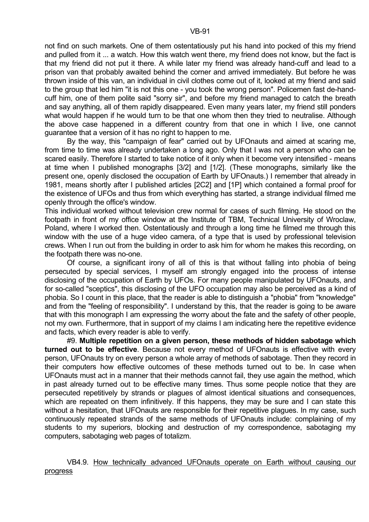not find on such markets. One of them ostentatiously put his hand into pocked of this my friend and pulled from it ... a watch. How this watch went there, my friend does not know, but the fact is that my friend did not put it there. A while later my friend was already hand-cuff and lead to a prison van that probably awaited behind the corner and arrived immediately. But before he was thrown inside of this van, an individual in civil clothes come out of it, looked at my friend and said to the group that led him "it is not this one - you took the wrong person". Policemen fast de-handcuff him, one of them polite said "sorry sir", and before my friend managed to catch the breath and say anything, all of them rapidly disappeared. Even many years later, my friend still ponders what would happen if he would turn to be that one whom then they tried to neutralise. Although the above case happened in a different country from that one in which I live, one cannot guarantee that a version of it has no right to happen to me.

 By the way, this "campaign of fear" carried out by UFOnauts and aimed at scaring me, from time to time was already undertaken a long ago. Only that I was not a person who can be scared easily. Therefore I started to take notice of it only when it become very intensified - means at time when I published monographs [3/2] and [1/2]. (These monographs, similarly like the present one, openly disclosed the occupation of Earth by UFOnauts.) I remember that already in 1981, means shortly after I published articles [2C2] and [1P] which contained a formal proof for the existence of UFOs and thus from which everything has started, a strange individual filmed me openly through the office's window.

This individual worked without television crew normal for cases of such filming. He stood on the footpath in front of my office window at the Institute of TBM, Technical University of Wroclaw, Poland, where I worked then. Ostentatiously and through a long time he filmed me through this window with the use of a huge video camera, of a type that is used by professional television crews. When I run out from the building in order to ask him for whom he makes this recording, on the footpath there was no-one.

 Of course, a significant irony of all of this is that without falling into phobia of being persecuted by special services, I myself am strongly engaged into the process of intense disclosing of the occupation of Earth by UFOs. For many people manipulated by UFOnauts, and for so-called "sceptics", this disclosing of the UFO occupation may also be perceived as a kind of phobia. So I count in this place, that the reader is able to distinguish a "phobia" from "knowledge" and from the "feeling of responsibility". I understand by this, that the reader is going to be aware that with this monograph I am expressing the worry about the fate and the safety of other people, not my own. Furthermore, that in support of my claims I am indicating here the repetitive evidence and facts, which every reader is able to verify.

 #9. **Multiple repetition on a given person, these methods of hidden sabotage which turned out to be effective**. Because not every method of UFOnauts is effective with every person, UFOnauts try on every person a whole array of methods of sabotage. Then they record in their computers how effective outcomes of these methods turned out to be. In case when UFOnauts must act in a manner that their methods cannot fail, they use again the method, which in past already turned out to be effective many times. Thus some people notice that they are persecuted repetitively by strands or plagues of almost identical situations and consequences, which are repeated on them infinitively. If this happens, they may be sure and I can state this without a hesitation, that UFOnauts are responsible for their repetitive plagues. In my case, such continuously repeated strands of the same methods of UFOnauts include: complaining of my students to my superiors, blocking and destruction of my correspondence, sabotaging my computers, sabotaging web pages of totalizm.

# VB4.9. How technically advanced UFOnauts operate on Earth without causing our progress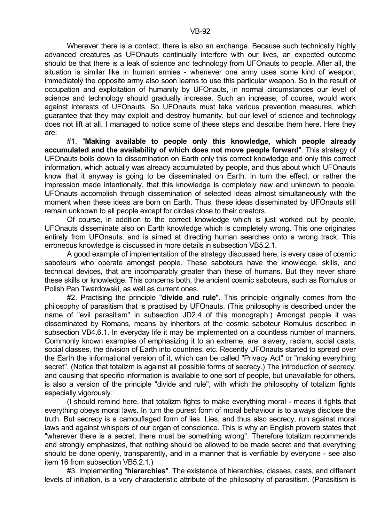Wherever there is a contact, there is also an exchange. Because such technically highly advanced creatures as UFOnauts continually interfere with our lives, an expected outcome should be that there is a leak of science and technology from UFOnauts to people. After all, the situation is similar like in human armies - whenever one army uses some kind of weapon, immediately the opposite army also soon learns to use this particular weapon. So in the result of occupation and exploitation of humanity by UFOnauts, in normal circumstances our level of science and technology should gradually increase. Such an increase, of course, would work against interests of UFOnauts. So UFOnauts must take various prevention measures, which guarantee that they may exploit and destroy humanity, but our level of science and technology does not lift at all. I managed to notice some of these steps and describe them here. Here they are:

 #1. "**Making available to people only this knowledge, which people already accumulated and the availability of which does not move people forward**". This strategy of UFOnauts boils down to dissemination on Earth only this correct knowledge and only this correct information, which actually was already accumulated by people, and thus about which UFOnauts know that it anyway is going to be disseminated on Earth. In turn the effect, or rather the impression made intentionally, that this knowledge is completely new and unknown to people, UFOnauts accomplish through dissemination of selected ideas almost simultaneously with the moment when these ideas are born on Earth. Thus, these ideas disseminated by UFOnauts still remain unknown to all people except for circles close to their creators.

 Of course, in addition to the correct knowledge which is just worked out by people, UFOnauts disseminate also on Earth knowledge which is completely wrong. This one originates entirely from UFOnauts, and is aimed at directing human searches onto a wrong track. This erroneous knowledge is discussed in more details in subsection VB5.2.1.

 A good example of implementation of the strategy discussed here, is every case of cosmic saboteurs who operate amongst people. These saboteurs have the knowledge, skills, and technical devices, that are incomparably greater than these of humans. But they never share these skills or knowledge. This concerns both, the ancient cosmic saboteurs, such as Romulus or Polish Pan Twardowski, as well as current ones.

 #2. Practising the principle "**divide and rule**". This principle originally comes from the philosophy of parasitism that is practised by UFOnauts. (This philosophy is described under the name of "evil parasitism" in subsection JD2.4 of this monograph.) Amongst people it was disseminated by Romans, means by inheritors of the cosmic saboteur Romulus described in subsection VB4.6.1. In everyday life it may be implemented on a countless number of manners. Commonly known examples of emphasizing it to an extreme, are: slavery, racism, social casts, social classes, the division of Earth into countries, etc. Recently UFOnauts started to spread over the Earth the informational version of it, which can be called "Privacy Act" or "making everything secret". (Notice that totalizm is against all possible forms of secrecy.) The introduction of secrecy, and causing that specific information is available to one sort of people, but unavailable for others, is also a version of the principle "divide and rule", with which the philosophy of totalizm fights especially vigorously.

 (I should remind here, that totalizm fights to make everything moral - means it fights that everything obeys moral laws. In turn the purest form of moral behaviour is to always disclose the truth. But secrecy is a camouflaged form of lies. Lies, and thus also secrecy, run against moral laws and against whispers of our organ of conscience. This is why an English proverb states that "wherever there is a secret, there must be something wrong". Therefore totalizm recommends and strongly emphasizes, that nothing should be allowed to be made secret and that everything should be done openly, transparently, and in a manner that is verifiable by everyone - see also item 16 from subsection VB5.2.1.)

 #3. Implementing "**hierarchies**". The existence of hierarchies, classes, casts, and different levels of initiation, is a very characteristic attribute of the philosophy of parasitism. (Parasitism is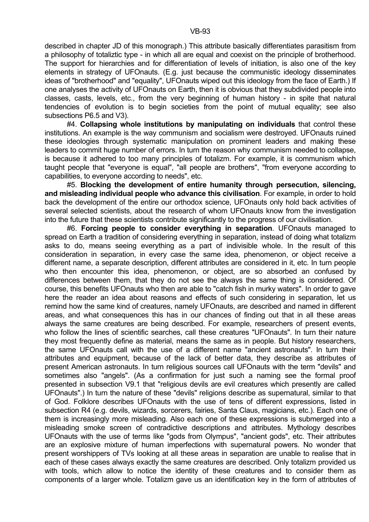described in chapter JD of this monograph.) This attribute basically differentiates parasitism from a philosophy of totaliztic type - in which all are equal and coexist on the principle of brotherhood. The support for hierarchies and for differentiation of levels of initiation, is also one of the key elements in strategy of UFOnauts. (E.g. just because the communistic ideology disseminates ideas of "brotherhood" and "equality", UFOnauts wiped out this ideology from the face of Earth.) If one analyses the activity of UFOnauts on Earth, then it is obvious that they subdivided people into classes, casts, levels, etc., from the very beginning of human history - in spite that natural tendencies of evolution is to begin societies from the point of mutual equality; see also subsections P6.5 and V3).

 #4. **Collapsing whole institutions by manipulating on individuals** that control these institutions. An example is the way communism and socialism were destroyed. UFOnauts ruined these ideologies through systematic manipulation on prominent leaders and making these leaders to commit huge number of errors. In turn the reason why communism needed to collapse, is because it adhered to too many principles of totalizm. For example, it is communism which taught people that "everyone is equal", "all people are brothers", "from everyone according to capabilities, to everyone according to needs", etc.

 #5. **Blocking the development of entire humanity through persecution, silencing, and misleading individual people who advance this civilisation**. For example, in order to hold back the development of the entire our orthodox science, UFOnauts only hold back activities of several selected scientists, about the research of whom UFOnauts know from the investigation into the future that these scientists contribute significantly to the progress of our civilisation.

 #6. **Forcing people to consider everything in separation**. UFOnauts managed to spread on Earth a tradition of considering everything in separation, instead of doing what totalizm asks to do, means seeing everything as a part of indivisible whole. In the result of this consideration in separation, in every case the same idea, phenomenon, or object receive a different name, a separate description, different attributes are considered in it, etc. In turn people who then encounter this idea, phenomenon, or object, are so absorbed an confused by differences between them, that they do not see the always the same thing is considered. Of course, this benefits UFOnauts who then are able to "catch fish in murky waters". In order to gave here the reader an idea about reasons and effects of such considering in separation, let us remind how the same kind of creatures, namely UFOnauts, are described and named in different areas, and what consequences this has in our chances of finding out that in all these areas always the same creatures are being described. For example, researchers of present events, who follow the lines of scientific searches, call these creatures "UFOnauts". In turn their nature they most frequently define as material, means the same as in people. But history researchers, the same UFOnauts call with the use of a different name "ancient astronauts". In turn their attributes and equipment, because of the lack of better data, they describe as attributes of present American astronauts. In turn religious sources call UFOnauts with the term "devils" and sometimes also "angels". (As a confirmation for just such a naming see the formal proof presented in subsection V9.1 that "religious devils are evil creatures which presently are called UFOnauts".) In turn the nature of these "devils" religions describe as supernatural, similar to that of God. Folklore describes UFOnauts with the use of tens of different expressions, listed in subsection R4 (e.g. devils, wizards, sorcerers, fairies, Santa Claus, magicians, etc.). Each one of them is increasingly more misleading. Also each one of these expressions is submerged into a misleading smoke screen of contradictive descriptions and attributes. Mythology describes UFOnauts with the use of terms like "gods from Olympus", "ancient gods", etc. Their attributes are an explosive mixture of human imperfections with supernatural powers. No wonder that present worshippers of TVs looking at all these areas in separation are unable to realise that in each of these cases always exactly the same creatures are described. Only totalizm provided us with tools, which allow to notice the identity of these creatures and to consider them as components of a larger whole. Totalizm gave us an identification key in the form of attributes of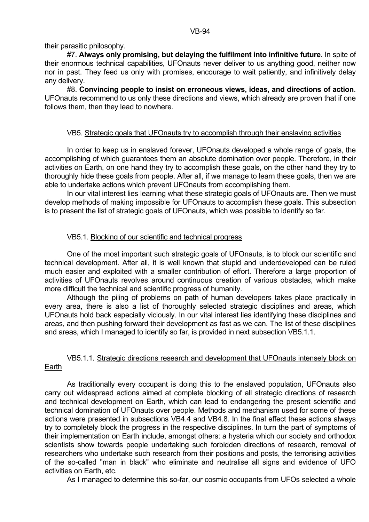their parasitic philosophy.

 #7. **Always only promising, but delaying the fulfilment into infinitive future**. In spite of their enormous technical capabilities, UFOnauts never deliver to us anything good, neither now nor in past. They feed us only with promises, encourage to wait patiently, and infinitively delay any delivery.

 #8. **Convincing people to insist on erroneous views, ideas, and directions of action**. UFOnauts recommend to us only these directions and views, which already are proven that if one follows them, then they lead to nowhere.

### VB5. Strategic goals that UFOnauts try to accomplish through their enslaving activities

In order to keep us in enslaved forever, UFOnauts developed a whole range of goals, the accomplishing of which guarantees them an absolute domination over people. Therefore, in their activities on Earth, on one hand they try to accomplish these goals, on the other hand they try to thoroughly hide these goals from people. After all, if we manage to learn these goals, then we are able to undertake actions which prevent UFOnauts from accomplishing them.

 In our vital interest lies learning what these strategic goals of UFOnauts are. Then we must develop methods of making impossible for UFOnauts to accomplish these goals. This subsection is to present the list of strategic goals of UFOnauts, which was possible to identify so far.

# VB5.1. Blocking of our scientific and technical progress

 One of the most important such strategic goals of UFOnauts, is to block our scientific and technical development. After all, it is well known that stupid and underdeveloped can be ruled much easier and exploited with a smaller contribution of effort. Therefore a large proportion of activities of UFOnauts revolves around continuous creation of various obstacles, which make more difficult the technical and scientific progress of humanity.

 Although the piling of problems on path of human developers takes place practically in every area, there is also a list of thoroughly selected strategic disciplines and areas, which UFOnauts hold back especially viciously. In our vital interest lies identifying these disciplines and areas, and then pushing forward their development as fast as we can. The list of these disciplines and areas, which I managed to identify so far, is provided in next subsection VB5.1.1.

# VB5.1.1. Strategic directions research and development that UFOnauts intensely block on Earth

 As traditionally every occupant is doing this to the enslaved population, UFOnauts also carry out widespread actions aimed at complete blocking of all strategic directions of research and technical development on Earth, which can lead to endangering the present scientific and technical domination of UFOnauts over people. Methods and mechanism used for some of these actions were presented in subsections VB4.4 and VB4.8. In the final effect these actions always try to completely block the progress in the respective disciplines. In turn the part of symptoms of their implementation on Earth include, amongst others: a hysteria which our society and orthodox scientists show towards people undertaking such forbidden directions of research, removal of researchers who undertake such research from their positions and posts, the terrorising activities of the so-called "man in black" who eliminate and neutralise all signs and evidence of UFO activities on Earth, etc.

As I managed to determine this so-far, our cosmic occupants from UFOs selected a whole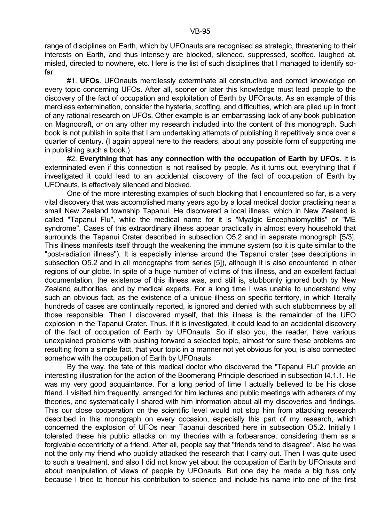range of disciplines on Earth, which by UFOnauts are recognised as strategic, threatening to their interests on Earth, and thus intensely are blocked, silenced, suppressed, scoffed, laughed at, misled, directed to nowhere, etc. Here is the list of such disciplines that I managed to identify sofar:

 #1. **UFOs**. UFOnauts mercilessly exterminate all constructive and correct knowledge on every topic concerning UFOs. After all, sooner or later this knowledge must lead people to the discovery of the fact of occupation and exploitation of Earth by UFOnauts. As an example of this merciless extermination, consider the hysteria, scoffing, and difficulties, which are piled up in front of any rational research on UFOs. Other example is an embarrassing lack of any book publication on Magnocraft, or on any other my research included into the content of this monograph. Such book is not publish in spite that I am undertaking attempts of publishing it repetitively since over a quarter of century. (I again appeal here to the readers, about any possible form of supporting me in publishing such a book.)

 #2. **Everything that has any connection with the occupation of Earth by UFOs**. It is exterminated even if this connection is not realised by people. As it turns out, everything that if investigated it could lead to an accidental discovery of the fact of occupation of Earth by UFOnauts, is effectively silenced and blocked.

 One of the more interesting examples of such blocking that I encountered so far, is a very vital discovery that was accomplished many years ago by a local medical doctor practising near a small New Zealand township Tapanui. He discovered a local illness, which in New Zealand is called "Tapanui Flu", while the medical name for it is "Myalgic Encephalomyelitis" or "ME syndrome". Cases of this extraordinary illness appear practically in almost every household that surrounds the Tapanui Crater described in subsection O5.2 and in separate monograph [5/3]. This illness manifests itself through the weakening the immune system (so it is quite similar to the "post-radiation illness"). It is especially intense around the Tapanui crater (see descriptions in subsection O5.2 and in all monographs from series [5]), although it is also encountered in other regions of our globe. In spite of a huge number of victims of this illness, and an excellent factual documentation, the existence of this illness was, and still is, stubbornly ignored both by New Zealand authorities, and by medical experts. For a long time I was unable to understand why such an obvious fact, as the existence of a unique illness on specific territory, in which literally hundreds of cases are continually reported, is ignored and denied with such stubbornness by all those responsible. Then I discovered myself, that this illness is the remainder of the UFO explosion in the Tapanui Crater. Thus, if it is investigated, it could lead to an accidental discovery of the fact of occupation of Earth by UFOnauts. So if also you, the reader, have various unexplained problems with pushing forward a selected topic, almost for sure these problems are resulting from a simple fact, that your topic in a manner not yet obvious for you, is also connected somehow with the occupation of Earth by UFOnauts.

 By the way, the fate of this medical doctor who discovered the "Tapanui Flu" provide an interesting illustration for the action of the Boomerang Principle described in subsection I4.1.1. He was my very good acquaintance. For a long period of time I actually believed to be his close friend. I visited him frequently, arranged for him lectures and public meetings with adherers of my theories, and systematically I shared with him information about all my discoveries and findings. This our close cooperation on the scientific level would not stop him from attacking research described in this monograph on every occasion, especially this part of my research, which concerned the explosion of UFOs near Tapanui described here in subsection O5.2. Initially I tolerated these his public attacks on my theories with a forbearance, considering them as a forgivable eccentricity of a friend. After all, people say that "friends tend to disagree". Also he was not the only my friend who publicly attacked the research that I carry out. Then I was quite used to such a treatment, and also I did not know yet about the occupation of Earth by UFOnauts and about manipulation of views of people by UFOnauts. But one day he made a big fuss only because I tried to honour his contribution to science and include his name into one of the first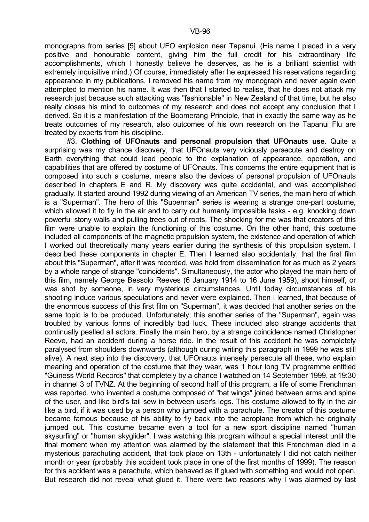monographs from series [5] about UFO explosion near Tapanui. (His name I placed in a very positive and honourable content, giving him the full credit for his extraordinary life accomplishments, which I honestly believe he deserves, as he is a brilliant scientist with extremely inquisitive mind.) Of course, immediately after he expressed his reservations regarding appearance in my publications, I removed his name from my monograph and never again even attempted to mention his name. It was then that I started to realise, that he does not attack my research just because such attacking was "fashionable" in New Zealand of that time, but he also really closes his mind to outcomes of my research and does not accept any conclusion that I derived. So it is a manifestation of the Boomerang Principle, that in exactly the same way as he treats outcomes of my research, also outcomes of his own research on the Tapanui Flu are treated by experts from his discipline.

 #3. **Clothing of UFOnauts and personal propulsion that UFOnauts use**. Quite a surprising was my chance discovery, that UFOnauts very viciously persecute and destroy on Earth everything that could lead people to the explanation of appearance, operation, and capabilities that are offered by costume of UFOnauts. This concerns the entire equipment that is composed into such a costume, means also the devices of personal propulsion of UFOnauts described in chapters E and R. My discovery was quite accidental, and was accomplished gradually. It started around 1992 during viewing of an American TV series, the main hero of which is a "Superman". The hero of this "Superman" series is wearing a strange one-part costume, which allowed it to fly in the air and to carry out humanly impossible tasks - e.g. knocking down powerful stony walls and pulling trees out of roots. The shocking for me was that creators of this film were unable to explain the functioning of this costume. On the other hand, this costume included all components of the magnetic propulsion system, the existence and operation of which I worked out theoretically many years earlier during the synthesis of this propulsion system. I described these components in chapter E. Then I learned also accidentally, that the first film about this "Superman", after it was recorded, was hold from dissemination for as much as 2 years by a whole range of strange "coincidents". Simultaneously, the actor who played the main hero of this film, namely George Bessolo Reeves (6 January 1914 to 16 June 1959), shoot himself, or was shot by someone, in very mysterious circumstances. Until today circumstances of his shooting induce various speculations and never were explained. Then I learned, that because of the enormous success of this first film on "Superman", it was decided that another series on the same topic is to be produced. Unfortunately, this another series of the "Superman", again was troubled by various forms of incredibly bad luck. These included also strange accidents that continually pestled all actors. Finally the main hero, by a strange coincidence named Christopher Reeve, had an accident during a horse ride. In the result of this accident he was completely paralysed from shoulders downwards (although during writing this paragraph in 1999 he was still alive). A next step into the discovery, that UFOnauts intensely persecute all these, who explain meaning and operation of the costume that they wear, was 1 hour long TV programme entitled "Guiness World Records" that completely by a chance I watched on 14 September 1999, at 19:30 in channel 3 of TVNZ. At the beginning of second half of this program, a life of some Frenchman was reported, who invented a costume composed of "bat wings" joined between arms and spine of the user, and like bird's tail sew in between user's legs. This costume allowed to fly in the air like a bird, if it was used by a person who jumped with a parachute. The creator of this costume became famous because of his ability to fly back into the aeroplane from which he originally jumped out. This costume became even a tool for a new sport discipline named "human skysurfing" or "human skyglider". I was watching this program without a special interest until the final moment when my attention was alarmed by the statement that this Frenchman died in a mysterious parachuting accident, that took place on 13th - unfortunately I did not catch neither month or year (probably this accident took place in one of the first months of 1999). The reason for this accident was a parachute, which behaved as if glued with something and would not open. But research did not reveal what glued it. There were two reasons why I was alarmed by last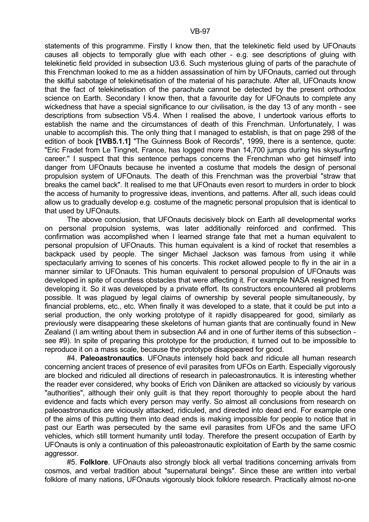statements of this programme. Firstly I know then, that the telekinetic field used by UFOnauts causes all objects to temporally glue with each other - e.g. see descriptions of gluing with telekinetic field provided in subsection U3.6. Such mysterious gluing of parts of the parachute of this Frenchman looked to me as a hidden assassination of him by UFOnauts, carried out through the skilful sabotage of telekinetisation of the material of his parachute. After all, UFOnauts know that the fact of telekinetisation of the parachute cannot be detected by the present orthodox science on Earth. Secondary I know then, that a favourite day for UFOnauts to complete any wickedness that have a special significance to our civilisation, is the day 13 of any month - see descriptions from subsection V5.4. When I realised the above, I undertook various efforts to establish the name and the circumstances of death of this Frenchman. Unfortunately, I was unable to accomplish this. The only thing that I managed to establish, is that on page 298 of the edition of book **[1VB5.1.1]** "The Guinness Book of Records", 1999, there is a sentence, quote: "Eric Fradet from Le Tingnet, France, has logged more than 14,700 jumps during his skysurfing career." I suspect that this sentence perhaps concerns the Frenchman who get himself into danger from UFOnauts because he invented a costume that models the design of personal propulsion system of UFOnauts. The death of this Frenchman was the proverbial "straw that breaks the camel back". It realised to me that UFOnauts even resort to murders in order to block the access of humanity to progressive ideas, inventions, and patterns. After all, such ideas could allow us to gradually develop e.g. costume of the magnetic personal propulsion that is identical to that used by UFOnauts.

 The above conclusion, that UFOnauts decisively block on Earth all developmental works on personal propulsion systems, was later additionally reinforced and confirmed. This confirmation was accomplished when I learned strange fate that met a human equivalent to personal propulsion of UFOnauts. This human equivalent is a kind of rocket that resembles a backpack used by people. The singer Michael Jackson was famous from using it while spectacularly arriving to scenes of his concerts. This rocket allowed people to fly in the air in a manner similar to UFOnauts. This human equivalent to personal propulsion of UFOnauts was developed in spite of countless obstacles that were affecting it. For example NASA resigned from developing it. So it was developed by a private effort. Its constructors encountered all problems possible. It was plagued by legal claims of ownership by several people simultaneously, by financial problems, etc., etc. When finally it was developed to a state, that it could be put into a serial production, the only working prototype of it rapidly disappeared for good, similarly as previously were disappearing these skeletons of human giants that are continually found in New Zealand (I am writing about them in subsection A4 and in one of further items of this subsection see #9). In spite of preparing this prototype for the production, it turned out to be impossible to reproduce it on a mass scale, because the prototype disappeared for good.

 #4. **Paleoastronautics**. UFOnauts intensely hold back and ridicule all human research concerning ancient traces of presence of evil parasites from UFOs on Earth. Especially vigorously are blocked and ridiculed all directions of research in paleoastronautics. It is interesting whether the reader ever considered, why books of Erich von Däniken are attacked so viciously by various "authorities", although their only guilt is that they report thoroughly to people about the hard evidence and facts which every person may verify. So almost all conclusions from research on paleoastronautics are viciously attacked, ridiculed, and directed into dead end. For example one of the aims of this putting them into dead ends is making impossible for people to notice that in past our Earth was persecuted by the same evil parasites from UFOs and the same UFO vehicles, which still torment humanity until today. Therefore the present occupation of Earth by UFOnauts is only a continuation of this paleoastronautic exploitation of Earth by the same cosmic aggressor.

 #5. **Folklore**. UFOnauts also strongly block all verbal traditions concerning arrivals from cosmos, and verbal tradition about "supernatural beings". Since these are written into verbal folklore of many nations, UFOnauts vigorously block folklore research. Practically almost no-one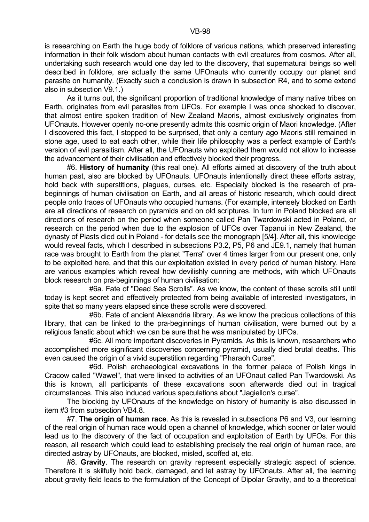is researching on Earth the huge body of folklore of various nations, which preserved interesting information in their folk wisdom about human contacts with evil creatures from cosmos. After all, undertaking such research would one day led to the discovery, that supernatural beings so well described in folklore, are actually the same UFOnauts who currently occupy our planet and parasite on humanity. (Exactly such a conclusion is drawn in subsection R4, and to some extend also in subsection V9.1.)

 As it turns out, the significant proportion of traditional knowledge of many native tribes on Earth, originates from evil parasites from UFOs. For example I was once shocked to discover, that almost entire spoken tradition of New Zealand Maoris, almost exclusively originates from UFOnauts. However openly no-one presently admits this cosmic origin of Maori knowledge. (After I discovered this fact, I stopped to be surprised, that only a century ago Maoris still remained in stone age, used to eat each other, while their life philosophy was a perfect example of Earth's version of evil parasitism. After all, the UFOnauts who exploited them would not allow to increase the advancement of their civilisation and effectively blocked their progress.

 #6. **History of humanity** (this real one). All efforts aimed at discovery of the truth about human past, also are blocked by UFOnauts. UFOnauts intentionally direct these efforts astray, hold back with superstitions, plagues, curses, etc. Especially blocked is the research of prabeginnings of human civilisation on Earth, and all areas of historic research, which could direct people onto traces of UFOnauts who occupied humans. (For example, intensely blocked on Earth are all directions of research on pyramids and on old scriptures. In turn in Poland blocked are all directions of research on the period when someone called Pan Twardowski acted in Poland, or research on the period when due to the explosion of UFOs over Tapanui in New Zealand, the dynasty of Piasts died out in Poland - for details see the monograph [5/4]. After all, this knowledge would reveal facts, which I described in subsections P3.2, P5, P6 and JE9.1, namely that human race was brought to Earth from the planet "Terra" over 4 times larger from our present one, only to be exploited here, and that this our exploitation existed in every period of human history. Here are various examples which reveal how devilishly cunning are methods, with which UFOnauts block research on pra-beginnings of human civilisation:

 #6a. Fate of "Dead Sea Scrolls". As we know, the content of these scrolls still until today is kept secret and effectively protected from being available of interested investigators, in spite that so many years elapsed since these scrolls were discovered.

 #6b. Fate of ancient Alexandria library. As we know the precious collections of this library, that can be linked to the pra-beginnings of human civilisation, were burned out by a religious fanatic about which we can be sure that he was manipulated by UFOs.

 #6c. All more important discoveries in Pyramids. As this is known, researchers who accomplished more significant discoveries concerning pyramid, usually died brutal deaths. This even caused the origin of a vivid superstition regarding "Pharaoh Curse".

 #6d. Polish archaeological excavations in the former palace of Polish kings in Cracow called "Wawel", that were linked to activities of an UFOnaut called Pan Twardowski. As this is known, all participants of these excavations soon afterwards died out in tragical circumstances. This also induced various speculations about "Jagiellon's curse".

 The blocking by UFOnauts of the knowledge on history of humanity is also discussed in item #3 from subsection VB4.8.

 #7. **The origin of human race**. As this is revealed in subsections P6 and V3, our learning of the real origin of human race would open a channel of knowledge, which sooner or later would lead us to the discovery of the fact of occupation and exploitation of Earth by UFOs. For this reason, all research which could lead to establishing precisely the real origin of human race, are directed astray by UFOnauts, are blocked, misled, scoffed at, etc.

 #8. **Gravity**. The research on gravity represent especially strategic aspect of science. Therefore it is skilfully hold back, damaged, and let astray by UFOnauts. After all, the learning about gravity field leads to the formulation of the Concept of Dipolar Gravity, and to a theoretical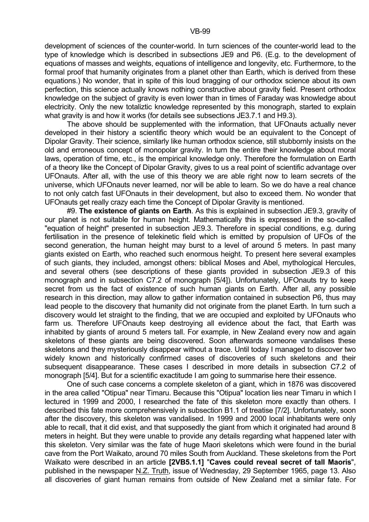development of sciences of the counter-world. In turn sciences of the counter-world lead to the type of knowledge which is described in subsections JE9 and P6. (E.g. to the development of equations of masses and weights, equations of intelligence and longevity, etc. Furthermore, to the formal proof that humanity originates from a planet other than Earth, which is derived from these equations.) No wonder, that in spite of this loud bragging of our orthodox science about its own perfection, this science actually knows nothing constructive about gravity field. Present orthodox knowledge on the subject of gravity is even lower than in times of Faraday was knowledge about electricity. Only the new totaliztic knowledge represented by this monograph, started to explain what gravity is and how it works (for details see subsections JE3.7.1 and H9.3).

 The above should be supplemented with the information, that UFOnauts actually never developed in their history a scientific theory which would be an equivalent to the Concept of Dipolar Gravity. Their science, similarly like human orthodox science, still stubbornly insists on the old and erroneous concept of monopolar gravity. In turn the entire their knowledge about moral laws, operation of time, etc., is the empirical knowledge only. Therefore the formulation on Earth of a theory like the Concept of Dipolar Gravity, gives to us a real point of scientific advantage over UFOnauts. After all, with the use of this theory we are able right now to learn secrets of the universe, which UFOnauts never learned, nor will be able to learn. So we do have a real chance to not only catch fast UFOnauts in their development, but also to exceed them. No wonder that UFOnauts get really crazy each time the Concept of Dipolar Gravity is mentioned.

 #9. **The existence of giants on Earth**. As this is explained in subsection JE9.3, gravity of our planet is not suitable for human height. Mathematically this is expressed in the so-called "equation of height" presented in subsection JE9.3. Therefore in special conditions, e.g. during fertilisation in the presence of telekinetic field which is emitted by propulsion of UFOs of the second generation, the human height may burst to a level of around 5 meters. In past many giants existed on Earth, who reached such enormous height. To present here several examples of such giants, they included, amongst others: biblical Moses and Abel, mythological Hercules, and several others (see descriptions of these giants provided in subsection JE9.3 of this monograph and in subsection C7.2 of monograph [5/4]). Unfortunately, UFOnauts try to keep secret from us the fact of existence of such human giants on Earth. After all, any possible research in this direction, may allow to gather information contained in subsection P6, thus may lead people to the discovery that humanity did not originate from the planet Earth. In turn such a discovery would let straight to the finding, that we are occupied and exploited by UFOnauts who farm us. Therefore UFOnauts keep destroying all evidence about the fact, that Earth was inhabited by giants of around 5 meters tall. For example, in New Zealand every now and again skeletons of these giants are being discovered. Soon afterwards someone vandalises these skeletons and they mysteriously disappear without a trace. Until today I managed to discover two widely known and historically confirmed cases of discoveries of such skeletons and their subsequent disappearance. These cases I described in more details in subsection C7.2 of monograph [5/4]. But for a scientific exactitude I am going to summarise here their essence.

 One of such case concerns a complete skeleton of a giant, which in 1876 was discovered in the area called "Otipua" near Timaru. Because this "Otipua" location lies near Timaru in which I lectured in 1999 and 2000, I researched the fate of this skeleton more exactly than others. I described this fate more comprehensively in subsection B1.1 of treatise [7/2]. Unfortunately, soon after the discovery, this skeleton was vandalised. In 1999 and 2000 local inhabitants were only able to recall, that it did exist, and that supposedly the giant from which it originated had around 8 meters in height. But they were unable to provide any details regarding what happened later with this skeleton. Very similar was the fate of huge Maori skeletons which were found in the burial cave from the Port Waikato, around 70 miles South from Auckland. These skeletons from the Port Waikato were described in an article **[2VB5.1.1]** "**Caves could reveal secret of tall Maoris**", published in the newspaper N.Z. Truth, issue of Wednesday, 29 September 1965, page 13. Also all discoveries of giant human remains from outside of New Zealand met a similar fate. For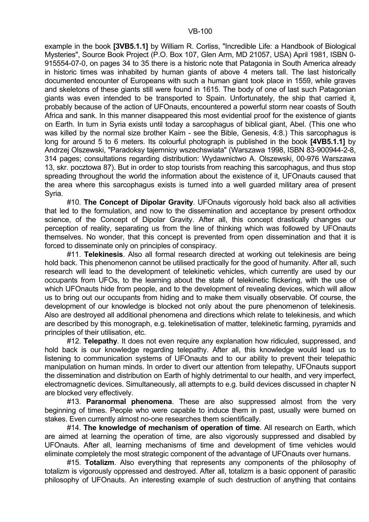example in the book **[3VB5.1.1]** by William R. Corliss, "Incredible Life: a Handbook of Biological Mysteries", Source Book Project (P.O. Box 107, Glen Arm, MD 21057, USA) April 1981, ISBN 0- 915554-07-0, on pages 34 to 35 there is a historic note that Patagonia in South America already in historic times was inhabited by human giants of above 4 meters tall. The last historically documented encounter of Europeans with such a human giant took place in 1559, while graves and skeletons of these giants still were found in 1615. The body of one of last such Patagonian giants was even intended to be transported to Spain. Unfortunately, the ship that carried it, probably because of the action of UFOnauts, encountered a powerful storm near coasts of South Africa and sank. In this manner disappeared this most evidential proof for the existence of giants on Earth. In turn in Syria exists until today a sarcophagus of biblical giant, Abel. (This one who was killed by the normal size brother Kaim - see the Bible, Genesis, 4:8.) This sarcophagus is long for around 5 to 6 meters. Its colourful photograph is published in the book **[4VB5.1.1]** by Andrzej Olszewski, "Paradoksy tajemnicy wszechswiata" (Warszawa 1998, ISBN 83-900944-2-8, 314 pages; consultations regarding distribution: Wydawnictwo A. Olszewski, 00-976 Warszawa 13, skr. pocztowa 87). But in order to stop tourists from reaching this sarcophagus, and thus stop spreading throughout the world the information about the existence of it, UFOnauts caused that the area where this sarcophagus exists is turned into a well guarded military area of present Syria.

 #10. **The Concept of Dipolar Gravity**. UFOnauts vigorously hold back also all activities that led to the formulation, and now to the dissemination and acceptance by present orthodox science, of the Concept of Dipolar Gravity. After all, this concept drastically changes our perception of reality, separating us from the line of thinking which was followed by UFOnauts themselves. No wonder, that this concept is prevented from open dissemination and that it is forced to disseminate only on principles of conspiracy.

 #11. **Telekinesis**. Also all formal research directed at working out telekinesis are being hold back. This phenomenon cannot be utilised practically for the good of humanity. After all, such research will lead to the development of telekinetic vehicles, which currently are used by our occupants from UFOs, to the learning about the state of telekinetic flickering, with the use of which UFOnauts hide from people, and to the development of revealing devices, which will allow us to bring out our occupants from hiding and to make them visually observable. Of course, the development of our knowledge is blocked not only about the pure phenomenon of telekinesis. Also are destroyed all additional phenomena and directions which relate to telekinesis, and which are described by this monograph, e.g. telekinetisation of matter, telekinetic farming, pyramids and principles of their utilisation, etc.

 #12. **Telepathy**. It does not even require any explanation how ridiculed, suppressed, and hold back is our knowledge regarding telepathy. After all, this knowledge would lead us to listening to communication systems of UFOnauts and to our ability to prevent their telepathic manipulation on human minds. In order to divert our attention from telepathy, UFOnauts support the dissemination and distribution on Earth of highly detrimental to our health, and very imperfect, electromagnetic devices. Simultaneously, all attempts to e.g. build devices discussed in chapter N are blocked very effectively.

 #13. **Paranormal phenomena**. These are also suppressed almost from the very beginning of times. People who were capable to induce them in past, usually were burned on stakes. Even currently almost no-one researches them scientifically.

 #14. **The knowledge of mechanism of operation of time**. All research on Earth, which are aimed at learning the operation of time, are also vigorously suppressed and disabled by UFOnauts. After all, learning mechanisms of time and development of time vehicles would eliminate completely the most strategic component of the advantage of UFOnauts over humans.

 #15. **Totalizm**. Also everything that represents any components of the philosophy of totalizm is vigorously oppressed and destroyed. After all, totalizm is a basic opponent of parasitic philosophy of UFOnauts. An interesting example of such destruction of anything that contains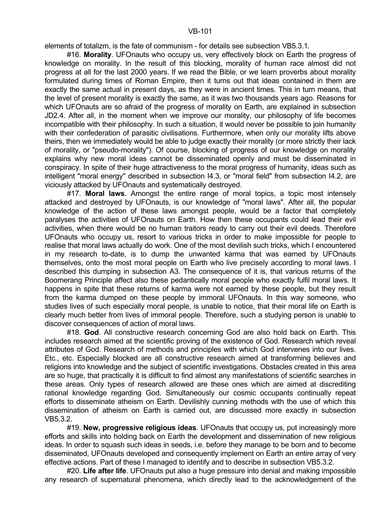elements of totalizm, is the fate of communism - for details see subsection VB5.3.1.

 #16. **Morality**. UFOnauts who occupy us, very effectively block on Earth the progress of knowledge on morality. In the result of this blocking, morality of human race almost did not progress at all for the last 2000 years. If we read the Bible, or we learn proverbs about morality formulated during times of Roman Empire, then it turns out that ideas contained in them are exactly the same actual in present days, as they were in ancient times. This in turn means, that the level of present morality is exactly the same, as it was two thousands years ago. Reasons for which UFOnauts are so afraid of the progress of morality on Earth, are explained in subsection JD2.4. After all, in the moment when we improve our morality, our philosophy of life becomes incompatible with their philosophy. In such a situation, it would never be possible to join humanity with their confederation of parasitic civilisations. Furthermore, when only our morality lifts above theirs, then we immediately would be able to judge exactly their morality (or more strictly their lack of morality, or "pseudo-morality"). Of course, blocking of progress of our knowledge on morality explains why new moral ideas cannot be disseminated openly and must be disseminated in conspiracy. In spite of their huge attractiveness to the moral progress of humanity, ideas such as intelligent "moral energy" described in subsection I4.3, or "moral field" from subsection I4.2, are viciously attacked by UFOnauts and systematically destroyed.

 #17. **Moral laws**. Amongst the entire range of moral topics, a topic most intensely attacked and destroyed by UFOnauts, is our knowledge of "moral laws". After all, the popular knowledge of the action of these laws amongst people, would be a factor that completely paralyses the activities of UFOnauts on Earth. How then these occupants could lead their evil activities, when there would be no human traitors ready to carry out their evil deeds. Therefore UFOnauts who occupy us, resort to various tricks in order to make impossible for people to realise that moral laws actually do work. One of the most devilish such tricks, which I encountered in my research to-date, is to dump the unwanted karma that was earned by UFOnauts themselves, onto the most moral people on Earth who live precisely according to moral laws. I described this dumping in subsection A3. The consequence of it is, that various returns of the Boomerang Principle affect also these pedantically moral people who exactly fulfil moral laws. It happens in spite that these returns of karma were not earned by these people, but they result from the karma dumped on these people by immoral UFOnauts. In this way someone, who studies lives of such especially moral people, is unable to notice, that their moral life on Earth is clearly much better from lives of immoral people. Therefore, such a studying person is unable to discover consequences of action of moral laws.

 #18. **God**. All constructive research concerning God are also hold back on Earth. This includes research aimed at the scientific proving of the existence of God. Research which reveal attributes of God. Research of methods and principles with which God intervenes into our lives. Etc., etc. Especially blocked are all constructive research aimed at transforming believes and religions into knowledge and the subject of scientific investigations. Obstacles created in this area are so huge, that practically it is difficult to find almost any manifestations of scientific searches in these areas. Only types of research allowed are these ones which are aimed at discrediting rational knowledge regarding God. Simultaneously our cosmic occupants continually repeat efforts to disseminate atheism on Earth. Devilishly cunning methods with the use of which this dissemination of atheism on Earth is carried out, are discussed more exactly in subsection VB5.3.2.

 #19. **New, progressive religious ideas**. UFOnauts that occupy us, put increasingly more efforts and skills into holding back on Earth the development and dissemination of new religious ideas. In order to squash such ideas in seeds, i.e. before they manage to be born and to become disseminated, UFOnauts developed and consequently implement on Earth an entire array of very effective actions. Part of these I managed to identify and to describe in subsection VB5.3.2.

 #20. **Life after life**. UFOnauts put also a huge pressure into denial and making impossible any research of supernatural phenomena, which directly lead to the acknowledgement of the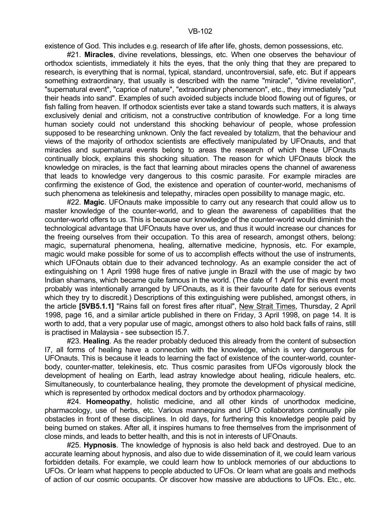existence of God. This includes e.g. research of life after life, ghosts, demon possessions, etc.

 #21. **Miracles**, divine revelations, blessings, etc. When one observes the behaviour of orthodox scientists, immediately it hits the eyes, that the only thing that they are prepared to research, is everything that is normal, typical, standard, uncontroversial, safe, etc. But if appears something extraordinary, that usually is described with the name "miracle", "divine revelation", "supernatural event", "caprice of nature", "extraordinary phenomenon", etc., they immediately "put their heads into sand". Examples of such avoided subjects include blood flowing out of figures, or fish falling from heaven. If orthodox scientists ever take a stand towards such matters, it is always exclusively denial and criticism, not a constructive contribution of knowledge. For a long time human society could not understand this shocking behaviour of people, whose profession supposed to be researching unknown. Only the fact revealed by totalizm, that the behaviour and views of the majority of orthodox scientists are effectively manipulated by UFOnauts, and that miracles and supernatural events belong to areas the research of which these UFOnauts continually block, explains this shocking situation. The reason for which UFOnauts block the knowledge on miracles, is the fact that learning about miracles opens the channel of awareness that leads to knowledge very dangerous to this cosmic parasite. For example miracles are confirming the existence of God, the existence and operation of counter-world, mechanisms of such phenomena as telekinesis and telepathy, miracles open possibility to manage magic, etc.

 #22. **Magic**. UFOnauts make impossible to carry out any research that could allow us to master knowledge of the counter-world, and to glean the awareness of capabilities that the counter-world offers to us. This is because our knowledge of the counter-world would diminish the technological advantage that UFOnauts have over us, and thus it would increase our chances for the freeing ourselves from their occupation. To this area of research, amongst others, belong: magic, supernatural phenomena, healing, alternative medicine, hypnosis, etc. For example, magic would make possible for some of us to accomplish effects without the use of instruments, which UFOnauts obtain due to their advanced technology. As an example consider the act of extinguishing on 1 April 1998 huge fires of native jungle in Brazil with the use of magic by two Indian shamans, which became quite famous in the world. (The date of 1 April for this event most probably was intentionally arranged by UFOnauts, as it is their favourite date for serious events which they try to discredit.) Descriptions of this extinguishing were published, amongst others, in the article **[5VB5.1.1]** "Rains fall on forest fires after ritual", New Strait Times, Thursday, 2 April 1998, page 16, and a similar article published in there on Friday, 3 April 1998, on page 14. It is worth to add, that a very popular use of magic, amongst others to also hold back falls of rains, still is practised in Malaysia - see subsection I5.7.

 #23. **Healing**. As the reader probably deduced this already from the content of subsection I7, all forms of healing have a connection with the knowledge, which is very dangerous for UFOnauts. This is because it leads to learning the fact of existence of the counter-world, counterbody, counter-matter, telekinesis, etc. Thus cosmic parasites from UFOs vigorously block the development of healing on Earth, lead astray knowledge about healing, ridicule healers, etc. Simultaneously, to counterbalance healing, they promote the development of physical medicine, which is represented by orthodox medical doctors and by orthodox pharmacology.

 #24. **Homeopathy**, holistic medicine, and all other kinds of unorthodox medicine, pharmacology, use of herbs, etc. Various mannequins and UFO collaborators continually pile obstacles in front of these disciplines. In old days, for furthering this knowledge people paid by being burned on stakes. After all, it inspires humans to free themselves from the imprisonment of close minds, and leads to better health, and this is not in interests of UFOnauts.

 #25. **Hypnosis**. The knowledge of hypnosis is also held back and destroyed. Due to an accurate learning about hypnosis, and also due to wide dissemination of it, we could learn various forbidden details. For example, we could learn how to unblock memories of our abductions to UFOs. Or learn what happens to people abducted to UFOs. Or learn what are goals and methods of action of our cosmic occupants. Or discover how massive are abductions to UFOs. Etc., etc.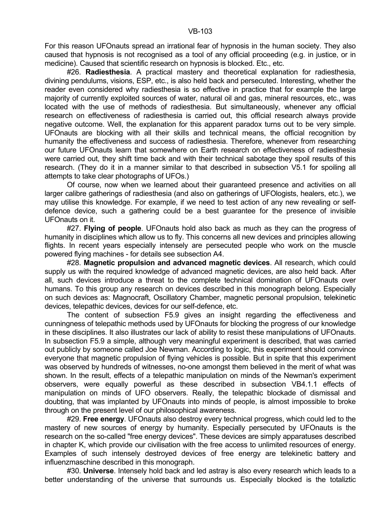For this reason UFOnauts spread an irrational fear of hypnosis in the human society. They also caused that hypnosis is not recognised as a tool of any official proceeding (e.g. in justice, or in medicine). Caused that scientific research on hypnosis is blocked. Etc., etc.

 #26. **Radiesthesia**. A practical mastery and theoretical explanation for radiesthesia, divining pendulums, visions, ESP, etc., is also held back and persecuted. Interesting, whether the reader even considered why radiesthesia is so effective in practice that for example the large majority of currently exploited sources of water, natural oil and gas, mineral resources, etc., was located with the use of methods of radiesthesia. But simultaneously, whenever any official research on effectiveness of radiesthesia is carried out, this official research always provide negative outcome. Well, the explanation for this apparent paradox turns out to be very simple. UFOnauts are blocking with all their skills and technical means, the official recognition by humanity the effectiveness and success of radiesthesia. Therefore, whenever from researching our future UFOnauts learn that somewhere on Earth research on effectiveness of radiesthesia were carried out, they shift time back and with their technical sabotage they spoil results of this research. (They do it in a manner similar to that described in subsection V5.1 for spoiling all attempts to take clear photographs of UFOs.)

 Of course, now when we learned about their guaranteed presence and activities on all larger calibre gatherings of radiesthesia (and also on gatherings of UFOlogists, healers, etc.), we may utilise this knowledge. For example, if we need to test action of any new revealing or selfdefence device, such a gathering could be a best guarantee for the presence of invisible UFOnauts on it.

 #27. **Flying of people**. UFOnauts hold also back as much as they can the progress of humanity in disciplines which allow us to fly. This concerns all new devices and principles allowing flights. In recent years especially intensely are persecuted people who work on the muscle powered flying machines - for details see subsection A4.

 #28. **Magnetic propulsion and advanced magnetic devices**. All research, which could supply us with the required knowledge of advanced magnetic devices, are also held back. After all, such devices introduce a threat to the complete technical domination of UFOnauts over humans. To this group any research on devices described in this monograph belong. Especially on such devices as: Magnocraft, Oscillatory Chamber, magnetic personal propulsion, telekinetic devices, telepathic devices, devices for our self-defence, etc.

 The content of subsection F5.9 gives an insight regarding the effectiveness and cunningness of telepathic methods used by UFOnauts for blocking the progress of our knowledge in these disciplines. It also illustrates our lack of ability to resist these manipulations of UFOnauts. In subsection F5.9 a simple, although very meaningful experiment is described, that was carried out publicly by someone called Joe Newman. According to logic, this experiment should convince everyone that magnetic propulsion of flying vehicles is possible. But in spite that this experiment was observed by hundreds of witnesses, no-one amongst them believed in the merit of what was shown. In the result, effects of a telepathic manipulation on minds of the Newman's experiment observers, were equally powerful as these described in subsection VB4.1.1 effects of manipulation on minds of UFO observers. Really, the telepathic blockade of dismissal and doubting, that was implanted by UFOnauts into minds of people, is almost impossible to broke through on the present level of our philosophical awareness.

 #29. **Free energy**. UFOnauts also destroy every technical progress, which could led to the mastery of new sources of energy by humanity. Especially persecuted by UFOnauts is the research on the so-called "free energy devices". These devices are simply apparatuses described in chapter K, which provide our civilisation with the free access to unlimited resources of energy. Examples of such intensely destroyed devices of free energy are telekinetic battery and influenzmaschine described in this monograph.

 #30. **Universe**. Intensely hold back and led astray is also every research which leads to a better understanding of the universe that surrounds us. Especially blocked is the totaliztic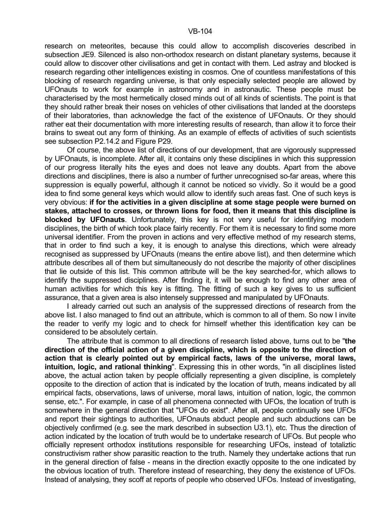research on meteorites, because this could allow to accomplish discoveries described in subsection JE9. Silenced is also non-orthodox research on distant planetary systems, because it could allow to discover other civilisations and get in contact with them. Led astray and blocked is research regarding other intelligences existing in cosmos. One of countless manifestations of this blocking of research regarding universe, is that only especially selected people are allowed by UFOnauts to work for example in astronomy and in astronautic. These people must be characterised by the most hermetically closed minds out of all kinds of scientists. The point is that they should rather break their noses on vehicles of other civilisations that landed at the doorsteps of their laboratories, than acknowledge the fact of the existence of UFOnauts. Or they should rather eat their documentation with more interesting results of research, than allow it to force their brains to sweat out any form of thinking. As an example of effects of activities of such scientists see subsection P2.14.2 and Figure P29.

 Of course, the above list of directions of our development, that are vigorously suppressed by UFOnauts, is incomplete. After all, it contains only these disciplines in which this suppression of our progress literally hits the eyes and does not leave any doubts. Apart from the above directions and disciplines, there is also a number of further unrecognised so-far areas, where this suppression is equally powerful, although it cannot be noticed so vividly. So it would be a good idea to find some general keys which would allow to identify such areas fast. One of such keys is very obvious: **if for the activities in a given discipline at some stage people were burned on stakes, attached to crosses, or thrown lions for food, then it means that this discipline is blocked by UFOnauts**. Unfortunately, this key is not very useful for identifying modern disciplines, the birth of which took place fairly recently. For them it is necessary to find some more universal identifier. From the proven in actions and very effective method of my research stems, that in order to find such a key, it is enough to analyse this directions, which were already recognised as suppressed by UFOnauts (means the entire above list), and then determine which attribute describes all of them but simultaneously do not describe the majority of other disciplines that lie outside of this list. This common attribute will be the key searched-for, which allows to identify the suppressed disciplines. After finding it, it will be enough to find any other area of human activities for which this key is fitting. The fitting of such a key gives to us sufficient assurance, that a given area is also intensely suppressed and manipulated by UFOnauts.

 I already carried out such an analysis of the suppressed directions of research from the above list. I also managed to find out an attribute, which is common to all of them. So now I invite the reader to verify my logic and to check for himself whether this identification key can be considered to be absolutely certain.

 The attribute that is common to all directions of research listed above, turns out to be "**the direction of the official action of a given discipline, which is opposite to the direction of action that is clearly pointed out by empirical facts, laws of the universe, moral laws, intuition, logic, and rational thinking**". Expressing this in other words, "in all disciplines listed above, the actual action taken by people officially representing a given discipline, is completely opposite to the direction of action that is indicated by the location of truth, means indicated by all empirical facts, observations, laws of universe, moral laws, intuition of nation, logic, the common sense, etc.". For example, in case of all phenomena connected with UFOs, the location of truth is somewhere in the general direction that "UFOs do exist". After all, people continually see UFOs and report their sightings to authorities, UFOnauts abduct people and such abductions can be objectively confirmed (e.g. see the mark described in subsection U3.1), etc. Thus the direction of action indicated by the location of truth would be to undertake research of UFOs. But people who officially represent orthodox institutions responsible for researching UFOs, instead of totaliztic constructivism rather show parasitic reaction to the truth. Namely they undertake actions that run in the general direction of false - means in the direction exactly opposite to the one indicated by the obvious location of truth. Therefore instead of researching, they deny the existence of UFOs. Instead of analysing, they scoff at reports of people who observed UFOs. Instead of investigating,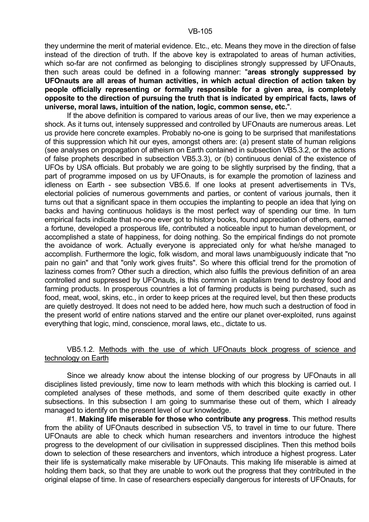they undermine the merit of material evidence. Etc., etc. Means they move in the direction of false instead of the direction of truth. If the above key is extrapolated to areas of human activities, which so-far are not confirmed as belonging to disciplines strongly suppressed by UFOnauts, then such areas could be defined in a following manner: "**areas strongly suppressed by UFOnauts are all areas of human activities, in which actual direction of action taken by people officially representing or formally responsible for a given area, is completely opposite to the direction of pursuing the truth that is indicated by empirical facts, laws of universe, moral laws, intuition of the nation, logic, common sense, etc.**".

 If the above definition is compared to various areas of our live, then we may experience a shock. As it turns out, intensely suppressed and controlled by UFOnauts are numerous areas. Let us provide here concrete examples. Probably no-one is going to be surprised that manifestations of this suppression which hit our eyes, amongst others are: (a) present state of human religions (see analyses on propagation of atheism on Earth contained in subsection VB5.3.2, or the actions of false prophets described in subsection VB5.3.3), or (b) continuous denial of the existence of UFOs by USA officials. But probably we are going to be slightly surprised by the finding, that a part of programme imposed on us by UFOnauts, is for example the promotion of laziness and idleness on Earth - see subsection VB5.6. If one looks at present advertisements in TVs, electorial policies of numerous governments and parties, or content of various journals, then it turns out that a significant space in them occupies the implanting to people an idea that lying on backs and having continuous holidays is the most perfect way of spending our time. In turn empirical facts indicate that no-one ever got to history books, found appreciation of others, earned a fortune, developed a prosperous life, contributed a noticeable input to human development, or accomplished a state of happiness, for doing nothing. So the empirical findings do not promote the avoidance of work. Actually everyone is appreciated only for what he/she managed to accomplish. Furthermore the logic, folk wisdom, and moral laws unambiguously indicate that "no pain no gain" and that "only work gives fruits". So where this official trend for the promotion of laziness comes from? Other such a direction, which also fulfils the previous definition of an area controlled and suppressed by UFOnauts, is this common in capitalism trend to destroy food and farming products. In prosperous countries a lot of farming products is being purchased, such as food, meat, wool, skins, etc., in order to keep prices at the required level, but then these products are quietly destroyed. It does not need to be added here, how much such a destruction of food in the present world of entire nations starved and the entire our planet over-exploited, runs against everything that logic, mind, conscience, moral laws, etc., dictate to us.

### VB5.1.2. Methods with the use of which UFOnauts block progress of science and technology on Earth

 Since we already know about the intense blocking of our progress by UFOnauts in all disciplines listed previously, time now to learn methods with which this blocking is carried out. I completed analyses of these methods, and some of them described quite exactly in other subsections. In this subsection I am going to summarise these out of them, which I already managed to identify on the present level of our knowledge.

 #1. **Making life miserable for those who contribute any progress**. This method results from the ability of UFOnauts described in subsection V5, to travel in time to our future. There UFOnauts are able to check which human researchers and inventors introduce the highest progress to the development of our civilisation in suppressed disciplines. Then this method boils down to selection of these researchers and inventors, which introduce a highest progress. Later their life is systematically make miserable by UFOnauts. This making life miserable is aimed at holding them back, so that they are unable to work out the progress that they contributed in the original elapse of time. In case of researchers especially dangerous for interests of UFOnauts, for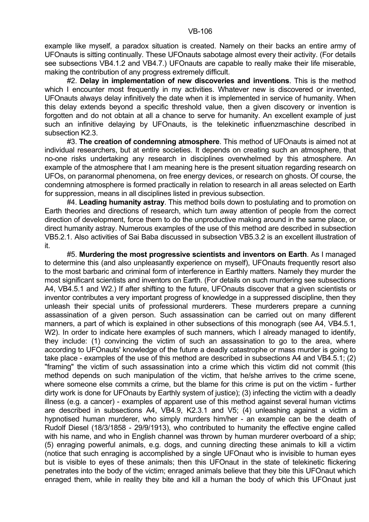example like myself, a paradox situation is created. Namely on their backs an entire army of UFOnauts is sitting continually. These UFOnauts sabotage almost every their activity. (For details see subsections VB4.1.2 and VB4.7.) UFOnauts are capable to really make their life miserable, making the contribution of any progress extremely difficult.

 #2. **Delay in implementation of new discoveries and inventions**. This is the method which I encounter most frequently in my activities. Whatever new is discovered or invented, UFOnauts always delay infinitively the date when it is implemented in service of humanity. When this delay extends beyond a specific threshold value, then a given discovery or invention is forgotten and do not obtain at all a chance to serve for humanity. An excellent example of just such an infinitive delaying by UFOnauts, is the telekinetic influenzmaschine described in subsection K2.3.

 #3. **The creation of condemning atmosphere**. This method of UFOnauts is aimed not at individual researchers, but at entire societies. It depends on creating such an atmosphere, that no-one risks undertaking any research in disciplines overwhelmed by this atmosphere. An example of the atmosphere that I am meaning here is the present situation regarding research on UFOs, on paranormal phenomena, on free energy devices, or research on ghosts. Of course, the condemning atmosphere is formed practically in relation to research in all areas selected on Earth for suppression, means in all disciplines listed in previous subsection.

 #4. **Leading humanity astray**. This method boils down to postulating and to promotion on Earth theories and directions of research, which turn away attention of people from the correct direction of development, force them to do the unproductive making around in the same place, or direct humanity astray. Numerous examples of the use of this method are described in subsection VB5.2.1. Also activities of Sai Baba discussed in subsection VB5.3.2 is an excellent illustration of it.

 #5. **Murdering the most progressive scientists and inventors on Earth**. As I managed to determine this (and also unpleasantly experience on myself), UFOnauts frequently resort also to the most barbaric and criminal form of interference in Earthly matters. Namely they murder the most significant scientists and inventors on Earth. (For details on such murdering see subsections A4, VB4.5.1 and W2.) If after shifting to the future, UFOnauts discover that a given scientists or inventor contributes a very important progress of knowledge in a suppressed discipline, then they unleash their special units of professional murderers. These murderers prepare a cunning assassination of a given person. Such assassination can be carried out on many different manners, a part of which is explained in other subsections of this monograph (see A4, VB4.5.1, W2). In order to indicate here examples of such manners, which I already managed to identify, they include: (1) convincing the victim of such an assassination to go to the area, where according to UFOnauts' knowledge of the future a deadly catastrophe or mass murder is going to take place - examples of the use of this method are described in subsections A4 and VB4.5.1; (2) "framing" the victim of such assassination into a crime which this victim did not commit (this method depends on such manipulation of the victim, that he/she arrives to the crime scene, where someone else commits a crime, but the blame for this crime is put on the victim - further dirty work is done for UFOnauts by Earthly system of justice); (3) infecting the victim with a deadly illness (e.g. a cancer) - examples of apparent use of this method against several human victims are described in subsections A4, VB4.9, K2.3.1 and V5; (4) unleashing against a victim a hypnotised human murderer, who simply murders him/her - an example can be the death of Rudolf Diesel (18/3/1858 - 29/9/1913), who contributed to humanity the effective engine called with his name, and who in English channel was thrown by human murderer overboard of a ship; (5) enraging powerful animals, e.g. dogs, and cunning directing these animals to kill a victim (notice that such enraging is accomplished by a single UFOnaut who is invisible to human eyes but is visible to eyes of these animals; then this UFOnaut in the state of telekinetic flickering penetrates into the body of the victim; enraged animals believe that they bite this UFOnaut which enraged them, while in reality they bite and kill a human the body of which this UFOnaut just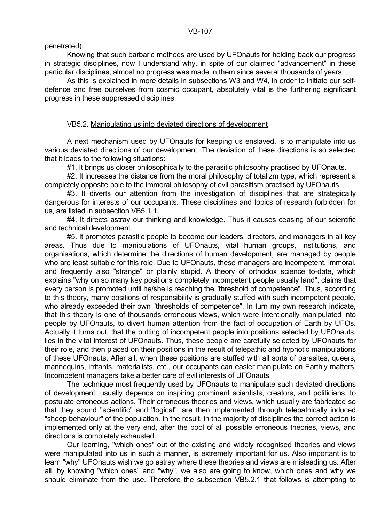penetrated).

 Knowing that such barbaric methods are used by UFOnauts for holding back our progress in strategic disciplines, now I understand why, in spite of our claimed "advancement" in these particular disciplines, almost no progress was made in them since several thousands of years.

 As this is explained in more details in subsections W3 and W4, in order to initiate our selfdefence and free ourselves from cosmic occupant, absolutely vital is the furthering significant progress in these suppressed disciplines.

# VB5.2. Manipulating us into deviated directions of development

 A next mechanism used by UFOnauts for keeping us enslaved, is to manipulate into us various deviated directions of our development. The deviation of these directions is so selected that it leads to the following situations:

#1. It brings us closer philosophically to the parasitic philosophy practised by UFOnauts.

#2. It increases the distance from the moral philosophy of totalizm type, which represent a completely opposite pole to the immoral philosophy of evil parasitism practised by UFOnauts.

 #3. It diverts our attention from the investigation of disciplines that are strategically dangerous for interests of our occupants. These disciplines and topics of research forbidden for us, are listed in subsection VB5.1.1.

 #4. It directs astray our thinking and knowledge. Thus it causes ceasing of our scientific and technical development.

 #5. It promotes parasitic people to become our leaders, directors, and managers in all key areas. Thus due to manipulations of UFOnauts, vital human groups, institutions, and organisations, which determine the directions of human development, are managed by people who are least suitable for this role. Due to UFOnauts, these managers are incompetent, immoral, and frequently also "strange" or plainly stupid. A theory of orthodox science to-date, which explains "why on so many key positions completely incompetent people usually land", claims that every person is promoted until he/she is reaching the "threshold of competence". Thus, according to this theory, many positions of responsibility is gradually stuffed with such incompetent people, who already exceeded their own "thresholds of competence". In turn my own research indicate, that this theory is one of thousands erroneous views, which were intentionally manipulated into people by UFOnauts, to divert human attention from the fact of occupation of Earth by UFOs. Actually it turns out, that the putting of incompetent people into positions selected by UFOnauts, lies in the vital interest of UFOnauts. Thus, these people are carefully selected by UFOnauts for their role, and then placed on their positions in the result of telepathic and hypnotic manipulations of these UFOnauts. After all, when these positions are stuffed with all sorts of parasites, queers, mannequins, irritants, materialists, etc., our occupants can easier manipulate on Earthly matters. Incompetent managers take a better care of evil interests of UFOnauts.

 The technique most frequently used by UFOnauts to manipulate such deviated directions of development, usually depends on inspiring prominent scientists, creators, and politicians, to postulate erroneous actions. Their erroneous theories and views, which usually are fabricated so that they sound "scientific" and "logical", are then implemented through telepathically induced "sheep behaviour" of the population. In the result, in the majority of disciplines the correct action is implemented only at the very end, after the pool of all possible erroneous theories, views, and directions is completely exhausted.

 Our learning, "which ones" out of the existing and widely recognised theories and views were manipulated into us in such a manner, is extremely important for us. Also important is to learn "why" UFOnauts wish we go astray where these theories and views are misleading us. After all, by knowing "which ones" and "why", we also are going to know, which ones and why we should eliminate from the use. Therefore the subsection VB5.2.1 that follows is attempting to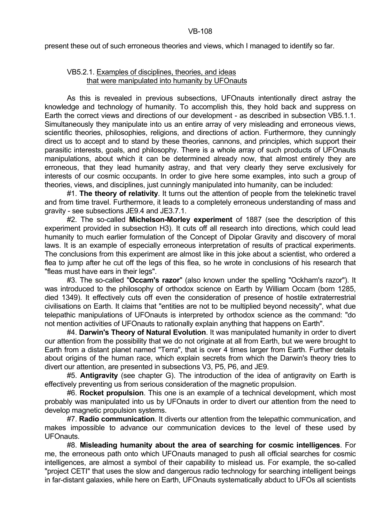present these out of such erroneous theories and views, which I managed to identify so far.

# VB5.2.1. Examples of disciplines, theories, and ideas that were manipulated into humanity by UFOnauts

 As this is revealed in previous subsections, UFOnauts intentionally direct astray the knowledge and technology of humanity. To accomplish this, they hold back and suppress on Earth the correct views and directions of our development - as described in subsection VB5.1.1. Simultaneously they manipulate into us an entire array of very misleading and erroneous views, scientific theories, philosophies, religions, and directions of action. Furthermore, they cunningly direct us to accept and to stand by these theories, cannons, and principles, which support their parasitic interests, goals, and philosophy. There is a whole array of such products of UFOnauts manipulations, about which it can be determined already now, that almost entirely they are erroneous, that they lead humanity astray, and that very clearly they serve exclusively for interests of our cosmic occupants. In order to give here some examples, into such a group of theories, views, and disciplines, just cunningly manipulated into humanity, can be included:

 #1. **The theory of relativity**. It turns out the attention of people from the telekinetic travel and from time travel. Furthermore, it leads to a completely erroneous understanding of mass and gravity - see subsections JE9.4 and JE3.7.1.

 #2. The so-called **Michelson-Morley experiment** of 1887 (see the description of this experiment provided in subsection H3). It cuts off all research into directions, which could lead humanity to much earlier formulation of the Concept of Dipolar Gravity and discovery of moral laws. It is an example of especially erroneous interpretation of results of practical experiments. The conclusions from this experiment are almost like in this joke about a scientist, who ordered a flea to jump after he cut off the legs of this flea, so he wrote in conclusions of his research that "fleas must have ears in their legs".

 #3. The so-called "**Occam's razor**" (also known under the spelling "Ockham's razor"). It was introduced to the philosophy of orthodox science on Earth by William Occam (born 1285, died 1349). It effectively cuts off even the consideration of presence of hostile extraterrestrial civilisations on Earth. It claims that "entities are not to be multiplied beyond necessity", what due telepathic manipulations of UFOnauts is interpreted by orthodox science as the command: "do not mention activities of UFOnauts to rationally explain anything that happens on Earth".

 #4. **Darwin's Theory of Natural Evolution**. It was manipulated humanity in order to divert our attention from the possibility that we do not originate at all from Earth, but we were brought to Earth from a distant planet named "Terra", that is over 4 times larger from Earth. Further details about origins of the human race, which explain secrets from which the Darwin's theory tries to divert our attention, are presented in subsections V3, P5, P6, and JE9.

 #5. **Antigravity** (see chapter G). The introduction of the idea of antigravity on Earth is effectively preventing us from serious consideration of the magnetic propulsion.

 #6. **Rocket propulsion**. This one is an example of a technical development, which most probably was manipulated into us by UFOnauts in order to divert our attention from the need to develop magnetic propulsion systems.

 #7. **Radio communication**. It diverts our attention from the telepathic communication, and makes impossible to advance our communication devices to the level of these used by UFOnauts.

 #8. **Misleading humanity about the area of searching for cosmic intelligences**. For me, the erroneous path onto which UFOnauts managed to push all official searches for cosmic intelligences, are almost a symbol of their capability to mislead us. For example, the so-called "project CETI" that uses the slow and dangerous radio technology for searching intelligent beings in far-distant galaxies, while here on Earth, UFOnauts systematically abduct to UFOs all scientists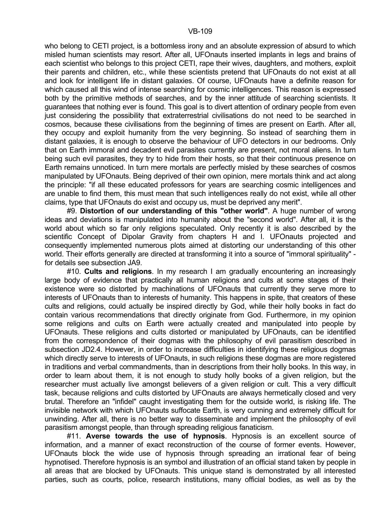who belong to CETI project, is a bottomless irony and an absolute expression of absurd to which misled human scientists may resort. After all, UFOnauts inserted implants in legs and brains of each scientist who belongs to this project CETI, rape their wives, daughters, and mothers, exploit their parents and children, etc., while these scientists pretend that UFOnauts do not exist at all and look for intelligent life in distant galaxies. Of course, UFOnauts have a definite reason for which caused all this wind of intense searching for cosmic intelligences. This reason is expressed both by the primitive methods of searches, and by the inner attitude of searching scientists. It guarantees that nothing ever is found. This goal is to divert attention of ordinary people from even just considering the possibility that extraterrestrial civilisations do not need to be searched in cosmos, because these civilisations from the beginning of times are present on Earth. After all, they occupy and exploit humanity from the very beginning. So instead of searching them in distant galaxies, it is enough to observe the behaviour of UFO detectors in our bedrooms. Only that on Earth immoral and decadent evil parasites currently are present, not moral aliens. In turn being such evil parasites, they try to hide from their hosts, so that their continuous presence on Earth remains unnoticed. In turn mere mortals are perfectly misled by these searches of cosmos manipulated by UFOnauts. Being deprived of their own opinion, mere mortals think and act along the principle: "if all these educated professors for years are searching cosmic intelligences and are unable to find them, this must mean that such intelligences really do not exist, while all other claims, type that UFOnauts do exist and occupy us, must be deprived any merit".

 #9. **Distortion of our understanding of this "other world"**. A huge number of wrong ideas and deviations is manipulated into humanity about the "second world". After all, it is the world about which so far only religions speculated. Only recently it is also described by the scientific Concept of Dipolar Gravity from chapters H and I. UFOnauts projected and consequently implemented numerous plots aimed at distorting our understanding of this other world. Their efforts generally are directed at transforming it into a source of "immoral spirituality" for details see subsection JA9.

 #10. **Cults and religions**. In my research I am gradually encountering an increasingly large body of evidence that practically all human religions and cults at some stages of their existence were so distorted by machinations of UFOnauts that currently they serve more to interests of UFOnauts than to interests of humanity. This happens in spite, that creators of these cults and religions, could actually be inspired directly by God, while their holly books in fact do contain various recommendations that directly originate from God. Furthermore, in my opinion some religions and cults on Earth were actually created and manipulated into people by UFOnauts. These religions and cults distorted or manipulated by UFOnauts, can be identified from the correspondence of their dogmas with the philosophy of evil parasitism described in subsection JD2.4. However, in order to increase difficulties in identifying these religious dogmas which directly serve to interests of UFOnauts, in such religions these dogmas are more registered in traditions and verbal commandments, than in descriptions from their holly books. In this way, in order to learn about them, it is not enough to study holly books of a given religion, but the researcher must actually live amongst believers of a given religion or cult. This a very difficult task, because religions and cults distorted by UFOnauts are always hermetically closed and very brutal. Therefore an "infidel" caught investigating them for the outside world, is risking life. The invisible network with which UFOnauts suffocate Earth, is very cunning and extremely difficult for unwinding. After all, there is no better way to disseminate and implement the philosophy of evil parasitism amongst people, than through spreading religious fanaticism.

 #11. **Averse towards the use of hypnosis**. Hypnosis is an excellent source of information, and a manner of exact reconstruction of the course of former events. However, UFOnauts block the wide use of hypnosis through spreading an irrational fear of being hypnotised. Therefore hypnosis is an symbol and illustration of an official stand taken by people in all areas that are blocked by UFOnauts. This unique stand is demonstrated by all interested parties, such as courts, police, research institutions, many official bodies, as well as by the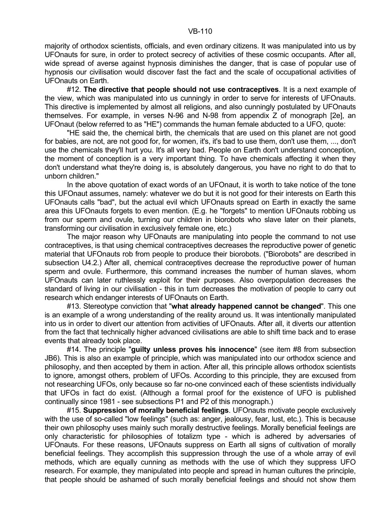#### VB-110

majority of orthodox scientists, officials, and even ordinary citizens. It was manipulated into us by UFOnauts for sure, in order to protect secrecy of activities of these cosmic occupants. After all, wide spread of averse against hypnosis diminishes the danger, that is case of popular use of hypnosis our civilisation would discover fast the fact and the scale of occupational activities of UFOnauts on Earth.

 #12. **The directive that people should not use contraceptives**. It is a next example of the view, which was manipulated into us cunningly in order to serve for interests of UFOnauts. This directive is implemented by almost all religions, and also cunningly postulated by UFOnauts themselves. For example, in verses N-96 and N-98 from appendix Z of monograph [2e], an UFOnaut (below referred to as "HE") commands the human female abducted to a UFO, quote:

 "HE said the, the chemical birth, the chemicals that are used on this planet are not good for babies, are not, are not good for, for women, it's, it's bad to use them, don't use them, ..., don't use the chemicals they'll hurt you. It's all very bad. People on Earth don't understand conception, the moment of conception is a very important thing. To have chemicals affecting it when they don't understand what they're doing is, is absolutely dangerous, you have no right to do that to unborn children."

 In the above quotation of exact words of an UFOnaut, it is worth to take notice of the tone this UFOnaut assumes, namely: whatever we do but it is not good for their interests on Earth this UFOnauts calls "bad", but the actual evil which UFOnauts spread on Earth in exactly the same area this UFOnauts forgets to even mention. (E.g. he "forgets" to mention UFOnauts robbing us from our sperm and ovule, turning our children in biorobots who slave later on their planets, transforming our civilisation in exclusively female one, etc.)

 The major reason why UFOnauts are manipulating into people the command to not use contraceptives, is that using chemical contraceptives decreases the reproductive power of genetic material that UFOnauts rob from people to produce their biorobots. ("Biorobots" are described in subsection U4.2.) After all, chemical contraceptives decrease the reproductive power of human sperm and ovule. Furthermore, this command increases the number of human slaves, whom UFOnauts can later ruthlessly exploit for their purposes. Also overpopulation decreases the standard of living in our civilisation - this in turn decreases the motivation of people to carry out research which endanger interests of UFOnauts on Earth.

 #13. Stereotype conviction that "**what already happened cannot be changed**". This one is an example of a wrong understanding of the reality around us. It was intentionally manipulated into us in order to divert our attention from activities of UFOnauts. After all, it diverts our attention from the fact that technically higher advanced civilisations are able to shift time back and to erase events that already took place.

 #14. The principle "**guilty unless proves his innocence**" (see item #8 from subsection JB6). This is also an example of principle, which was manipulated into our orthodox science and philosophy, and then accepted by them in action. After all, this principle allows orthodox scientists to ignore, amongst others, problem of UFOs. According to this principle, they are excused from not researching UFOs, only because so far no-one convinced each of these scientists individually that UFOs in fact do exist. (Although a formal proof for the existence of UFO is published continually since 1981 - see subsections P1 and P2 of this monograph.)

 #15. **Suppression of morally beneficial feelings**. UFOnauts motivate people exclusively with the use of so-called "low feelings" (such as: anger, jealousy, fear, lust, etc.). This is because their own philosophy uses mainly such morally destructive feelings. Morally beneficial feelings are only characteristic for philosophies of totalizm type - which is adhered by adversaries of UFOnauts. For these reasons, UFOnauts suppress on Earth all signs of cultivation of morally beneficial feelings. They accomplish this suppression through the use of a whole array of evil methods, which are equally cunning as methods with the use of which they suppress UFO research. For example, they manipulated into people and spread in human cultures the principle, that people should be ashamed of such morally beneficial feelings and should not show them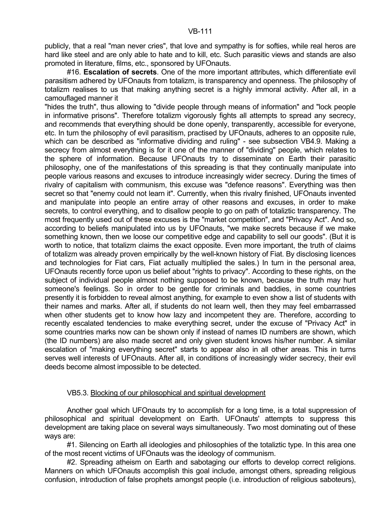publicly, that a real "man never cries", that love and sympathy is for softies, while real heros are hard like steel and are only able to hate and to kill, etc. Such parasitic views and stands are also promoted in literature, films, etc., sponsored by UFOnauts.

 #16. **Escalation of secrets**. One of the more important attributes, which differentiate evil parasitism adhered by UFOnauts from totalizm, is transparency and openness. The philosophy of totalizm realises to us that making anything secret is a highly immoral activity. After all, in a camouflaged manner it

"hides the truth", thus allowing to "divide people through means of information" and "lock people in informative prisons". Therefore totalizm vigorously fights all attempts to spread any secrecy, and recommends that everything should be done openly, transparently, accessible for everyone, etc. In turn the philosophy of evil parasitism, practised by UFOnauts, adheres to an opposite rule, which can be described as "informative dividing and ruling" - see subsection VB4.9. Making a secrecy from almost everything is for it one of the manner of "dividing" people, which relates to the sphere of information. Because UFOnauts try to disseminate on Earth their parasitic philosophy, one of the manifestations of this spreading is that they continually manipulate into people various reasons and excuses to introduce increasingly wider secrecy. During the times of rivalry of capitalism with communism, this excuse was "defence reasons". Everything was then secret so that "enemy could not learn it". Currently, when this rivalry finished, UFOnauts invented and manipulate into people an entire array of other reasons and excuses, in order to make secrets, to control everything, and to disallow people to go on path of totaliztic transparency. The most frequently used out of these excuses is the "market competition", and "Privacy Act". And so, according to beliefs manipulated into us by UFOnauts, "we make secrets because if we make something known, then we loose our competitive edge and capability to sell our goods". (But it is worth to notice, that totalizm claims the exact opposite. Even more important, the truth of claims of totalizm was already proven empirically by the well-known history of Fiat. By disclosing licences and technologies for Fiat cars, Fiat actually multiplied the sales.) In turn in the personal area, UFOnauts recently force upon us belief about "rights to privacy". According to these rights, on the subject of individual people almost nothing supposed to be known, because the truth may hurt someone's feelings. So in order to be gentle for criminals and baddies, in some countries presently it is forbidden to reveal almost anything, for example to even show a list of students with their names and marks. After all, if students do not learn well, then they may feel embarrassed when other students get to know how lazy and incompetent they are. Therefore, according to recently escalated tendencies to make everything secret, under the excuse of "Privacy Act" in some countries marks now can be shown only if instead of names ID numbers are shown, which (the ID numbers) are also made secret and only given student knows his/her number. A similar escalation of "making everything secret" starts to appear also in all other areas. This in turns serves well interests of UFOnauts. After all, in conditions of increasingly wider secrecy, their evil deeds become almost impossible to be detected.

### VB5.3. Blocking of our philosophical and spiritual development

 Another goal which UFOnauts try to accomplish for a long time, is a total suppression of philosophical and spiritual development on Earth. UFOnauts' attempts to suppress this development are taking place on several ways simultaneously. Two most dominating out of these ways are:

 #1. Silencing on Earth all ideologies and philosophies of the totaliztic type. In this area one of the most recent victims of UFOnauts was the ideology of communism.

#2. Spreading atheism on Earth and sabotaging our efforts to develop correct religions. Manners on which UFOnauts accomplish this goal include, amongst others, spreading religious confusion, introduction of false prophets amongst people (i.e. introduction of religious saboteurs),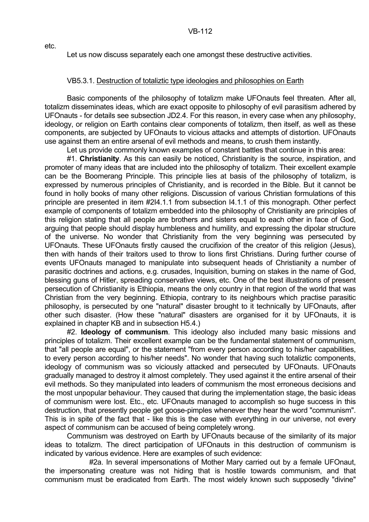etc.

Let us now discuss separately each one amongst these destructive activities.

## VB5.3.1. Destruction of totaliztic type ideologies and philosophies on Earth

 Basic components of the philosophy of totalizm make UFOnauts feel threaten. After all, totalizm disseminates ideas, which are exact opposite to philosophy of evil parasitism adhered by UFOnauts - for details see subsection JD2.4. For this reason, in every case when any philosophy, ideology, or religion on Earth contains clear components of totalizm, then itself, as well as these components, are subjected by UFOnauts to vicious attacks and attempts of distortion. UFOnauts use against them an entire arsenal of evil methods and means, to crush them instantly.

Let us provide commonly known examples of constant battles that continue in this area:

 #1. **Christianity**. As this can easily be noticed, Christianity is the source, inspiration, and promoter of many ideas that are included into the philosophy of totalizm. Their excellent example can be the Boomerang Principle. This principle lies at basis of the philosophy of totalizm, is expressed by numerous principles of Christianity, and is recorded in the Bible. But it cannot be found in holly books of many other religions. Discussion of various Christian formulations of this principle are presented in item #2I4.1.1 from subsection I4.1.1 of this monograph. Other perfect example of components of totalizm embedded into the philosophy of Christianity are principles of this religion stating that all people are brothers and sisters equal to each other in face of God, arguing that people should display humbleness and humility, and expressing the dipolar structure of the universe. No wonder that Christianity from the very beginning was persecuted by UFOnauts. These UFOnauts firstly caused the crucifixion of the creator of this religion (Jesus), then with hands of their traitors used to throw to lions first Christians. During further course of events UFOnauts managed to manipulate into subsequent heads of Christianity a number of parasitic doctrines and actions, e.g. crusades, Inquisition, burning on stakes in the name of God, blessing guns of Hitler, spreading conservative views, etc. One of the best illustrations of present persecution of Christianity is Ethiopia, means the only country in that region of the world that was Christian from the very beginning. Ethiopia, contrary to its neighbours which practise parasitic philosophy, is persecuted by one "natural" disaster brought to it technically by UFOnauts, after other such disaster. (How these "natural" disasters are organised for it by UFOnauts, it is explained in chapter KB and in subsection H5.4.)

 #2. **Ideology of communism**. This ideology also included many basic missions and principles of totalizm. Their excellent example can be the fundamental statement of communism, that "all people are equal", or the statement "from every person according to his/her capabilities, to every person according to his/her needs". No wonder that having such totaliztic components, ideology of communism was so viciously attacked and persecuted by UFOnauts. UFOnauts gradually managed to destroy it almost completely. They used against it the entire arsenal of their evil methods. So they manipulated into leaders of communism the most erroneous decisions and the most unpopular behaviour. They caused that during the implementation stage, the basic ideas of communism were lost. Etc., etc. UFOnauts managed to accomplish so huge success in this destruction, that presently people get goose-pimples whenever they hear the word "communism". This is in spite of the fact that - like this is the case with everything in our universe, not every aspect of communism can be accused of being completely wrong.

 Communism was destroyed on Earth by UFOnauts because of the similarity of its major ideas to totalizm. The direct participation of UFOnauts in this destruction of communism is indicated by various evidence. Here are examples of such evidence:

 #2a. In several impersonations of Mother Mary carried out by a female UFOnaut, the impersonating creature was not hiding that is hostile towards communism, and that communism must be eradicated from Earth. The most widely known such supposedly "divine"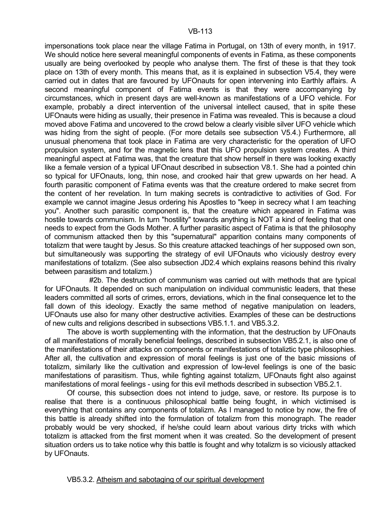impersonations took place near the village Fatima in Portugal, on 13th of every month, in 1917. We should notice here several meaningful components of events in Fatima, as these components usually are being overlooked by people who analyse them. The first of these is that they took place on 13th of every month. This means that, as it is explained in subsection V5.4, they were carried out in dates that are favoured by UFOnauts for open intervening into Earthly affairs. A second meaningful component of Fatima events is that they were accompanying by circumstances, which in present days are well-known as manifestations of a UFO vehicle. For example, probably a direct intervention of the universal intellect caused, that in spite these UFOnauts were hiding as usually, their presence in Fatima was revealed. This is because a cloud moved above Fatima and uncovered to the crowd below a clearly visible silver UFO vehicle which was hiding from the sight of people. (For more details see subsection V5.4.) Furthermore, all unusual phenomena that took place in Fatima are very characteristic for the operation of UFO propulsion system, and for the magnetic lens that this UFO propulsion system creates. A third meaningful aspect at Fatima was, that the creature that show herself in there was looking exactly like a female version of a typical UFOnaut described in subsection V8.1. She had a pointed chin so typical for UFOnauts, long, thin nose, and crooked hair that grew upwards on her head. A fourth parasitic component of Fatima events was that the creature ordered to make secret from the content of her revelation. In turn making secrets is contradictive to activities of God. For example we cannot imagine Jesus ordering his Apostles to "keep in secrecy what I am teaching you". Another such parasitic component is, that the creature which appeared in Fatima was hostile towards communism. In turn "hostility" towards anything is NOT a kind of feeling that one needs to expect from the Gods Mother. A further parasitic aspect of Fatima is that the philosophy of communism attacked then by this "supernatural" apparition contains many components of totalizm that were taught by Jesus. So this creature attacked teachings of her supposed own son, but simultaneously was supporting the strategy of evil UFOnauts who viciously destroy every manifestations of totalizm. (See also subsection JD2.4 which explains reasons behind this rivalry between parasitism and totalizm.)

 #2b. The destruction of communism was carried out with methods that are typical for UFOnauts. It depended on such manipulation on individual communistic leaders, that these leaders committed all sorts of crimes, errors, deviations, which in the final consequence let to the fall down of this ideology. Exactly the same method of negative manipulation on leaders, UFOnauts use also for many other destructive activities. Examples of these can be destructions of new cults and religions described in subsections VB5.1.1. and VB5.3.2.

 The above is worth supplementing with the information, that the destruction by UFOnauts of all manifestations of morally beneficial feelings, described in subsection VB5.2.1, is also one of the manifestations of their attacks on components or manifestations of totaliztic type philosophies. After all, the cultivation and expression of moral feelings is just one of the basic missions of totalizm, similarly like the cultivation and expression of low-level feelings is one of the basic manifestations of parasitism. Thus, while fighting against totalizm, UFOnauts fight also against manifestations of moral feelings - using for this evil methods described in subsection VB5.2.1.

 Of course, this subsection does not intend to judge, save, or restore. Its purpose is to realise that there is a continuous philosophical battle being fought, in which victimised is everything that contains any components of totalizm. As I managed to notice by now, the fire of this battle is already shifted into the formulation of totalizm from this monograph. The reader probably would be very shocked, if he/she could learn about various dirty tricks with which totalizm is attacked from the first moment when it was created. So the development of present situation orders us to take notice why this battle is fought and why totalizm is so viciously attacked by UFOnauts.

VB5.3.2. Atheism and sabotaging of our spiritual development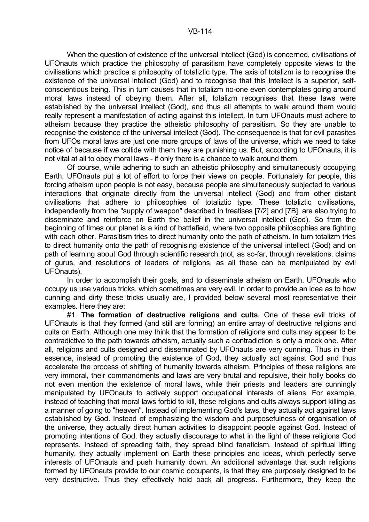#### VB-114

 When the question of existence of the universal intellect (God) is concerned, civilisations of UFOnauts which practice the philosophy of parasitism have completely opposite views to the civilisations which practice a philosophy of totaliztic type. The axis of totalizm is to recognise the existence of the universal intellect (God) and to recognise that this intellect is a superior, selfconscientious being. This in turn causes that in totalizm no-one even contemplates going around moral laws instead of obeying them. After all, totalizm recognises that these laws were established by the universal intellect (God), and thus all attempts to walk around them would really represent a manifestation of acting against this intellect. In turn UFOnauts must adhere to atheism because they practice the atheistic philosophy of parasitism. So they are unable to recognise the existence of the universal intellect (God). The consequence is that for evil parasites from UFOs moral laws are just one more groups of laws of the universe, which we need to take notice of because if we collide with them they are punishing us. But, according to UFOnauts, it is not vital at all to obey moral laws - if only there is a chance to walk around them.

 Of course, while adhering to such an atheistic philosophy and simultaneously occupying Earth, UFOnauts put a lot of effort to force their views on people. Fortunately for people, this forcing atheism upon people is not easy, because people are simultaneously subjected to various interactions that originate directly from the universal intellect (God) and from other distant civilisations that adhere to philosophies of totaliztic type. These totaliztic civilisations, independently from the "supply of weapon" described in treatises [7/2] and [7B], are also trying to disseminate and reinforce on Earth the belief in the universal intellect (God). So from the beginning of times our planet is a kind of battlefield, where two opposite philosophies are fighting with each other. Parasitism tries to direct humanity onto the path of atheism. In turn totalizm tries to direct humanity onto the path of recognising existence of the universal intellect (God) and on path of learning about God through scientific research (not, as so-far, through revelations, claims of gurus, and resolutions of leaders of religions, as all these can be manipulated by evil UFOnauts).

 In order to accomplish their goals, and to disseminate atheism on Earth, UFOnauts who occupy us use various tricks, which sometimes are very evil. In order to provide an idea as to how cunning and dirty these tricks usually are, I provided below several most representative their examples. Here they are:

 #1. **The formation of destructive religions and cults**. One of these evil tricks of UFOnauts is that they formed (and still are forming) an entire array of destructive religions and cults on Earth. Although one may think that the formation of religions and cults may appear to be contradictive to the path towards atheism, actually such a contradiction is only a mock one. After all, religions and cults designed and disseminated by UFOnauts are very cunning. Thus in their essence, instead of promoting the existence of God, they actually act against God and thus accelerate the process of shifting of humanity towards atheism. Principles of these religions are very immoral, their commandments and laws are very brutal and repulsive, their holly books do not even mention the existence of moral laws, while their priests and leaders are cunningly manipulated by UFOnauts to actively support occupational interests of aliens. For example, instead of teaching that moral laws forbid to kill, these religions and cults always support killing as a manner of going to "heaven". Instead of implementing God's laws, they actually act against laws established by God. Instead of emphasizing the wisdom and purposefulness of organisation of the universe, they actually direct human activities to disappoint people against God. Instead of promoting intentions of God, they actually discourage to what in the light of these religions God represents. Instead of spreading faith, they spread blind fanaticism. Instead of spiritual lifting humanity, they actually implement on Earth these principles and ideas, which perfectly serve interests of UFOnauts and push humanity down. An additional advantage that such religions formed by UFOnauts provide to our cosmic occupants, is that they are purposely designed to be very destructive. Thus they effectively hold back all progress. Furthermore, they keep the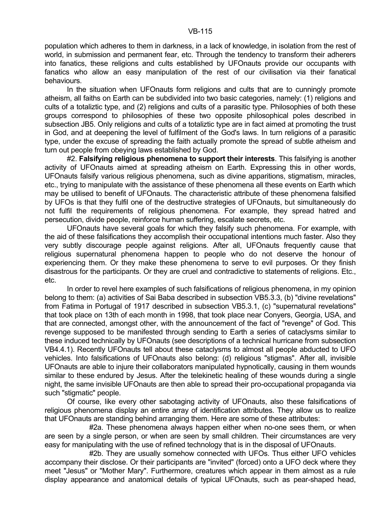population which adheres to them in darkness, in a lack of knowledge, in isolation from the rest of world, in submission and permanent fear, etc. Through the tendency to transform their adherers into fanatics, these religions and cults established by UFOnauts provide our occupants with fanatics who allow an easy manipulation of the rest of our civilisation via their fanatical behaviours.

In the situation when UFOnauts form religions and cults that are to cunningly promote atheism, all faiths on Earth can be subdivided into two basic categories, namely: (1) religions and cults of a totaliztic type, and (2) religions and cults of a parasitic type. Philosophies of both these groups correspond to philosophies of these two opposite philosophical poles described in subsection JB5. Only religions and cults of a totaliztic type are in fact aimed at promoting the trust in God, and at deepening the level of fulfilment of the God's laws. In turn religions of a parasitic type, under the excuse of spreading the faith actually promote the spread of subtle atheism and turn out people from obeying laws established by God.

 #2. **Falsifying religious phenomena to support their interests**. This falsifying is another activity of UFOnauts aimed at spreading atheism on Earth. Expressing this in other words, UFOnauts falsify various religious phenomena, such as divine apparitions, stigmatism, miracles, etc., trying to manipulate with the assistance of these phenomena all these events on Earth which may be utilised to benefit of UFOnauts. The characteristic attribute of these phenomena falsified by UFOs is that they fulfil one of the destructive strategies of UFOnauts, but simultaneously do not fulfil the requirements of religious phenomena. For example, they spread hatred and persecution, divide people, reinforce human suffering, escalate secrets, etc.

 UFOnauts have several goals for which they falsify such phenomena. For example, with the aid of these falsifications they accomplish their occupational intentions much faster. Also they very subtly discourage people against religions. After all, UFOnauts frequently cause that religious supernatural phenomena happen to people who do not deserve the honour of experiencing them. Or they make these phenomena to serve to evil purposes. Or they finish disastrous for the participants. Or they are cruel and contradictive to statements of religions. Etc., etc.

 In order to revel here examples of such falsifications of religious phenomena, in my opinion belong to them: (a) activities of Sai Baba described in subsection VB5.3.3, (b) "divine revelations" from Fatima in Portugal of 1917 described in subsection VB5.3.1, (c) "supernatural revelations" that took place on 13th of each month in 1998, that took place near Conyers, Georgia, USA, and that are connected, amongst other, with the announcement of the fact of "revenge" of God. This revenge supposed to be manifested through sending to Earth a series of cataclysms similar to these induced technically by UFOnauts (see descriptions of a technical hurricane from subsection VB4.4.1). Recently UFOnauts tell about these cataclysms to almost all people abducted to UFO vehicles. Into falsifications of UFOnauts also belong: (d) religious "stigmas". After all, invisible UFOnauts are able to injure their collaborators manipulated hypnotically, causing in them wounds similar to these endured by Jesus. After the telekinetic healing of these wounds during a single night, the same invisible UFOnauts are then able to spread their pro-occupational propaganda via such "stigmatic" people.

 Of course, like every other sabotaging activity of UFOnauts, also these falsifications of religious phenomena display an entire array of identification attributes. They allow us to realize that UFOnauts are standing behind arranging them. Here are some of these attributes:

 #2a. These phenomena always happen either when no-one sees them, or when are seen by a single person, or when are seen by small children. Their circumstances are very easy for manipulating with the use of refined technology that is in the disposal of UFOnauts.

 #2b. They are usually somehow connected with UFOs. Thus either UFO vehicles accompany their disclose. Or their participants are "invited" (forced) onto a UFO deck where they meet "Jesus" or "Mother Mary". Furthermore, creatures which appear in them almost as a rule display appearance and anatomical details of typical UFOnauts, such as pear-shaped head,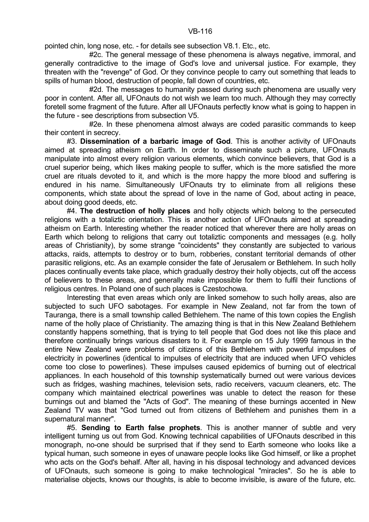pointed chin, long nose, etc. - for details see subsection V8.1. Etc., etc.

 #2c. The general message of these phenomena is always negative, immoral, and generally contradictive to the image of God's love and universal justice. For example, they threaten with the "revenge" of God. Or they convince people to carry out something that leads to spills of human blood, destruction of people, fall down of countries, etc.

#2d. The messages to humanity passed during such phenomena are usually very poor in content. After all, UFOnauts do not wish we learn too much. Although they may correctly foretell some fragment of the future. After all UFOnauts perfectly know what is going to happen in the future - see descriptions from subsection V5.

 #2e. In these phenomena almost always are coded parasitic commands to keep their content in secrecy.

 #3. **Dissemination of a barbaric image of God**. This is another activity of UFOnauts aimed at spreading atheism on Earth. In order to disseminate such a picture, UFOnauts manipulate into almost every religion various elements, which convince believers, that God is a cruel superior being, which likes making people to suffer, which is the more satisfied the more cruel are rituals devoted to it, and which is the more happy the more blood and suffering is endured in his name. Simultaneously UFOnauts try to eliminate from all religions these components, which state about the spread of love in the name of God, about acting in peace, about doing good deeds, etc.

 #4. **The destruction of holly places** and holly objects which belong to the persecuted religions with a totaliztic orientation. This is another action of UFOnauts aimed at spreading atheism on Earth. Interesting whether the reader noticed that wherever there are holly areas on Earth which belong to religions that carry out totaliztic components and messages (e.g. holly areas of Christianity), by some strange "coincidents" they constantly are subjected to various attacks, raids, attempts to destroy or to burn, robberies, constant territorial demands of other parasitic religions, etc. As an example consider the fate of Jerusalem or Bethlehem. In such holly places continually events take place, which gradually destroy their holly objects, cut off the access of believers to these areas, and generally make impossible for them to fulfil their functions of religious centres. In Poland one of such places is Czestochowa.

 Interesting that even areas which only are linked somehow to such holly areas, also are subjected to such UFO sabotages. For example in New Zealand, not far from the town of Tauranga, there is a small township called Bethlehem. The name of this town copies the English name of the holly place of Christianity. The amazing thing is that in this New Zealand Bethlehem constantly happens something, that is trying to tell people that God does not like this place and therefore continually brings various disasters to it. For example on 15 July 1999 famous in the entire New Zealand were problems of citizens of this Bethlehem with powerful impulses of electricity in powerlines (identical to impulses of electricity that are induced when UFO vehicles come too close to powerlines). These impulses caused epidemics of burning out of electrical appliances. In each household of this township systematically burned out were various devices such as fridges, washing machines, television sets, radio receivers, vacuum cleaners, etc. The company which maintained electrical powerlines was unable to detect the reason for these burnings out and blamed the "Acts of God". The meaning of these burnings accented in New Zealand TV was that "God turned out from citizens of Bethlehem and punishes them in a supernatural manner".

 #5. **Sending to Earth false prophets**. This is another manner of subtle and very intelligent turning us out from God. Knowing technical capabilities of UFOnauts described in this monograph, no-one should be surprised that if they send to Earth someone who looks like a typical human, such someone in eyes of unaware people looks like God himself, or like a prophet who acts on the God's behalf. After all, having in his disposal technology and advanced devices of UFOnauts, such someone is going to make technological "miracles". So he is able to materialise objects, knows our thoughts, is able to become invisible, is aware of the future, etc.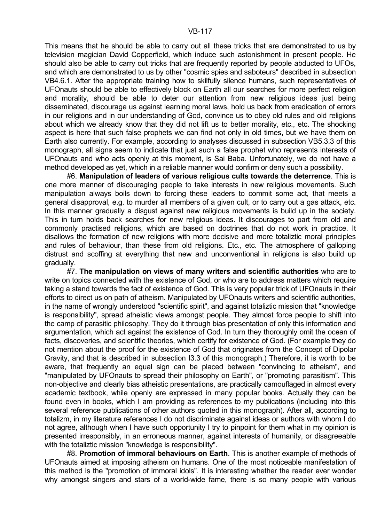This means that he should be able to carry out all these tricks that are demonstrated to us by television magician David Copperfield, which induce such astonishment in present people. He should also be able to carry out tricks that are frequently reported by people abducted to UFOs, and which are demonstrated to us by other "cosmic spies and saboteurs" described in subsection VB4.6.1. After the appropriate training how to skilfully silence humans, such representatives of UFOnauts should be able to effectively block on Earth all our searches for more perfect religion and morality, should be able to deter our attention from new religious ideas just being disseminated, discourage us against learning moral laws, hold us back from eradication of errors in our religions and in our understanding of God, convince us to obey old rules and old religions about which we already know that they did not lift us to better morality, etc., etc. The shocking aspect is here that such false prophets we can find not only in old times, but we have them on Earth also currently. For example, according to analyses discussed in subsection VB5.3.3 of this monograph, all signs seem to indicate that just such a false prophet who represents interests of UFOnauts and who acts openly at this moment, is Sai Baba. Unfortunately, we do not have a method developed as yet, which in a reliable manner would confirm or deny such a possibility.

 #6. **Manipulation of leaders of various religious cults towards the deterrence**. This is one more manner of discouraging people to take interests in new religious movements. Such manipulation always boils down to forcing these leaders to commit some act, that meets a general disapproval, e.g. to murder all members of a given cult, or to carry out a gas attack, etc. In this manner gradually a disgust against new religious movements is build up in the society. This in turn holds back searches for new religious ideas. It discourages to part from old and commonly practised religions, which are based on doctrines that do not work in practice. It disallows the formation of new religions with more decisive and more totaliztic moral principles and rules of behaviour, than these from old religions. Etc., etc. The atmosphere of galloping distrust and scoffing at everything that new and unconventional in religions is also build up gradually.

 #7. **The manipulation on views of many writers and scientific authorities** who are to write on topics connected with the existence of God, or who are to address matters which require taking a stand towards the fact of existence of God. This is very popular trick of UFOnauts in their efforts to direct us on path of atheism. Manipulated by UFOnauts writers and scientific authorities, in the name of wrongly understood "scientific spirit", and against totaliztic mission that "knowledge is responsibility", spread atheistic views amongst people. They almost force people to shift into the camp of parasitic philosophy. They do it through bias presentation of only this information and argumentation, which act against the existence of God. In turn they thoroughly omit the ocean of facts, discoveries, and scientific theories, which certify for existence of God. (For example they do not mention about the proof for the existence of God that originates from the Concept of Dipolar Gravity, and that is described in subsection I3.3 of this monograph.) Therefore, it is worth to be aware, that frequently an equal sign can be placed between "convincing to atheism", and "manipulated by UFOnauts to spread their philosophy on Earth", or "promoting parasitism". This non-objective and clearly bias atheistic presentations, are practically camouflaged in almost every academic textbook, while openly are expressed in many popular books. Actually they can be found even in books, which I am providing as references to my publications (including into this several reference publications of other authors quoted in this monograph). After all, according to totalizm, in my literature references I do not discriminate against ideas or authors with whom I do not agree, although when I have such opportunity I try to pinpoint for them what in my opinion is presented irresponsibly, in an erroneous manner, against interests of humanity, or disagreeable with the totaliztic mission "knowledge is responsibility".

 #8. **Promotion of immoral behaviours on Earth**. This is another example of methods of UFOnauts aimed at imposing atheism on humans. One of the most noticeable manifestation of this method is the "promotion of immoral idols". It is interesting whether the reader ever wonder why amongst singers and stars of a world-wide fame, there is so many people with various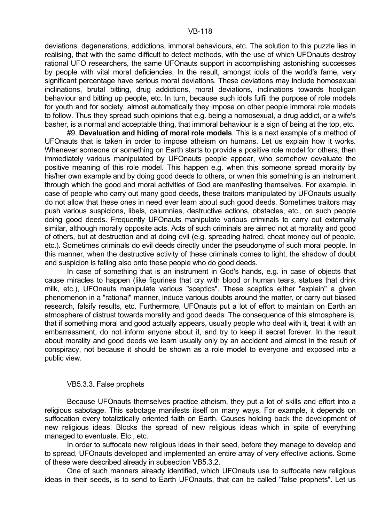deviations, degenerations, addictions, immoral behaviours, etc. The solution to this puzzle lies in realising, that with the same difficult to detect methods, with the use of which UFOnauts destroy rational UFO researchers, the same UFOnauts support in accomplishing astonishing successes by people with vital moral deficiencies. In the result, amongst idols of the world's fame, very significant percentage have serious moral deviations. These deviations may include homosexual inclinations, brutal bitting, drug addictions, moral deviations, inclinations towards hooligan behaviour and bitting up people, etc. In turn, because such idols fulfil the purpose of role models for youth and for society, almost automatically they impose on other people immoral role models to follow. Thus they spread such opinions that e.g. being a homosexual, a drug addict, or a wife's basher, is a normal and acceptable thing, that immoral behaviour is a sign of being at the top, etc.

 #9. **Devaluation and hiding of moral role models**. This is a next example of a method of UFOnauts that is taken in order to impose atheism on humans. Let us explain how it works. Whenever someone or something on Earth starts to provide a positive role model for others, then immediately various manipulated by UFOnauts people appear, who somehow devaluate the positive meaning of this role model. This happen e.g. when this someone spread morality by his/her own example and by doing good deeds to others, or when this something is an instrument through which the good and moral activities of God are manifesting themselves. For example, in case of people who carry out many good deeds, these traitors manipulated by UFOnauts usually do not allow that these ones in need ever learn about such good deeds. Sometimes traitors may push various suspicions, libels, calumnies, destructive actions, obstacles, etc., on such people doing good deeds. Frequently UFOnauts manipulate various criminals to carry out externally similar, although morally opposite acts. Acts of such criminals are aimed not at morality and good of others, but at destruction and at doing evil (e.g. spreading hatred, cheat money out of people, etc.). Sometimes criminals do evil deeds directly under the pseudonyme of such moral people. In this manner, when the destructive activity of these criminals comes to light, the shadow of doubt and suspicion is falling also onto these people who do good deeds.

 In case of something that is an instrument in God's hands, e.g. in case of objects that cause miracles to happen (like figurines that cry with blood or human tears, statues that drink milk, etc.), UFOnauts manipulate various "sceptics". These sceptics either "explain" a given phenomenon in a "rational" manner, induce various doubts around the matter, or carry out biased research, falsify results, etc. Furthermore, UFOnauts put a lot of effort to maintain on Earth an atmosphere of distrust towards morality and good deeds. The consequence of this atmosphere is, that if something moral and good actually appears, usually people who deal with it, treat it with an embarrassment, do not inform anyone about it, and try to keep it secret forever. In the result about morality and good deeds we learn usually only by an accident and almost in the result of conspiracy, not because it should be shown as a role model to everyone and exposed into a public view.

# VB5.3.3. False prophets

 Because UFOnauts themselves practice atheism, they put a lot of skills and effort into a religious sabotage. This sabotage manifests itself on many ways. For example, it depends on suffocation every totaliztically oriented faith on Earth. Causes holding back the development of new religious ideas. Blocks the spread of new religious ideas which in spite of everything managed to eventuate. Etc., etc.

 In order to suffocate new religious ideas in their seed, before they manage to develop and to spread, UFOnauts developed and implemented an entire array of very effective actions. Some of these were described already in subsection VB5.3.2.

 One of such manners already identified, which UFOnauts use to suffocate new religious ideas in their seeds, is to send to Earth UFOnauts, that can be called "false prophets". Let us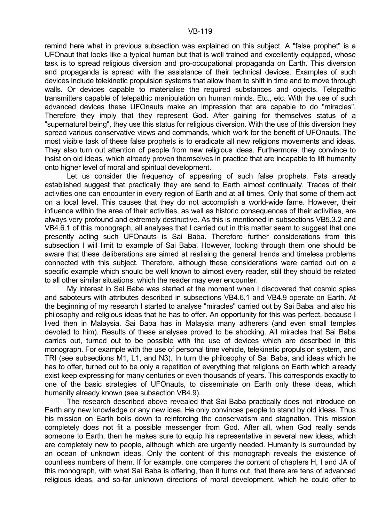remind here what in previous subsection was explained on this subject. A "false prophet" is a UFOnaut that looks like a typical human but that is well trained and excellently equipped, whose task is to spread religious diversion and pro-occupational propaganda on Earth. This diversion and propaganda is spread with the assistance of their technical devices. Examples of such devices include telekinetic propulsion systems that allow them to shift in time and to move through walls. Or devices capable to materialise the required substances and objects. Telepathic transmitters capable of telepathic manipulation on human minds. Etc., etc. With the use of such advanced devices these UFOnauts make an impression that are capable to do "miracles". Therefore they imply that they represent God. After gaining for themselves status of a "supernatural being", they use this status for religious diversion. With the use of this diversion they spread various conservative views and commands, which work for the benefit of UFOnauts. The most visible task of these false prophets is to eradicate all new religions movements and ideas. They also turn out attention of people from new religious ideas. Furthermore, they convince to insist on old ideas, which already proven themselves in practice that are incapable to lift humanity onto higher level of moral and spiritual development.

 Let us consider the frequency of appearing of such false prophets. Fats already established suggest that practically they are send to Earth almost continually. Traces of their activities one can encounter in every region of Earth and at all times. Only that some of them act on a local level. This causes that they do not accomplish a world-wide fame. However, their influence within the area of their activities, as well as historic consequences of their activities, are always very profound and extremely destructive. As this is mentioned in subsections VB5.3.2 and VB4.6.1 of this monograph, all analyses that I carried out in this matter seem to suggest that one presently acting such UFOnauts is Sai Baba. Therefore further considerations from this subsection I will limit to example of Sai Baba. However, looking through them one should be aware that these deliberations are aimed at realising the general trends and timeless problems connected with this subject. Therefore, although these considerations were carried out on a specific example which should be well known to almost every reader, still they should be related to all other similar situations, which the reader may ever encounter.

 My interest in Sai Baba was started at the moment when I discovered that cosmic spies and saboteurs with attributes described in subsections VB4.6.1 and VB4.9 operate on Earth. At the beginning of my research I started to analyse "miracles" carried out by Sai Baba, and also his philosophy and religious ideas that he has to offer. An opportunity for this was perfect, because I lived then in Malaysia. Sai Baba has in Malaysia many adherers (and even small temples devoted to him). Results of these analyses proved to be shocking. All miracles that Sai Baba carries out, turned out to be possible with the use of devices which are described in this monograph. For example with the use of personal time vehicle, telekinetic propulsion system, and TRI (see subsections M1, L1, and N3). In turn the philosophy of Sai Baba, and ideas which he has to offer, turned out to be only a repetition of everything that religions on Earth which already exist keep expressing for many centuries or even thousands of years. This corresponds exactly to one of the basic strategies of UFOnauts, to disseminate on Earth only these ideas, which humanity already known (see subsection VB4.9).

 The research described above revealed that Sai Baba practically does not introduce on Earth any new knowledge or any new idea. He only convinces people to stand by old ideas. Thus his mission on Earth boils down to reinforcing the conservatism and stagnation. This mission completely does not fit a possible messenger from God. After all, when God really sends someone to Earth, then he makes sure to equip his representative in several new ideas, which are completely new to people, although which are urgently needed. Humanity is surrounded by an ocean of unknown ideas. Only the content of this monograph reveals the existence of countless numbers of them. If for example, one compares the content of chapters H, I and JA of this monograph, with what Sai Baba is offering, then it turns out, that there are tens of advanced religious ideas, and so-far unknown directions of moral development, which he could offer to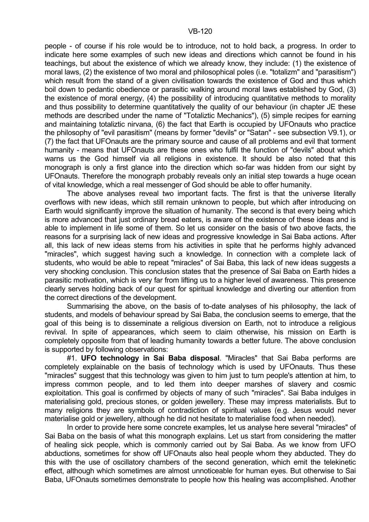people - of course if his role would be to introduce, not to hold back, a progress. In order to indicate here some examples of such new ideas and directions which cannot be found in his teachings, but about the existence of which we already know, they include: (1) the existence of moral laws, (2) the existence of two moral and philosophical poles (i.e. "totalizm" and "parasitism") which result from the stand of a given civilisation towards the existence of God and thus which boil down to pedantic obedience or parasitic walking around moral laws established by God, (3) the existence of moral energy, (4) the possibility of introducing quantitative methods to morality and thus possibility to determine quantitatively the quality of our behaviour (in chapter JE these methods are described under the name of "Totaliztic Mechanics"), (5) simple recipes for earning and maintaining totaliztic nirvana, (6) the fact that Earth is occupied by UFOnauts who practice the philosophy of "evil parasitism" (means by former "devils" or "Satan" - see subsection V9.1), or (7) the fact that UFOnauts are the primary source and cause of all problems and evil that torment humanity - means that UFOnauts are these ones who fulfil the function of "devils" about which warns us the God himself via all religions in existence. It should be also noted that this monograph is only a first glance into the direction which so-far was hidden from our sight by UFOnauts. Therefore the monograph probably reveals only an initial step towards a huge ocean of vital knowledge, which a real messenger of God should be able to offer humanity.

 The above analyses reveal two important facts. The first is that the universe literally overflows with new ideas, which still remain unknown to people, but which after introducing on Earth would significantly improve the situation of humanity. The second is that every being which is more advanced that just ordinary bread eaters, is aware of the existence of these ideas and is able to implement in life some of them. So let us consider on the basis of two above facts, the reasons for a surprising lack of new ideas and progressive knowledge in Sai Baba actions. After all, this lack of new ideas stems from his activities in spite that he performs highly advanced "miracles", which suggest having such a knowledge. In connection with a complete lack of students, who would be able to repeat "miracles" of Sai Baba, this lack of new ideas suggests a very shocking conclusion. This conclusion states that the presence of Sai Baba on Earth hides a parasitic motivation, which is very far from lifting us to a higher level of awareness. This presence clearly serves holding back of our quest for spiritual knowledge and diverting our attention from the correct directions of the development.

 Summarising the above, on the basis of to-date analyses of his philosophy, the lack of students, and models of behaviour spread by Sai Baba, the conclusion seems to emerge, that the goal of this being is to disseminate a religious diversion on Earth, not to introduce a religious revival. In spite of appearances, which seem to claim otherwise, his mission on Earth is completely opposite from that of leading humanity towards a better future. The above conclusion is supported by following observations:

 #1. **UFO technology in Sai Baba disposal**. "Miracles" that Sai Baba performs are completely explainable on the basis of technology which is used by UFOnauts. Thus these "miracles" suggest that this technology was given to him just to turn people's attention at him, to impress common people, and to led them into deeper marshes of slavery and cosmic exploitation. This goal is confirmed by objects of many of such "miracles". Sai Baba indulges in materialising gold, precious stones, or golden jewellery. These may impress materialists. But to many religions they are symbols of contradiction of spiritual values (e.g. Jesus would never materialise gold or jewellery, although he did not hesitate to materialise food when needed).

 In order to provide here some concrete examples, let us analyse here several "miracles" of Sai Baba on the basis of what this monograph explains. Let us start from considering the matter of healing sick people, which is commonly carried out by Sai Baba. As we know from UFO abductions, sometimes for show off UFOnauts also heal people whom they abducted. They do this with the use of oscillatory chambers of the second generation, which emit the telekinetic effect, although which sometimes are almost unnoticeable for human eyes. But otherwise to Sai Baba, UFOnauts sometimes demonstrate to people how this healing was accomplished. Another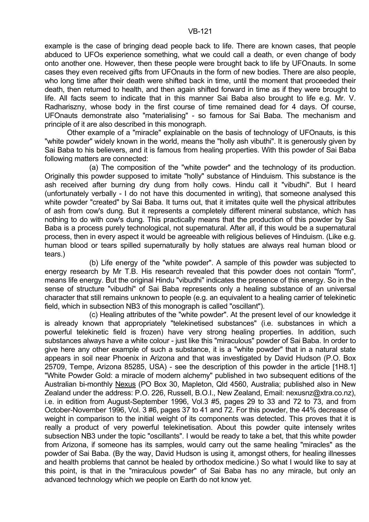example is the case of bringing dead people back to life. There are known cases, that people abduced to UFOs experience something, what we could call a death, or even change of body onto another one. However, then these people were brought back to life by UFOnauts. In some cases they even received gifts from UFOnauts in the form of new bodies. There are also people, who long time after their death were shifted back in time, until the moment that proceeded their death, then returned to health, and then again shifted forward in time as if they were brought to life. All facts seem to indicate that in this manner Sai Baba also brought to life e.g. Mr. V. Radhariszny, whose body in the first course of time remained dead for 4 days. Of course, UFOnauts demonstrate also "materialising" - so famous for Sai Baba. The mechanism and principle of it are also described in this monograph.

 Other example of a "miracle" explainable on the basis of technology of UFOnauts, is this "white powder" widely known in the world, means the "holly ash vibuthi". It is generously given by Sai Baba to his believers, and it is famous from healing properties. With this powder of Sai Baba following matters are connected:

 (a) The composition of the "white powder" and the technology of its production. Originally this powder supposed to imitate "holly" substance of Hinduism. This substance is the ash received after burning dry dung from holly cows. Hindu call it "vibudhi". But I heard (unfortunately verbally - I do not have this documented in writing), that someone analysed this white powder "created" by Sai Baba. It turns out, that it imitates quite well the physical attributes of ash from cow's dung. But it represents a completely different mineral substance, which has nothing to do with cow's dung. This practically means that the production of this powder by Sai Baba is a process purely technological, not supernatural. After all, if this would be a supernatural process, then in every aspect it would be agreeable with religious believes of Hinduism. (Like e.g. human blood or tears spilled supernaturally by holly statues are always real human blood or tears.)

 (b) Life energy of the "white powder". A sample of this powder was subjected to energy research by Mr T.B. His research revealed that this powder does not contain "form", means life energy. But the original Hindu "vibudhi" indicates the presence of this energy. So in the sense of structure "vibudhi" of Sai Baba represents only a healing substance of an universal character that still remains unknown to people (e.g. an equivalent to a healing carrier of telekinetic field, which in subsection NB3 of this monograph is called "oscillant").

 (c) Healing attributes of the "white powder". At the present level of our knowledge it is already known that appropriately "telekinetised substances" (i.e. substances in which a powerful telekinetic field is frozen) have very strong healing properties. In addition, such substances always have a white colour - just like this "miraculous" powder of Sai Baba. In order to give here any other example of such a substance, it is a "white powder" that in a natural state appears in soil near Phoenix in Arizona and that was investigated by David Hudson (P.O. Box 25709, Tempe, Arizona 85285, USA) - see the description of this powder in the article [1H8.1] "White Powder Gold: a miracle of modern alchemy" published in two subsequent editions of the Australian bi-monthly Nexus (PO Box 30, Mapleton, Qld 4560, Australia; published also in New Zealand under the address: P.O. 226, Russell, B.O.I., New Zealand, Email: nexusnz@xtra.co.nz), i.e. in edition from August-September 1996, Vol.3 #5, pages 29 to 33 and 72 to 73, and from October-November 1996, Vol. 3 #6, pages 37 to 41 and 72. For this powder, the 44% decrease of weight in comparison to the initial weight of its components was detected. This proves that it is really a product of very powerful telekinetisation. About this powder quite intensely writes subsection NB3 under the topic "oscillants". I would be ready to take a bet, that this white powder from Arizona, if someone has its samples, would carry out the same healing "miracles" as the powder of Sai Baba. (By the way, David Hudson is using it, amongst others, for healing illnesses and health problems that cannot be healed by orthodox medicine.) So what I would like to say at this point, is that in the "miraculous powder" of Sai Baba has no any miracle, but only an advanced technology which we people on Earth do not know yet.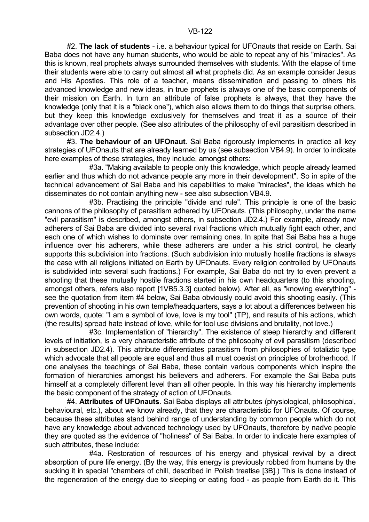#2. **The lack of students** - i.e. a behaviour typical for UFOnauts that reside on Earth. Sai Baba does not have any human students, who would be able to repeat any of his "miracles". As this is known, real prophets always surrounded themselves with students. With the elapse of time their students were able to carry out almost all what prophets did. As an example consider Jesus and His Apostles. This role of a teacher, means dissemination and passing to others his advanced knowledge and new ideas, in true prophets is always one of the basic components of their mission on Earth. In turn an attribute of false prophets is always, that they have the knowledge (only that it is a "black one"), which also allows them to do things that surprise others, but they keep this knowledge exclusively for themselves and treat it as a source of their advantage over other people. (See also attributes of the philosophy of evil parasitism described in subsection JD2.4.)

 #3. **The behaviour of an UFOnaut**. Sai Baba rigorously implements in practice all key strategies of UFOnauts that are already learned by us (see subsection VB4.9). In order to indicate here examples of these strategies, they include, amongst others:

 #3a. "Making available to people only this knowledge, which people already learned earlier and thus which do not advance people any more in their development". So in spite of the technical advancement of Sai Baba and his capabilities to make "miracles", the ideas which he disseminates do not contain anything new - see also subsection VB4.9.

 #3b. Practising the principle "divide and rule". This principle is one of the basic cannons of the philosophy of parasitism adhered by UFOnauts. (This philosophy, under the name "evil parasitism" is described, amongst others, in subsection JD2.4.) For example, already now adherers of Sai Baba are divided into several rival fractions which mutually fight each other, and each one of which wishes to dominate over remaining ones. In spite that Sai Baba has a huge influence over his adherers, while these adherers are under a his strict control, he clearly supports this subdivision into fractions. (Such subdivision into mutually hostile fractions is always the case with all religions initiated on Earth by UFOnauts. Every religion controlled by UFOnauts is subdivided into several such fractions.) For example, Sai Baba do not try to even prevent a shooting that these mutually hostile fractions started in his own headquarters (to this shooting, amongst others, refers also report [1VB5.3.3] quoted below). After all, as "knowing everything" see the quotation from item #4 below, Sai Baba obviously could avoid this shooting easily. (This prevention of shooting in his own temple/headquarters, says a lot about a differences between his own words, quote: "I am a symbol of love, love is my tool" (TP), and results of his actions, which (the results) spread hate instead of love, while for tool use divisions and brutality, not love.)

 #3c. Implementation of "hierarchy". The existence of steep hierarchy and different levels of initiation, is a very characteristic attribute of the philosophy of evil parasitism (described in subsection JD2.4). This attribute differentiates parasitism from philosophies of totaliztic type which advocate that all people are equal and thus all must coexist on principles of brotherhood. If one analyses the teachings of Sai Baba, these contain various components which inspire the formation of hierarchies amongst his believers and adherers. For example the Sai Baba puts himself at a completely different level than all other people. In this way his hierarchy implements the basic component of the strategy of action of UFOnauts.

 #4. **Attributes of UFOnauts**. Sai Baba displays all attributes (physiological, philosophical, behavioural, etc.), about we know already, that they are characteristic for UFOnauts. Of course, because these attributes stand behind range of understanding by common people which do not have any knowledge about advanced technology used by UFOnauts, therefore by naďve people they are quoted as the evidence of "holiness" of Sai Baba. In order to indicate here examples of such attributes, these include:

 #4a. Restoration of resources of his energy and physical revival by a direct absorption of pure life energy. (By the way, this energy is previously robbed from humans by the sucking it in special "chambers of chill, described in Polish treatise [3B].) This is done instead of the regeneration of the energy due to sleeping or eating food - as people from Earth do it. This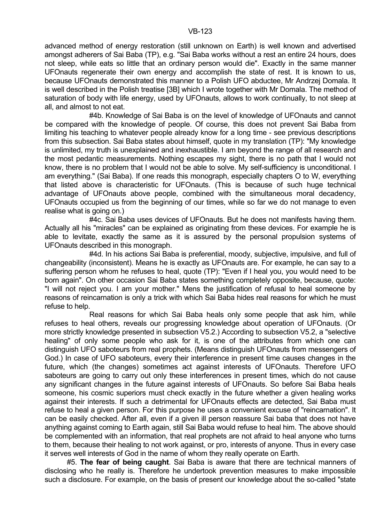advanced method of energy restoration (still unknown on Earth) is well known and advertised amongst adherers of Sai Baba (TP), e.g. "Sai Baba works without a rest an entire 24 hours, does not sleep, while eats so little that an ordinary person would die". Exactly in the same manner UFOnauts regenerate their own energy and accomplish the state of rest. It is known to us, because UFOnauts demonstrated this manner to a Polish UFO abductee, Mr Andrzej Domala. It is well described in the Polish treatise [3B] which I wrote together with Mr Domala. The method of saturation of body with life energy, used by UFOnauts, allows to work continually, to not sleep at all, and almost to not eat.

 #4b. Knowledge of Sai Baba is on the level of knowledge of UFOnauts and cannot be compared with the knowledge of people. Of course, this does not prevent Sai Baba from limiting his teaching to whatever people already know for a long time - see previous descriptions from this subsection. Sai Baba states about himself, quote in my translation (TP): "My knowledge is unlimited, my truth is unexplained and inexhaustible. I am beyond the range of all research and the most pedantic measurements. Nothing escapes my sight, there is no path that I would not know, there is no problem that I would not be able to solve. My self-sufficiency is unconditional. I am everything." (Sai Baba). If one reads this monograph, especially chapters O to W, everything that listed above is characteristic for UFOnauts. (This is because of such huge technical advantage of UFOnauts above people, combined with the simultaneous moral decadency, UFOnauts occupied us from the beginning of our times, while so far we do not manage to even realise what is going on.)

 #4c. Sai Baba uses devices of UFOnauts. But he does not manifests having them. Actually all his "miracles" can be explained as originating from these devices. For example he is able to levitate, exactly the same as it is assured by the personal propulsion systems of UFOnauts described in this monograph.

 #4d. In his actions Sai Baba is preferential, moody, subjective, impulsive, and full of changeability (inconsistent). Means he is exactly as UFOnauts are. For example, he can say to a suffering person whom he refuses to heal, quote (TP): "Even if I heal you, you would need to be born again". On other occasion Sai Baba states something completely opposite, because, quote: "I will not reject you. I am your mother." Mens the justification of refusal to heal someone by reasons of reincarnation is only a trick with which Sai Baba hides real reasons for which he must refuse to help.

 Real reasons for which Sai Baba heals only some people that ask him, while refuses to heal others, reveals our progressing knowledge about operation of UFOnauts. (Or more strictly knowledge presented in subsection V5.2.) According to subsection V5.2, a "selective healing" of only some people who ask for it, is one of the attributes from which one can distinguish UFO saboteurs from real prophets. (Means distinguish UFOnauts from messengers of God.) In case of UFO saboteurs, every their interference in present time causes changes in the future, which (the changes) sometimes act against interests of UFOnauts. Therefore UFO saboteurs are going to carry out only these interferences in present times, which do not cause any significant changes in the future against interests of UFOnauts. So before Sai Baba heals someone, his cosmic superiors must check exactly in the future whether a given healing works against their interests. If such a detrimental for UFOnauts effects are detected, Sai Baba must refuse to heal a given person. For this purpose he uses a convenient excuse of "reincarnation". It can be easily checked. After all, even if a given ill person reassure Sai baba that does not have anything against coming to Earth again, still Sai Baba would refuse to heal him. The above should be complemented with an information, that real prophets are not afraid to heal anyone who turns to them, because their healing to not work against, or pro, interests of anyone. Thus in every case it serves well interests of God in the name of whom they really operate on Earth.

 #5. **The fear of being caught**. Sai Baba is aware that there are technical manners of disclosing who he really is. Therefore he undertook prevention measures to make impossible such a disclosure. For example, on the basis of present our knowledge about the so-called "state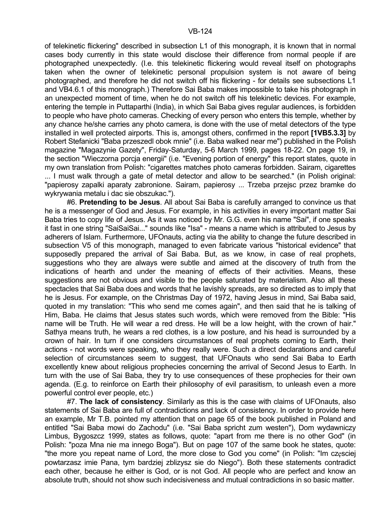of telekinetic flickering" described in subsection L1 of this monograph, it is known that in normal cases body currently in this state would disclose their difference from normal people if are photographed unexpectedly. (I.e. this telekinetic flickering would reveal itself on photographs taken when the owner of telekinetic personal propulsion system is not aware of being photographed, and therefore he did not switch off his flickering - for details see subsections L1 and VB4.6.1 of this monograph.) Therefore Sai Baba makes impossible to take his photograph in an unexpected moment of time, when he do not switch off his telekinetic devices. For example, entering the temple in Puttaparthi (India), in which Sai Baba gives regular audiences, is forbidden to people who have photo cameras. Checking of every person who enters this temple, whether by any chance he/she carries any photo camera, is done with the use of metal detectors of the type installed in well protected airports. This is, amongst others, confirmed in the report **[1VB5.3.3]** by Robert Stefanicki "Baba przeszedl obok mnie" (i.e. Baba walked near me") published in the Polish magazine "Magazynie Gazety", Friday-Saturday, 5-6 March 1999, pages 18-22. On page 19, in the section "Wieczorna porcja energii" (i.e. "Evening portion of energy" this report states, quote in my own translation from Polish: "cigarettes matches photo cameras forbidden. Sairam, cigarettes ... I must walk through a gate of metal detector and allow to be searched." (in Polish original: "papierosy zapalki aparaty zabronione. Sairam, papierosy ... Trzeba przejsc przez bramke do wykrywania metalu i dac sie obszukac.").

 #6. **Pretending to be Jesus**. All about Sai Baba is carefully arranged to convince us that he is a messenger of God and Jesus. For example, in his activities in every important matter Sai Baba tries to copy life of Jesus. As it was noticed by Mr. G.G. even his name "Sai", if one speaks it fast in one string "SaiSaiSai..." sounds like "Isa" - means a name which is attributed to Jesus by adherers of Islam. Furthermore, UFOnauts, acting via the ability to change the future described in subsection V5 of this monograph, managed to even fabricate various "historical evidence" that supposedly prepared the arrival of Sai Baba. But, as we know, in case of real prophets, suggestions who they are always were subtle and aimed at the discovery of truth from the indications of hearth and under the meaning of effects of their activities. Means, these suggestions are not obvious and visible to the people saturated by materialism. Also all these spectacles that Sai Baba does and words that he lavishly spreads, are so directed as to imply that he is Jesus. For example, on the Christmas Day of 1972, having Jesus in mind, Sai Baba said, quoted in my translation: "This who send me comes again", and then said that he is talking of Him, Baba. He claims that Jesus states such words, which were removed from the Bible: "His name will be Truth. He will wear a red dress. He will be a low height, with the crown of hair." Sathya means truth, he wears a red clothes, is a low posture, and his head is surrounded by a crown of hair. In turn if one considers circumstances of real prophets coming to Earth, their actions - not words were speaking, who they really were. Such a direct declarations and careful selection of circumstances seem to suggest, that UFOnauts who send Sai Baba to Earth excellently knew about religious prophecies concerning the arrival of Second Jesus to Earth. In turn with the use of Sai Baba, they try to use consequences of these prophecies for their own agenda. (E.g. to reinforce on Earth their philosophy of evil parasitism, to unleash even a more powerful control ever people, etc.)

 #7. **The lack of consistency**. Similarly as this is the case with claims of UFOnauts, also statements of Sai Baba are full of contradictions and lack of consistency. In order to provide here an example, Mr T.B. pointed my attention that on page 65 of the book published in Poland and entitled "Sai Baba mowi do Zachodu" (i.e. "Sai Baba spricht zum westen"), Dom wydawniczy Limbus, Bygoszcz 1999, states as follows, quote: "apart from me there is no other God" (in Polish: "poza Mna nie ma innego Boga"). But on page 107 of the same book he states, quote: "the more you repeat name of Lord, the more close to God you come" (in Polish: "Im czesciej powtarzasz imie Pana, tym bardziej zblizysz sie do Niego"). Both these statements contradict each other, because he either is God, or is not God. All people who are perfect and know an absolute truth, should not show such indecisiveness and mutual contradictions in so basic matter.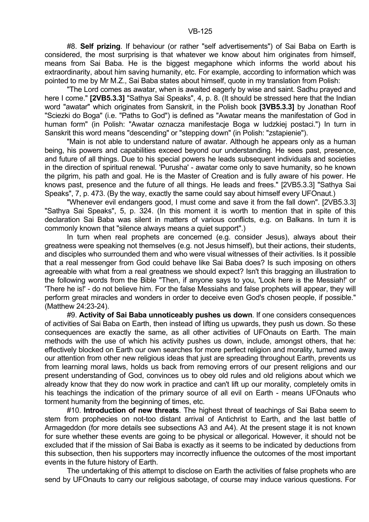#8. **Self prizing**. If behaviour (or rather "self advertisements") of Sai Baba on Earth is considered, the most surprising is that whatever we know about him originates from himself, means from Sai Baba. He is the biggest megaphone which informs the world about his extraordinarity, about him saving humanity, etc. For example, according to information which was pointed to me by Mr M.Z., Sai Baba states about himself, quote in my translation from Polish:

 "The Lord comes as awatar, when is awaited eagerly by wise and saint. Sadhu prayed and here I come." **[2VB5.3.3]** "Sathya Sai Speaks", 4, p. 8. (It should be stressed here that the Indian word "awatar" which originates from Sanskrit, in the Polish book **[3VB5.3.3]** by Jonathan Roof "Sciezki do Boga" (i.e. "Paths to God") is defined as "Awatar means the manifestation of God in human form" (in Polish: "Awatar oznacza manifestacje Boga w ludzkiej postaci.") In turn in Sanskrit this word means "descending" or "stepping down" (in Polish: "zstapienie").

 "Main is not able to understand nature of awatar. Although he appears only as a human being, his powers and capabilities exceed beyond our understanding. He sees past, presence, and future of all things. Due to his special powers he leads subsequent individuals and societies in the direction of spiritual renewal. 'Purusha' - awatar come only to save humanity, so he known the pilgrim, his path and goal. He is the Master of Creation and is fully aware of his power. He knows past, presence and the future of all things. He leads and frees." [2VB5.3.3] "Sathya Sai Speaks", 7, p. 473. (By the way, exactly the same could say about himself every UFOnaut.)

 "Whenever evil endangers good, I must come and save it from the fall down". [2VB5.3.3] "Sathya Sai Speaks", 5, p. 324. (In this moment it is worth to mention that in spite of this declaration Sai Baba was silent in matters of various conflicts, e.g. on Balkans. In turn it is commonly known that "silence always means a quiet support".)

 In turn when real prophets are concerned (e.g. consider Jesus), always about their greatness were speaking not themselves (e.g. not Jesus himself), but their actions, their students, and disciples who surrounded them and who were visual witnesses of their activities. Is it possible that a real messenger from God could behave like Sai Baba does? Is such imposing on others agreeable with what from a real greatness we should expect? Isn't this bragging an illustration to the following words from the Bible "Then, if anyone says to you, 'Look here is the Messiah!' or 'There he is!' - do not believe him. For the false Messiahs and false prophets will appear, they will perform great miracles and wonders in order to deceive even God's chosen people, if possible." (Matthew 24:23-24).

 #9. **Activity of Sai Baba unnoticeably pushes us down**. If one considers consequences of activities of Sai Baba on Earth, then instead of lifting us upwards, they push us down. So these consequences are exactly the same, as all other activities of UFOnauts on Earth. The main methods with the use of which his activity pushes us down, include, amongst others, that he: effectively blocked on Earth our own searches for more perfect religion and morality, turned away our attention from other new religious ideas that just are spreading throughout Earth, prevents us from learning moral laws, holds us back from removing errors of our present religions and our present understanding of God, convinces us to obey old rules and old religions about which we already know that they do now work in practice and can't lift up our morality, completely omits in his teachings the indication of the primary source of all evil on Earth - means UFOnauts who torment humanity from the beginning of times, etc.

 #10. **Introduction of new threats**. The highest threat of teachings of Sai Baba seem to stem from prophecies on not-too distant arrival of Antichrist to Earth, and the last battle of Armageddon (for more details see subsections A3 and A4). At the present stage it is not known for sure whether these events are going to be physical or allegorical. However, it should not be excluded that if the mission of Sai Baba is exactly as it seems to be indicated by deductions from this subsection, then his supporters may incorrectly influence the outcomes of the most important events in the future history of Earth.

 The undertaking of this attempt to disclose on Earth the activities of false prophets who are send by UFOnauts to carry our religious sabotage, of course may induce various questions. For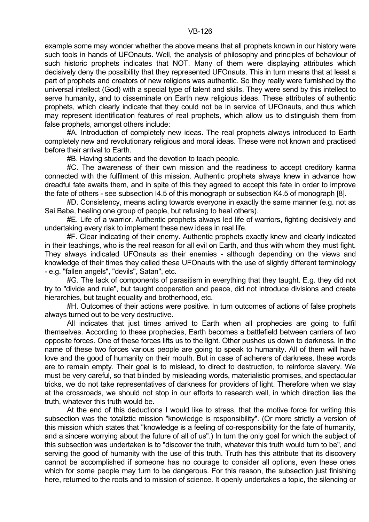example some may wonder whether the above means that all prophets known in our history were such tools in hands of UFOnauts. Well, the analysis of philosophy and principles of behaviour of such historic prophets indicates that NOT. Many of them were displaying attributes which decisively deny the possibility that they represented UFOnauts. This in turn means that at least a part of prophets and creators of new religions was authentic. So they really were furnished by the universal intellect (God) with a special type of talent and skills. They were send by this intellect to serve humanity, and to disseminate on Earth new religious ideas. These attributes of authentic prophets, which clearly indicate that they could not be in service of UFOnauts, and thus which may represent identification features of real prophets, which allow us to distinguish them from false prophets, amongst others include:

 #A. Introduction of completely new ideas. The real prophets always introduced to Earth completely new and revolutionary religious and moral ideas. These were not known and practised before their arrival to Earth.

#B. Having students and the devotion to teach people.

 #C. The awareness of their own mission and the readiness to accept creditory karma connected with the fulfilment of this mission. Authentic prophets always knew in advance how dreadful fate awaits them, and in spite of this they agreed to accept this fate in order to improve the fate of others - see subsection I4.5 of this monograph or subsection K4.5 of monograph [8].

 #D. Consistency, means acting towards everyone in exactly the same manner (e.g. not as Sai Baba, healing one group of people, but refusing to heal others).

 #E. Life of a warrior. Authentic prophets always led life of warriors, fighting decisively and undertaking every risk to implement these new ideas in real life.

 #F. Clear indicating of their enemy. Authentic prophets exactly knew and clearly indicated in their teachings, who is the real reason for all evil on Earth, and thus with whom they must fight. They always indicated UFOnauts as their enemies - although depending on the views and knowledge of their times they called these UFOnauts with the use of slightly different terminology - e.g. "fallen angels", "devils", Satan", etc.

 #G. The lack of components of parasitism in everything that they taught. E.g. they did not try to "divide and rule", but taught cooperation and peace, did not introduce divisions and create hierarchies, but taught equality and brotherhood, etc.

 #H. Outcomes of their actions were positive. In turn outcomes of actions of false prophets always turned out to be very destructive.

All indicates that just times arrived to Earth when all prophecies are going to fulfil themselves. According to these prophecies, Earth becomes a battlefield between carriers of two opposite forces. One of these forces lifts us to the light. Other pushes us down to darkness. In the name of these two forces various people are going to speak to humanity. All of them will have love and the good of humanity on their mouth. But in case of adherers of darkness, these words are to remain empty. Their goal is to mislead, to direct to destruction, to reinforce slavery. We must be very careful, so that blinded by misleading words, materialistic promises, and spectacular tricks, we do not take representatives of darkness for providers of light. Therefore when we stay at the crossroads, we should not stop in our efforts to research well, in which direction lies the truth, whatever this truth would be.

 At the end of this deductions I would like to stress, that the motive force for writing this subsection was the totaliztic mission "knowledge is responsibility". (Or more strictly a version of this mission which states that "knowledge is a feeling of co-responsibility for the fate of humanity, and a sincere worrying about the future of all of us".) In turn the only goal for which the subject of this subsection was undertaken is to "discover the truth, whatever this truth would turn to be", and serving the good of humanity with the use of this truth. Truth has this attribute that its discovery cannot be accomplished if someone has no courage to consider all options, even these ones which for some people may turn to be dangerous. For this reason, the subsection just finishing here, returned to the roots and to mission of science. It openly undertakes a topic, the silencing or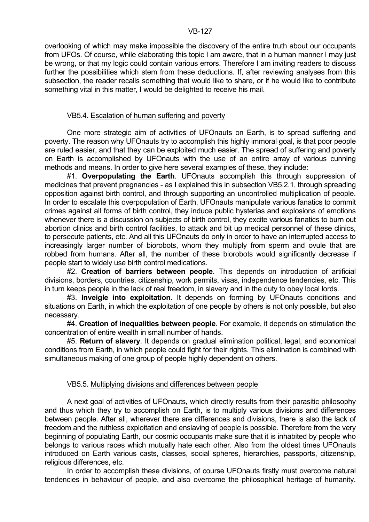overlooking of which may make impossible the discovery of the entire truth about our occupants from UFOs. Of course, while elaborating this topic I am aware, that in a human manner I may just be wrong, or that my logic could contain various errors. Therefore I am inviting readers to discuss further the possibilities which stem from these deductions. If, after reviewing analyses from this subsection, the reader recalls something that would like to share, or if he would like to contribute something vital in this matter, I would be delighted to receive his mail.

## VB5.4. Escalation of human suffering and poverty

 One more strategic aim of activities of UFOnauts on Earth, is to spread suffering and poverty. The reason why UFOnauts try to accomplish this highly immoral goal, is that poor people are ruled easier, and that they can be exploited much easier. The spread of suffering and poverty on Earth is accomplished by UFOnauts with the use of an entire array of various cunning methods and means. In order to give here several examples of these, they include:

 #1. **Overpopulating the Earth**. UFOnauts accomplish this through suppression of medicines that prevent pregnancies - as I explained this in subsection VB5.2.1, through spreading opposition against birth control, and through supporting an uncontrolled multiplication of people. In order to escalate this overpopulation of Earth, UFOnauts manipulate various fanatics to commit crimes against all forms of birth control, they induce public hysterias and explosions of emotions whenever there is a discussion on subjects of birth control, they excite various fanatics to burn out abortion clinics and birth control facilities, to attack and bit up medical personnel of these clinics, to persecute patients, etc. And all this UFOnauts do only in order to have an interrupted access to increasingly larger number of biorobots, whom they multiply from sperm and ovule that are robbed from humans. After all, the number of these biorobots would significantly decrease if people start to widely use birth control medications.

 #2. **Creation of barriers between people**. This depends on introduction of artificial divisions, borders, countries, citizenship, work permits, visas, independence tendencies, etc. This in turn keeps people in the lack of real freedom, in slavery and in the duty to obey local lords.

 #3. **Inveigle into exploitation**. It depends on forming by UFOnauts conditions and situations on Earth, in which the exploitation of one people by others is not only possible, but also necessary.

 #4. **Creation of inequalities between people**. For example, it depends on stimulation the concentration of entire wealth in small number of hands.

 #5. **Return of slavery**. It depends on gradual elimination political, legal, and economical conditions from Earth, in which people could fight for their rights. This elimination is combined with simultaneous making of one group of people highly dependent on others.

# VB5.5. Multiplying divisions and differences between people

 A next goal of activities of UFOnauts, which directly results from their parasitic philosophy and thus which they try to accomplish on Earth, is to multiply various divisions and differences between people. After all, wherever there are differences and divisions, there is also the lack of freedom and the ruthless exploitation and enslaving of people is possible. Therefore from the very beginning of populating Earth, our cosmic occupants make sure that it is inhabited by people who belongs to various races which mutually hate each other. Also from the oldest times UFOnauts introduced on Earth various casts, classes, social spheres, hierarchies, passports, citizenship, religious differences, etc.

 In order to accomplish these divisions, of course UFOnauts firstly must overcome natural tendencies in behaviour of people, and also overcome the philosophical heritage of humanity.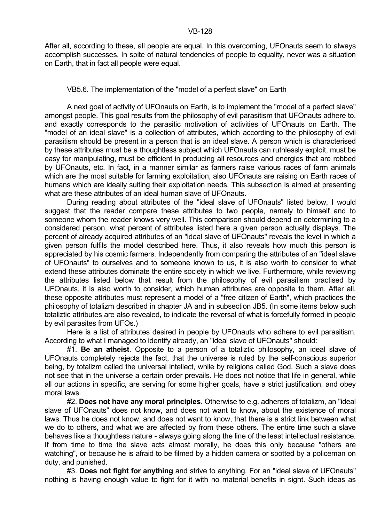After all, according to these, all people are equal. In this overcoming, UFOnauts seem to always accomplish successes. In spite of natural tendencies of people to equality, never was a situation on Earth, that in fact all people were equal.

## VB5.6. The implementation of the "model of a perfect slave" on Earth

 A next goal of activity of UFOnauts on Earth, is to implement the "model of a perfect slave" amongst people. This goal results from the philosophy of evil parasitism that UFOnauts adhere to, and exactly corresponds to the parasitic motivation of activities of UFOnauts on Earth. The "model of an ideal slave" is a collection of attributes, which according to the philosophy of evil parasitism should be present in a person that is an ideal slave. A person which is characterised by these attributes must be a thoughtless subject which UFOnauts can ruthlessly exploit, must be easy for manipulating, must be efficient in producing all resources and energies that are robbed by UFOnauts, etc. In fact, in a manner similar as farmers raise various races of farm animals which are the most suitable for farming exploitation, also UFOnauts are raising on Earth races of humans which are ideally suiting their exploitation needs. This subsection is aimed at presenting what are these attributes of an ideal human slave of UFOnauts.

 During reading about attributes of the "ideal slave of UFOnauts" listed below, I would suggest that the reader compare these attributes to two people, namely to himself and to someone whom the reader knows very well. This comparison should depend on determining to a considered person, what percent of attributes listed here a given person actually displays. The percent of already acquired attributes of an "ideal slave of UFOnauts" reveals the level in which a given person fulfils the model described here. Thus, it also reveals how much this person is appreciated by his cosmic farmers. Independently from comparing the attributes of an "ideal slave of UFOnauts" to ourselves and to someone known to us, it is also worth to consider to what extend these attributes dominate the entire society in which we live. Furthermore, while reviewing the attributes listed below that result from the philosophy of evil parasitism practised by UFOnauts, it is also worth to consider, which human attributes are opposite to them. After all, these opposite attributes must represent a model of a "free citizen of Earth", which practices the philosophy of totalizm described in chapter JA and in subsection JB5. (In some items below such totaliztic attributes are also revealed, to indicate the reversal of what is forcefully formed in people by evil parasites from UFOs.)

 Here is a list of attributes desired in people by UFOnauts who adhere to evil parasitism. According to what I managed to identify already, an "ideal slave of UFOnauts" should:

 #1. **Be an atheist**. Opposite to a person of a totaliztic philosophy, an ideal slave of UFOnauts completely rejects the fact, that the universe is ruled by the self-conscious superior being, by totalizm called the universal intellect, while by religions called God. Such a slave does not see that in the universe a certain order prevails. He does not notice that life in general, while all our actions in specific, are serving for some higher goals, have a strict justification, and obey moral laws.

 #2. **Does not have any moral principles**. Otherwise to e.g. adherers of totalizm, an "ideal slave of UFOnauts" does not know, and does not want to know, about the existence of moral laws. Thus he does not know, and does not want to know, that there is a strict link between what we do to others, and what we are affected by from these others. The entire time such a slave behaves like a thoughtless nature - always going along the line of the least intellectual resistance. If from time to time the slave acts almost morally, he does this only because "others are watching", or because he is afraid to be filmed by a hidden camera or spotted by a policeman on duty, and punished.

 #3. **Does not fight for anything** and strive to anything. For an "ideal slave of UFOnauts" nothing is having enough value to fight for it with no material benefits in sight. Such ideas as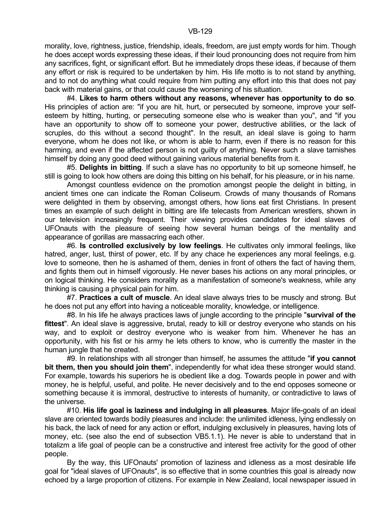morality, love, rightness, justice, friendship, ideals, freedom, are just empty words for him. Though he does accept words expressing these ideas, if their loud pronouncing does not require from him any sacrifices, fight, or significant effort. But he immediately drops these ideas, if because of them any effort or risk is required to be undertaken by him. His life motto is to not stand by anything, and to not do anything what could require from him putting any effort into this that does not pay back with material gains, or that could cause the worsening of his situation.

 #4. **Likes to harm others without any reasons, whenever has opportunity to do so**. His principles of action are: "if you are hit, hurt, or persecuted by someone, improve your selfesteem by hitting, hurting, or persecuting someone else who is weaker than you", and "if you have an opportunity to show off to someone your power, destructive abilities, or the lack of scruples, do this without a second thought". In the result, an ideal slave is going to harm everyone, whom he does not like, or whom is able to harm, even if there is no reason for this harming, and even if the affected person is not guilty of anything. Never such a slave tarnishes himself by doing any good deed without gaining various material benefits from it.

 #5. **Delights in bitting**. If such a slave has no opportunity to bit up someone himself, he still is going to look how others are doing this bitting on his behalf, for his pleasure, or in his name.

 Amongst countless evidence on the promotion amongst people the delight in bitting, in ancient times one can indicate the Roman Coliseum. Crowds of many thousands of Romans were delighted in them by observing, amongst others, how lions eat first Christians. In present times an example of such delight in bitting are life telecasts from American wrestlers, shown in our television increasingly frequent. Their viewing provides candidates for ideal slaves of UFOnauts with the pleasure of seeing how several human beings of the mentality and appearance of gorillas are massacring each other.

 #6. **Is controlled exclusively by low feelings**. He cultivates only immoral feelings, like hatred, anger, lust, thirst of power, etc. If by any chace he experiences any moral feelings, e.g. love to someone, then he is ashamed of them, denies in front of others the fact of having them, and fights them out in himself vigorously. He never bases his actions on any moral principles, or on logical thinking. He considers morality as a manifestation of someone's weakness, while any thinking is causing a physical pain for him.

 #7. **Practices a cult of muscle**. An ideal slave always tries to be muscly and strong. But he does not put any effort into having a noticeable morality, knowledge, or intelligence.

 #8. In his life he always practices laws of jungle according to the principle "**survival of the fittest**". An ideal slave is aggressive, brutal, ready to kill or destroy everyone who stands on his way, and to exploit or destroy everyone who is weaker from him. Whenever he has an opportunity, with his fist or his army he lets others to know, who is currently the master in the human jungle that he created.

 #9. In relationships with all stronger than himself, he assumes the attitude "**if you cannot bit them, then you should join them**", independently for what idea these stronger would stand. For example, towards his superiors he is obedient like a dog. Towards people in power and with money, he is helpful, useful, and polite. He never decisively and to the end opposes someone or something because it is immoral, destructive to interests of humanity, or contradictive to laws of the universe.

 #10. **His life goal is laziness and indulging in all pleasures**. Major life-goals of an ideal slave are oriented towards bodily pleasures and include: the unlimited idleness, lying endlessly on his back, the lack of need for any action or effort, indulging exclusively in pleasures, having lots of money, etc. (see also the end of subsection VB5.1.1). He never is able to understand that in totalizm a life goal of people can be a constructive and interest free activity for the good of other people.

 By the way, this UFOnauts' promotion of laziness and idleness as a most desirable life goal for "ideal slaves of UFOnauts", is so effective that in some countries this goal is already now echoed by a large proportion of citizens. For example in New Zealand, local newspaper issued in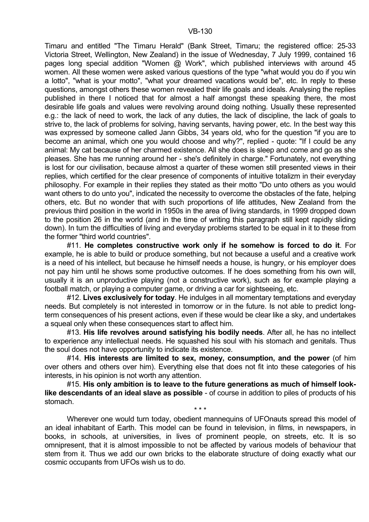Timaru and entitled "The Timaru Herald" (Bank Street, Timaru; the registered office: 25-33 Victoria Street, Wellington, New Zealand) in the issue of Wednesday, 7 July 1999, contained 16 pages long special addition "Women @ Work", which published interviews with around 45 women. All these women were asked various questions of the type "what would you do if you win a lotto", "what is your motto", "what your dreamed vacations would be", etc. In reply to these questions, amongst others these women revealed their life goals and ideals. Analysing the replies published in there I noticed that for almost a half amongst these speaking there, the most desirable life goals and values were revolving around doing nothing. Usually these represented e.g.: the lack of need to work, the lack of any duties, the lack of discipline, the lack of goals to strive to, the lack of problems for solving, having servants, having power, etc. In the best way this was expressed by someone called Jann Gibbs, 34 years old, who for the question "if you are to become an animal, which one you would choose and why?", replied - quote: "If I could be any animal: My cat because of her charmed existence. All she does is sleep and come and go as she pleases. She has me running around her - she's definitely in charge." Fortunately, not everything is lost for our civilisation, because almost a quarter of these women still presented views in their replies, which certified for the clear presence of components of intuitive totalizm in their everyday philosophy. For example in their replies they stated as their motto "Do unto others as you would want others to do unto you", indicated the necessity to overcome the obstacles of the fate, helping others, etc. But no wonder that with such proportions of life attitudes, New Zealand from the previous third position in the world in 1950s in the area of living standards, in 1999 dropped down to the position 26 in the world (and in the time of writing this paragraph still kept rapidly sliding down). In turn the difficulties of living and everyday problems started to be equal in it to these from the former "third world countries".

 #11. **He completes constructive work only if he somehow is forced to do it**. For example, he is able to build or produce something, but not because a useful and a creative work is a need of his intellect, but because he himself needs a house, is hungry, or his employer does not pay him until he shows some productive outcomes. If he does something from his own will, usually it is an unproductive playing (not a constructive work), such as for example playing a football match, or playing a computer game, or driving a car for sightseeing, etc.

 #12. **Lives exclusively for today**. He indulges in all momentary temptations and everyday needs. But completely is not interested in tomorrow or in the future. Is not able to predict longterm consequences of his present actions, even if these would be clear like a sky, and undertakes a squeal only when these consequences start to affect him.

 #13. **His life revolves around satisfying his bodily needs**. After all, he has no intellect to experience any intellectual needs. He squashed his soul with his stomach and genitals. Thus the soul does not have opportunity to indicate its existence.

 #14. **His interests are limited to sex, money, consumption, and the power** (of him over others and others over him). Everything else that does not fit into these categories of his interests, in his opinion is not worth any attention.

 #15. **His only ambition is to leave to the future generations as much of himself looklike descendants of an ideal slave as possible** - of course in addition to piles of products of his stomach.

 $\star \star \star$ 

 Wherever one would turn today, obedient mannequins of UFOnauts spread this model of an ideal inhabitant of Earth. This model can be found in television, in films, in newspapers, in books, in schools, at universities, in lives of prominent people, on streets, etc. It is so omnipresent, that it is almost impossible to not be affected by various models of behaviour that stem from it. Thus we add our own bricks to the elaborate structure of doing exactly what our cosmic occupants from UFOs wish us to do.